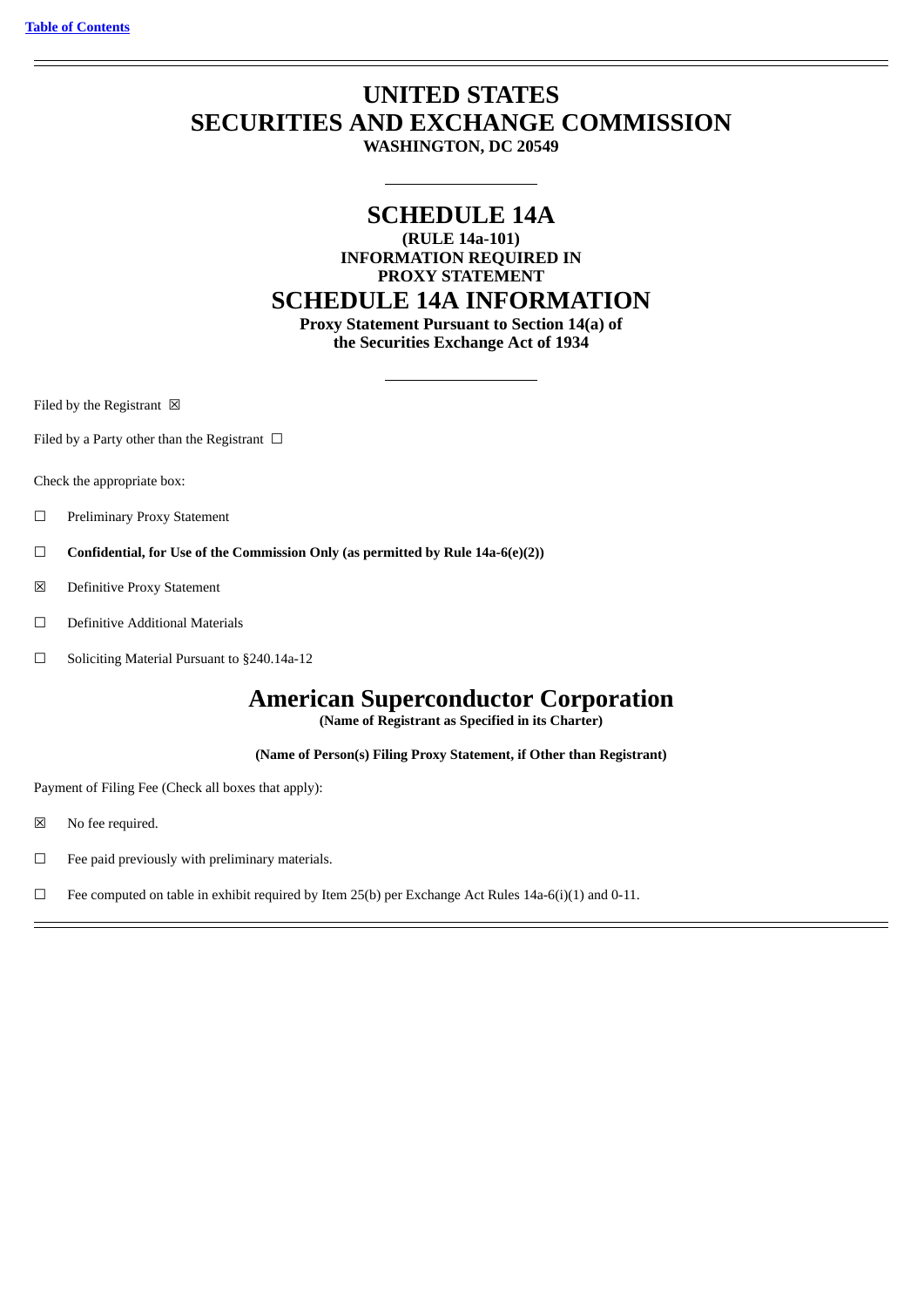# **UNITED STATES SECURITIES AND EXCHANGE COMMISSION**

**WASHINGTON, DC 20549**

# **SCHEDULE 14A**

**(RULE 14a-101) INFORMATION REQUIRED IN PROXY STATEMENT SCHEDULE 14A INFORMATION**

**Proxy Statement Pursuant to Section 14(a) of the Securities Exchange Act of 1934**

Filed by the Registrant  $\boxtimes$ 

Filed by a Party other than the Registrant  $\Box$ 

Check the appropriate box:

- ☐ Preliminary Proxy Statement
- ☐ **Confidential, for Use of the Commission Only (as permitted by Rule 14a-6(e)(2))**
- ☒ Definitive Proxy Statement
- ☐ Definitive Additional Materials
- ☐ Soliciting Material Pursuant to §240.14a-12

# **American Superconductor Corporation**

**(Name of Registrant as Specified in its Charter)**

**(Name of Person(s) Filing Proxy Statement, if Other than Registrant)**

Payment of Filing Fee (Check all boxes that apply):

- ☒ No fee required.
- $\Box$  Fee paid previously with preliminary materials.
- □ Fee computed on table in exhibit required by Item 25(b) per Exchange Act Rules 14a-6(i)(1) and 0-11.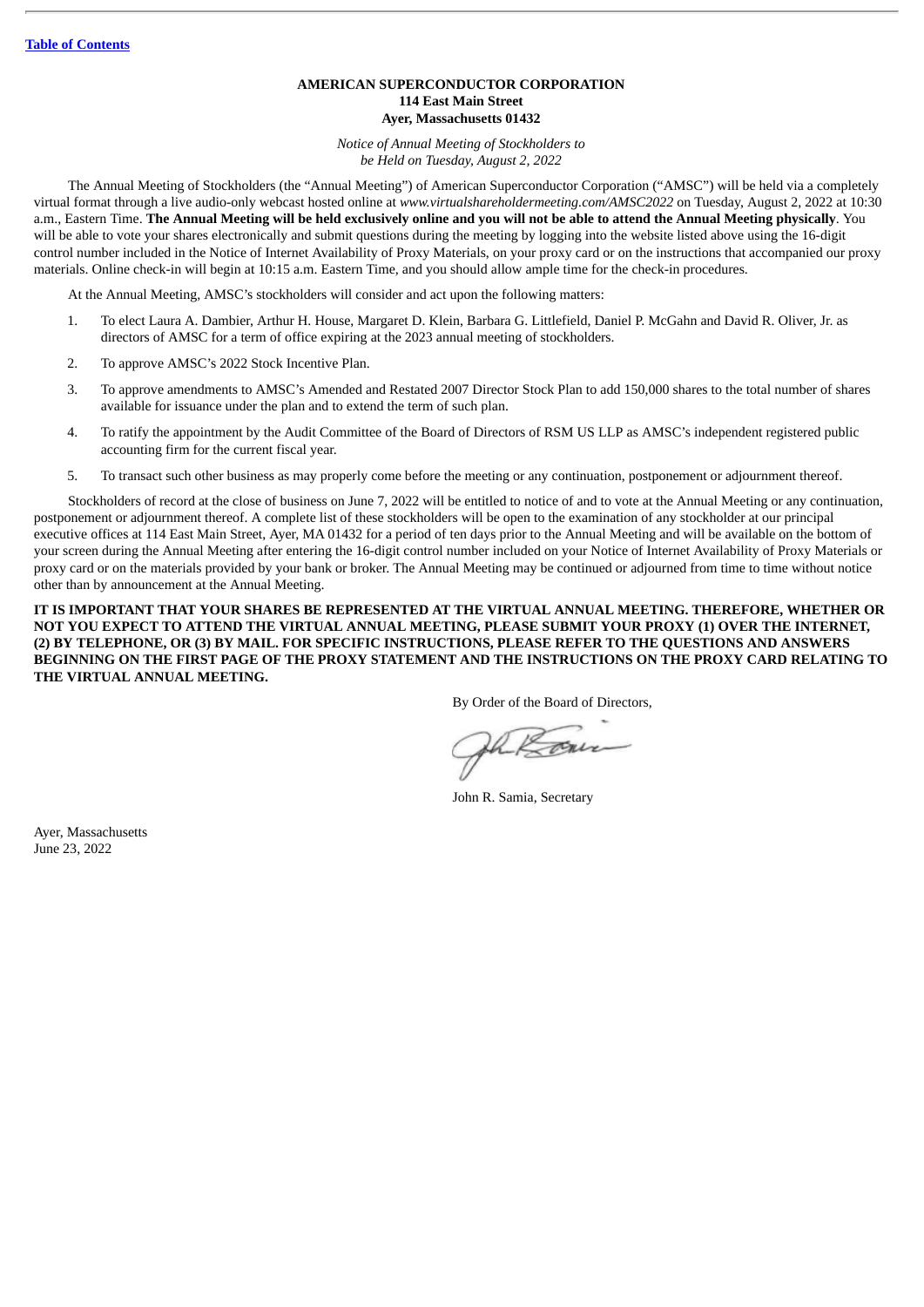#### **AMERICAN SUPERCONDUCTOR CORPORATION 114 East Main Street Ayer, Massachusetts 01432**

*Notice of Annual Meeting of Stockholders to be Held on Tuesday, August 2, 2022*

The Annual Meeting of Stockholders (the "Annual Meeting") of American Superconductor Corporation ("AMSC") will be held via a completely virtual format through a live audio-only webcast hosted online at *www.virtualshareholdermeeting.com/AMSC2022* on Tuesday, August 2, 2022 at 10:30 a.m., Eastern Time. The Annual Meeting will be held exclusively online and you will not be able to attend the Annual Meeting physically. You will be able to vote your shares electronically and submit questions during the meeting by logging into the website listed above using the 16-digit control number included in the Notice of Internet Availability of Proxy Materials, on your proxy card or on the instructions that accompanied our proxy materials. Online check-in will begin at 10:15 a.m. Eastern Time, and you should allow ample time for the check-in procedures.

At the Annual Meeting, AMSC's stockholders will consider and act upon the following matters:

- 1. To elect Laura A. Dambier, Arthur H. House, Margaret D. Klein, Barbara G. Littlefield, Daniel P. McGahn and David R. Oliver, Jr. as directors of AMSC for a term of office expiring at the 2023 annual meeting of stockholders.
- 2. To approve AMSC's 2022 Stock Incentive Plan.
- 3. To approve amendments to AMSC's Amended and Restated 2007 Director Stock Plan to add 150,000 shares to the total number of shares available for issuance under the plan and to extend the term of such plan.
- 4. To ratify the appointment by the Audit Committee of the Board of Directors of RSM US LLP as AMSC's independent registered public accounting firm for the current fiscal year.
- 5. To transact such other business as may properly come before the meeting or any continuation, postponement or adjournment thereof.

Stockholders of record at the close of business on June 7, 2022 will be entitled to notice of and to vote at the Annual Meeting or any continuation, postponement or adjournment thereof. A complete list of these stockholders will be open to the examination of any stockholder at our principal executive offices at 114 East Main Street, Ayer, MA 01432 for a period of ten days prior to the Annual Meeting and will be available on the bottom of your screen during the Annual Meeting after entering the 16-digit control number included on your Notice of Internet Availability of Proxy Materials or proxy card or on the materials provided by your bank or broker. The Annual Meeting may be continued or adjourned from time to time without notice other than by announcement at the Annual Meeting.

**IT IS IMPORTANT THAT YOUR SHARES BE REPRESENTED AT THE VIRTUAL ANNUAL MEETING. THEREFORE, WHETHER OR NOT YOU EXPECT TO ATTEND THE VIRTUAL ANNUAL MEETING, PLEASE SUBMIT YOUR PROXY (1) OVER THE INTERNET, (2) BY TELEPHONE, OR (3) BY MAIL. FOR SPECIFIC INSTRUCTIONS, PLEASE REFER TO THE QUESTIONS AND ANSWERS** BEGINNING ON THE FIRST PAGE OF THE PROXY STATEMENT AND THE INSTRUCTIONS ON THE PROXY CARD RELATING TO **THE VIRTUAL ANNUAL MEETING.**

By Order of the Board of Directors,

akour

John R. Samia, Secretary

Ayer, Massachusetts June 23, 2022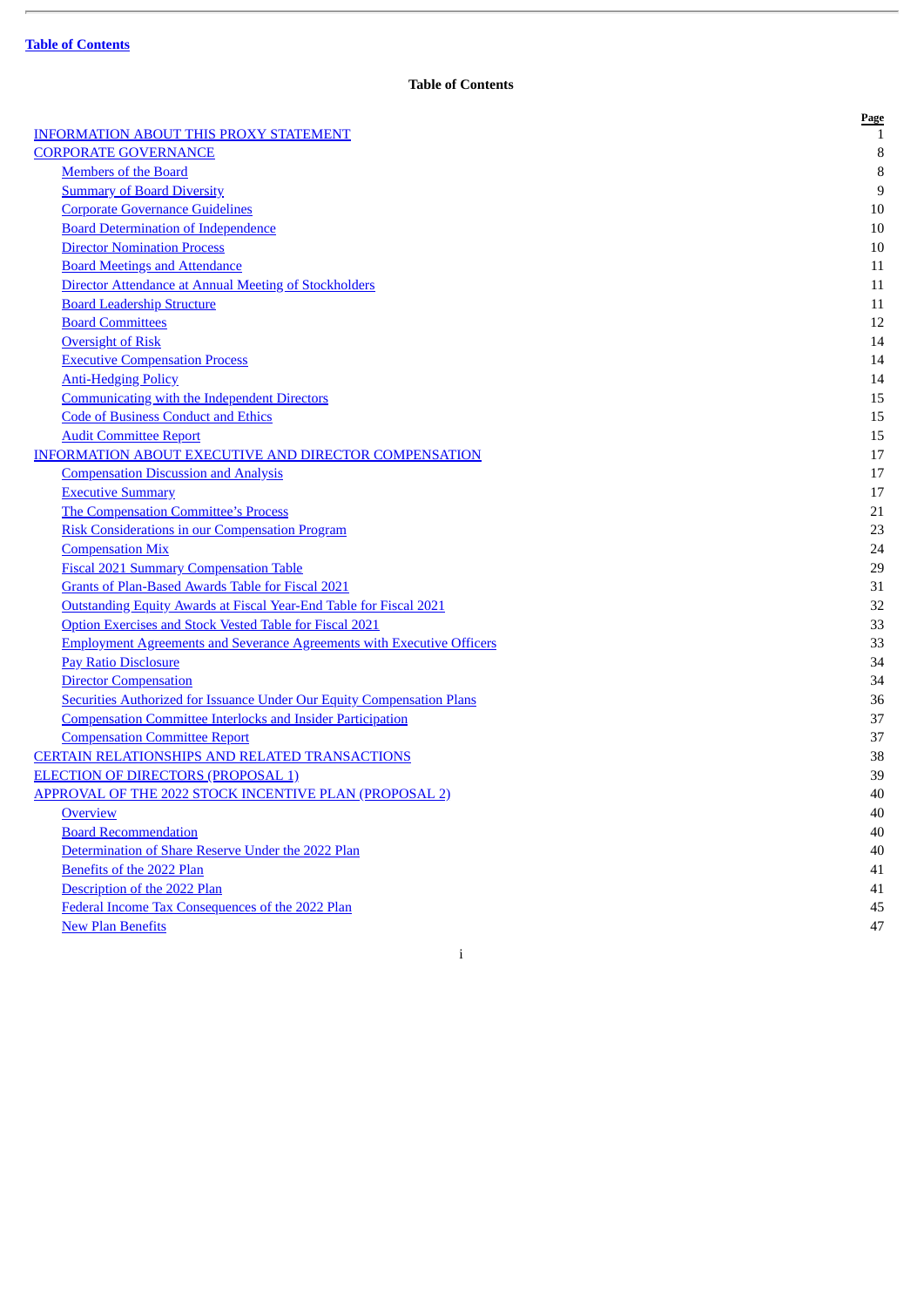<span id="page-2-0"></span>

|                                                                               | <b>Page</b> |
|-------------------------------------------------------------------------------|-------------|
| <b>INFORMATION ABOUT THIS PROXY STATEMENT</b>                                 | 1           |
| <b>CORPORATE GOVERNANCE</b>                                                   | 8           |
| <b>Members of the Board</b>                                                   | 8           |
| <b>Summary of Board Diversity</b>                                             | 9           |
| Corporate Governance Guidelines                                               | 10          |
| <b>Board Determination of Independence</b>                                    | 10          |
| <b>Director Nomination Process</b>                                            | 10          |
| <b>Board Meetings and Attendance</b>                                          | 11          |
| <b>Director Attendance at Annual Meeting of Stockholders</b>                  | 11          |
| <b>Board Leadership Structure</b>                                             | 11          |
| <b>Board Committees</b>                                                       | 12          |
| <b>Oversight of Risk</b>                                                      | 14          |
| <b>Executive Compensation Process</b>                                         | 14          |
| <b>Anti-Hedging Policy</b>                                                    | 14          |
| <b>Communicating with the Independent Directors</b>                           | 15          |
| <b>Code of Business Conduct and Ethics</b>                                    | 15          |
| <b>Audit Committee Report</b>                                                 | 15          |
| INFORMATION ABOUT EXECUTIVE AND DIRECTOR COMPENSATION                         | 17          |
| <b>Compensation Discussion and Analysis</b>                                   | 17          |
| <b>Executive Summary</b>                                                      | 17          |
| <b>The Compensation Committee's Process</b>                                   | 21          |
| <b>Risk Considerations in our Compensation Program</b>                        | 23          |
| <b>Compensation Mix</b>                                                       | 24          |
| <b>Fiscal 2021 Summary Compensation Table</b>                                 | 29          |
| <b>Grants of Plan-Based Awards Table for Fiscal 2021</b>                      | 31          |
| <b>Outstanding Equity Awards at Fiscal Year-End Table for Fiscal 2021</b>     | 32          |
| Option Exercises and Stock Vested Table for Fiscal 2021                       | 33          |
| <b>Employment Agreements and Severance Agreements with Executive Officers</b> | 33          |
| <b>Pay Ratio Disclosure</b>                                                   | 34          |
| <b>Director Compensation</b>                                                  | 34          |
| <b>Securities Authorized for Issuance Under Our Equity Compensation Plans</b> | 36          |
| <b>Compensation Committee Interlocks and Insider Participation</b>            | 37          |
| <b>Compensation Committee Report</b>                                          | 37          |
| <b>CERTAIN RELATIONSHIPS AND RELATED TRANSACTIONS</b>                         | 38          |
| <b>ELECTION OF DIRECTORS (PROPOSAL 1)</b>                                     | 39          |
| <b>APPROVAL OF THE 2022 STOCK INCENTIVE PLAN (PROPOSAL 2)</b>                 | 40          |
| <b>Overview</b>                                                               | 40          |
| <b>Board Recommendation</b>                                                   | 40          |
| Determination of Share Reserve Under the 2022 Plan                            | 40          |
| Benefits of the 2022 Plan                                                     | 41          |
| Description of the 2022 Plan                                                  | 41          |
| Federal Income Tax Consequences of the 2022 Plan                              | 45          |
| <b>New Plan Benefits</b>                                                      | 47          |
|                                                                               |             |

i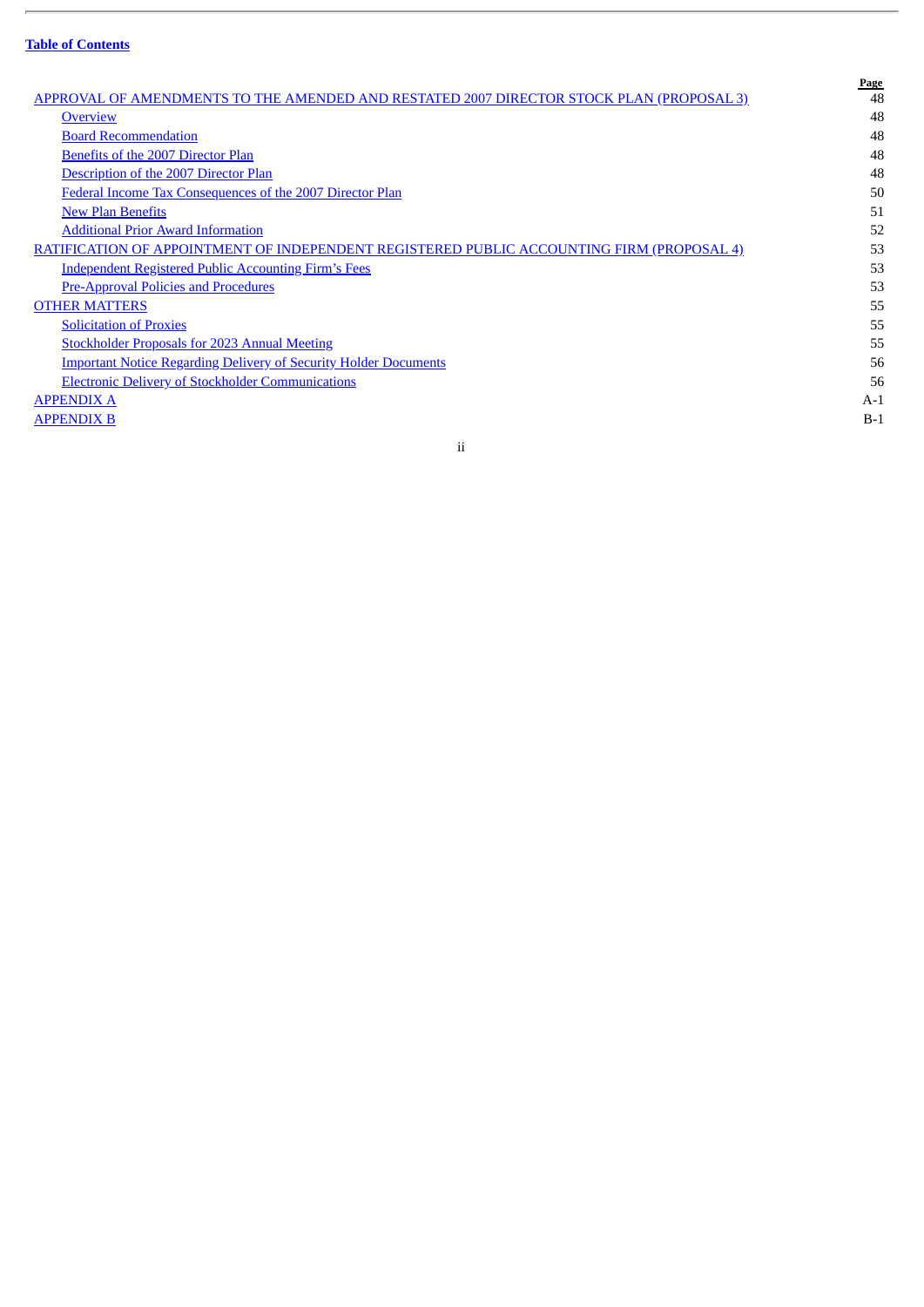L.

|                                                                                           | Page  |
|-------------------------------------------------------------------------------------------|-------|
| APPROVAL OF AMENDMENTS TO THE AMENDED AND RESTATED 2007 DIRECTOR STOCK PLAN (PROPOSAL 3)  | 48    |
| <b>Overview</b>                                                                           | 48    |
| <b>Board Recommendation</b>                                                               | 48    |
| Benefits of the 2007 Director Plan                                                        | 48    |
| Description of the 2007 Director Plan                                                     | 48    |
| Federal Income Tax Consequences of the 2007 Director Plan                                 | 50    |
| <b>New Plan Benefits</b>                                                                  | 51    |
| <b>Additional Prior Award Information</b>                                                 | 52    |
| RATIFICATION OF APPOINTMENT OF INDEPENDENT REGISTERED PUBLIC ACCOUNTING FIRM (PROPOSAL 4) | 53    |
| <b>Independent Registered Public Accounting Firm's Fees</b>                               | 53    |
| <b>Pre-Approval Policies and Procedures</b>                                               | 53    |
| <b>OTHER MATTERS</b>                                                                      | 55    |
| <b>Solicitation of Proxies</b>                                                            | 55    |
| <b>Stockholder Proposals for 2023 Annual Meeting</b>                                      | 55    |
| <b>Important Notice Regarding Delivery of Security Holder Documents</b>                   | 56    |
| <b>Electronic Delivery of Stockholder Communications</b>                                  | 56    |
| <b>APPENDIX A</b>                                                                         | $A-1$ |
| <b>APPENDIX B</b>                                                                         | $B-1$ |

ii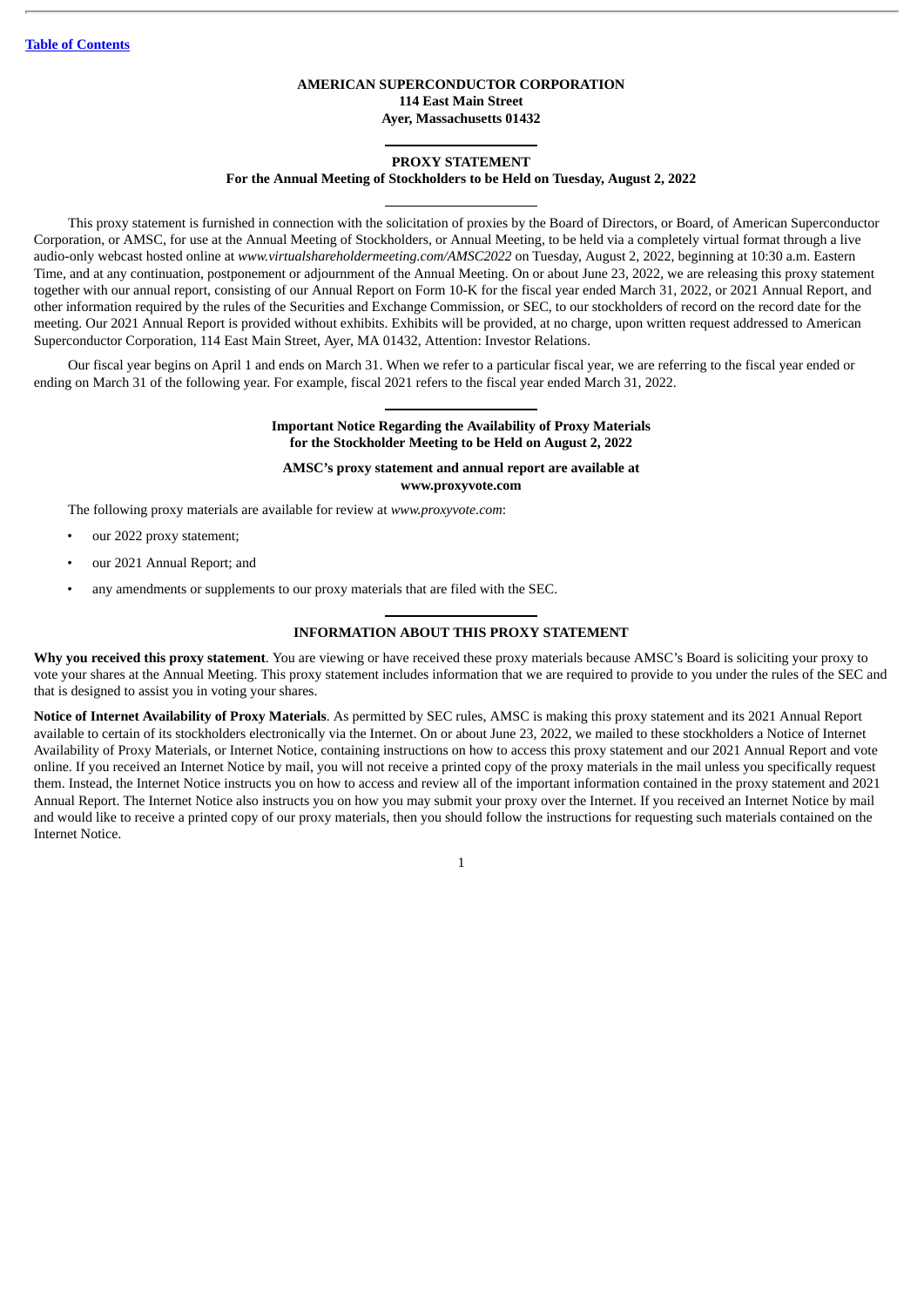#### **AMERICAN SUPERCONDUCTOR CORPORATION 114 East Main Street Ayer, Massachusetts 01432**

#### **PROXY STATEMENT**

**For the Annual Meeting of Stockholders to be Held on Tuesday, August 2, 2022**

This proxy statement is furnished in connection with the solicitation of proxies by the Board of Directors, or Board, of American Superconductor Corporation, or AMSC, for use at the Annual Meeting of Stockholders, or Annual Meeting, to be held via a completely virtual format through a live audio-only webcast hosted online at *www.virtualshareholdermeeting.com/AMSC2022* on Tuesday, August 2, 2022, beginning at 10:30 a.m. Eastern Time, and at any continuation, postponement or adjournment of the Annual Meeting. On or about June 23, 2022, we are releasing this proxy statement together with our annual report, consisting of our Annual Report on Form 10-K for the fiscal year ended March 31, 2022, or 2021 Annual Report, and other information required by the rules of the Securities and Exchange Commission, or SEC, to our stockholders of record on the record date for the meeting. Our 2021 Annual Report is provided without exhibits. Exhibits will be provided, at no charge, upon written request addressed to American Superconductor Corporation, 114 East Main Street, Ayer, MA 01432, Attention: Investor Relations.

Our fiscal year begins on April 1 and ends on March 31. When we refer to a particular fiscal year, we are referring to the fiscal year ended or ending on March 31 of the following year. For example, fiscal 2021 refers to the fiscal year ended March 31, 2022.

> **Important Notice Regarding the Availability of Proxy Materials for the Stockholder Meeting to be Held on August 2, 2022**

**AMSC's proxy statement and annual report are available at www.proxyvote.com**

The following proxy materials are available for review at *www.proxyvote.com*:

- our 2022 proxy statement;
- our 2021 Annual Report; and
- any amendments or supplements to our proxy materials that are filed with the SEC.

#### **INFORMATION ABOUT THIS PROXY STATEMENT**

<span id="page-4-0"></span>**Why you received this proxy statement**. You are viewing or have received these proxy materials because AMSC's Board is soliciting your proxy to vote your shares at the Annual Meeting. This proxy statement includes information that we are required to provide to you under the rules of the SEC and that is designed to assist you in voting your shares.

**Notice of Internet Availability of Proxy Materials**. As permitted by SEC rules, AMSC is making this proxy statement and its 2021 Annual Report available to certain of its stockholders electronically via the Internet. On or about June 23, 2022, we mailed to these stockholders a Notice of Internet Availability of Proxy Materials, or Internet Notice, containing instructions on how to access this proxy statement and our 2021 Annual Report and vote online. If you received an Internet Notice by mail, you will not receive a printed copy of the proxy materials in the mail unless you specifically request them. Instead, the Internet Notice instructs you on how to access and review all of the important information contained in the proxy statement and 2021 Annual Report. The Internet Notice also instructs you on how you may submit your proxy over the Internet. If you received an Internet Notice by mail and would like to receive a printed copy of our proxy materials, then you should follow the instructions for requesting such materials contained on the Internet Notice.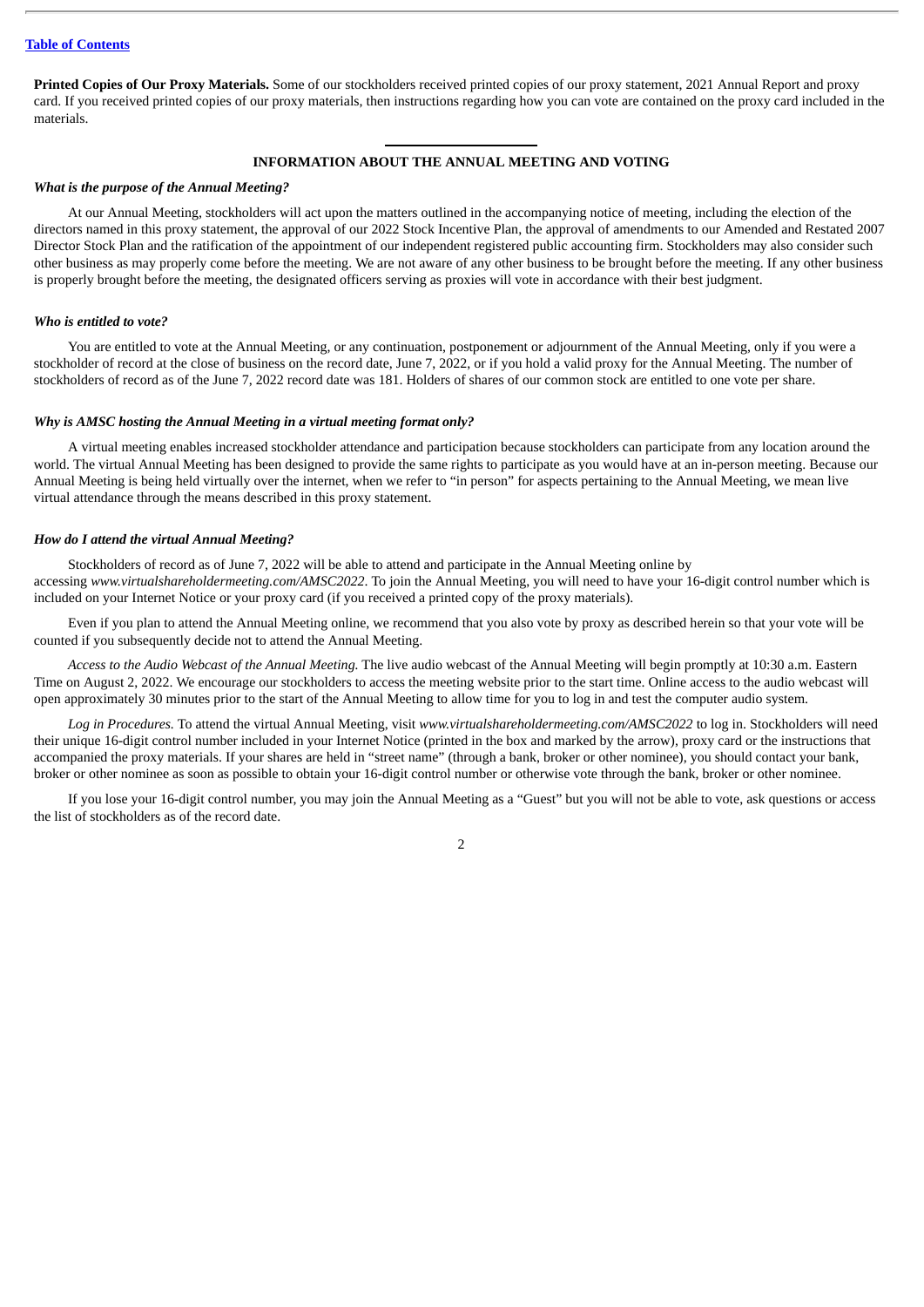**Printed Copies of Our Proxy Materials.** Some of our stockholders received printed copies of our proxy statement, 2021 Annual Report and proxy card. If you received printed copies of our proxy materials, then instructions regarding how you can vote are contained on the proxy card included in the materials.

# **INFORMATION ABOUT THE ANNUAL MEETING AND VOTING**

#### *What is the purpose of the Annual Meeting?*

At our Annual Meeting, stockholders will act upon the matters outlined in the accompanying notice of meeting, including the election of the directors named in this proxy statement, the approval of our 2022 Stock Incentive Plan, the approval of amendments to our Amended and Restated 2007 Director Stock Plan and the ratification of the appointment of our independent registered public accounting firm. Stockholders may also consider such other business as may properly come before the meeting. We are not aware of any other business to be brought before the meeting. If any other business is properly brought before the meeting, the designated officers serving as proxies will vote in accordance with their best judgment.

#### *Who is entitled to vote?*

You are entitled to vote at the Annual Meeting, or any continuation, postponement or adjournment of the Annual Meeting, only if you were a stockholder of record at the close of business on the record date, June 7, 2022, or if you hold a valid proxy for the Annual Meeting. The number of stockholders of record as of the June 7, 2022 record date was 181. Holders of shares of our common stock are entitled to one vote per share.

#### *Why is AMSC hosting the Annual Meeting in a virtual meeting format only?*

A virtual meeting enables increased stockholder attendance and participation because stockholders can participate from any location around the world. The virtual Annual Meeting has been designed to provide the same rights to participate as you would have at an in-person meeting. Because our Annual Meeting is being held virtually over the internet, when we refer to "in person" for aspects pertaining to the Annual Meeting, we mean live virtual attendance through the means described in this proxy statement.

#### *How do I attend the virtual Annual Meeting?*

Stockholders of record as of June 7, 2022 will be able to attend and participate in the Annual Meeting online by accessing *www.virtualshareholdermeeting.com/AMSC2022*. To join the Annual Meeting, you will need to have your 16-digit control number which is included on your Internet Notice or your proxy card (if you received a printed copy of the proxy materials).

Even if you plan to attend the Annual Meeting online, we recommend that you also vote by proxy as described herein so that your vote will be counted if you subsequently decide not to attend the Annual Meeting.

*Access to the Audio Webcast of the Annual Meeting.* The live audio webcast of the Annual Meeting will begin promptly at 10:30 a.m. Eastern Time on August 2, 2022. We encourage our stockholders to access the meeting website prior to the start time. Online access to the audio webcast will open approximately 30 minutes prior to the start of the Annual Meeting to allow time for you to log in and test the computer audio system.

*Log in Procedures.* To attend the virtual Annual Meeting, visit *www.virtualshareholdermeeting.com/AMSC2022* to log in. Stockholders will need their unique 16-digit control number included in your Internet Notice (printed in the box and marked by the arrow), proxy card or the instructions that accompanied the proxy materials. If your shares are held in "street name" (through a bank, broker or other nominee), you should contact your bank, broker or other nominee as soon as possible to obtain your 16-digit control number or otherwise vote through the bank, broker or other nominee.

If you lose your 16-digit control number, you may join the Annual Meeting as a "Guest" but you will not be able to vote, ask questions or access the list of stockholders as of the record date.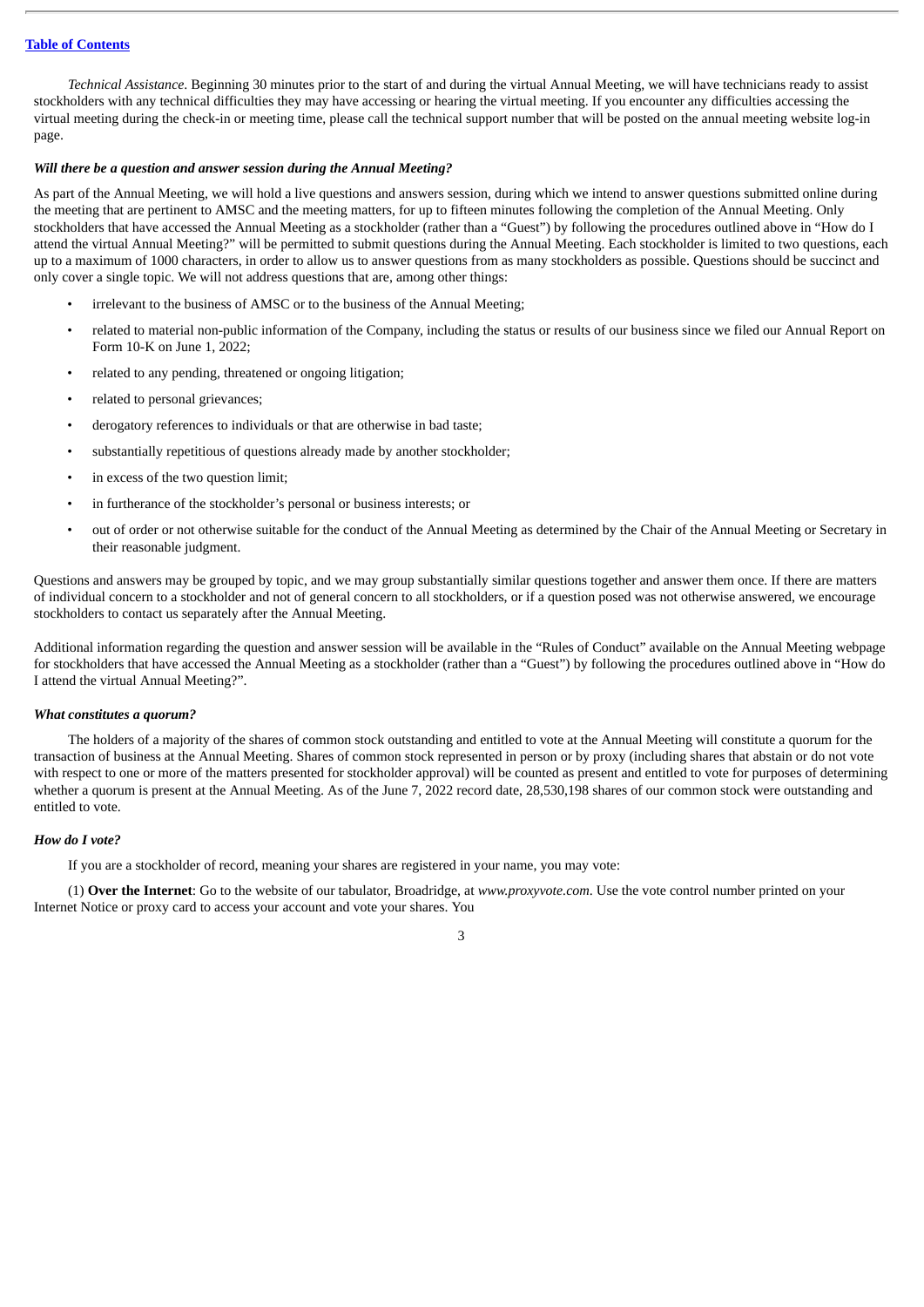*Technical Assistance*. Beginning 30 minutes prior to the start of and during the virtual Annual Meeting, we will have technicians ready to assist stockholders with any technical difficulties they may have accessing or hearing the virtual meeting. If you encounter any difficulties accessing the virtual meeting during the check-in or meeting time, please call the technical support number that will be posted on the annual meeting website log-in page.

#### *Will there be a question and answer session during the Annual Meeting?*

As part of the Annual Meeting, we will hold a live questions and answers session, during which we intend to answer questions submitted online during the meeting that are pertinent to AMSC and the meeting matters, for up to fifteen minutes following the completion of the Annual Meeting. Only stockholders that have accessed the Annual Meeting as a stockholder (rather than a "Guest") by following the procedures outlined above in "How do I attend the virtual Annual Meeting?" will be permitted to submit questions during the Annual Meeting. Each stockholder is limited to two questions, each up to a maximum of 1000 characters, in order to allow us to answer questions from as many stockholders as possible. Questions should be succinct and only cover a single topic. We will not address questions that are, among other things:

- irrelevant to the business of AMSC or to the business of the Annual Meeting;
- related to material non-public information of the Company, including the status or results of our business since we filed our Annual Report on Form 10-K on June 1, 2022;
- related to any pending, threatened or ongoing litigation;
- related to personal grievances;
- derogatory references to individuals or that are otherwise in bad taste;
- substantially repetitious of questions already made by another stockholder;
- in excess of the two question limit;
- in furtherance of the stockholder's personal or business interests; or
- out of order or not otherwise suitable for the conduct of the Annual Meeting as determined by the Chair of the Annual Meeting or Secretary in their reasonable judgment.

Questions and answers may be grouped by topic, and we may group substantially similar questions together and answer them once. If there are matters of individual concern to a stockholder and not of general concern to all stockholders, or if a question posed was not otherwise answered, we encourage stockholders to contact us separately after the Annual Meeting.

Additional information regarding the question and answer session will be available in the "Rules of Conduct" available on the Annual Meeting webpage for stockholders that have accessed the Annual Meeting as a stockholder (rather than a "Guest") by following the procedures outlined above in "How do I attend the virtual Annual Meeting?".

#### *What constitutes a quorum?*

The holders of a majority of the shares of common stock outstanding and entitled to vote at the Annual Meeting will constitute a quorum for the transaction of business at the Annual Meeting. Shares of common stock represented in person or by proxy (including shares that abstain or do not vote with respect to one or more of the matters presented for stockholder approval) will be counted as present and entitled to vote for purposes of determining whether a quorum is present at the Annual Meeting. As of the June 7, 2022 record date, 28,530,198 shares of our common stock were outstanding and entitled to vote.

#### *How do I vote?*

If you are a stockholder of record, meaning your shares are registered in your name, you may vote:

(1) **Over the Internet**: Go to the website of our tabulator, Broadridge, at *www.proxyvote.com*. Use the vote control number printed on your Internet Notice or proxy card to access your account and vote your shares. You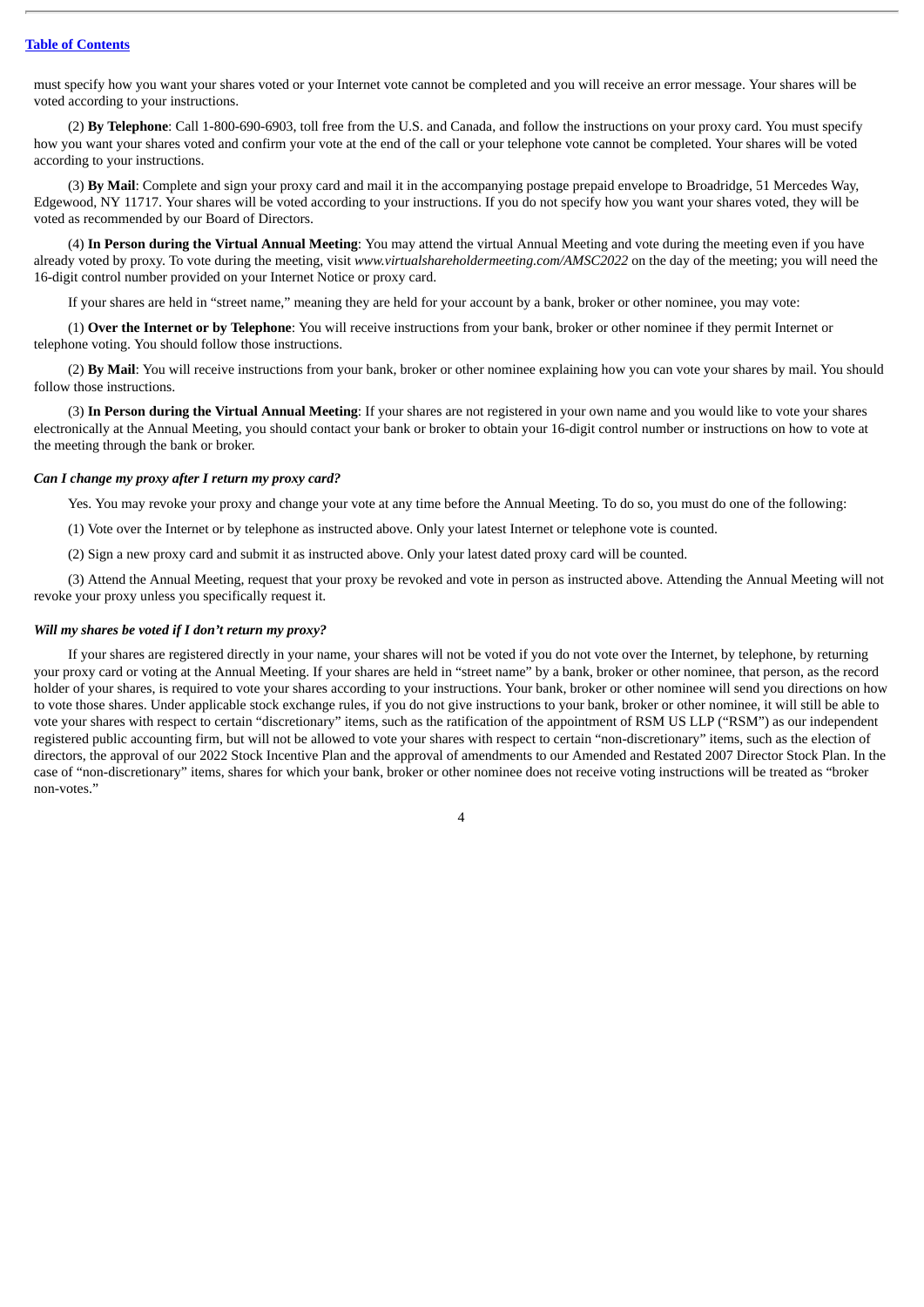must specify how you want your shares voted or your Internet vote cannot be completed and you will receive an error message. Your shares will be voted according to your instructions.

(2) **By Telephone**: Call 1-800-690-6903, toll free from the U.S. and Canada, and follow the instructions on your proxy card. You must specify how you want your shares voted and confirm your vote at the end of the call or your telephone vote cannot be completed. Your shares will be voted according to your instructions.

(3) **By Mail**: Complete and sign your proxy card and mail it in the accompanying postage prepaid envelope to Broadridge, 51 Mercedes Way, Edgewood, NY 11717. Your shares will be voted according to your instructions. If you do not specify how you want your shares voted, they will be voted as recommended by our Board of Directors.

(4) **In Person during the Virtual Annual Meeting**: You may attend the virtual Annual Meeting and vote during the meeting even if you have already voted by proxy. To vote during the meeting, visit *www.virtualshareholdermeeting.com/AMSC2022* on the day of the meeting; you will need the 16-digit control number provided on your Internet Notice or proxy card.

If your shares are held in "street name," meaning they are held for your account by a bank, broker or other nominee, you may vote:

(1) **Over the Internet or by Telephone**: You will receive instructions from your bank, broker or other nominee if they permit Internet or telephone voting. You should follow those instructions.

(2) **By Mail**: You will receive instructions from your bank, broker or other nominee explaining how you can vote your shares by mail. You should follow those instructions.

(3) **In Person during the Virtual Annual Meeting**: If your shares are not registered in your own name and you would like to vote your shares electronically at the Annual Meeting, you should contact your bank or broker to obtain your 16-digit control number or instructions on how to vote at the meeting through the bank or broker.

#### *Can I change my proxy after I return my proxy card?*

Yes. You may revoke your proxy and change your vote at any time before the Annual Meeting. To do so, you must do one of the following:

(1) Vote over the Internet or by telephone as instructed above. Only your latest Internet or telephone vote is counted.

(2) Sign a new proxy card and submit it as instructed above. Only your latest dated proxy card will be counted.

(3) Attend the Annual Meeting, request that your proxy be revoked and vote in person as instructed above. Attending the Annual Meeting will not revoke your proxy unless you specifically request it.

#### *Will my shares be voted if I don't return my proxy?*

If your shares are registered directly in your name, your shares will not be voted if you do not vote over the Internet, by telephone, by returning your proxy card or voting at the Annual Meeting. If your shares are held in "street name" by a bank, broker or other nominee, that person, as the record holder of your shares, is required to vote your shares according to your instructions. Your bank, broker or other nominee will send you directions on how to vote those shares. Under applicable stock exchange rules, if you do not give instructions to your bank, broker or other nominee, it will still be able to vote your shares with respect to certain "discretionary" items, such as the ratification of the appointment of RSM US LLP ("RSM") as our independent registered public accounting firm, but will not be allowed to vote your shares with respect to certain "non-discretionary" items, such as the election of directors, the approval of our 2022 Stock Incentive Plan and the approval of amendments to our Amended and Restated 2007 Director Stock Plan. In the case of "non-discretionary" items, shares for which your bank, broker or other nominee does not receive voting instructions will be treated as "broker non-votes."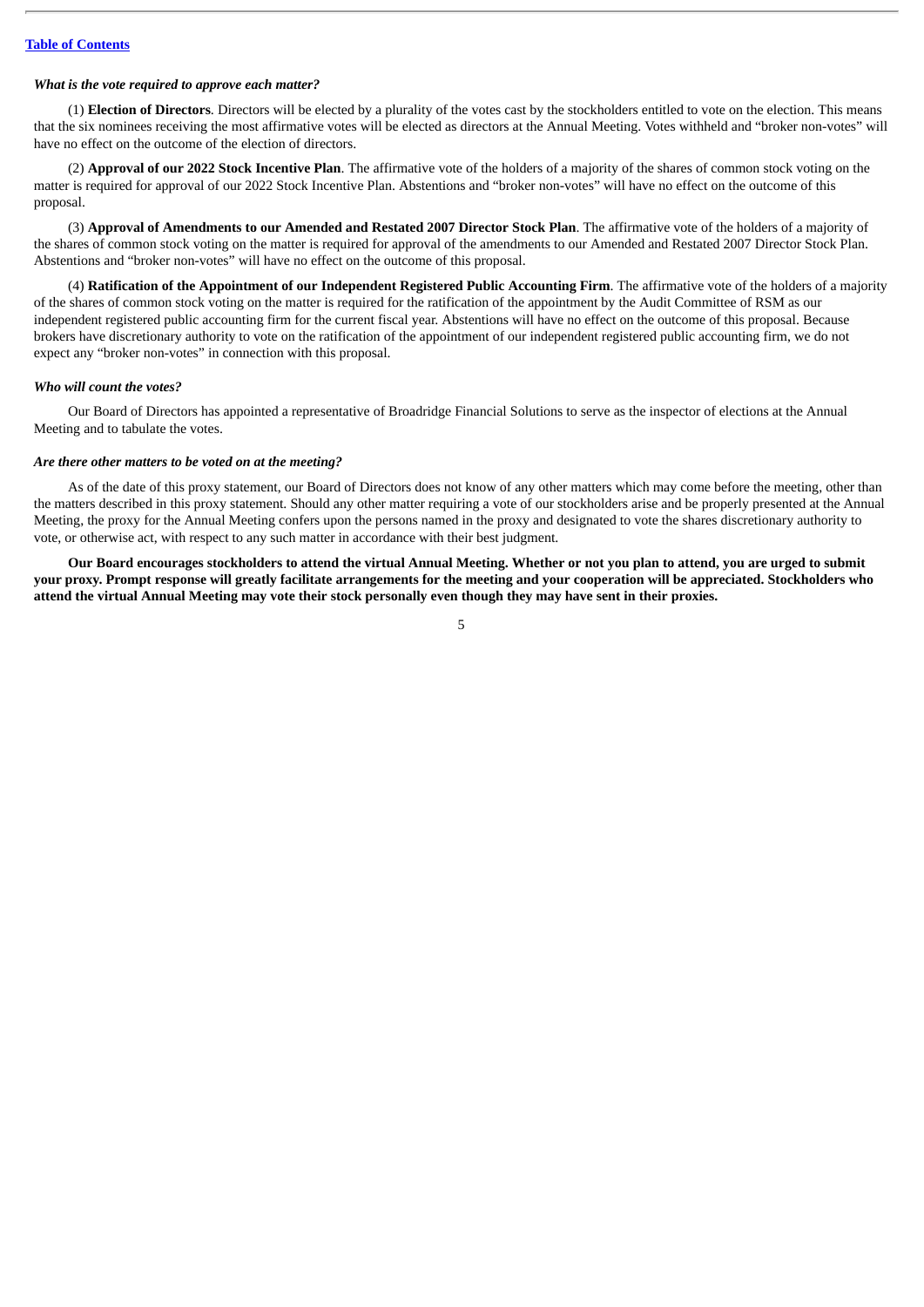#### *What is the vote required to approve each matter?*

(1) **Election of Directors**. Directors will be elected by a plurality of the votes cast by the stockholders entitled to vote on the election. This means that the six nominees receiving the most affirmative votes will be elected as directors at the Annual Meeting. Votes withheld and "broker non-votes" will have no effect on the outcome of the election of directors.

(2) **Approval of our 2022 Stock Incentive Plan**. The affirmative vote of the holders of a majority of the shares of common stock voting on the matter is required for approval of our 2022 Stock Incentive Plan. Abstentions and "broker non-votes" will have no effect on the outcome of this proposal.

(3) **Approval of Amendments to our Amended and Restated 2007 Director Stock Plan**. The affirmative vote of the holders of a majority of the shares of common stock voting on the matter is required for approval of the amendments to our Amended and Restated 2007 Director Stock Plan. Abstentions and "broker non-votes" will have no effect on the outcome of this proposal.

(4) **Ratification of the Appointment of our Independent Registered Public Accounting Firm**. The affirmative vote of the holders of a majority of the shares of common stock voting on the matter is required for the ratification of the appointment by the Audit Committee of RSM as our independent registered public accounting firm for the current fiscal year. Abstentions will have no effect on the outcome of this proposal. Because brokers have discretionary authority to vote on the ratification of the appointment of our independent registered public accounting firm, we do not expect any "broker non-votes" in connection with this proposal.

#### *Who will count the votes?*

Our Board of Directors has appointed a representative of Broadridge Financial Solutions to serve as the inspector of elections at the Annual Meeting and to tabulate the votes.

#### *Are there other matters to be voted on at the meeting?*

As of the date of this proxy statement, our Board of Directors does not know of any other matters which may come before the meeting, other than the matters described in this proxy statement. Should any other matter requiring a vote of our stockholders arise and be properly presented at the Annual Meeting, the proxy for the Annual Meeting confers upon the persons named in the proxy and designated to vote the shares discretionary authority to vote, or otherwise act, with respect to any such matter in accordance with their best judgment.

Our Board encourages stockholders to attend the virtual Annual Meeting. Whether or not you plan to attend, you are urged to submit your proxy. Prompt response will greatly facilitate arrangements for the meeting and your cooperation will be appreciated. Stockholders who attend the virtual Annual Meeting may vote their stock personally even though they may have sent in their proxies.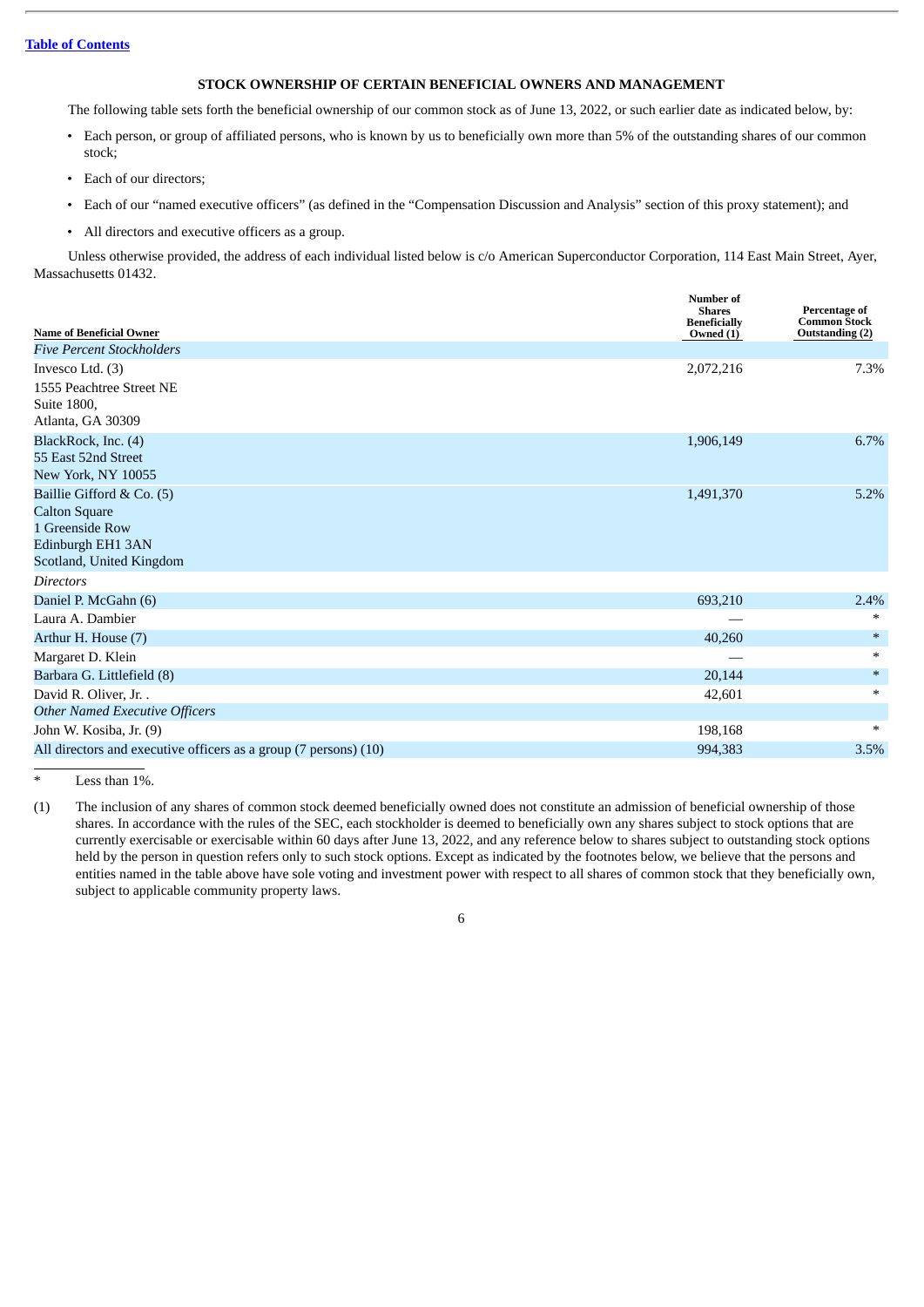# **STOCK OWNERSHIP OF CERTAIN BENEFICIAL OWNERS AND MANAGEMENT**

The following table sets forth the beneficial ownership of our common stock as of June 13, 2022, or such earlier date as indicated below, by:

- Each person, or group of affiliated persons, who is known by us to beneficially own more than 5% of the outstanding shares of our common stock;
- Each of our directors;
- Each of our "named executive officers" (as defined in the "Compensation Discussion and Analysis" section of this proxy statement); and
- All directors and executive officers as a group.

Unless otherwise provided, the address of each individual listed below is c/o American Superconductor Corporation, 114 East Main Street, Ayer, Massachusetts 01432.

| <b>Name of Beneficial Owner</b>                                                                                       | Number of<br><b>Shares</b><br><b>Beneficially</b><br>Owned (1) | Percentage of<br><b>Common Stock</b><br><b>Outstanding (2)</b> |
|-----------------------------------------------------------------------------------------------------------------------|----------------------------------------------------------------|----------------------------------------------------------------|
| <b>Five Percent Stockholders</b>                                                                                      |                                                                |                                                                |
| Invesco Ltd. $(3)$<br>1555 Peachtree Street NE<br>Suite 1800,<br>Atlanta, GA 30309                                    | 2,072,216                                                      | 7.3%                                                           |
| BlackRock, Inc. (4)<br>55 East 52nd Street<br>New York, NY 10055                                                      | 1,906,149                                                      | 6.7%                                                           |
| Baillie Gifford & Co. (5)<br><b>Calton Square</b><br>1 Greenside Row<br>Edinburgh EH1 3AN<br>Scotland, United Kingdom | 1,491,370                                                      | 5.2%                                                           |
| <b>Directors</b>                                                                                                      |                                                                |                                                                |
| Daniel P. McGahn (6)                                                                                                  | 693,210                                                        | 2.4%                                                           |
| Laura A. Dambier                                                                                                      |                                                                | ∗                                                              |
| Arthur H. House (7)                                                                                                   | 40,260                                                         | $\ast$                                                         |
| Margaret D. Klein                                                                                                     |                                                                | ∗                                                              |
| Barbara G. Littlefield (8)                                                                                            | 20,144                                                         | $\ast$                                                         |
| David R. Oliver, Jr. .                                                                                                | 42,601                                                         | ∗                                                              |
| <b>Other Named Executive Officers</b>                                                                                 |                                                                |                                                                |
| John W. Kosiba, Jr. (9)                                                                                               | 198,168                                                        | $\ast$                                                         |
| All directors and executive officers as a group (7 persons) (10)                                                      | 994,383                                                        | 3.5%                                                           |

Less than  $1\%$ .

(1) The inclusion of any shares of common stock deemed beneficially owned does not constitute an admission of beneficial ownership of those shares. In accordance with the rules of the SEC, each stockholder is deemed to beneficially own any shares subject to stock options that are currently exercisable or exercisable within 60 days after June 13, 2022, and any reference below to shares subject to outstanding stock options held by the person in question refers only to such stock options. Except as indicated by the footnotes below, we believe that the persons and entities named in the table above have sole voting and investment power with respect to all shares of common stock that they beneficially own, subject to applicable community property laws.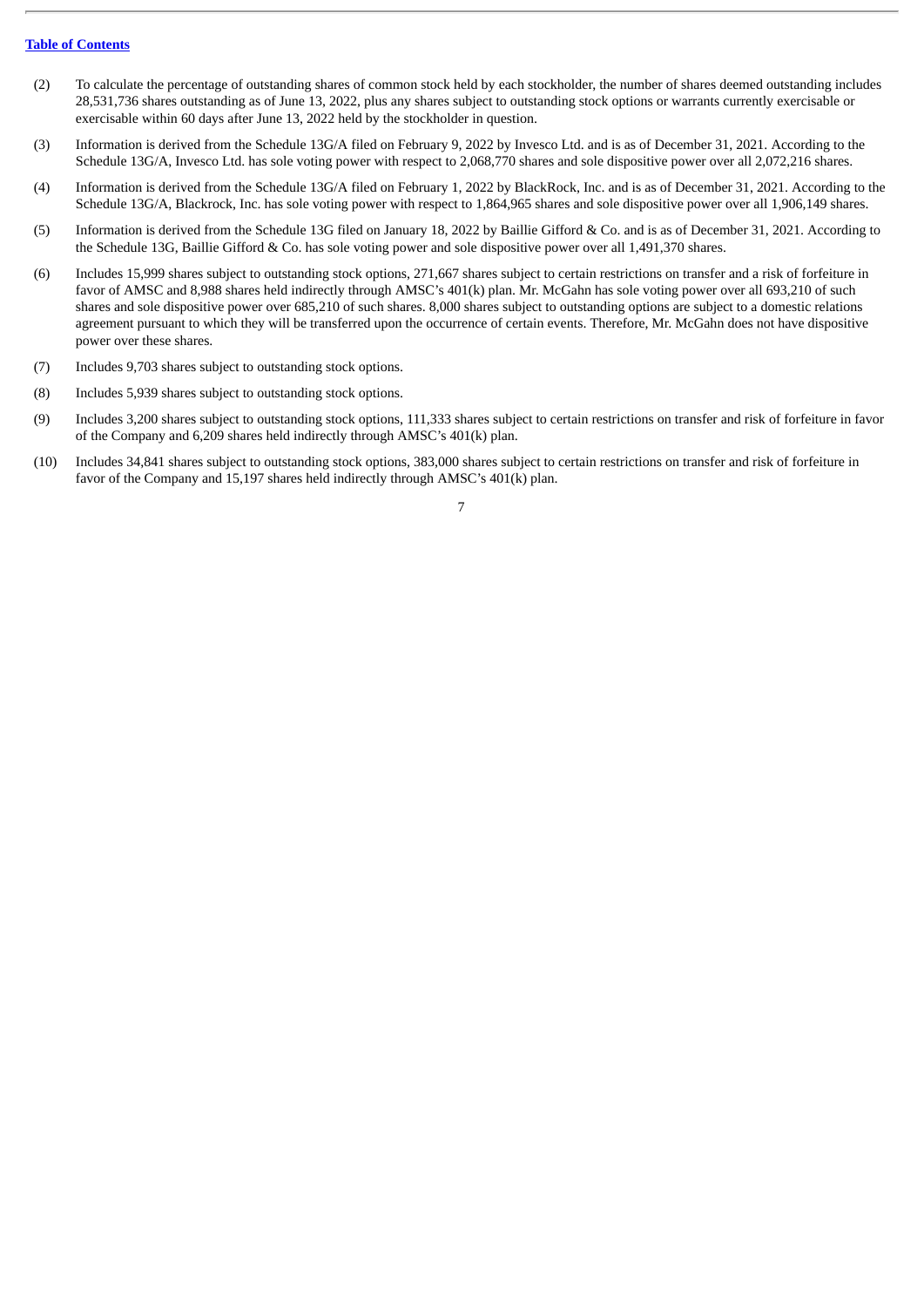- (2) To calculate the percentage of outstanding shares of common stock held by each stockholder, the number of shares deemed outstanding includes 28,531,736 shares outstanding as of June 13, 2022, plus any shares subject to outstanding stock options or warrants currently exercisable or exercisable within 60 days after June 13, 2022 held by the stockholder in question.
- (3) Information is derived from the Schedule 13G/A filed on February 9, 2022 by Invesco Ltd. and is as of December 31, 2021. According to the Schedule 13G/A, Invesco Ltd. has sole voting power with respect to 2,068,770 shares and sole dispositive power over all 2,072,216 shares.
- (4) Information is derived from the Schedule 13G/A filed on February 1, 2022 by BlackRock, Inc. and is as of December 31, 2021. According to the Schedule 13G/A, Blackrock, Inc. has sole voting power with respect to 1,864,965 shares and sole dispositive power over all 1,906,149 shares.
- (5) Information is derived from the Schedule 13G filed on January 18, 2022 by Baillie Gifford & Co. and is as of December 31, 2021. According to the Schedule 13G, Baillie Gifford & Co. has sole voting power and sole dispositive power over all 1,491,370 shares.
- (6) Includes 15,999 shares subject to outstanding stock options, 271,667 shares subject to certain restrictions on transfer and a risk of forfeiture in favor of AMSC and 8,988 shares held indirectly through AMSC's 401(k) plan. Mr. McGahn has sole voting power over all 693,210 of such shares and sole dispositive power over 685,210 of such shares. 8,000 shares subject to outstanding options are subject to a domestic relations agreement pursuant to which they will be transferred upon the occurrence of certain events. Therefore, Mr. McGahn does not have dispositive power over these shares.
- (7) Includes 9,703 shares subject to outstanding stock options.
- (8) Includes 5,939 shares subject to outstanding stock options.
- (9) Includes 3,200 shares subject to outstanding stock options, 111,333 shares subject to certain restrictions on transfer and risk of forfeiture in favor of the Company and 6,209 shares held indirectly through AMSC's 401(k) plan.
- (10) Includes 34,841 shares subject to outstanding stock options, 383,000 shares subject to certain restrictions on transfer and risk of forfeiture in favor of the Company and 15,197 shares held indirectly through AMSC's 401(k) plan.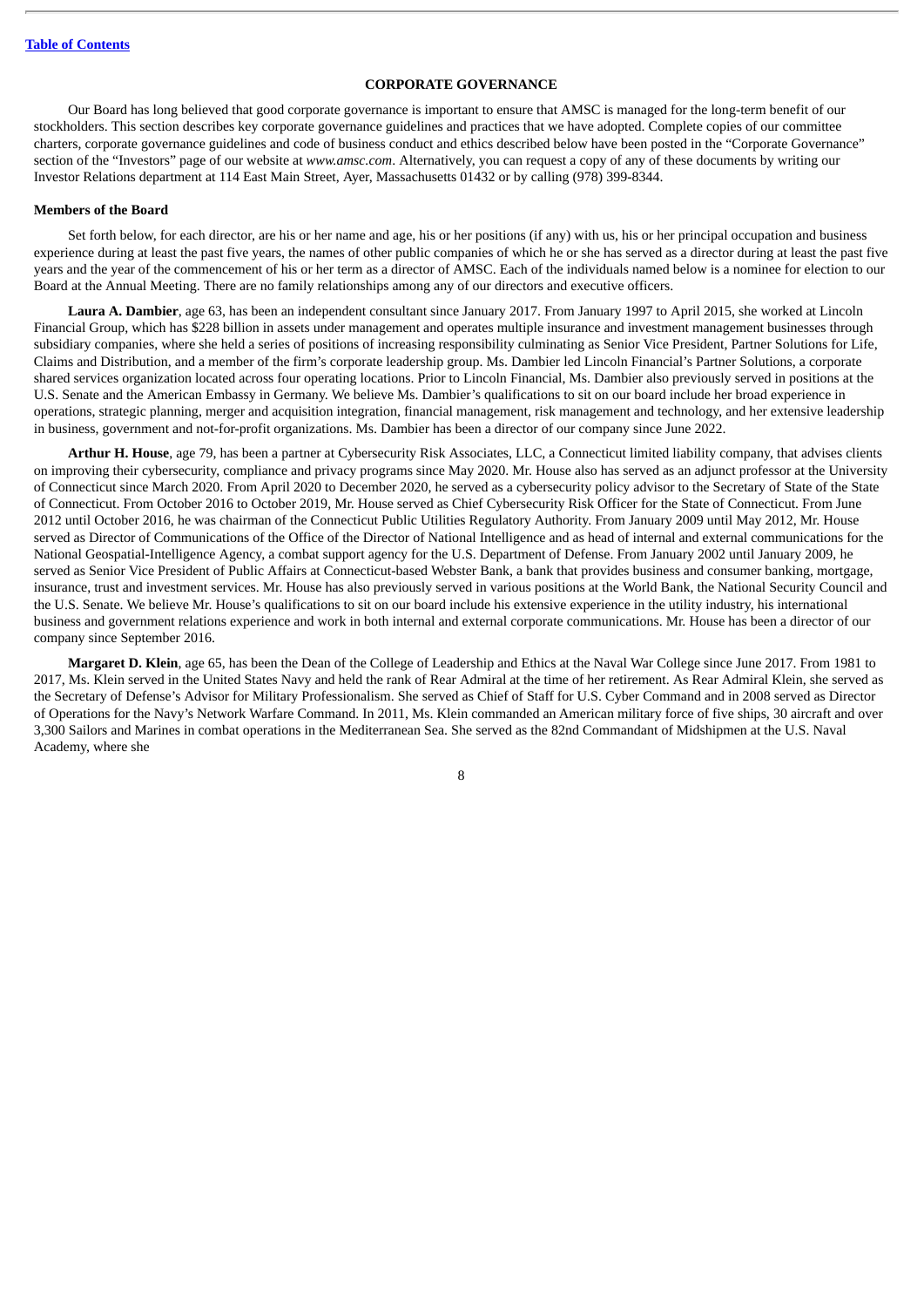# **CORPORATE GOVERNANCE**

<span id="page-11-0"></span>Our Board has long believed that good corporate governance is important to ensure that AMSC is managed for the long-term benefit of our stockholders. This section describes key corporate governance guidelines and practices that we have adopted. Complete copies of our committee charters, corporate governance guidelines and code of business conduct and ethics described below have been posted in the "Corporate Governance" section of the "Investors" page of our website at *www.amsc.com*. Alternatively, you can request a copy of any of these documents by writing our Investor Relations department at 114 East Main Street, Ayer, Massachusetts 01432 or by calling (978) 399-8344.

#### <span id="page-11-1"></span>**Members of the Board**

Set forth below, for each director, are his or her name and age, his or her positions (if any) with us, his or her principal occupation and business experience during at least the past five years, the names of other public companies of which he or she has served as a director during at least the past five years and the year of the commencement of his or her term as a director of AMSC. Each of the individuals named below is a nominee for election to our Board at the Annual Meeting. There are no family relationships among any of our directors and executive officers.

**Laura A. Dambier**, age 63, has been an independent consultant since January 2017. From January 1997 to April 2015, she worked at Lincoln Financial Group, which has \$228 billion in assets under management and operates multiple insurance and investment management businesses through subsidiary companies, where she held a series of positions of increasing responsibility culminating as Senior Vice President, Partner Solutions for Life, Claims and Distribution, and a member of the firm's corporate leadership group. Ms. Dambier led Lincoln Financial's Partner Solutions, a corporate shared services organization located across four operating locations. Prior to Lincoln Financial, Ms. Dambier also previously served in positions at the U.S. Senate and the American Embassy in Germany. We believe Ms. Dambier's qualifications to sit on our board include her broad experience in operations, strategic planning, merger and acquisition integration, financial management, risk management and technology, and her extensive leadership in business, government and not-for-profit organizations. Ms. Dambier has been a director of our company since June 2022.

**Arthur H. House**, age 79, has been a partner at Cybersecurity Risk Associates, LLC, a Connecticut limited liability company, that advises clients on improving their cybersecurity, compliance and privacy programs since May 2020. Mr. House also has served as an adjunct professor at the University of Connecticut since March 2020. From April 2020 to December 2020, he served as a cybersecurity policy advisor to the Secretary of State of the State of Connecticut. From October 2016 to October 2019, Mr. House served as Chief Cybersecurity Risk Officer for the State of Connecticut. From June 2012 until October 2016, he was chairman of the Connecticut Public Utilities Regulatory Authority. From January 2009 until May 2012, Mr. House served as Director of Communications of the Office of the Director of National Intelligence and as head of internal and external communications for the National Geospatial-Intelligence Agency, a combat support agency for the U.S. Department of Defense. From January 2002 until January 2009, he served as Senior Vice President of Public Affairs at Connecticut-based Webster Bank, a bank that provides business and consumer banking, mortgage, insurance, trust and investment services. Mr. House has also previously served in various positions at the World Bank, the National Security Council and the U.S. Senate. We believe Mr. House's qualifications to sit on our board include his extensive experience in the utility industry, his international business and government relations experience and work in both internal and external corporate communications. Mr. House has been a director of our company since September 2016.

**Margaret D. Klein**, age 65, has been the Dean of the College of Leadership and Ethics at the Naval War College since June 2017. From 1981 to 2017, Ms. Klein served in the United States Navy and held the rank of Rear Admiral at the time of her retirement. As Rear Admiral Klein, she served as the Secretary of Defense's Advisor for Military Professionalism. She served as Chief of Staff for U.S. Cyber Command and in 2008 served as Director of Operations for the Navy's Network Warfare Command. In 2011, Ms. Klein commanded an American military force of five ships, 30 aircraft and over 3,300 Sailors and Marines in combat operations in the Mediterranean Sea. She served as the 82nd Commandant of Midshipmen at the U.S. Naval Academy, where she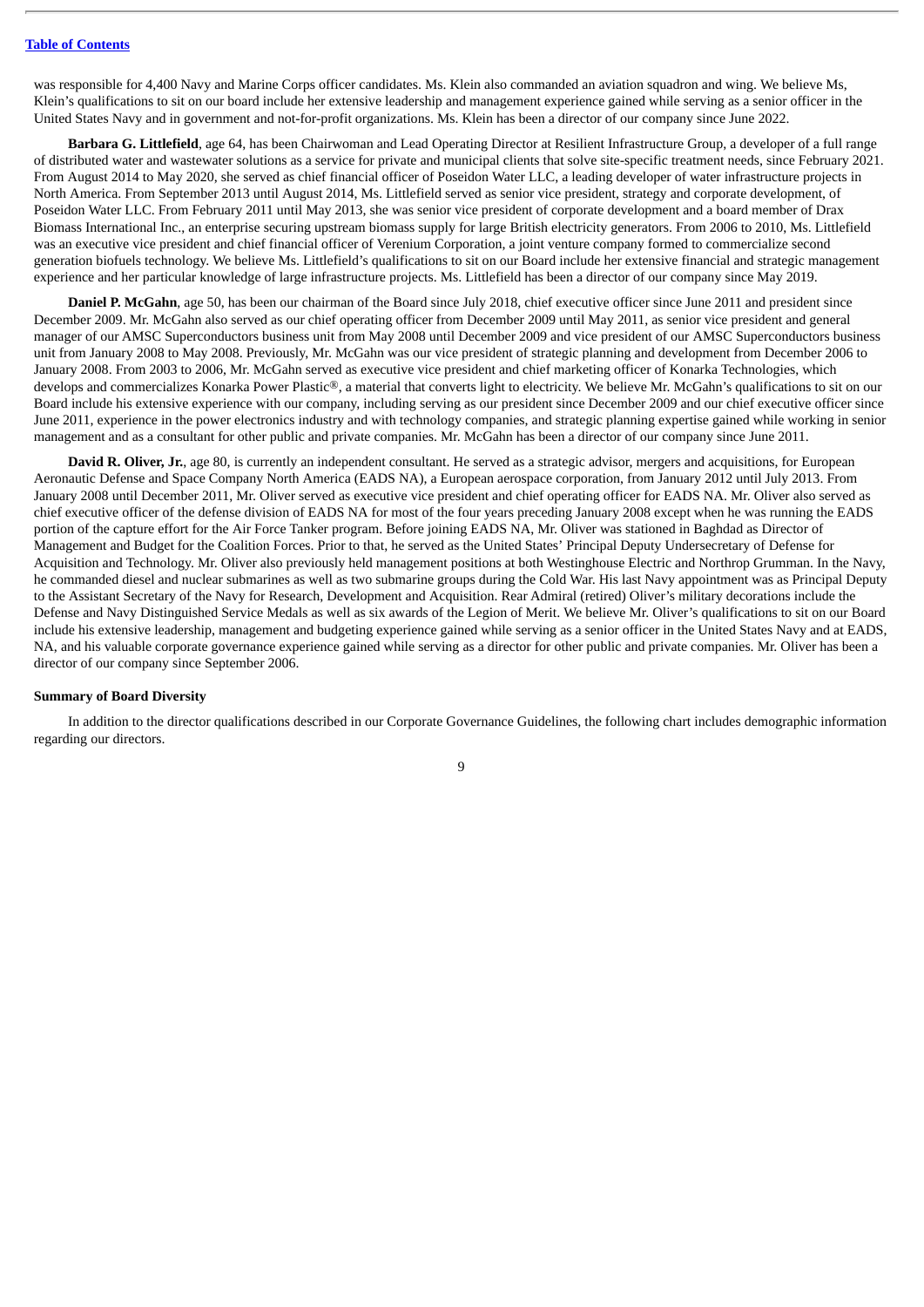was responsible for 4,400 Navy and Marine Corps officer candidates. Ms. Klein also commanded an aviation squadron and wing. We believe Ms, Klein's qualifications to sit on our board include her extensive leadership and management experience gained while serving as a senior officer in the United States Navy and in government and not-for-profit organizations. Ms. Klein has been a director of our company since June 2022.

**Barbara G. Littlefield**, age 64, has been Chairwoman and Lead Operating Director at Resilient Infrastructure Group, a developer of a full range of distributed water and wastewater solutions as a service for private and municipal clients that solve site-specific treatment needs, since February 2021. From August 2014 to May 2020, she served as chief financial officer of Poseidon Water LLC, a leading developer of water infrastructure projects in North America. From September 2013 until August 2014, Ms. Littlefield served as senior vice president, strategy and corporate development, of Poseidon Water LLC. From February 2011 until May 2013, she was senior vice president of corporate development and a board member of Drax Biomass International Inc., an enterprise securing upstream biomass supply for large British electricity generators. From 2006 to 2010, Ms. Littlefield was an executive vice president and chief financial officer of Verenium Corporation, a joint venture company formed to commercialize second generation biofuels technology. We believe Ms. Littlefield's qualifications to sit on our Board include her extensive financial and strategic management experience and her particular knowledge of large infrastructure projects. Ms. Littlefield has been a director of our company since May 2019.

**Daniel P. McGahn**, age 50, has been our chairman of the Board since July 2018, chief executive officer since June 2011 and president since December 2009. Mr. McGahn also served as our chief operating officer from December 2009 until May 2011, as senior vice president and general manager of our AMSC Superconductors business unit from May 2008 until December 2009 and vice president of our AMSC Superconductors business unit from January 2008 to May 2008. Previously, Mr. McGahn was our vice president of strategic planning and development from December 2006 to January 2008. From 2003 to 2006, Mr. McGahn served as executive vice president and chief marketing officer of Konarka Technologies, which develops and commercializes Konarka Power Plastic®, a material that converts light to electricity. We believe Mr. McGahn's qualifications to sit on our Board include his extensive experience with our company, including serving as our president since December 2009 and our chief executive officer since June 2011, experience in the power electronics industry and with technology companies, and strategic planning expertise gained while working in senior management and as a consultant for other public and private companies. Mr. McGahn has been a director of our company since June 2011.

**David R. Oliver, Jr.**, age 80, is currently an independent consultant. He served as a strategic advisor, mergers and acquisitions, for European Aeronautic Defense and Space Company North America (EADS NA), a European aerospace corporation, from January 2012 until July 2013. From January 2008 until December 2011, Mr. Oliver served as executive vice president and chief operating officer for EADS NA. Mr. Oliver also served as chief executive officer of the defense division of EADS NA for most of the four years preceding January 2008 except when he was running the EADS portion of the capture effort for the Air Force Tanker program. Before joining EADS NA, Mr. Oliver was stationed in Baghdad as Director of Management and Budget for the Coalition Forces. Prior to that, he served as the United States' Principal Deputy Undersecretary of Defense for Acquisition and Technology. Mr. Oliver also previously held management positions at both Westinghouse Electric and Northrop Grumman. In the Navy, he commanded diesel and nuclear submarines as well as two submarine groups during the Cold War. His last Navy appointment was as Principal Deputy to the Assistant Secretary of the Navy for Research, Development and Acquisition. Rear Admiral (retired) Oliver's military decorations include the Defense and Navy Distinguished Service Medals as well as six awards of the Legion of Merit. We believe Mr. Oliver's qualifications to sit on our Board include his extensive leadership, management and budgeting experience gained while serving as a senior officer in the United States Navy and at EADS, NA, and his valuable corporate governance experience gained while serving as a director for other public and private companies. Mr. Oliver has been a director of our company since September 2006.

#### <span id="page-12-0"></span>**Summary of Board Diversity**

In addition to the director qualifications described in our Corporate Governance Guidelines, the following chart includes demographic information regarding our directors.

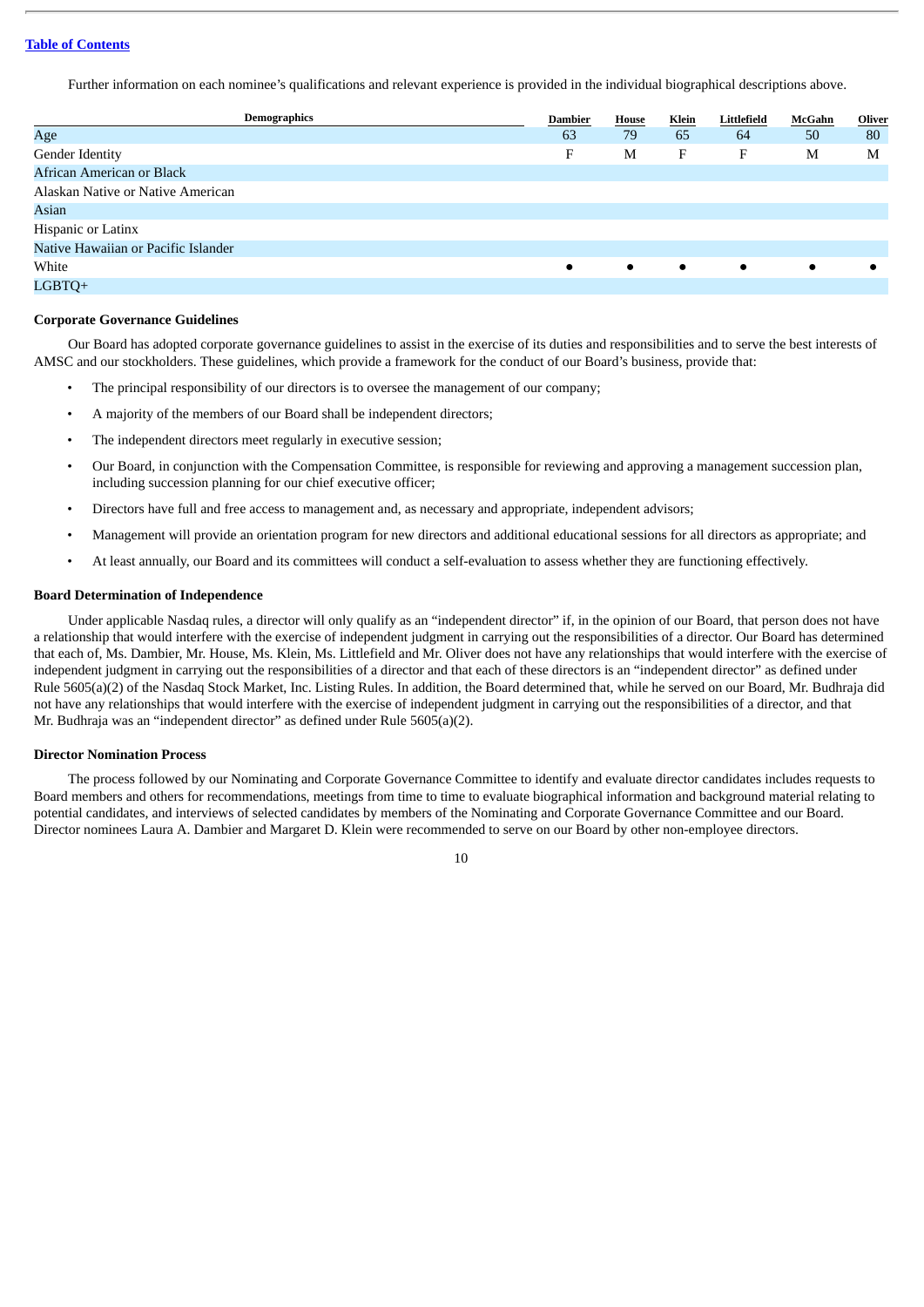Further information on each nominee's qualifications and relevant experience is provided in the individual biographical descriptions above.

| Demographics                        | Dambier   | <b>House</b> | <b>Klein</b> | Littlefield | McGahn | Oliver |
|-------------------------------------|-----------|--------------|--------------|-------------|--------|--------|
| Age                                 | 63        | 79           | 65           | 64          | 50     | 80     |
| <b>Gender Identity</b>              | F         | М            | F            | F           | M      | M      |
| African American or Black           |           |              |              |             |        |        |
| Alaskan Native or Native American   |           |              |              |             |        |        |
| Asian                               |           |              |              |             |        |        |
| Hispanic or Latinx                  |           |              |              |             |        |        |
| Native Hawaiian or Pacific Islander |           |              |              |             |        |        |
| White                               | $\bullet$ | $\bullet$    | $\bullet$    | ٠           |        |        |
| LGBTQ+                              |           |              |              |             |        |        |

#### <span id="page-13-0"></span>**Corporate Governance Guidelines**

Our Board has adopted corporate governance guidelines to assist in the exercise of its duties and responsibilities and to serve the best interests of AMSC and our stockholders. These guidelines, which provide a framework for the conduct of our Board's business, provide that:

- The principal responsibility of our directors is to oversee the management of our company;
- A majority of the members of our Board shall be independent directors;
- The independent directors meet regularly in executive session;
- Our Board, in conjunction with the Compensation Committee, is responsible for reviewing and approving a management succession plan, including succession planning for our chief executive officer;
- Directors have full and free access to management and, as necessary and appropriate, independent advisors;
- Management will provide an orientation program for new directors and additional educational sessions for all directors as appropriate; and
- At least annually, our Board and its committees will conduct a self-evaluation to assess whether they are functioning effectively.

#### <span id="page-13-1"></span>**Board Determination of Independence**

Under applicable Nasdaq rules, a director will only qualify as an "independent director" if, in the opinion of our Board, that person does not have a relationship that would interfere with the exercise of independent judgment in carrying out the responsibilities of a director. Our Board has determined that each of, Ms. Dambier, Mr. House, Ms. Klein, Ms. Littlefield and Mr. Oliver does not have any relationships that would interfere with the exercise of independent judgment in carrying out the responsibilities of a director and that each of these directors is an "independent director" as defined under Rule 5605(a)(2) of the Nasdaq Stock Market, Inc. Listing Rules. In addition, the Board determined that, while he served on our Board, Mr. Budhraja did not have any relationships that would interfere with the exercise of independent judgment in carrying out the responsibilities of a director, and that Mr. Budhraja was an "independent director" as defined under Rule 5605(a)(2).

#### <span id="page-13-2"></span>**Director Nomination Process**

The process followed by our Nominating and Corporate Governance Committee to identify and evaluate director candidates includes requests to Board members and others for recommendations, meetings from time to time to evaluate biographical information and background material relating to potential candidates, and interviews of selected candidates by members of the Nominating and Corporate Governance Committee and our Board. Director nominees Laura A. Dambier and Margaret D. Klein were recommended to serve on our Board by other non-employee directors.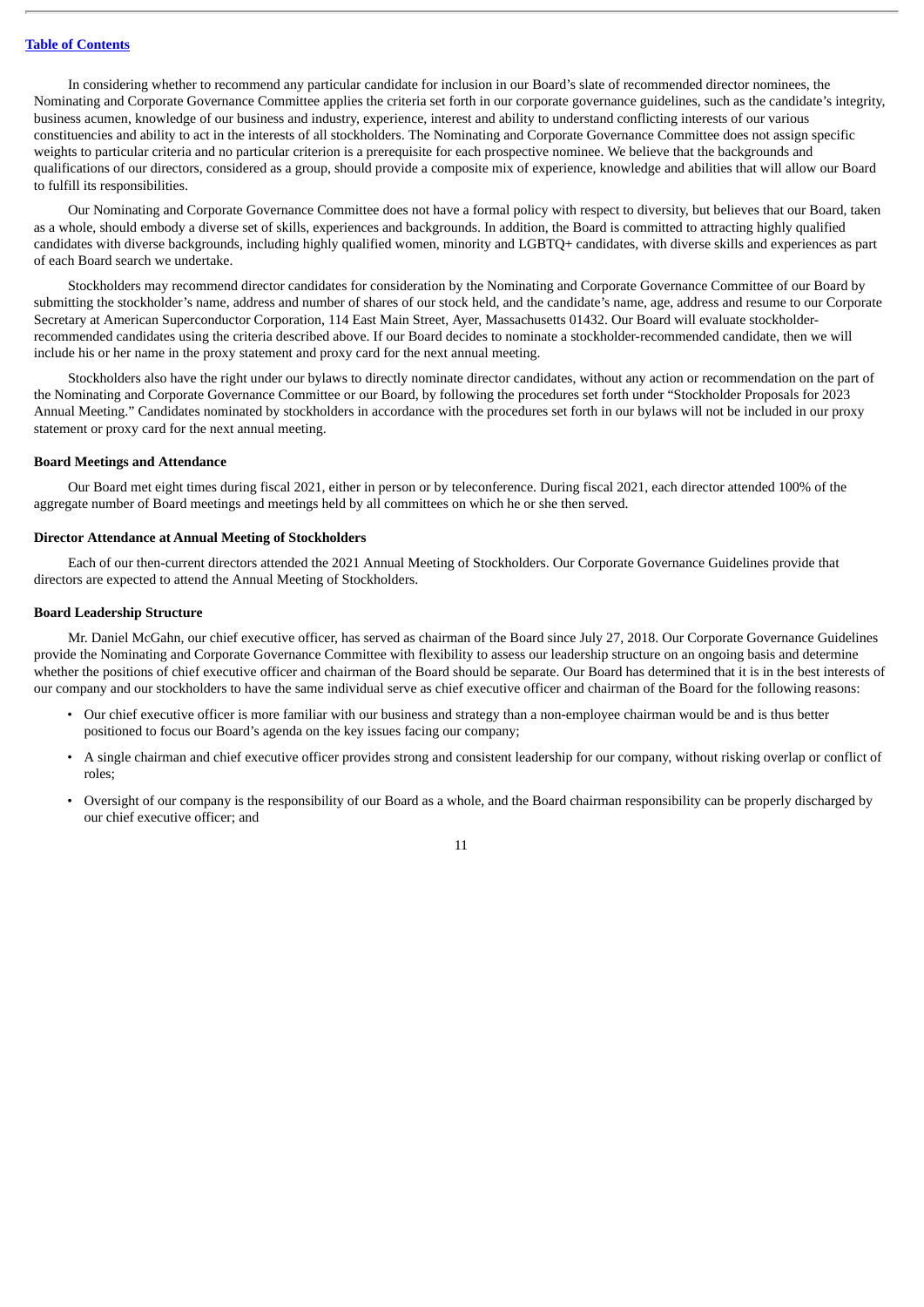In considering whether to recommend any particular candidate for inclusion in our Board's slate of recommended director nominees, the Nominating and Corporate Governance Committee applies the criteria set forth in our corporate governance guidelines, such as the candidate's integrity, business acumen, knowledge of our business and industry, experience, interest and ability to understand conflicting interests of our various constituencies and ability to act in the interests of all stockholders. The Nominating and Corporate Governance Committee does not assign specific weights to particular criteria and no particular criterion is a prerequisite for each prospective nominee. We believe that the backgrounds and qualifications of our directors, considered as a group, should provide a composite mix of experience, knowledge and abilities that will allow our Board to fulfill its responsibilities.

Our Nominating and Corporate Governance Committee does not have a formal policy with respect to diversity, but believes that our Board, taken as a whole, should embody a diverse set of skills, experiences and backgrounds. In addition, the Board is committed to attracting highly qualified candidates with diverse backgrounds, including highly qualified women, minority and LGBTQ+ candidates, with diverse skills and experiences as part of each Board search we undertake.

Stockholders may recommend director candidates for consideration by the Nominating and Corporate Governance Committee of our Board by submitting the stockholder's name, address and number of shares of our stock held, and the candidate's name, age, address and resume to our Corporate Secretary at American Superconductor Corporation, 114 East Main Street, Ayer, Massachusetts 01432. Our Board will evaluate stockholderrecommended candidates using the criteria described above. If our Board decides to nominate a stockholder-recommended candidate, then we will include his or her name in the proxy statement and proxy card for the next annual meeting.

Stockholders also have the right under our bylaws to directly nominate director candidates, without any action or recommendation on the part of the Nominating and Corporate Governance Committee or our Board, by following the procedures set forth under "Stockholder Proposals for 2023 Annual Meeting." Candidates nominated by stockholders in accordance with the procedures set forth in our bylaws will not be included in our proxy statement or proxy card for the next annual meeting.

#### <span id="page-14-0"></span>**Board Meetings and Attendance**

Our Board met eight times during fiscal 2021, either in person or by teleconference. During fiscal 2021, each director attended 100% of the aggregate number of Board meetings and meetings held by all committees on which he or she then served.

#### <span id="page-14-1"></span>**Director Attendance at Annual Meeting of Stockholders**

Each of our then-current directors attended the 2021 Annual Meeting of Stockholders. Our Corporate Governance Guidelines provide that directors are expected to attend the Annual Meeting of Stockholders.

#### <span id="page-14-2"></span>**Board Leadership Structure**

Mr. Daniel McGahn, our chief executive officer, has served as chairman of the Board since July 27, 2018. Our Corporate Governance Guidelines provide the Nominating and Corporate Governance Committee with flexibility to assess our leadership structure on an ongoing basis and determine whether the positions of chief executive officer and chairman of the Board should be separate. Our Board has determined that it is in the best interests of our company and our stockholders to have the same individual serve as chief executive officer and chairman of the Board for the following reasons:

- Our chief executive officer is more familiar with our business and strategy than a non-employee chairman would be and is thus better positioned to focus our Board's agenda on the key issues facing our company;
- A single chairman and chief executive officer provides strong and consistent leadership for our company, without risking overlap or conflict of roles;
- Oversight of our company is the responsibility of our Board as a whole, and the Board chairman responsibility can be properly discharged by our chief executive officer; and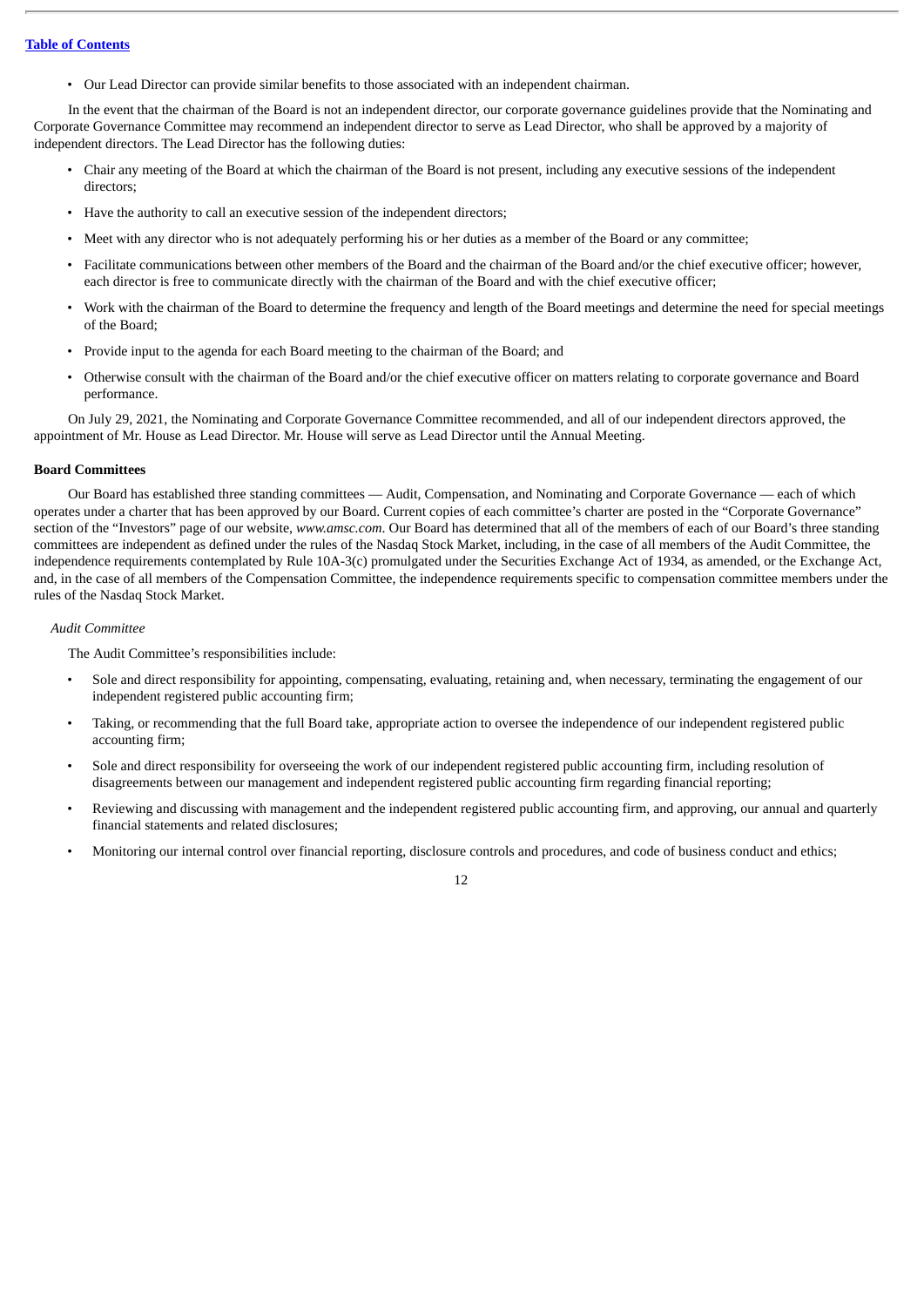• Our Lead Director can provide similar benefits to those associated with an independent chairman.

In the event that the chairman of the Board is not an independent director, our corporate governance guidelines provide that the Nominating and Corporate Governance Committee may recommend an independent director to serve as Lead Director, who shall be approved by a majority of independent directors. The Lead Director has the following duties:

- Chair any meeting of the Board at which the chairman of the Board is not present, including any executive sessions of the independent directors;
- Have the authority to call an executive session of the independent directors;
- Meet with any director who is not adequately performing his or her duties as a member of the Board or any committee;
- Facilitate communications between other members of the Board and the chairman of the Board and/or the chief executive officer; however, each director is free to communicate directly with the chairman of the Board and with the chief executive officer;
- Work with the chairman of the Board to determine the frequency and length of the Board meetings and determine the need for special meetings of the Board;
- Provide input to the agenda for each Board meeting to the chairman of the Board; and
- Otherwise consult with the chairman of the Board and/or the chief executive officer on matters relating to corporate governance and Board performance.

On July 29, 2021, the Nominating and Corporate Governance Committee recommended, and all of our independent directors approved, the appointment of Mr. House as Lead Director. Mr. House will serve as Lead Director until the Annual Meeting.

#### <span id="page-15-0"></span>**Board Committees**

Our Board has established three standing committees — Audit, Compensation, and Nominating and Corporate Governance — each of which operates under a charter that has been approved by our Board. Current copies of each committee's charter are posted in the "Corporate Governance" section of the "Investors" page of our website, *www.amsc.com*. Our Board has determined that all of the members of each of our Board's three standing committees are independent as defined under the rules of the Nasdaq Stock Market, including, in the case of all members of the Audit Committee, the independence requirements contemplated by Rule 10A-3(c) promulgated under the Securities Exchange Act of 1934, as amended, or the Exchange Act, and, in the case of all members of the Compensation Committee, the independence requirements specific to compensation committee members under the rules of the Nasdaq Stock Market.

#### *Audit Committee*

The Audit Committee's responsibilities include:

- Sole and direct responsibility for appointing, compensating, evaluating, retaining and, when necessary, terminating the engagement of our independent registered public accounting firm;
- Taking, or recommending that the full Board take, appropriate action to oversee the independence of our independent registered public accounting firm;
- Sole and direct responsibility for overseeing the work of our independent registered public accounting firm, including resolution of disagreements between our management and independent registered public accounting firm regarding financial reporting;
- Reviewing and discussing with management and the independent registered public accounting firm, and approving, our annual and quarterly financial statements and related disclosures;
- Monitoring our internal control over financial reporting, disclosure controls and procedures, and code of business conduct and ethics;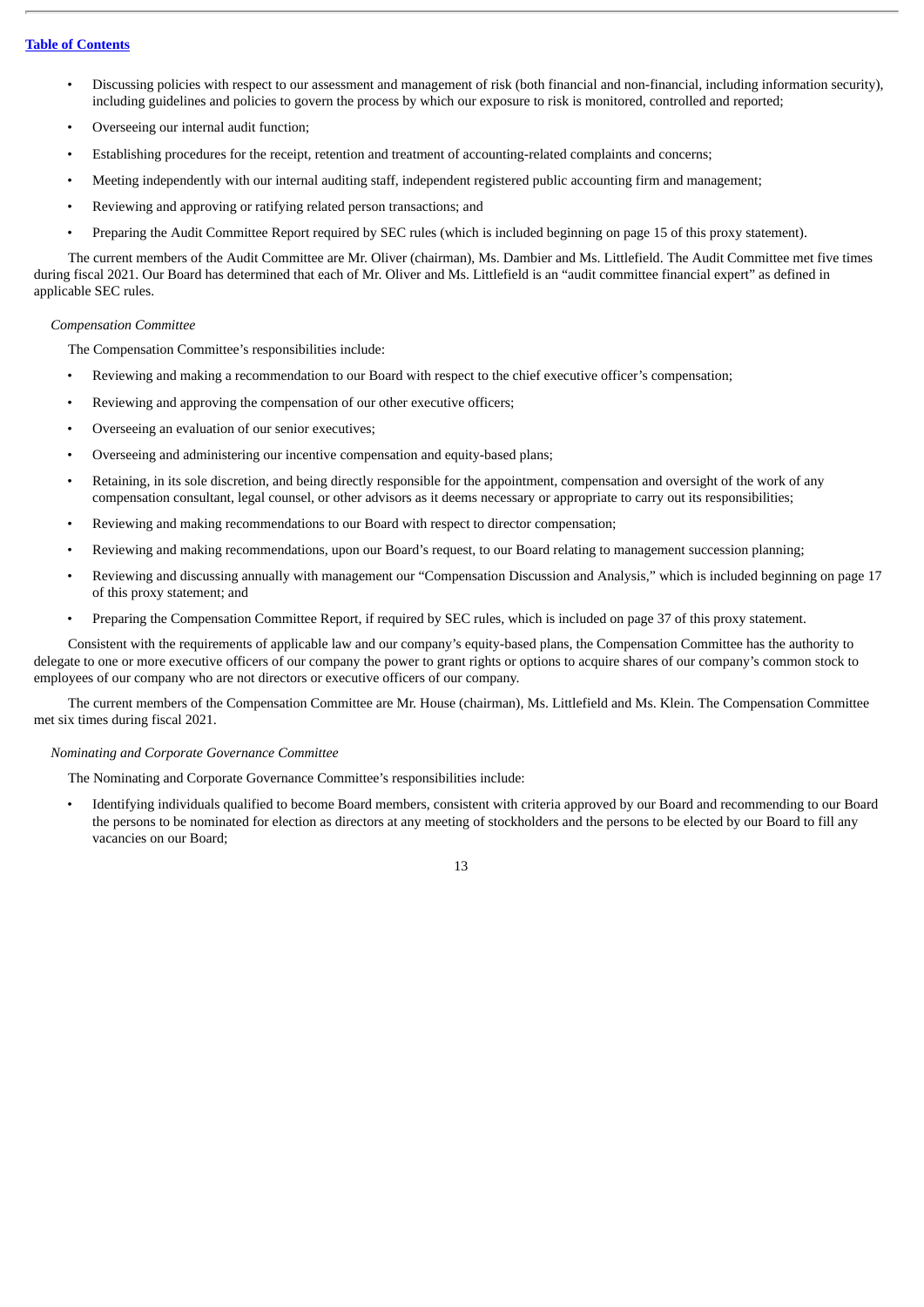- Discussing policies with respect to our assessment and management of risk (both financial and non-financial, including information security), including guidelines and policies to govern the process by which our exposure to risk is monitored, controlled and reported;
- Overseeing our internal audit function;
- Establishing procedures for the receipt, retention and treatment of accounting-related complaints and concerns;
- Meeting independently with our internal auditing staff, independent registered public accounting firm and management;
- Reviewing and approving or ratifying related person transactions; and
- Preparing the Audit Committee Report required by SEC rules (which is included beginning on page 15 of this proxy statement).

The current members of the Audit Committee are Mr. Oliver (chairman), Ms. Dambier and Ms. Littlefield. The Audit Committee met five times during fiscal 2021. Our Board has determined that each of Mr. Oliver and Ms. Littlefield is an "audit committee financial expert" as defined in applicable SEC rules.

#### *Compensation Committee*

The Compensation Committee's responsibilities include:

- Reviewing and making a recommendation to our Board with respect to the chief executive officer's compensation;
- Reviewing and approving the compensation of our other executive officers;
- Overseeing an evaluation of our senior executives;
- Overseeing and administering our incentive compensation and equity-based plans;
- Retaining, in its sole discretion, and being directly responsible for the appointment, compensation and oversight of the work of any compensation consultant, legal counsel, or other advisors as it deems necessary or appropriate to carry out its responsibilities;
- Reviewing and making recommendations to our Board with respect to director compensation;
- Reviewing and making recommendations, upon our Board's request, to our Board relating to management succession planning;
- Reviewing and discussing annually with management our "Compensation Discussion and Analysis," which is included beginning on page 17 of this proxy statement; and
- Preparing the Compensation Committee Report, if required by SEC rules, which is included on page 37 of this proxy statement.

Consistent with the requirements of applicable law and our company's equity-based plans, the Compensation Committee has the authority to delegate to one or more executive officers of our company the power to grant rights or options to acquire shares of our company's common stock to employees of our company who are not directors or executive officers of our company.

The current members of the Compensation Committee are Mr. House (chairman), Ms. Littlefield and Ms. Klein. The Compensation Committee met six times during fiscal 2021.

#### *Nominating and Corporate Governance Committee*

The Nominating and Corporate Governance Committee's responsibilities include:

• Identifying individuals qualified to become Board members, consistent with criteria approved by our Board and recommending to our Board the persons to be nominated for election as directors at any meeting of stockholders and the persons to be elected by our Board to fill any vacancies on our Board;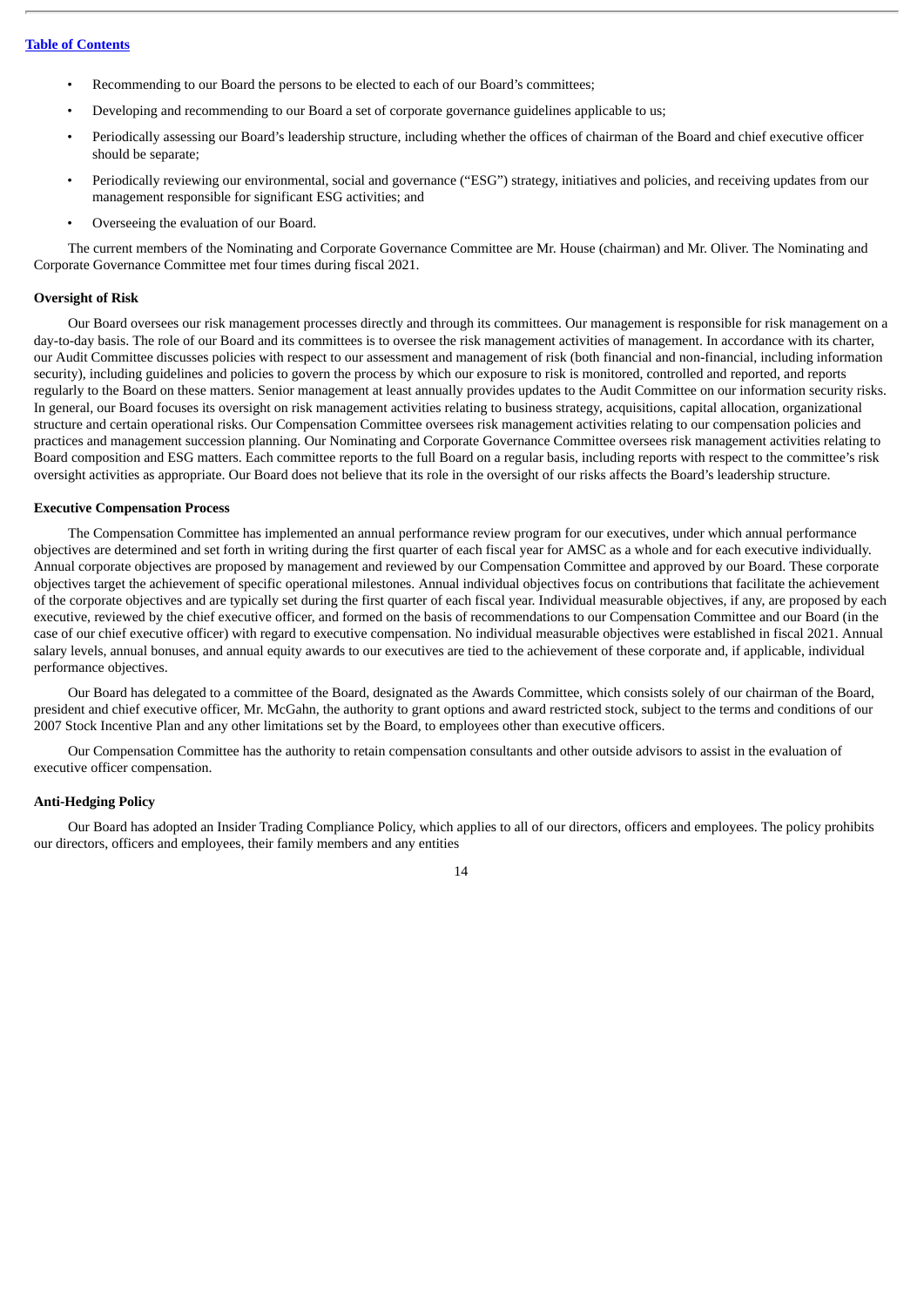- Recommending to our Board the persons to be elected to each of our Board's committees;
- Developing and recommending to our Board a set of corporate governance guidelines applicable to us;
- Periodically assessing our Board's leadership structure, including whether the offices of chairman of the Board and chief executive officer should be separate;
- Periodically reviewing our environmental, social and governance ("ESG") strategy, initiatives and policies, and receiving updates from our management responsible for significant ESG activities; and
- Overseeing the evaluation of our Board.

The current members of the Nominating and Corporate Governance Committee are Mr. House (chairman) and Mr. Oliver. The Nominating and Corporate Governance Committee met four times during fiscal 2021.

#### <span id="page-17-0"></span>**Oversight of Risk**

Our Board oversees our risk management processes directly and through its committees. Our management is responsible for risk management on a day-to-day basis. The role of our Board and its committees is to oversee the risk management activities of management. In accordance with its charter, our Audit Committee discusses policies with respect to our assessment and management of risk (both financial and non-financial, including information security), including guidelines and policies to govern the process by which our exposure to risk is monitored, controlled and reported, and reports regularly to the Board on these matters. Senior management at least annually provides updates to the Audit Committee on our information security risks. In general, our Board focuses its oversight on risk management activities relating to business strategy, acquisitions, capital allocation, organizational structure and certain operational risks. Our Compensation Committee oversees risk management activities relating to our compensation policies and practices and management succession planning. Our Nominating and Corporate Governance Committee oversees risk management activities relating to Board composition and ESG matters. Each committee reports to the full Board on a regular basis, including reports with respect to the committee's risk oversight activities as appropriate. Our Board does not believe that its role in the oversight of our risks affects the Board's leadership structure.

#### <span id="page-17-1"></span>**Executive Compensation Process**

The Compensation Committee has implemented an annual performance review program for our executives, under which annual performance objectives are determined and set forth in writing during the first quarter of each fiscal year for AMSC as a whole and for each executive individually. Annual corporate objectives are proposed by management and reviewed by our Compensation Committee and approved by our Board. These corporate objectives target the achievement of specific operational milestones. Annual individual objectives focus on contributions that facilitate the achievement of the corporate objectives and are typically set during the first quarter of each fiscal year. Individual measurable objectives, if any, are proposed by each executive, reviewed by the chief executive officer, and formed on the basis of recommendations to our Compensation Committee and our Board (in the case of our chief executive officer) with regard to executive compensation. No individual measurable objectives were established in fiscal 2021. Annual salary levels, annual bonuses, and annual equity awards to our executives are tied to the achievement of these corporate and, if applicable, individual performance objectives.

Our Board has delegated to a committee of the Board, designated as the Awards Committee, which consists solely of our chairman of the Board, president and chief executive officer, Mr. McGahn, the authority to grant options and award restricted stock, subject to the terms and conditions of our 2007 Stock Incentive Plan and any other limitations set by the Board, to employees other than executive officers.

Our Compensation Committee has the authority to retain compensation consultants and other outside advisors to assist in the evaluation of executive officer compensation.

#### <span id="page-17-2"></span>**Anti-Hedging Policy**

Our Board has adopted an Insider Trading Compliance Policy, which applies to all of our directors, officers and employees. The policy prohibits our directors, officers and employees, their family members and any entities

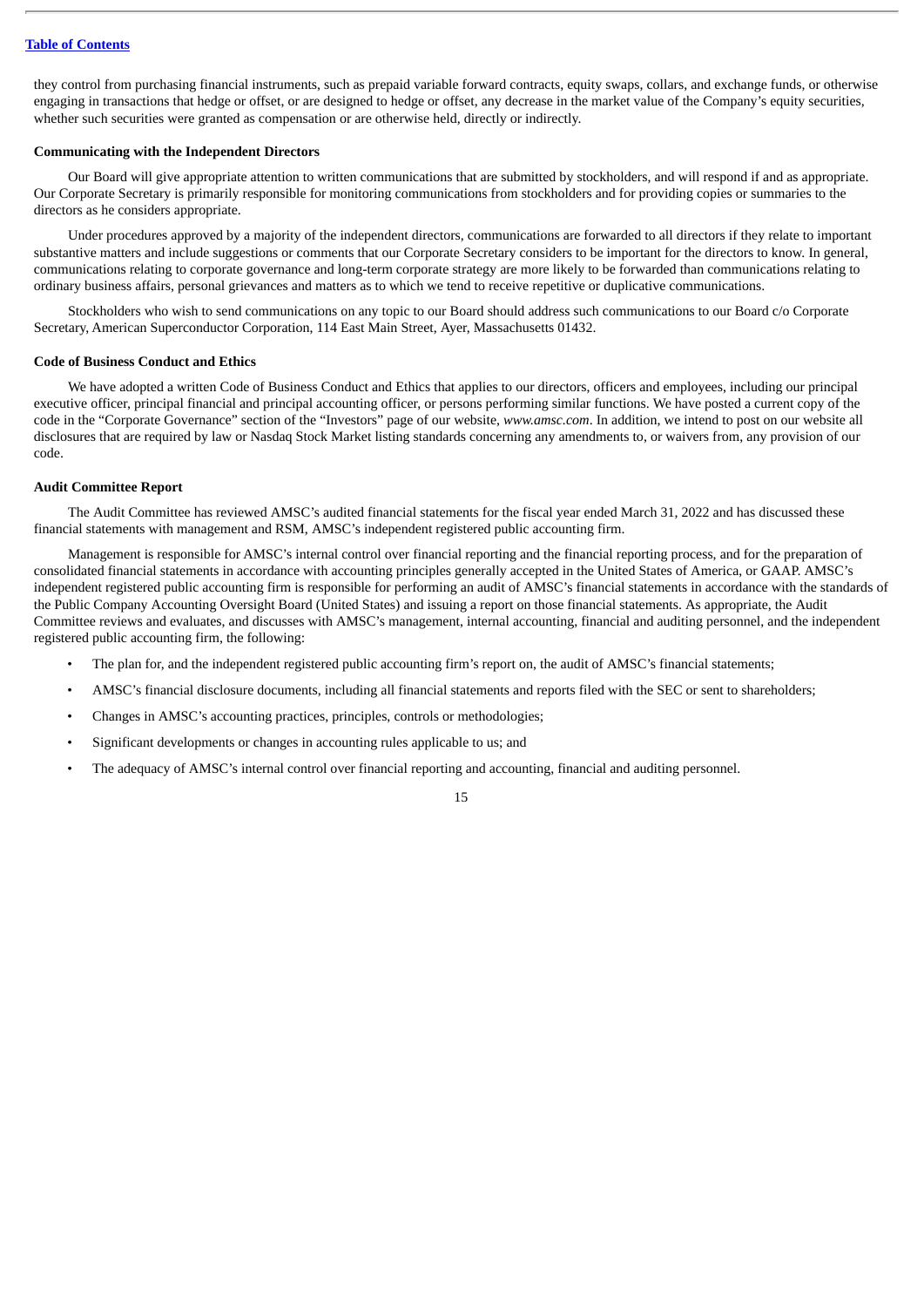they control from purchasing financial instruments, such as prepaid variable forward contracts, equity swaps, collars, and exchange funds, or otherwise engaging in transactions that hedge or offset, or are designed to hedge or offset, any decrease in the market value of the Company's equity securities, whether such securities were granted as compensation or are otherwise held, directly or indirectly.

#### <span id="page-18-0"></span>**Communicating with the Independent Directors**

Our Board will give appropriate attention to written communications that are submitted by stockholders, and will respond if and as appropriate. Our Corporate Secretary is primarily responsible for monitoring communications from stockholders and for providing copies or summaries to the directors as he considers appropriate.

Under procedures approved by a majority of the independent directors, communications are forwarded to all directors if they relate to important substantive matters and include suggestions or comments that our Corporate Secretary considers to be important for the directors to know. In general, communications relating to corporate governance and long-term corporate strategy are more likely to be forwarded than communications relating to ordinary business affairs, personal grievances and matters as to which we tend to receive repetitive or duplicative communications.

Stockholders who wish to send communications on any topic to our Board should address such communications to our Board c/o Corporate Secretary, American Superconductor Corporation, 114 East Main Street, Ayer, Massachusetts 01432.

#### <span id="page-18-1"></span>**Code of Business Conduct and Ethics**

We have adopted a written Code of Business Conduct and Ethics that applies to our directors, officers and employees, including our principal executive officer, principal financial and principal accounting officer, or persons performing similar functions. We have posted a current copy of the code in the "Corporate Governance" section of the "Investors" page of our website, *www.amsc.com*. In addition, we intend to post on our website all disclosures that are required by law or Nasdaq Stock Market listing standards concerning any amendments to, or waivers from, any provision of our code.

#### <span id="page-18-2"></span>**Audit Committee Report**

The Audit Committee has reviewed AMSC's audited financial statements for the fiscal year ended March 31, 2022 and has discussed these financial statements with management and RSM, AMSC's independent registered public accounting firm.

Management is responsible for AMSC's internal control over financial reporting and the financial reporting process, and for the preparation of consolidated financial statements in accordance with accounting principles generally accepted in the United States of America, or GAAP. AMSC's independent registered public accounting firm is responsible for performing an audit of AMSC's financial statements in accordance with the standards of the Public Company Accounting Oversight Board (United States) and issuing a report on those financial statements. As appropriate, the Audit Committee reviews and evaluates, and discusses with AMSC's management, internal accounting, financial and auditing personnel, and the independent registered public accounting firm, the following:

- The plan for, and the independent registered public accounting firm's report on, the audit of AMSC's financial statements;
- AMSC's financial disclosure documents, including all financial statements and reports filed with the SEC or sent to shareholders;
- Changes in AMSC's accounting practices, principles, controls or methodologies;
- Significant developments or changes in accounting rules applicable to us; and
- The adequacy of AMSC's internal control over financial reporting and accounting, financial and auditing personnel.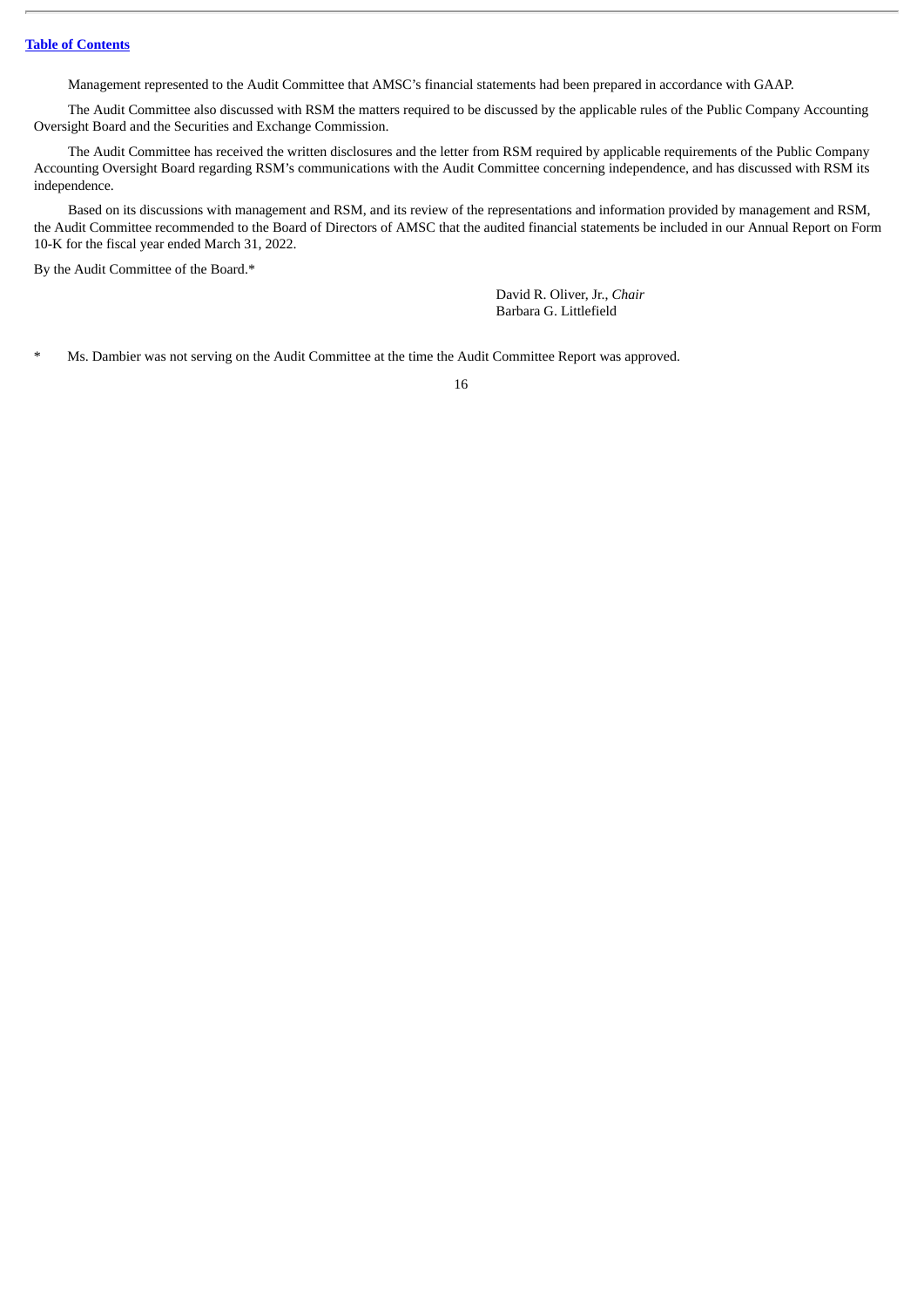Management represented to the Audit Committee that AMSC's financial statements had been prepared in accordance with GAAP.

The Audit Committee also discussed with RSM the matters required to be discussed by the applicable rules of the Public Company Accounting Oversight Board and the Securities and Exchange Commission.

The Audit Committee has received the written disclosures and the letter from RSM required by applicable requirements of the Public Company Accounting Oversight Board regarding RSM's communications with the Audit Committee concerning independence, and has discussed with RSM its independence.

Based on its discussions with management and RSM, and its review of the representations and information provided by management and RSM, the Audit Committee recommended to the Board of Directors of AMSC that the audited financial statements be included in our Annual Report on Form 10-K for the fiscal year ended March 31, 2022.

By the Audit Committee of the Board.\*

David R. Oliver, Jr., *Chair* Barbara G. Littlefield

Ms. Dambier was not serving on the Audit Committee at the time the Audit Committee Report was approved.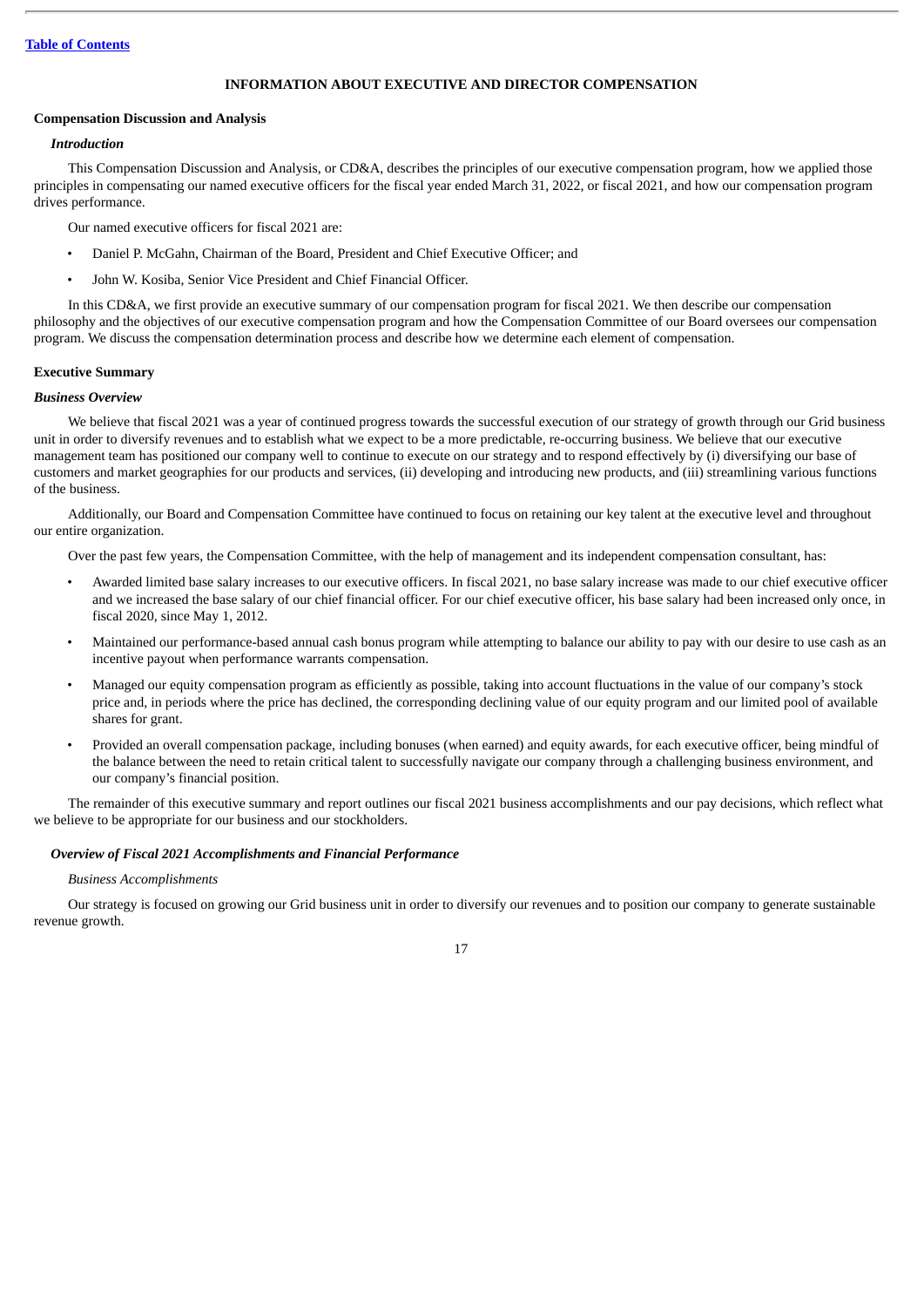# **INFORMATION ABOUT EXECUTIVE AND DIRECTOR COMPENSATION**

#### <span id="page-20-1"></span><span id="page-20-0"></span>**Compensation Discussion and Analysis**

### *Introduction*

This Compensation Discussion and Analysis, or CD&A, describes the principles of our executive compensation program, how we applied those principles in compensating our named executive officers for the fiscal year ended March 31, 2022, or fiscal 2021, and how our compensation program drives performance.

Our named executive officers for fiscal 2021 are:

- Daniel P. McGahn, Chairman of the Board, President and Chief Executive Officer; and
- John W. Kosiba, Senior Vice President and Chief Financial Officer.

In this CD&A, we first provide an executive summary of our compensation program for fiscal 2021. We then describe our compensation philosophy and the objectives of our executive compensation program and how the Compensation Committee of our Board oversees our compensation program. We discuss the compensation determination process and describe how we determine each element of compensation.

### <span id="page-20-2"></span>**Executive Summary**

#### *Business Overview*

We believe that fiscal 2021 was a year of continued progress towards the successful execution of our strategy of growth through our Grid business unit in order to diversify revenues and to establish what we expect to be a more predictable, re-occurring business. We believe that our executive management team has positioned our company well to continue to execute on our strategy and to respond effectively by (i) diversifying our base of customers and market geographies for our products and services, (ii) developing and introducing new products, and (iii) streamlining various functions of the business.

Additionally, our Board and Compensation Committee have continued to focus on retaining our key talent at the executive level and throughout our entire organization.

Over the past few years, the Compensation Committee, with the help of management and its independent compensation consultant, has:

- Awarded limited base salary increases to our executive officers. In fiscal 2021, no base salary increase was made to our chief executive officer and we increased the base salary of our chief financial officer. For our chief executive officer, his base salary had been increased only once, in fiscal 2020, since May 1, 2012.
- Maintained our performance-based annual cash bonus program while attempting to balance our ability to pay with our desire to use cash as an incentive payout when performance warrants compensation.
- Managed our equity compensation program as efficiently as possible, taking into account fluctuations in the value of our company's stock price and, in periods where the price has declined, the corresponding declining value of our equity program and our limited pool of available shares for grant.
- Provided an overall compensation package, including bonuses (when earned) and equity awards, for each executive officer, being mindful of the balance between the need to retain critical talent to successfully navigate our company through a challenging business environment, and our company's financial position.

The remainder of this executive summary and report outlines our fiscal 2021 business accomplishments and our pay decisions, which reflect what we believe to be appropriate for our business and our stockholders.

### *Overview of Fiscal 2021 Accomplishments and Financial Performance*

#### *Business Accomplishments*

Our strategy is focused on growing our Grid business unit in order to diversify our revenues and to position our company to generate sustainable revenue growth.

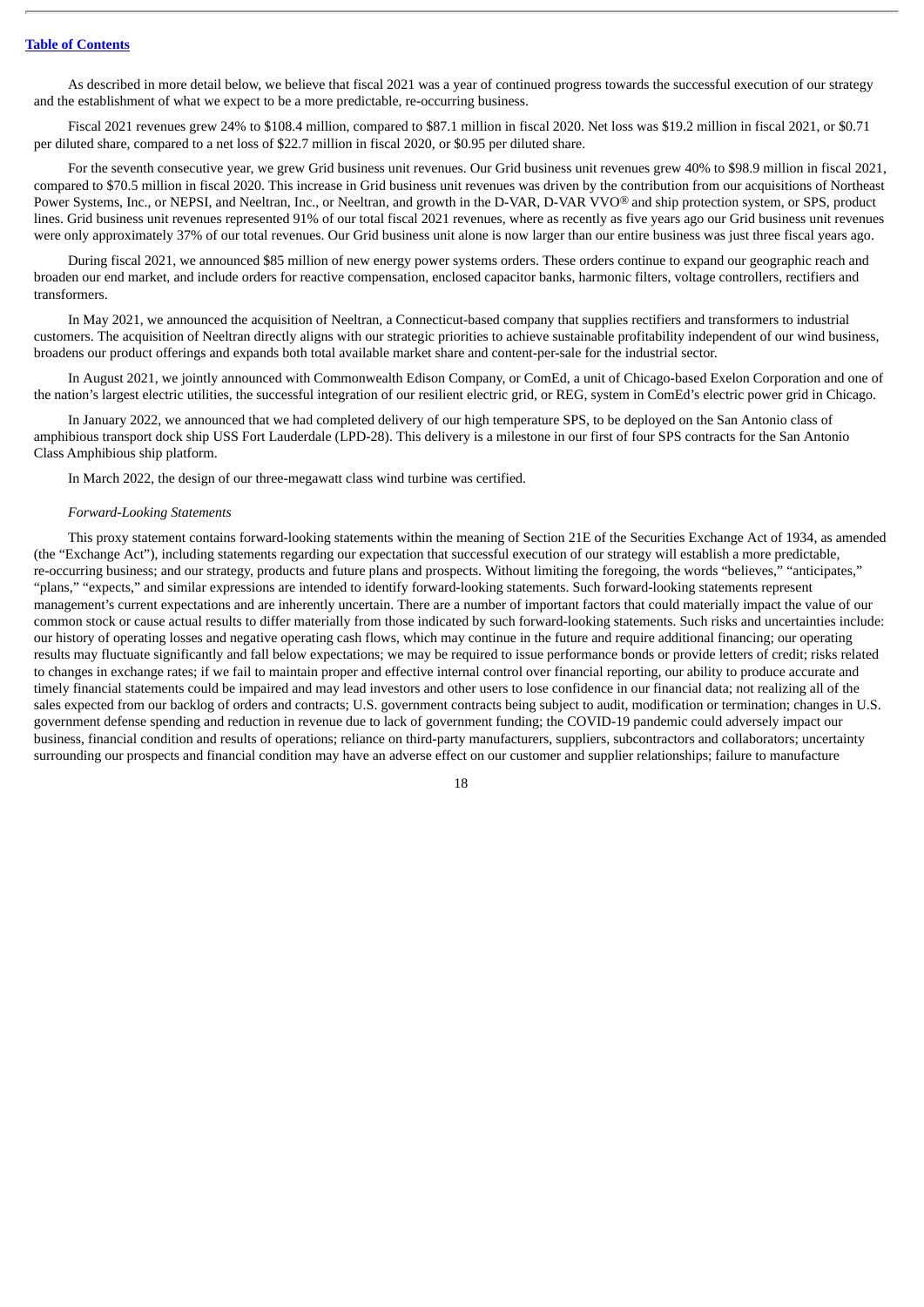As described in more detail below, we believe that fiscal 2021 was a year of continued progress towards the successful execution of our strategy and the establishment of what we expect to be a more predictable, re-occurring business.

Fiscal 2021 revenues grew 24% to \$108.4 million, compared to \$87.1 million in fiscal 2020. Net loss was \$19.2 million in fiscal 2021, or \$0.71 per diluted share, compared to a net loss of \$22.7 million in fiscal 2020, or \$0.95 per diluted share.

For the seventh consecutive year, we grew Grid business unit revenues. Our Grid business unit revenues grew 40% to \$98.9 million in fiscal 2021, compared to \$70.5 million in fiscal 2020. This increase in Grid business unit revenues was driven by the contribution from our acquisitions of Northeast Power Systems, Inc., or NEPSI, and Neeltran, Inc., or Neeltran, and growth in the D-VAR, D-VAR VVO® and ship protection system, or SPS, product lines. Grid business unit revenues represented 91% of our total fiscal 2021 revenues, where as recently as five years ago our Grid business unit revenues were only approximately 37% of our total revenues. Our Grid business unit alone is now larger than our entire business was just three fiscal years ago.

During fiscal 2021, we announced \$85 million of new energy power systems orders. These orders continue to expand our geographic reach and broaden our end market, and include orders for reactive compensation, enclosed capacitor banks, harmonic filters, voltage controllers, rectifiers and transformers.

In May 2021, we announced the acquisition of Neeltran, a Connecticut-based company that supplies rectifiers and transformers to industrial customers. The acquisition of Neeltran directly aligns with our strategic priorities to achieve sustainable profitability independent of our wind business, broadens our product offerings and expands both total available market share and content-per-sale for the industrial sector.

In August 2021, we jointly announced with Commonwealth Edison Company, or ComEd, a unit of Chicago-based Exelon Corporation and one of the nation's largest electric utilities, the successful integration of our resilient electric grid, or REG, system in ComEd's electric power grid in Chicago.

In January 2022, we announced that we had completed delivery of our high temperature SPS, to be deployed on the San Antonio class of amphibious transport dock ship USS Fort Lauderdale (LPD-28). This delivery is a milestone in our first of four SPS contracts for the San Antonio Class Amphibious ship platform.

In March 2022, the design of our three-megawatt class wind turbine was certified.

#### *Forward-Looking Statements*

This proxy statement contains forward-looking statements within the meaning of Section 21E of the Securities Exchange Act of 1934, as amended (the "Exchange Act"), including statements regarding our expectation that successful execution of our strategy will establish a more predictable, re-occurring business; and our strategy, products and future plans and prospects. Without limiting the foregoing, the words "believes," "anticipates," "plans," "expects," and similar expressions are intended to identify forward-looking statements. Such forward-looking statements represent management's current expectations and are inherently uncertain. There are a number of important factors that could materially impact the value of our common stock or cause actual results to differ materially from those indicated by such forward-looking statements. Such risks and uncertainties include: our history of operating losses and negative operating cash flows, which may continue in the future and require additional financing; our operating results may fluctuate significantly and fall below expectations; we may be required to issue performance bonds or provide letters of credit; risks related to changes in exchange rates; if we fail to maintain proper and effective internal control over financial reporting, our ability to produce accurate and timely financial statements could be impaired and may lead investors and other users to lose confidence in our financial data; not realizing all of the sales expected from our backlog of orders and contracts; U.S. government contracts being subject to audit, modification or termination; changes in U.S. government defense spending and reduction in revenue due to lack of government funding; the COVID-19 pandemic could adversely impact our business, financial condition and results of operations; reliance on third-party manufacturers, suppliers, subcontractors and collaborators; uncertainty surrounding our prospects and financial condition may have an adverse effect on our customer and supplier relationships; failure to manufacture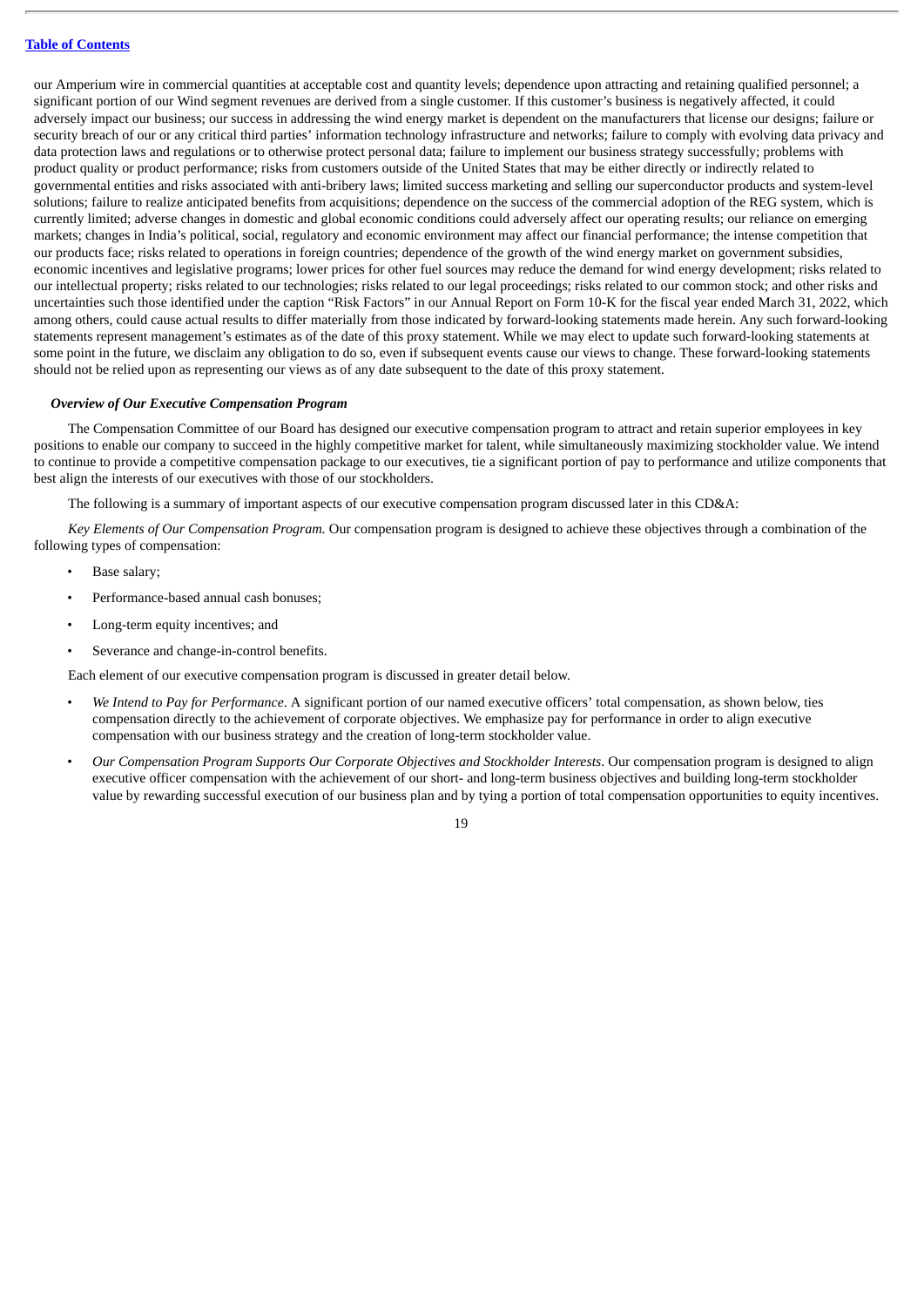our Amperium wire in commercial quantities at acceptable cost and quantity levels; dependence upon attracting and retaining qualified personnel; a significant portion of our Wind segment revenues are derived from a single customer. If this customer's business is negatively affected, it could adversely impact our business; our success in addressing the wind energy market is dependent on the manufacturers that license our designs; failure or security breach of our or any critical third parties' information technology infrastructure and networks; failure to comply with evolving data privacy and data protection laws and regulations or to otherwise protect personal data; failure to implement our business strategy successfully; problems with product quality or product performance; risks from customers outside of the United States that may be either directly or indirectly related to governmental entities and risks associated with anti-bribery laws; limited success marketing and selling our superconductor products and system-level solutions; failure to realize anticipated benefits from acquisitions; dependence on the success of the commercial adoption of the REG system, which is currently limited; adverse changes in domestic and global economic conditions could adversely affect our operating results; our reliance on emerging markets; changes in India's political, social, regulatory and economic environment may affect our financial performance; the intense competition that our products face; risks related to operations in foreign countries; dependence of the growth of the wind energy market on government subsidies, economic incentives and legislative programs; lower prices for other fuel sources may reduce the demand for wind energy development; risks related to our intellectual property; risks related to our technologies; risks related to our legal proceedings; risks related to our common stock; and other risks and uncertainties such those identified under the caption "Risk Factors" in our Annual Report on Form 10-K for the fiscal year ended March 31, 2022, which among others, could cause actual results to differ materially from those indicated by forward-looking statements made herein. Any such forward-looking statements represent management's estimates as of the date of this proxy statement. While we may elect to update such forward-looking statements at some point in the future, we disclaim any obligation to do so, even if subsequent events cause our views to change. These forward-looking statements should not be relied upon as representing our views as of any date subsequent to the date of this proxy statement.

#### *Overview of Our Executive Compensation Program*

The Compensation Committee of our Board has designed our executive compensation program to attract and retain superior employees in key positions to enable our company to succeed in the highly competitive market for talent, while simultaneously maximizing stockholder value. We intend to continue to provide a competitive compensation package to our executives, tie a significant portion of pay to performance and utilize components that best align the interests of our executives with those of our stockholders.

The following is a summary of important aspects of our executive compensation program discussed later in this CD&A:

*Key Elements of Our Compensation Program.* Our compensation program is designed to achieve these objectives through a combination of the following types of compensation:

- Base salary;
- Performance-based annual cash bonuses;
- Long-term equity incentives; and
- Severance and change-in-control benefits.

Each element of our executive compensation program is discussed in greater detail below.

- *We Intend to Pay for Performance*. A significant portion of our named executive officers' total compensation, as shown below, ties compensation directly to the achievement of corporate objectives. We emphasize pay for performance in order to align executive compensation with our business strategy and the creation of long-term stockholder value.
- *Our Compensation Program Supports Our Corporate Objectives and Stockholder Interests*. Our compensation program is designed to align executive officer compensation with the achievement of our short- and long-term business objectives and building long-term stockholder value by rewarding successful execution of our business plan and by tying a portion of total compensation opportunities to equity incentives.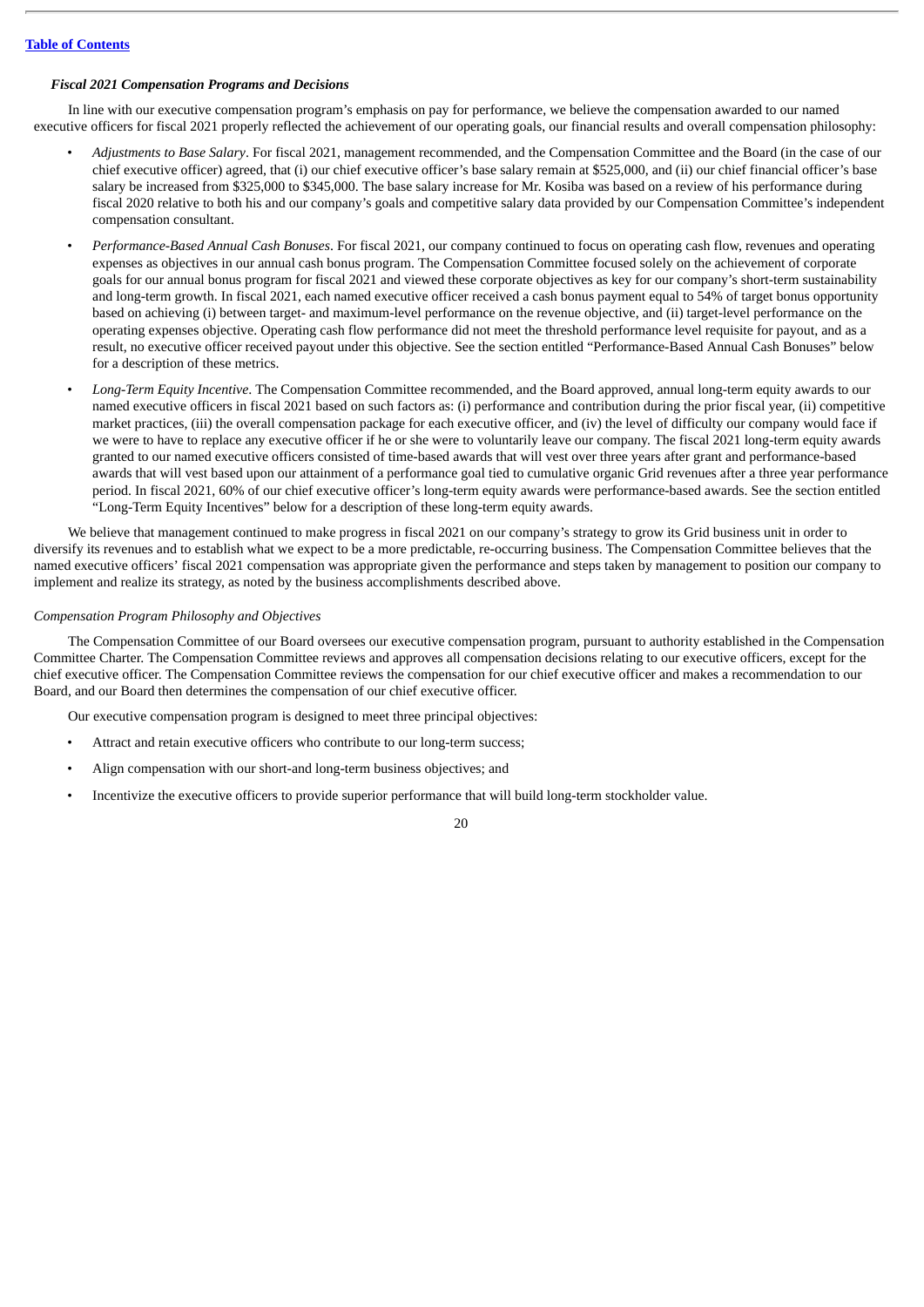#### *Fiscal 2021 Compensation Programs and Decisions*

In line with our executive compensation program's emphasis on pay for performance, we believe the compensation awarded to our named executive officers for fiscal 2021 properly reflected the achievement of our operating goals, our financial results and overall compensation philosophy:

- *Adjustments to Base Salary*. For fiscal 2021, management recommended, and the Compensation Committee and the Board (in the case of our chief executive officer) agreed, that (i) our chief executive officer's base salary remain at \$525,000, and (ii) our chief financial officer's base salary be increased from \$325,000 to \$345,000. The base salary increase for Mr. Kosiba was based on a review of his performance during fiscal 2020 relative to both his and our company's goals and competitive salary data provided by our Compensation Committee's independent compensation consultant.
- *Performance-Based Annual Cash Bonuses*. For fiscal 2021, our company continued to focus on operating cash flow, revenues and operating expenses as objectives in our annual cash bonus program. The Compensation Committee focused solely on the achievement of corporate goals for our annual bonus program for fiscal 2021 and viewed these corporate objectives as key for our company's short-term sustainability and long-term growth. In fiscal 2021, each named executive officer received a cash bonus payment equal to 54% of target bonus opportunity based on achieving (i) between target- and maximum-level performance on the revenue objective, and (ii) target-level performance on the operating expenses objective. Operating cash flow performance did not meet the threshold performance level requisite for payout, and as a result, no executive officer received payout under this objective. See the section entitled "Performance-Based Annual Cash Bonuses" below for a description of these metrics.
- *Long-Term Equity Incentive*. The Compensation Committee recommended, and the Board approved, annual long-term equity awards to our named executive officers in fiscal 2021 based on such factors as: (i) performance and contribution during the prior fiscal year, (ii) competitive market practices, (iii) the overall compensation package for each executive officer, and (iv) the level of difficulty our company would face if we were to have to replace any executive officer if he or she were to voluntarily leave our company. The fiscal 2021 long-term equity awards granted to our named executive officers consisted of time-based awards that will vest over three years after grant and performance-based awards that will vest based upon our attainment of a performance goal tied to cumulative organic Grid revenues after a three year performance period. In fiscal 2021, 60% of our chief executive officer's long-term equity awards were performance-based awards. See the section entitled "Long-Term Equity Incentives" below for a description of these long-term equity awards.

We believe that management continued to make progress in fiscal 2021 on our company's strategy to grow its Grid business unit in order to diversify its revenues and to establish what we expect to be a more predictable, re-occurring business. The Compensation Committee believes that the named executive officers' fiscal 2021 compensation was appropriate given the performance and steps taken by management to position our company to implement and realize its strategy, as noted by the business accomplishments described above.

#### *Compensation Program Philosophy and Objectives*

The Compensation Committee of our Board oversees our executive compensation program, pursuant to authority established in the Compensation Committee Charter. The Compensation Committee reviews and approves all compensation decisions relating to our executive officers, except for the chief executive officer. The Compensation Committee reviews the compensation for our chief executive officer and makes a recommendation to our Board, and our Board then determines the compensation of our chief executive officer.

Our executive compensation program is designed to meet three principal objectives:

- Attract and retain executive officers who contribute to our long-term success;
- Align compensation with our short-and long-term business objectives; and
- Incentivize the executive officers to provide superior performance that will build long-term stockholder value.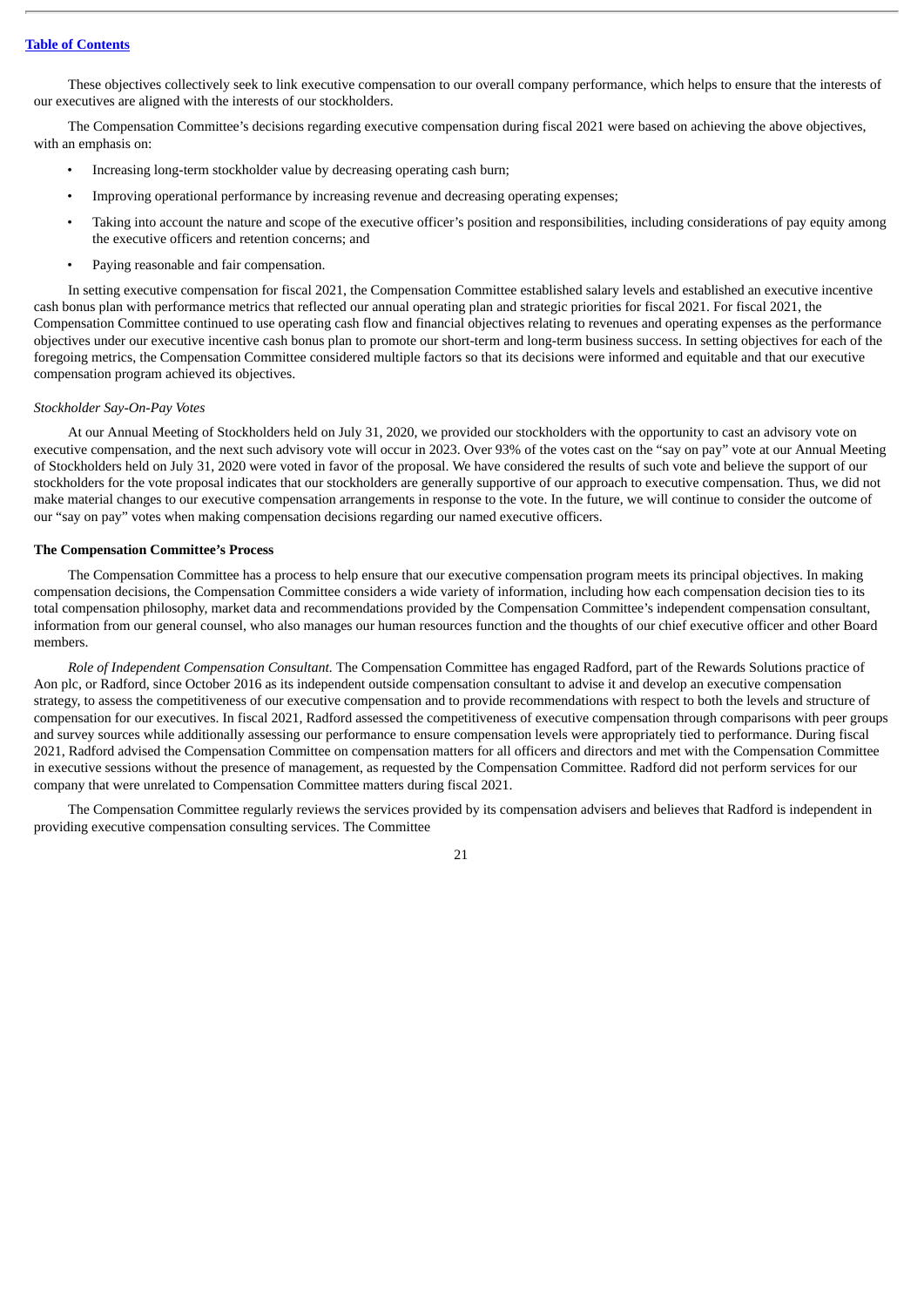These objectives collectively seek to link executive compensation to our overall company performance, which helps to ensure that the interests of our executives are aligned with the interests of our stockholders.

The Compensation Committee's decisions regarding executive compensation during fiscal 2021 were based on achieving the above objectives, with an emphasis on:

- Increasing long-term stockholder value by decreasing operating cash burn;
- Improving operational performance by increasing revenue and decreasing operating expenses;
- Taking into account the nature and scope of the executive officer's position and responsibilities, including considerations of pay equity among the executive officers and retention concerns; and
- Paying reasonable and fair compensation.

In setting executive compensation for fiscal 2021, the Compensation Committee established salary levels and established an executive incentive cash bonus plan with performance metrics that reflected our annual operating plan and strategic priorities for fiscal 2021. For fiscal 2021, the Compensation Committee continued to use operating cash flow and financial objectives relating to revenues and operating expenses as the performance objectives under our executive incentive cash bonus plan to promote our short-term and long-term business success. In setting objectives for each of the foregoing metrics, the Compensation Committee considered multiple factors so that its decisions were informed and equitable and that our executive compensation program achieved its objectives.

#### *Stockholder Say-On-Pay Votes*

At our Annual Meeting of Stockholders held on July 31, 2020, we provided our stockholders with the opportunity to cast an advisory vote on executive compensation, and the next such advisory vote will occur in 2023. Over 93% of the votes cast on the "say on pay" vote at our Annual Meeting of Stockholders held on July 31, 2020 were voted in favor of the proposal. We have considered the results of such vote and believe the support of our stockholders for the vote proposal indicates that our stockholders are generally supportive of our approach to executive compensation. Thus, we did not make material changes to our executive compensation arrangements in response to the vote. In the future, we will continue to consider the outcome of our "say on pay" votes when making compensation decisions regarding our named executive officers.

#### <span id="page-24-0"></span>**The Compensation Committee's Process**

The Compensation Committee has a process to help ensure that our executive compensation program meets its principal objectives. In making compensation decisions, the Compensation Committee considers a wide variety of information, including how each compensation decision ties to its total compensation philosophy, market data and recommendations provided by the Compensation Committee's independent compensation consultant, information from our general counsel, who also manages our human resources function and the thoughts of our chief executive officer and other Board members.

*Role of Independent Compensation Consultant.* The Compensation Committee has engaged Radford, part of the Rewards Solutions practice of Aon plc, or Radford, since October 2016 as its independent outside compensation consultant to advise it and develop an executive compensation strategy, to assess the competitiveness of our executive compensation and to provide recommendations with respect to both the levels and structure of compensation for our executives. In fiscal 2021, Radford assessed the competitiveness of executive compensation through comparisons with peer groups and survey sources while additionally assessing our performance to ensure compensation levels were appropriately tied to performance. During fiscal 2021, Radford advised the Compensation Committee on compensation matters for all officers and directors and met with the Compensation Committee in executive sessions without the presence of management, as requested by the Compensation Committee. Radford did not perform services for our company that were unrelated to Compensation Committee matters during fiscal 2021.

The Compensation Committee regularly reviews the services provided by its compensation advisers and believes that Radford is independent in providing executive compensation consulting services. The Committee

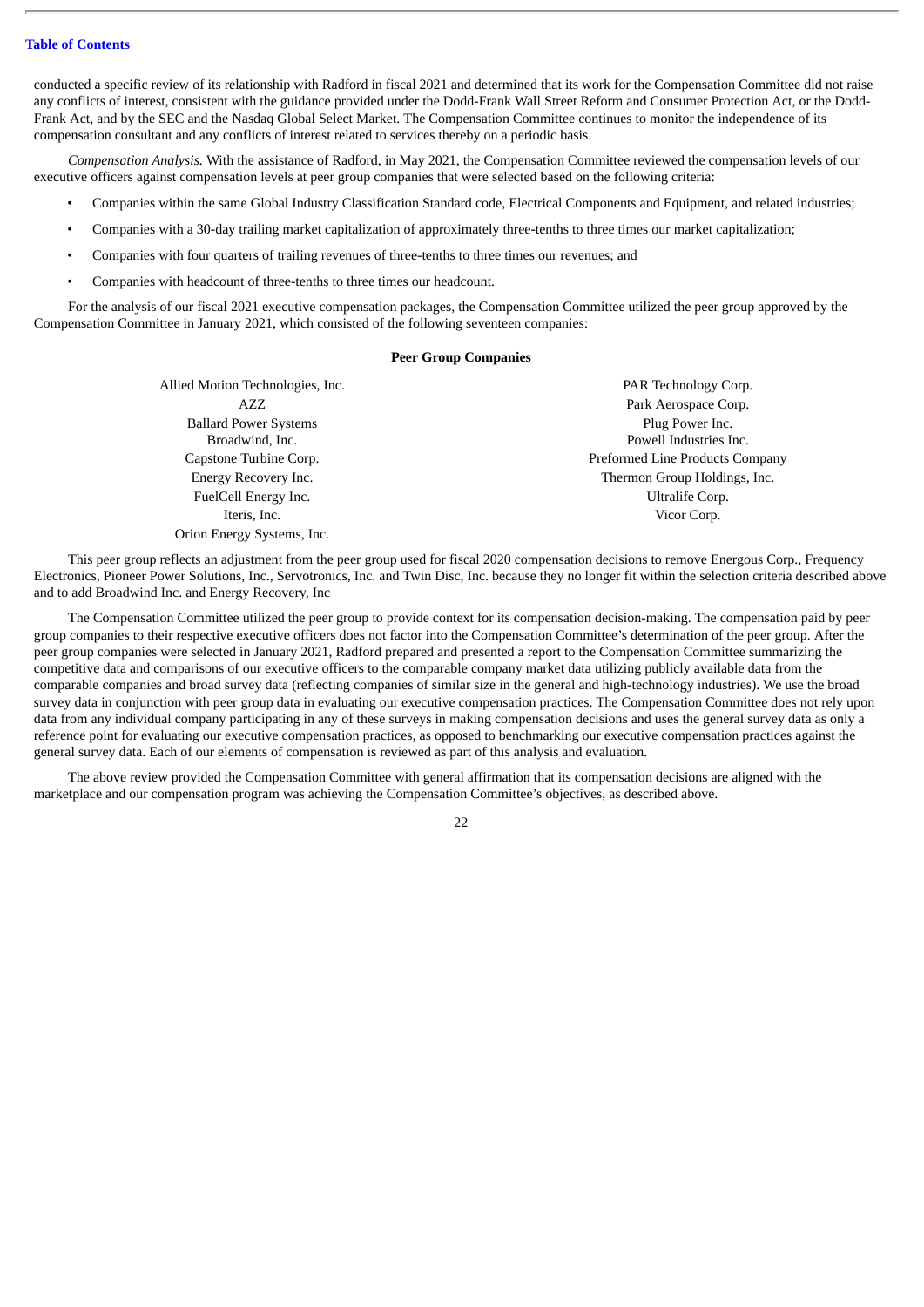conducted a specific review of its relationship with Radford in fiscal 2021 and determined that its work for the Compensation Committee did not raise any conflicts of interest, consistent with the guidance provided under the Dodd-Frank Wall Street Reform and Consumer Protection Act, or the Dodd-Frank Act, and by the SEC and the Nasdaq Global Select Market. The Compensation Committee continues to monitor the independence of its compensation consultant and any conflicts of interest related to services thereby on a periodic basis.

*Compensation Analysis.* With the assistance of Radford, in May 2021, the Compensation Committee reviewed the compensation levels of our executive officers against compensation levels at peer group companies that were selected based on the following criteria:

- Companies within the same Global Industry Classification Standard code, Electrical Components and Equipment, and related industries;
- Companies with a 30-day trailing market capitalization of approximately three-tenths to three times our market capitalization;
- Companies with four quarters of trailing revenues of three-tenths to three times our revenues; and
- Companies with headcount of three-tenths to three times our headcount.

For the analysis of our fiscal 2021 executive compensation packages, the Compensation Committee utilized the peer group approved by the Compensation Committee in January 2021, which consisted of the following seventeen companies:

#### **Peer Group Companies**

| Allied Motion Technologies, Inc. | PAR Technology Corp.            |
|----------------------------------|---------------------------------|
| AZZ                              | Park Aerospace Corp.            |
| <b>Ballard Power Systems</b>     | Plug Power Inc.                 |
| Broadwind, Inc.                  | Powell Industries Inc.          |
| Capstone Turbine Corp.           | Preformed Line Products Company |
| Energy Recovery Inc.             | Thermon Group Holdings, Inc.    |
| FuelCell Energy Inc.             | Ultralife Corp.                 |
| Iteris, Inc.                     | Vicor Corp.                     |
| Orion Energy Systems, Inc.       |                                 |

This peer group reflects an adjustment from the peer group used for fiscal 2020 compensation decisions to remove Energous Corp., Frequency Electronics, Pioneer Power Solutions, Inc., Servotronics, Inc. and Twin Disc, Inc. because they no longer fit within the selection criteria described above and to add Broadwind Inc. and Energy Recovery, Inc

The Compensation Committee utilized the peer group to provide context for its compensation decision-making. The compensation paid by peer group companies to their respective executive officers does not factor into the Compensation Committee's determination of the peer group. After the peer group companies were selected in January 2021, Radford prepared and presented a report to the Compensation Committee summarizing the competitive data and comparisons of our executive officers to the comparable company market data utilizing publicly available data from the comparable companies and broad survey data (reflecting companies of similar size in the general and high-technology industries). We use the broad survey data in conjunction with peer group data in evaluating our executive compensation practices. The Compensation Committee does not rely upon data from any individual company participating in any of these surveys in making compensation decisions and uses the general survey data as only a reference point for evaluating our executive compensation practices, as opposed to benchmarking our executive compensation practices against the general survey data. Each of our elements of compensation is reviewed as part of this analysis and evaluation.

The above review provided the Compensation Committee with general affirmation that its compensation decisions are aligned with the marketplace and our compensation program was achieving the Compensation Committee's objectives, as described above.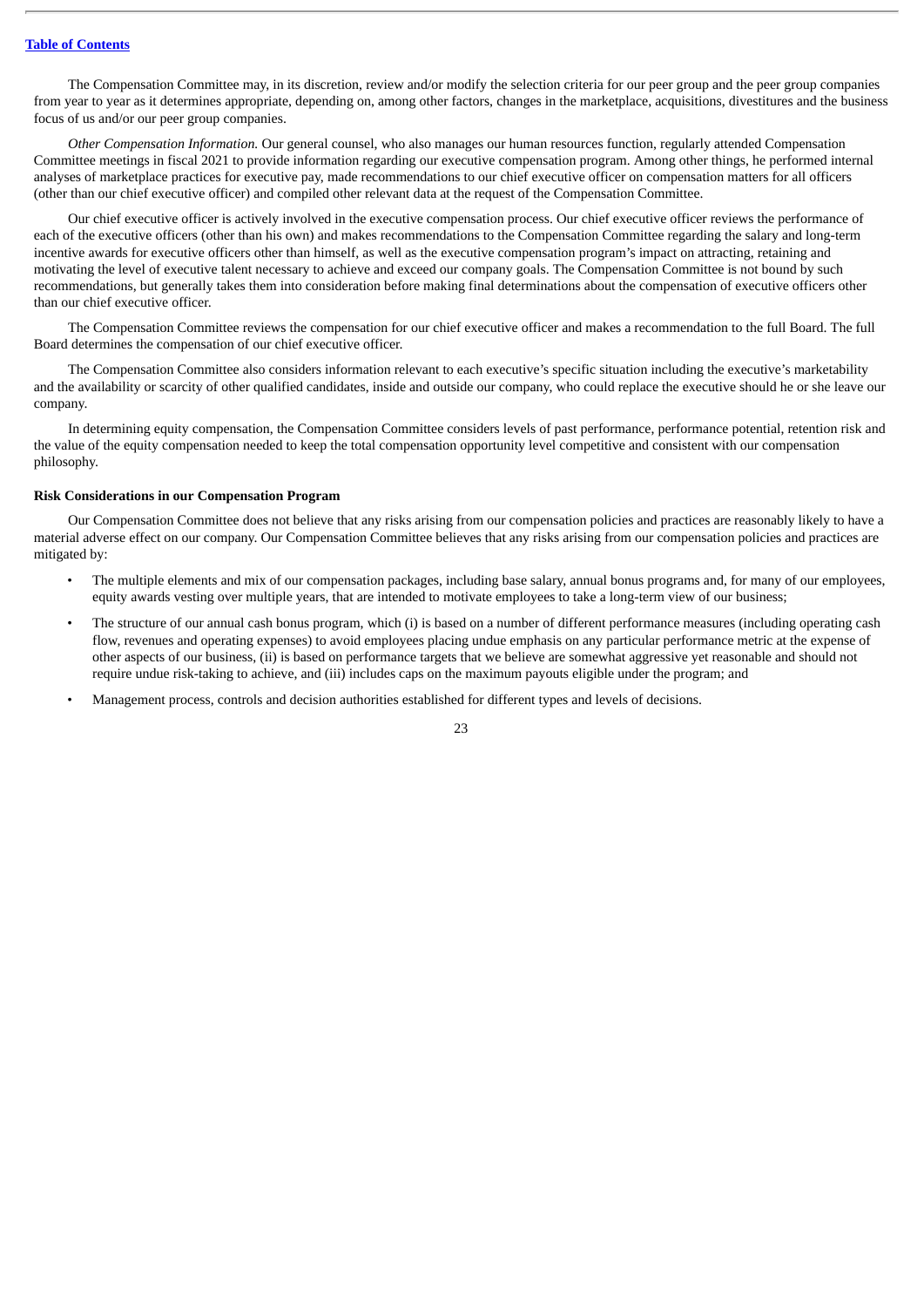The Compensation Committee may, in its discretion, review and/or modify the selection criteria for our peer group and the peer group companies from year to year as it determines appropriate, depending on, among other factors, changes in the marketplace, acquisitions, divestitures and the business focus of us and/or our peer group companies.

*Other Compensation Information.* Our general counsel, who also manages our human resources function, regularly attended Compensation Committee meetings in fiscal 2021 to provide information regarding our executive compensation program. Among other things, he performed internal analyses of marketplace practices for executive pay, made recommendations to our chief executive officer on compensation matters for all officers (other than our chief executive officer) and compiled other relevant data at the request of the Compensation Committee.

Our chief executive officer is actively involved in the executive compensation process. Our chief executive officer reviews the performance of each of the executive officers (other than his own) and makes recommendations to the Compensation Committee regarding the salary and long-term incentive awards for executive officers other than himself, as well as the executive compensation program's impact on attracting, retaining and motivating the level of executive talent necessary to achieve and exceed our company goals. The Compensation Committee is not bound by such recommendations, but generally takes them into consideration before making final determinations about the compensation of executive officers other than our chief executive officer.

The Compensation Committee reviews the compensation for our chief executive officer and makes a recommendation to the full Board. The full Board determines the compensation of our chief executive officer.

The Compensation Committee also considers information relevant to each executive's specific situation including the executive's marketability and the availability or scarcity of other qualified candidates, inside and outside our company, who could replace the executive should he or she leave our company.

In determining equity compensation, the Compensation Committee considers levels of past performance, performance potential, retention risk and the value of the equity compensation needed to keep the total compensation opportunity level competitive and consistent with our compensation philosophy.

#### <span id="page-26-0"></span>**Risk Considerations in our Compensation Program**

Our Compensation Committee does not believe that any risks arising from our compensation policies and practices are reasonably likely to have a material adverse effect on our company. Our Compensation Committee believes that any risks arising from our compensation policies and practices are mitigated by:

- The multiple elements and mix of our compensation packages, including base salary, annual bonus programs and, for many of our employees, equity awards vesting over multiple years, that are intended to motivate employees to take a long-term view of our business;
- The structure of our annual cash bonus program, which (i) is based on a number of different performance measures (including operating cash flow, revenues and operating expenses) to avoid employees placing undue emphasis on any particular performance metric at the expense of other aspects of our business, (ii) is based on performance targets that we believe are somewhat aggressive yet reasonable and should not require undue risk-taking to achieve, and (iii) includes caps on the maximum payouts eligible under the program; and
- Management process, controls and decision authorities established for different types and levels of decisions.

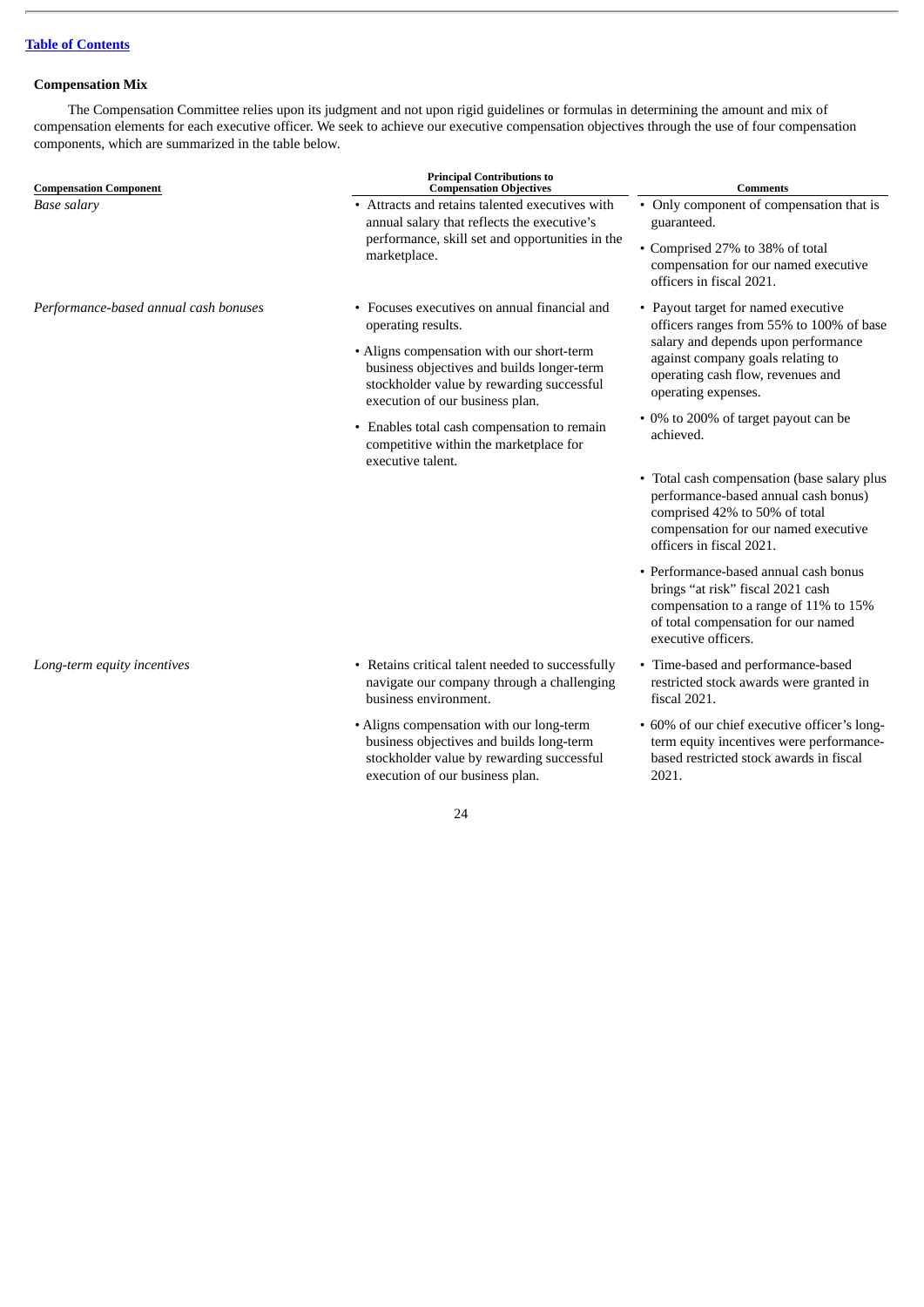# <span id="page-27-0"></span>**Compensation Mix**

The Compensation Committee relies upon its judgment and not upon rigid guidelines or formulas in determining the amount and mix of compensation elements for each executive officer. We seek to achieve our executive compensation objectives through the use of four compensation components, which are summarized in the table below.

| <b>Compensation Component</b>         | <b>Principal Contributions to</b><br><b>Compensation Objectives</b>                                                                                                                                                                                                                                                                                         | <b>Comments</b>                                                                                                                                                                                                                                                                                                                                                                                                                                                                                                                                                                                                                                               |
|---------------------------------------|-------------------------------------------------------------------------------------------------------------------------------------------------------------------------------------------------------------------------------------------------------------------------------------------------------------------------------------------------------------|---------------------------------------------------------------------------------------------------------------------------------------------------------------------------------------------------------------------------------------------------------------------------------------------------------------------------------------------------------------------------------------------------------------------------------------------------------------------------------------------------------------------------------------------------------------------------------------------------------------------------------------------------------------|
| Base salary                           | Attracts and retains talented executives with<br>annual salary that reflects the executive's                                                                                                                                                                                                                                                                | • Only component of compensation that is<br>guaranteed.                                                                                                                                                                                                                                                                                                                                                                                                                                                                                                                                                                                                       |
|                                       | performance, skill set and opportunities in the<br>marketplace.                                                                                                                                                                                                                                                                                             | • Comprised 27% to 38% of total<br>compensation for our named executive<br>officers in fiscal 2021.                                                                                                                                                                                                                                                                                                                                                                                                                                                                                                                                                           |
| Performance-based annual cash bonuses | • Focuses executives on annual financial and<br>operating results.<br>• Aligns compensation with our short-term<br>business objectives and builds longer-term<br>stockholder value by rewarding successful<br>execution of our business plan.<br>• Enables total cash compensation to remain<br>competitive within the marketplace for<br>executive talent. | • Payout target for named executive<br>officers ranges from 55% to 100% of base<br>salary and depends upon performance<br>against company goals relating to<br>operating cash flow, revenues and<br>operating expenses.<br>• 0% to 200% of target payout can be<br>achieved.<br>• Total cash compensation (base salary plus<br>performance-based annual cash bonus)<br>comprised 42% to 50% of total<br>compensation for our named executive<br>officers in fiscal 2021.<br>• Performance-based annual cash bonus<br>brings "at risk" fiscal 2021 cash<br>compensation to a range of 11% to 15%<br>of total compensation for our named<br>executive officers. |
| Long-term equity incentives           | • Retains critical talent needed to successfully<br>navigate our company through a challenging<br>business environment.                                                                                                                                                                                                                                     | • Time-based and performance-based<br>restricted stock awards were granted in<br>fiscal 2021.                                                                                                                                                                                                                                                                                                                                                                                                                                                                                                                                                                 |
|                                       | • Aligns compensation with our long-term<br>business objectives and builds long-term<br>stockholder value by rewarding successful<br>execution of our business plan.                                                                                                                                                                                        | • 60% of our chief executive officer's long-<br>term equity incentives were performance-<br>based restricted stock awards in fiscal<br>2021.                                                                                                                                                                                                                                                                                                                                                                                                                                                                                                                  |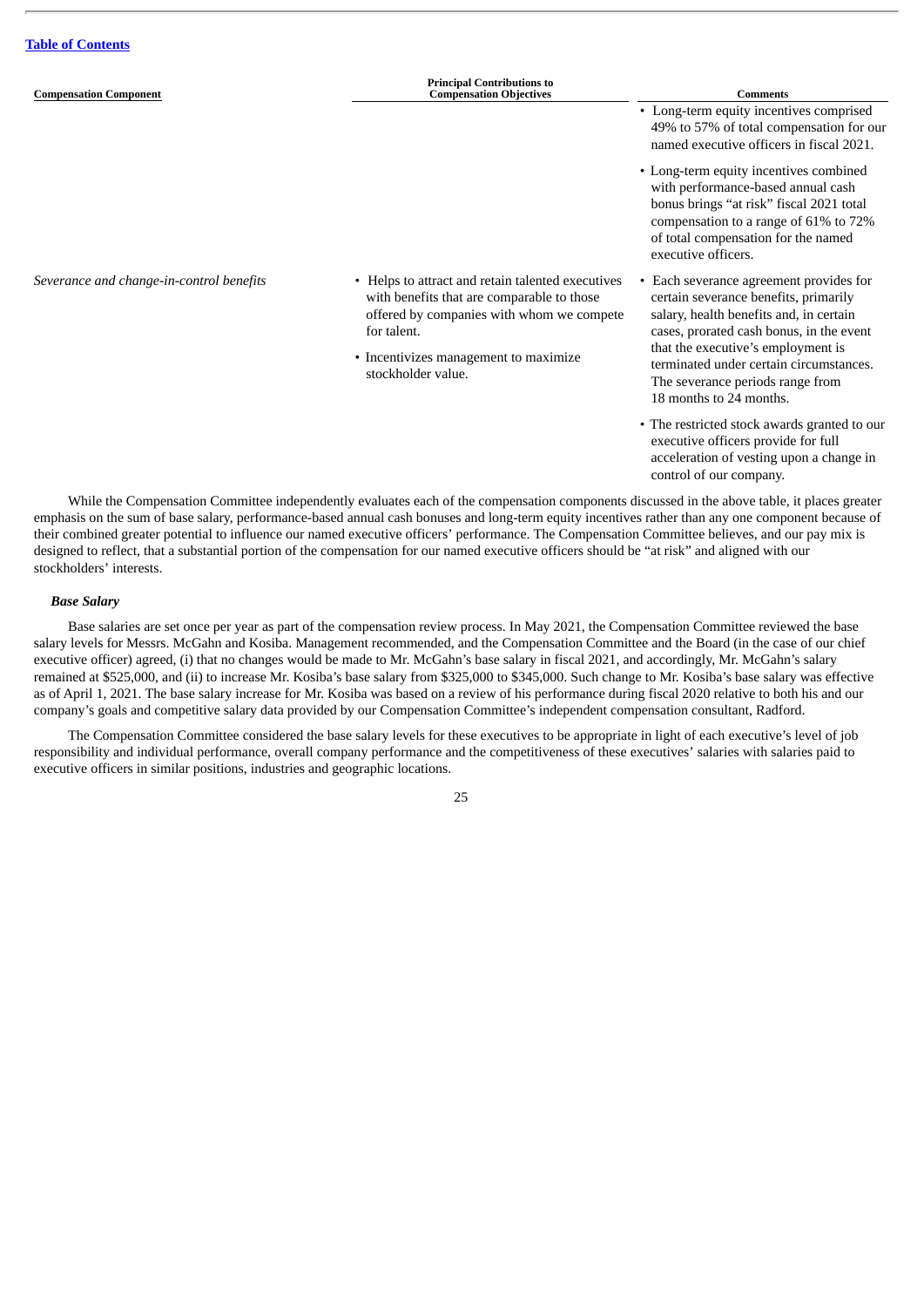| <b>Compensation Component</b>            | <b>Principal Contributions to</b><br><b>Compensation Objectives</b>                                                                                                                                                        | <b>Comments</b>                                                                                                                                                                                                                                                                                                         |
|------------------------------------------|----------------------------------------------------------------------------------------------------------------------------------------------------------------------------------------------------------------------------|-------------------------------------------------------------------------------------------------------------------------------------------------------------------------------------------------------------------------------------------------------------------------------------------------------------------------|
|                                          |                                                                                                                                                                                                                            | • Long-term equity incentives comprised<br>49% to 57% of total compensation for our<br>named executive officers in fiscal 2021.                                                                                                                                                                                         |
|                                          |                                                                                                                                                                                                                            | • Long-term equity incentives combined<br>with performance-based annual cash<br>bonus brings "at risk" fiscal 2021 total<br>compensation to a range of 61% to 72%<br>of total compensation for the named<br>executive officers.                                                                                         |
| Severance and change-in-control benefits | • Helps to attract and retain talented executives<br>with benefits that are comparable to those<br>offered by companies with whom we compete<br>for talent.<br>• Incentivizes management to maximize<br>stockholder value. | • Each severance agreement provides for<br>certain severance benefits, primarily<br>salary, health benefits and, in certain<br>cases, prorated cash bonus, in the event<br>that the executive's employment is<br>terminated under certain circumstances.<br>The severance periods range from<br>18 months to 24 months. |
|                                          |                                                                                                                                                                                                                            | • The restricted stock awards granted to our<br>executive officers provide for full<br>acceleration of vesting upon a change in<br>control of our company.                                                                                                                                                              |

While the Compensation Committee independently evaluates each of the compensation components discussed in the above table, it places greater emphasis on the sum of base salary, performance-based annual cash bonuses and long-term equity incentives rather than any one component because of their combined greater potential to influence our named executive officers' performance. The Compensation Committee believes, and our pay mix is designed to reflect, that a substantial portion of the compensation for our named executive officers should be "at risk" and aligned with our stockholders' interests.

#### *Base Salary*

Base salaries are set once per year as part of the compensation review process. In May 2021, the Compensation Committee reviewed the base salary levels for Messrs. McGahn and Kosiba. Management recommended, and the Compensation Committee and the Board (in the case of our chief executive officer) agreed, (i) that no changes would be made to Mr. McGahn's base salary in fiscal 2021, and accordingly, Mr. McGahn's salary remained at \$525,000, and (ii) to increase Mr. Kosiba's base salary from \$325,000 to \$345,000. Such change to Mr. Kosiba's base salary was effective as of April 1, 2021. The base salary increase for Mr. Kosiba was based on a review of his performance during fiscal 2020 relative to both his and our company's goals and competitive salary data provided by our Compensation Committee's independent compensation consultant, Radford.

The Compensation Committee considered the base salary levels for these executives to be appropriate in light of each executive's level of job responsibility and individual performance, overall company performance and the competitiveness of these executives' salaries with salaries paid to executive officers in similar positions, industries and geographic locations.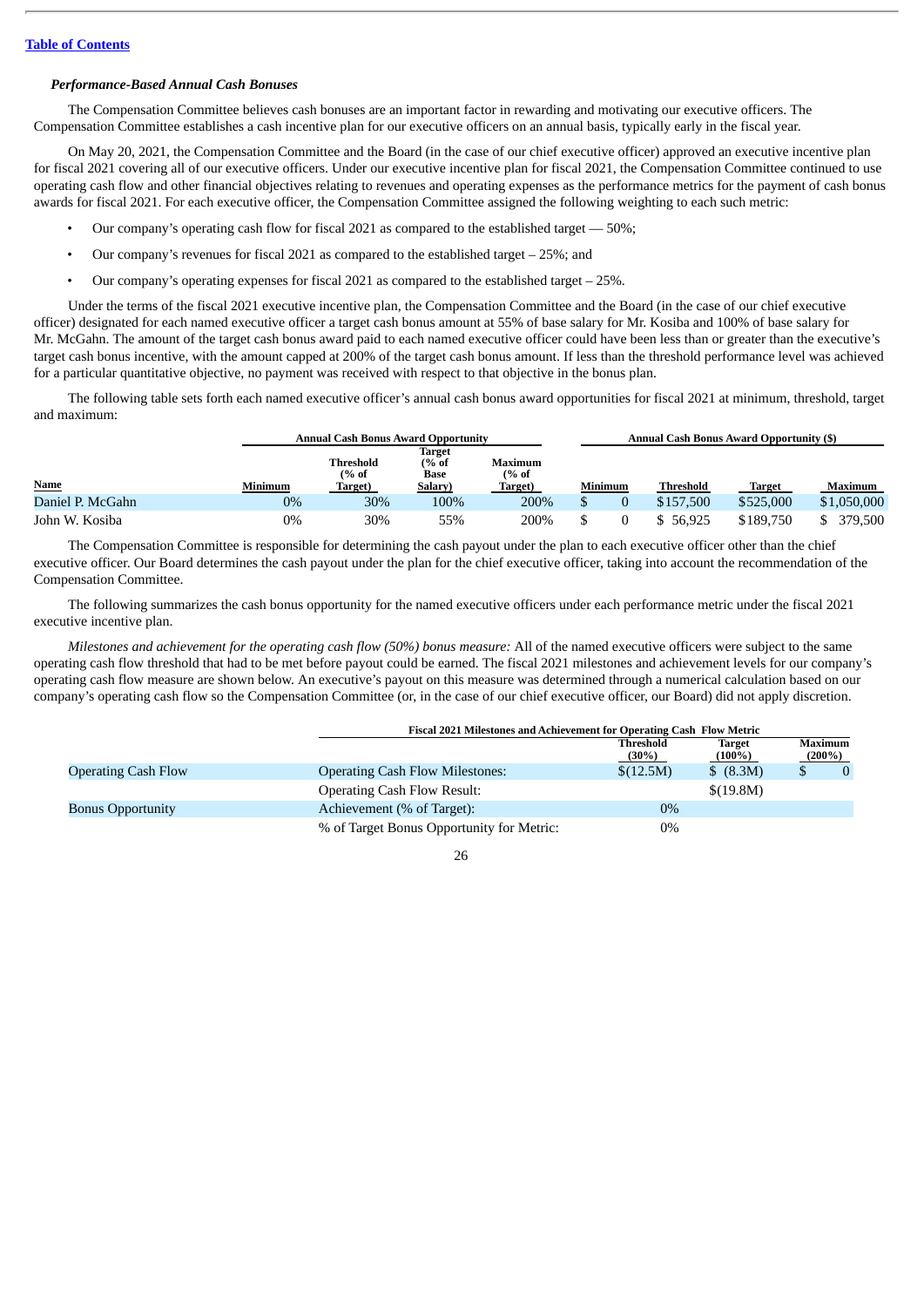#### *Performance-Based Annual Cash Bonuses*

The Compensation Committee believes cash bonuses are an important factor in rewarding and motivating our executive officers. The Compensation Committee establishes a cash incentive plan for our executive officers on an annual basis, typically early in the fiscal year.

On May 20, 2021, the Compensation Committee and the Board (in the case of our chief executive officer) approved an executive incentive plan for fiscal 2021 covering all of our executive officers. Under our executive incentive plan for fiscal 2021, the Compensation Committee continued to use operating cash flow and other financial objectives relating to revenues and operating expenses as the performance metrics for the payment of cash bonus awards for fiscal 2021. For each executive officer, the Compensation Committee assigned the following weighting to each such metric:

- Our company's operating cash flow for fiscal 2021 as compared to the established target 50%;
- Our company's revenues for fiscal 2021 as compared to the established target 25%; and
- Our company's operating expenses for fiscal 2021 as compared to the established target 25%.

Under the terms of the fiscal 2021 executive incentive plan, the Compensation Committee and the Board (in the case of our chief executive officer) designated for each named executive officer a target cash bonus amount at 55% of base salary for Mr. Kosiba and 100% of base salary for Mr. McGahn. The amount of the target cash bonus award paid to each named executive officer could have been less than or greater than the executive's target cash bonus incentive, with the amount capped at 200% of the target cash bonus amount. If less than the threshold performance level was achieved for a particular quantitative objective, no payment was received with respect to that objective in the bonus plan.

The following table sets forth each named executive officer's annual cash bonus award opportunities for fiscal 2021 at minimum, threshold, target and maximum:

|                  | <b>Annual Cash Bonus Award Opportunity</b> |                           |                         |                         |                | Annual Cash Bonus Award Opportunity (\$) |               |             |
|------------------|--------------------------------------------|---------------------------|-------------------------|-------------------------|----------------|------------------------------------------|---------------|-------------|
|                  |                                            | <b>Threshold</b><br>(% of | Target<br>(% of<br>Base | <b>Maximum</b><br>(% of |                |                                          |               |             |
| <b>Name</b>      | <b>Minimum</b>                             | Target)                   | Salary)                 | Target)                 | <b>Minimum</b> | Threshold                                | <b>Target</b> | Maximum     |
| Daniel P. McGahn | $0\%$                                      | 30%                       | 100%                    | 200%                    |                | \$157,500                                | \$525,000     | \$1,050,000 |
| John W. Kosiba   | $0\%$                                      | 30%                       | 55%                     | 200%                    |                | 56.925                                   | \$189,750     | 379.500     |

The Compensation Committee is responsible for determining the cash payout under the plan to each executive officer other than the chief executive officer. Our Board determines the cash payout under the plan for the chief executive officer, taking into account the recommendation of the Compensation Committee.

The following summarizes the cash bonus opportunity for the named executive officers under each performance metric under the fiscal 2021 executive incentive plan.

*Milestones and achievement for the operating cash flow (50%) bonus measure:* All of the named executive officers were subject to the same operating cash flow threshold that had to be met before payout could be earned. The fiscal 2021 milestones and achievement levels for our company's operating cash flow measure are shown below. An executive's payout on this measure was determined through a numerical calculation based on our company's operating cash flow so the Compensation Committee (or, in the case of our chief executive officer, our Board) did not apply discretion.

|                            |                                           | Fiscal 2021 Milestones and Achievement for Operating Cash Flow Metric |                            |                      |          |  |
|----------------------------|-------------------------------------------|-----------------------------------------------------------------------|----------------------------|----------------------|----------|--|
|                            |                                           | <b>Threshold</b><br>$(30\%)$                                          | <b>Target</b><br>$(100\%)$ | Maximum<br>$(200\%)$ |          |  |
| <b>Operating Cash Flow</b> | <b>Operating Cash Flow Milestones:</b>    | \$(12.5M)                                                             | \$ (8.3M)                  |                      | $\Omega$ |  |
|                            | <b>Operating Cash Flow Result:</b>        |                                                                       | \$(19.8M)                  |                      |          |  |
| <b>Bonus Opportunity</b>   | Achievement (% of Target):                | $0\%$                                                                 |                            |                      |          |  |
|                            | % of Target Bonus Opportunity for Metric: | 0%                                                                    |                            |                      |          |  |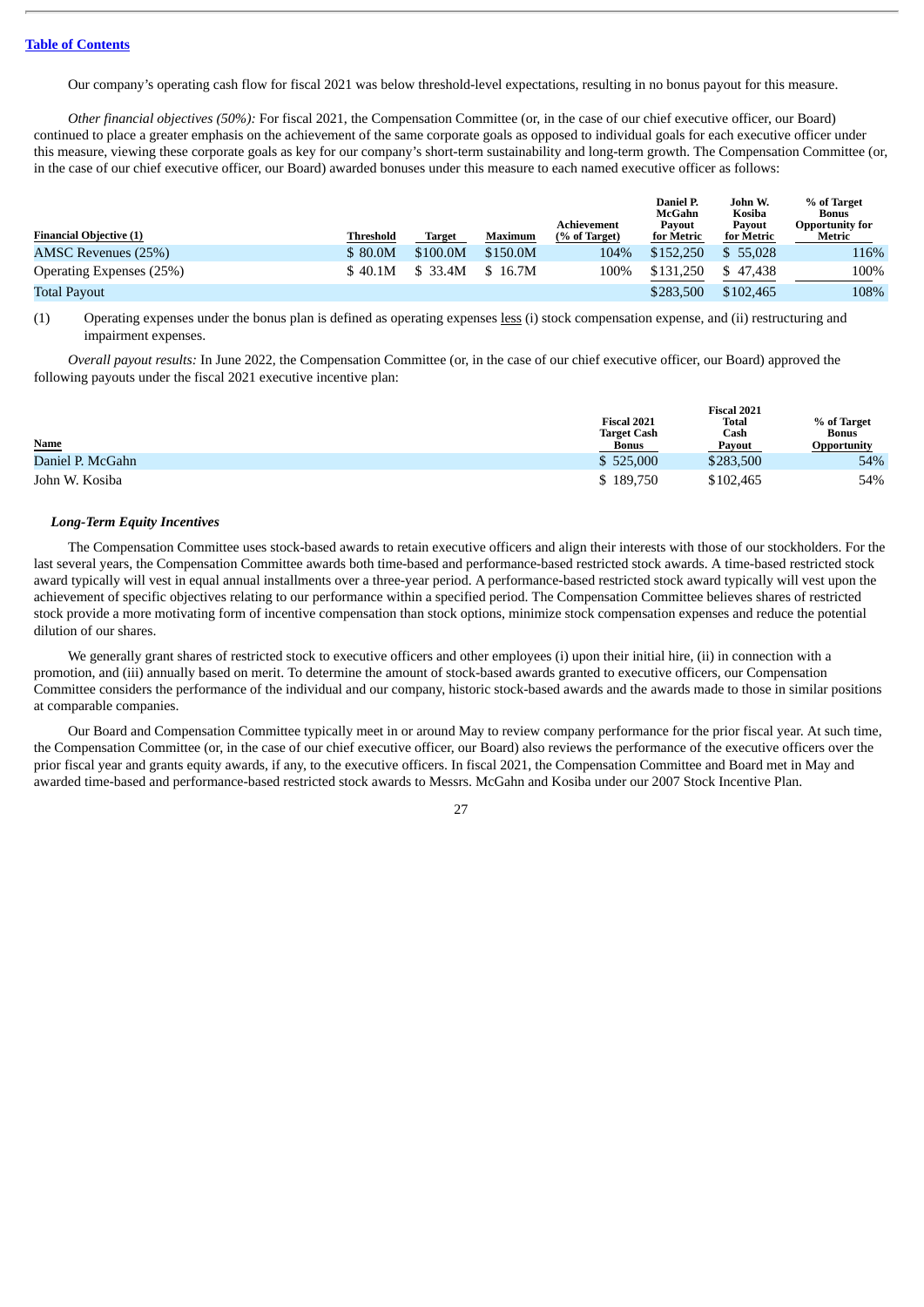Our company's operating cash flow for fiscal 2021 was below threshold-level expectations, resulting in no bonus payout for this measure.

*Other financial objectives (50%):* For fiscal 2021, the Compensation Committee (or, in the case of our chief executive officer, our Board) continued to place a greater emphasis on the achievement of the same corporate goals as opposed to individual goals for each executive officer under this measure, viewing these corporate goals as key for our company's short-term sustainability and long-term growth. The Compensation Committee (or, in the case of our chief executive officer, our Board) awarded bonuses under this measure to each named executive officer as follows:

| <b>Financial Objective (1)</b> | Threshold | <b>Target</b> | Maximum  | Achievement<br>(% of Target) | Daniel P.<br>McGahn<br>Payout<br>for Metric | John W.<br>Kosiba<br>Pavout<br>for Metric | % of Target<br><b>Bonus</b><br>Opportunity for<br>Metric |
|--------------------------------|-----------|---------------|----------|------------------------------|---------------------------------------------|-------------------------------------------|----------------------------------------------------------|
| AMSC Revenues (25%)            | \$80.0M   | \$100.0M      | \$150.0M | 104%                         | \$152,250                                   | \$55.028                                  | 116%                                                     |
| Operating Expenses (25%)       | \$40.1M   | \$ 33.4M      | \$16.7M  | 100%                         | \$131,250                                   | \$47.438                                  | 100%                                                     |
| <b>Total Payout</b>            |           |               |          |                              | \$283,500                                   | \$102,465                                 | 108%                                                     |

(1) Operating expenses under the bonus plan is defined as operating expenses less (i) stock compensation expense, and (ii) restructuring and impairment expenses.

*Overall payout results:* In June 2022, the Compensation Committee (or, in the case of our chief executive officer, our Board) approved the following payouts under the fiscal 2021 executive incentive plan:

|                  |                    | Fiscal 2021 |                    |  |
|------------------|--------------------|-------------|--------------------|--|
|                  | Fiscal 2021        | Total       | % of Target        |  |
|                  | <b>Target Cash</b> | Cash        | <b>Bonus</b>       |  |
| <b>Name</b>      | Bonus              | Payout      | <b>Opportunity</b> |  |
| Daniel P. McGahn | \$525.000          | \$283,500   | 54%                |  |
| John W. Kosiba   | \$189,750          | \$102.465   | 54%                |  |

#### *Long-Term Equity Incentives*

The Compensation Committee uses stock-based awards to retain executive officers and align their interests with those of our stockholders. For the last several years, the Compensation Committee awards both time-based and performance-based restricted stock awards. A time-based restricted stock award typically will vest in equal annual installments over a three-year period. A performance-based restricted stock award typically will vest upon the achievement of specific objectives relating to our performance within a specified period. The Compensation Committee believes shares of restricted stock provide a more motivating form of incentive compensation than stock options, minimize stock compensation expenses and reduce the potential dilution of our shares.

We generally grant shares of restricted stock to executive officers and other employees (i) upon their initial hire, (ii) in connection with a promotion, and (iii) annually based on merit. To determine the amount of stock-based awards granted to executive officers, our Compensation Committee considers the performance of the individual and our company, historic stock-based awards and the awards made to those in similar positions at comparable companies.

Our Board and Compensation Committee typically meet in or around May to review company performance for the prior fiscal year. At such time, the Compensation Committee (or, in the case of our chief executive officer, our Board) also reviews the performance of the executive officers over the prior fiscal year and grants equity awards, if any, to the executive officers. In fiscal 2021, the Compensation Committee and Board met in May and awarded time-based and performance-based restricted stock awards to Messrs. McGahn and Kosiba under our 2007 Stock Incentive Plan.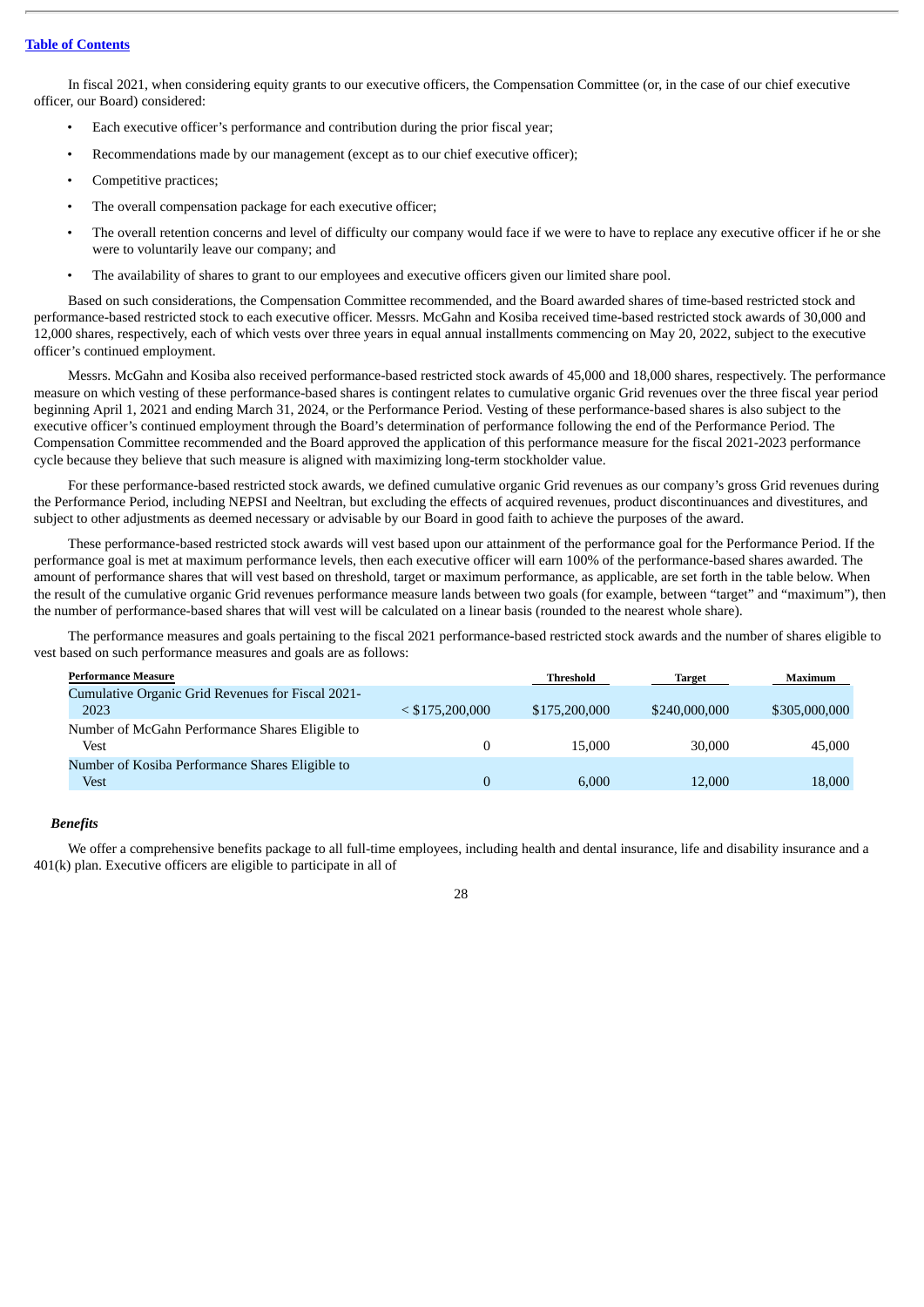In fiscal 2021, when considering equity grants to our executive officers, the Compensation Committee (or, in the case of our chief executive officer, our Board) considered:

- Each executive officer's performance and contribution during the prior fiscal year;
- Recommendations made by our management (except as to our chief executive officer);
- Competitive practices;
- The overall compensation package for each executive officer;
- The overall retention concerns and level of difficulty our company would face if we were to have to replace any executive officer if he or she were to voluntarily leave our company; and
- The availability of shares to grant to our employees and executive officers given our limited share pool.

Based on such considerations, the Compensation Committee recommended, and the Board awarded shares of time-based restricted stock and performance-based restricted stock to each executive officer. Messrs. McGahn and Kosiba received time-based restricted stock awards of 30,000 and 12,000 shares, respectively, each of which vests over three years in equal annual installments commencing on May 20, 2022, subject to the executive officer's continued employment.

Messrs. McGahn and Kosiba also received performance-based restricted stock awards of 45,000 and 18,000 shares, respectively. The performance measure on which vesting of these performance-based shares is contingent relates to cumulative organic Grid revenues over the three fiscal year period beginning April 1, 2021 and ending March 31, 2024, or the Performance Period. Vesting of these performance-based shares is also subject to the executive officer's continued employment through the Board's determination of performance following the end of the Performance Period. The Compensation Committee recommended and the Board approved the application of this performance measure for the fiscal 2021-2023 performance cycle because they believe that such measure is aligned with maximizing long-term stockholder value.

For these performance-based restricted stock awards, we defined cumulative organic Grid revenues as our company's gross Grid revenues during the Performance Period, including NEPSI and Neeltran, but excluding the effects of acquired revenues, product discontinuances and divestitures, and subject to other adjustments as deemed necessary or advisable by our Board in good faith to achieve the purposes of the award.

These performance-based restricted stock awards will vest based upon our attainment of the performance goal for the Performance Period. If the performance goal is met at maximum performance levels, then each executive officer will earn 100% of the performance-based shares awarded. The amount of performance shares that will vest based on threshold, target or maximum performance, as applicable, are set forth in the table below. When the result of the cumulative organic Grid revenues performance measure lands between two goals (for example, between "target" and "maximum"), then the number of performance-based shares that will vest will be calculated on a linear basis (rounded to the nearest whole share).

The performance measures and goals pertaining to the fiscal 2021 performance-based restricted stock awards and the number of shares eligible to vest based on such performance measures and goals are as follows:

| <b>Performance Measure</b>                        |                   | <b>Threshold</b> | Target        | Maximum       |
|---------------------------------------------------|-------------------|------------------|---------------|---------------|
| Cumulative Organic Grid Revenues for Fiscal 2021- |                   |                  |               |               |
| 2023                                              | $<$ \$175,200,000 | \$175,200,000    | \$240,000,000 | \$305,000,000 |
| Number of McGahn Performance Shares Eligible to   |                   |                  |               |               |
| Vest                                              | $\Omega$          | 15.000           | 30,000        | 45,000        |
| Number of Kosiba Performance Shares Eligible to   |                   |                  |               |               |
| Vest                                              | $\Omega$          | 6.000            | 12,000        | 18,000        |

# *Benefits*

We offer a comprehensive benefits package to all full-time employees, including health and dental insurance, life and disability insurance and a 401(k) plan. Executive officers are eligible to participate in all of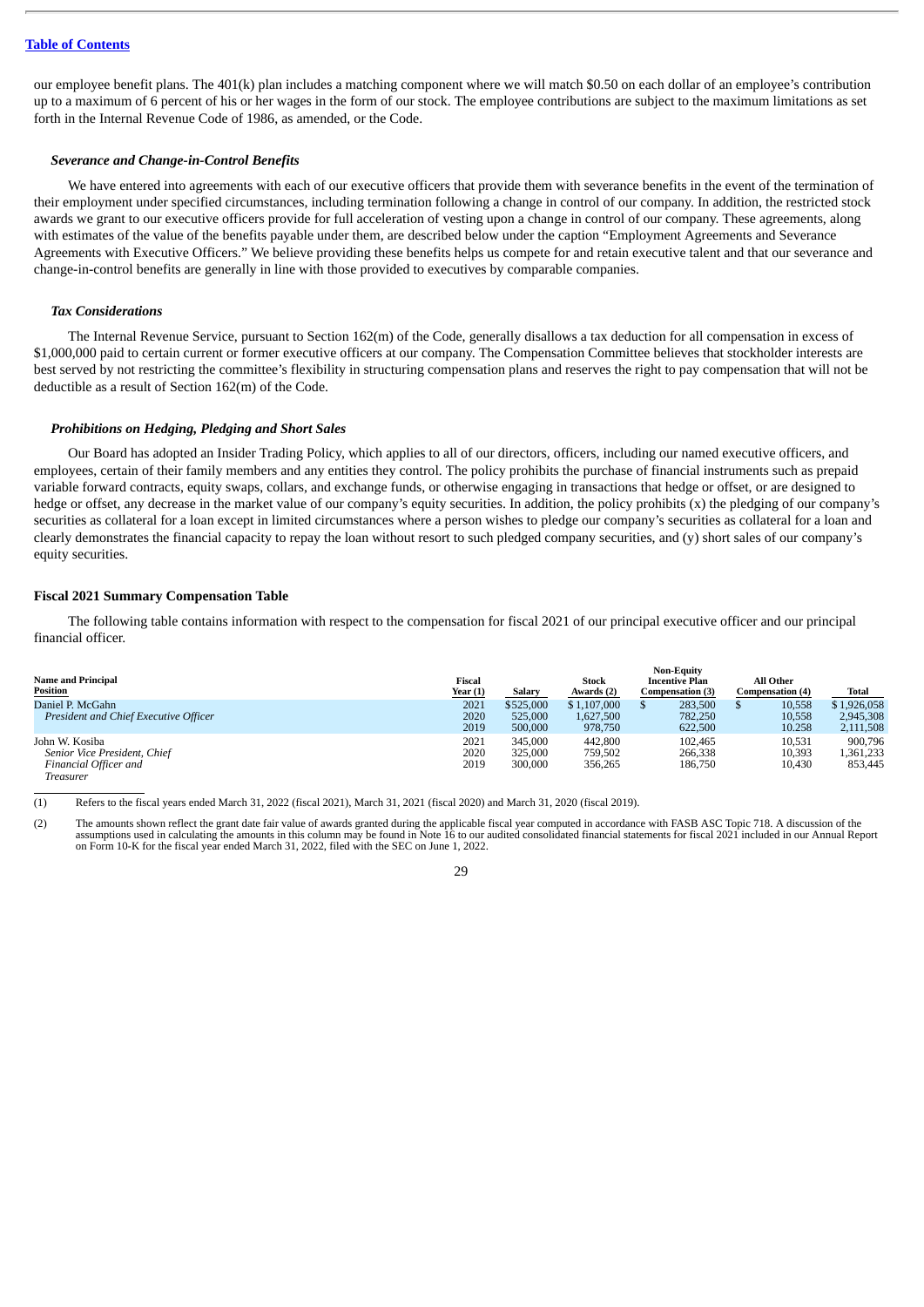our employee benefit plans. The 401(k) plan includes a matching component where we will match \$0.50 on each dollar of an employee's contribution up to a maximum of 6 percent of his or her wages in the form of our stock. The employee contributions are subject to the maximum limitations as set forth in the Internal Revenue Code of 1986, as amended, or the Code.

#### *Severance and Change-in-Control Benefits*

We have entered into agreements with each of our executive officers that provide them with severance benefits in the event of the termination of their employment under specified circumstances, including termination following a change in control of our company. In addition, the restricted stock awards we grant to our executive officers provide for full acceleration of vesting upon a change in control of our company. These agreements, along with estimates of the value of the benefits payable under them, are described below under the caption "Employment Agreements and Severance Agreements with Executive Officers." We believe providing these benefits helps us compete for and retain executive talent and that our severance and change-in-control benefits are generally in line with those provided to executives by comparable companies.

#### *Tax Considerations*

The Internal Revenue Service, pursuant to Section 162(m) of the Code, generally disallows a tax deduction for all compensation in excess of \$1,000,000 paid to certain current or former executive officers at our company. The Compensation Committee believes that stockholder interests are best served by not restricting the committee's flexibility in structuring compensation plans and reserves the right to pay compensation that will not be deductible as a result of Section 162(m) of the Code.

#### *Prohibitions on Hedging, Pledging and Short Sales*

Our Board has adopted an Insider Trading Policy, which applies to all of our directors, officers, including our named executive officers, and employees, certain of their family members and any entities they control. The policy prohibits the purchase of financial instruments such as prepaid variable forward contracts, equity swaps, collars, and exchange funds, or otherwise engaging in transactions that hedge or offset, or are designed to hedge or offset, any decrease in the market value of our company's equity securities. In addition, the policy prohibits (x) the pledging of our company's securities as collateral for a loan except in limited circumstances where a person wishes to pledge our company's securities as collateral for a loan and clearly demonstrates the financial capacity to repay the loan without resort to such pledged company securities, and (y) short sales of our company's equity securities.

#### <span id="page-32-0"></span>**Fiscal 2021 Summary Compensation Table**

The following table contains information with respect to the compensation for fiscal 2021 of our principal executive officer and our principal financial officer.

| <b>Name and Principal</b><br><b>Position</b>                                         | Fiscal<br>Year(1)    | <b>Non-Equity</b><br>Stock<br><b>Incentive Plan</b><br>Salary<br>Awards (2)<br>Compensation (3) |                                     |  | All Other<br>Compensation (4) |  | Total                      |                                       |
|--------------------------------------------------------------------------------------|----------------------|-------------------------------------------------------------------------------------------------|-------------------------------------|--|-------------------------------|--|----------------------------|---------------------------------------|
| Daniel P. McGahn<br>President and Chief Executive Officer                            | 2021<br>2020<br>2019 | \$525,000<br>525,000<br>500,000                                                                 | \$1,107,000<br>1,627,500<br>978,750 |  | 283,500<br>782,250<br>622,500 |  | 10,558<br>10,558<br>10.258 | \$1,926,058<br>2,945,308<br>2,111,508 |
| John W. Kosiba<br>Senior Vice President, Chief<br>Financial Officer and<br>Treasurer | 2021<br>2020<br>2019 | 345,000<br>325,000<br>300,000                                                                   | 442,800<br>759.502<br>356,265       |  | 102.465<br>266,338<br>186,750 |  | 10,531<br>10,393<br>10,430 | 900,796<br>1,361,233<br>853,445       |

(1) Refers to the fiscal years ended March 31, 2022 (fiscal 2021), March 31, 2021 (fiscal 2020) and March 31, 2020 (fiscal 2019).

(2) The amounts shown reflect the grant date fair value of awards granted during the applicable fiscal year computed in accordance with FASB ASC Topic 718. A discussion of the assumptions used in calculating the amounts in this column may be found in Note 16 to our audited consolidated financial statements for fiscal 2021 included in our Annual Report on Form 10-K for the fiscal year ended March 31, 2022, filed with the SEC on June 1, 2022.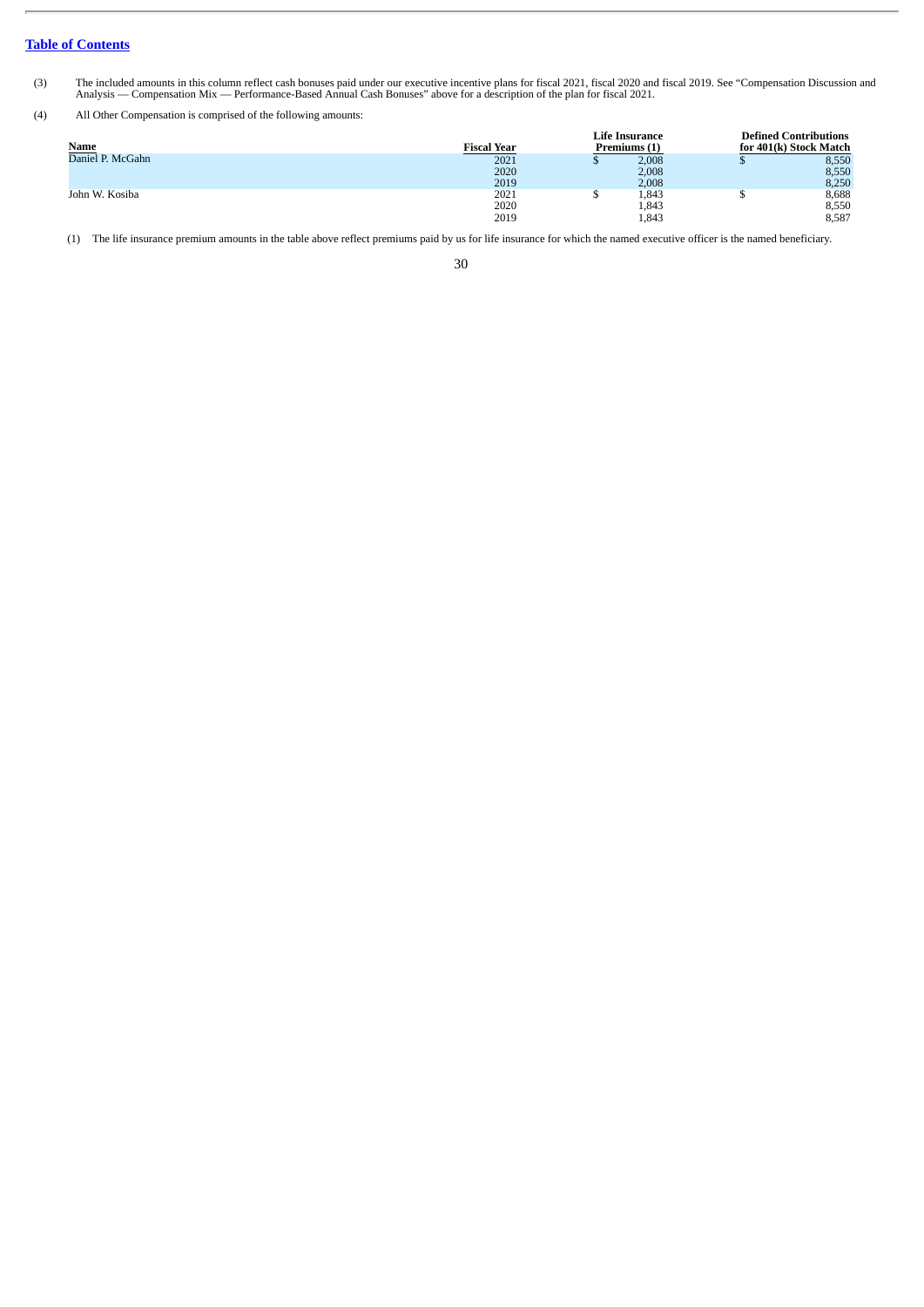- (3) The included amounts in this column reflect cash bonuses paid under our executive incentive plans for fiscal 2021, fiscal 2020 and fiscal 2019. See "Compensation Discussion and<br>Analysis Compensation Mix Performance
- (4) All Other Compensation is comprised of the following amounts:

|                  |                    |   | <b>Life Insurance</b> | <b>Defined Contributions</b><br>for 401(k) Stock Match |       |  |
|------------------|--------------------|---|-----------------------|--------------------------------------------------------|-------|--|
| Name             | <b>Fiscal Year</b> |   | Premiums (1)          |                                                        |       |  |
| Daniel P. McGahn | 2021               | ω | 2,008                 |                                                        | 8,550 |  |
|                  | 2020               |   | 2,008                 |                                                        | 8,550 |  |
|                  | 2019               |   | 2,008                 |                                                        | 8,250 |  |
| John W. Kosiba   | 2021               |   | 1,843                 |                                                        | 8,688 |  |
|                  | 2020               |   | 1,843                 |                                                        | 8,550 |  |
|                  | 2019               |   | 1,843                 |                                                        | 8,587 |  |

(1) The life insurance premium amounts in the table above reflect premiums paid by us for life insurance for which the named executive officer is the named beneficiary.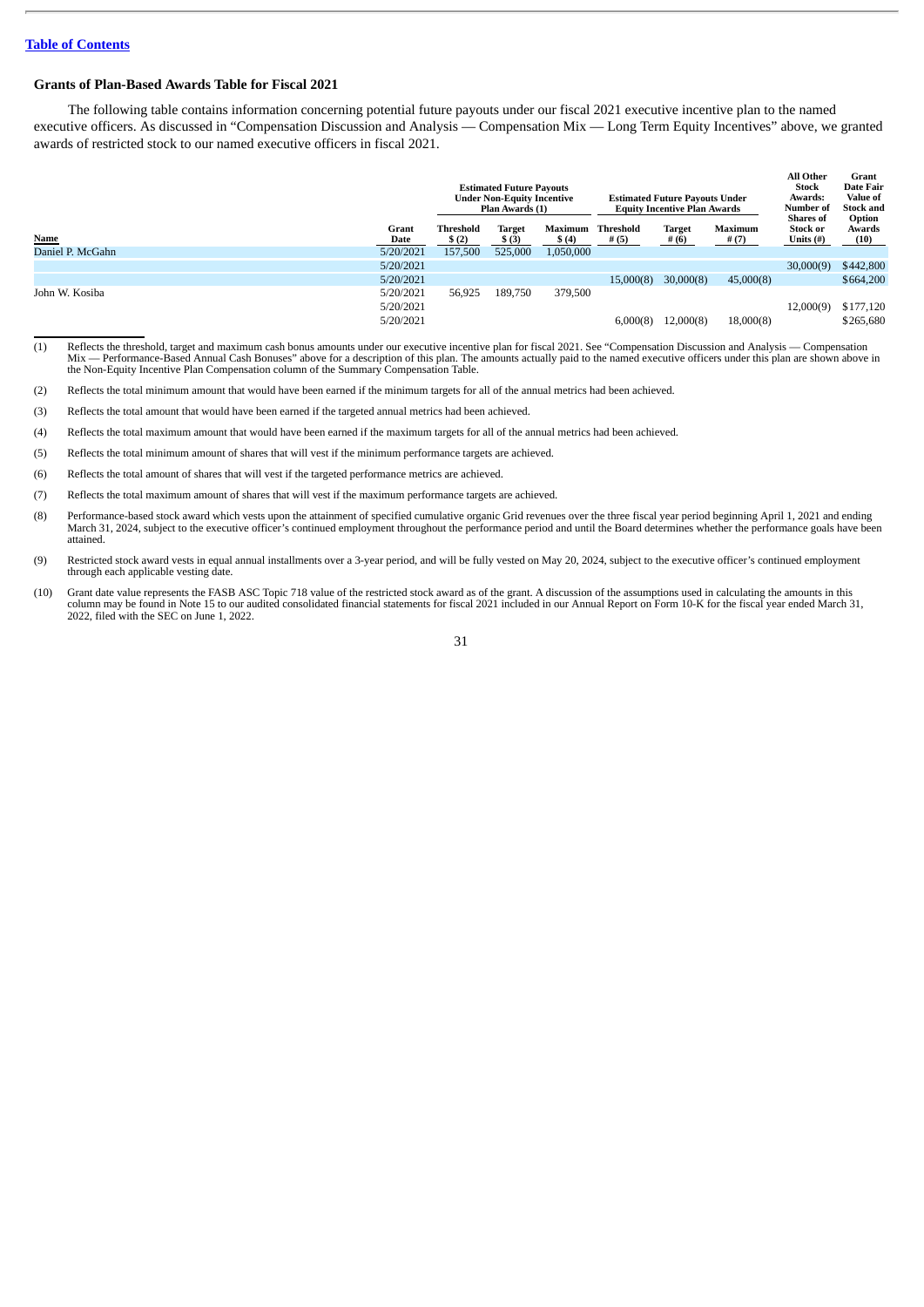#### <span id="page-34-0"></span>**Grants of Plan-Based Awards Table for Fiscal 2021**

The following table contains information concerning potential future payouts under our fiscal 2021 executive incentive plan to the named executive officers. As discussed in "Compensation Discussion and Analysis — Compensation Mix — Long Term Equity Incentives" above, we granted awards of restricted stock to our named executive officers in fiscal 2021.

|                  |                        |                           | <b>Estimated Future Payouts</b><br><b>Under Non-Equity Incentive</b><br>Plan Awards (1) |                  | <b>Estimated Future Payouts Under</b><br><b>Equity Incentive Plan Awards</b> |                          |                    | <b>All Other</b><br>Stock<br>Awards:<br><b>Number of</b> | Grant<br>Date Fair<br>Value of<br>Stock and |
|------------------|------------------------|---------------------------|-----------------------------------------------------------------------------------------|------------------|------------------------------------------------------------------------------|--------------------------|--------------------|----------------------------------------------------------|---------------------------------------------|
| <b>Name</b>      | Grant<br>Date          | <b>Threshold</b><br>\$(2) | <b>Target</b><br>\$(3)                                                                  | Maximum<br>\$(4) | Threshold<br>#(5)                                                            | <b>Target</b><br># $(6)$ | Maximum<br># $(7)$ | <b>Shares of</b><br><b>Stock or</b><br>Units $($ # $)$   | Option<br>Awards<br>(10)                    |
| Daniel P. McGahn | 5/20/2021              | 157,500                   | 525,000                                                                                 | 1,050,000        |                                                                              |                          |                    |                                                          |                                             |
|                  | 5/20/2021              |                           |                                                                                         |                  |                                                                              |                          |                    | 30,000(9)                                                | \$442,800                                   |
|                  | 5/20/2021              |                           |                                                                                         |                  | 15,000(8)                                                                    | 30,000(8)                | 45,000(8)          |                                                          | \$664,200                                   |
| John W. Kosiba   | 5/20/2021<br>5/20/2021 | 56.925                    | 189.750                                                                                 | 379,500          |                                                                              |                          |                    | 12,000(9)                                                | \$177,120                                   |
|                  | 5/20/2021              |                           |                                                                                         |                  | 6,000(8)                                                                     | 12,000(8)                | 18,000(8)          |                                                          | \$265,680                                   |

<sup>(1)</sup> Reflects the threshold, target and maximum cash bonus amounts under our executive incentive plan for fiscal 2021. See "Compensation Discussion and Analysis — Compensation<br>Mix — Performance-Based Annual Cash Bonuses" ab the Non-Equity Incentive Plan Compensation column of the Summary Compensation Table.

- (2) Reflects the total minimum amount that would have been earned if the minimum targets for all of the annual metrics had been achieved.
- (3) Reflects the total amount that would have been earned if the targeted annual metrics had been achieved.
- (4) Reflects the total maximum amount that would have been earned if the maximum targets for all of the annual metrics had been achieved.
- (5) Reflects the total minimum amount of shares that will vest if the minimum performance targets are achieved.
- (6) Reflects the total amount of shares that will vest if the targeted performance metrics are achieved.
- (7) Reflects the total maximum amount of shares that will vest if the maximum performance targets are achieved.
- (8) Performance-based stock award which vests upon the attainment of specified cumulative organic Grid revenues over the three fiscal year period beginning April 1, 2021 and ending March 31, 2024, subject to the executive officer's continued employment throughout the performance period and until the Board determines whether the performance goals have been attained.
- (9) Restricted stock award vests in equal annual installments over a 3-year period, and will be fully vested on May 20, 2024, subject to the executive officer's continued employment through each applicable vesting date.
- (10) Grant date value represents the FASB ASC Topic 718 value of the restricted stock award as of the grant. A discussion of the assumptions used in calculating the amounts in this column may be found in Note 15 to our audited consolidated financial statements for fiscal 2021 included in our Annual Report on Form 10-K for the fiscal year ended March 31, 2022, filed with the SEC on June 1, 2022.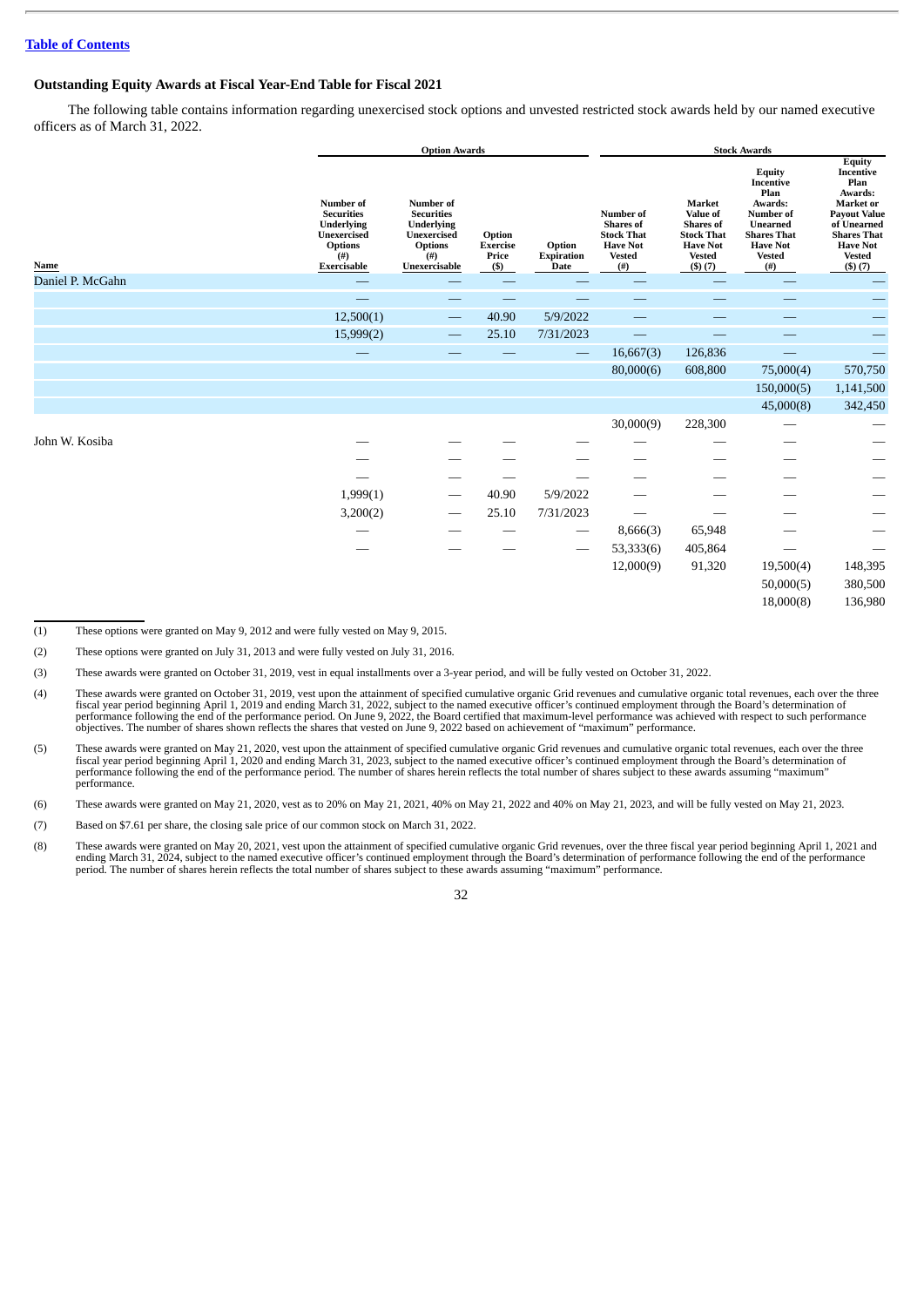#### <span id="page-35-0"></span>**Outstanding Equity Awards at Fiscal Year-End Table for Fiscal 2021**

The following table contains information regarding unexercised stock options and unvested restricted stock awards held by our named executive officers as of March 31, 2022.

|                  |                                                                                                     | <b>Option Awards</b>                                                                                  |                                               |                                     | <b>Stock Awards</b>                                                                                  |                                                                                                                         |                                                                                                                                         |                                                                                                                                                                             |  |  |
|------------------|-----------------------------------------------------------------------------------------------------|-------------------------------------------------------------------------------------------------------|-----------------------------------------------|-------------------------------------|------------------------------------------------------------------------------------------------------|-------------------------------------------------------------------------------------------------------------------------|-----------------------------------------------------------------------------------------------------------------------------------------|-----------------------------------------------------------------------------------------------------------------------------------------------------------------------------|--|--|
| Name             | Number of<br><b>Securities</b><br>Underlying<br>Unexercised<br><b>Options</b><br>(#)<br>Exercisable | Number of<br><b>Securities</b><br>Underlying<br>Unexercised<br><b>Options</b><br>(#)<br>Unexercisable | Option<br><b>Exercise</b><br>Price<br>$($ \$) | Option<br><b>Expiration</b><br>Date | <b>Number of</b><br><b>Shares</b> of<br><b>Stock That</b><br><b>Have Not</b><br><b>Vested</b><br>(#) | Market<br><b>Value of</b><br><b>Shares</b> of<br><b>Stock That</b><br><b>Have Not</b><br><b>Vested</b><br>$($ \$) $(7)$ | <b>Equity</b><br>Incentive<br>Plan<br>Awards:<br>Number of<br>Unearned<br><b>Shares That</b><br><b>Have Not</b><br><b>Vested</b><br>(#) | <b>Equity</b><br>Incentive<br>Plan<br>Awards:<br><b>Market</b> or<br><b>Payout Value</b><br>of Unearned<br><b>Shares That</b><br><b>Have Not</b><br><b>Vested</b><br>(5)(7) |  |  |
| Daniel P. McGahn |                                                                                                     |                                                                                                       |                                               |                                     |                                                                                                      |                                                                                                                         |                                                                                                                                         |                                                                                                                                                                             |  |  |
|                  |                                                                                                     |                                                                                                       |                                               |                                     |                                                                                                      |                                                                                                                         |                                                                                                                                         |                                                                                                                                                                             |  |  |
|                  | 12,500(1)                                                                                           |                                                                                                       | 40.90                                         | 5/9/2022                            |                                                                                                      |                                                                                                                         |                                                                                                                                         |                                                                                                                                                                             |  |  |
|                  | 15,999(2)                                                                                           | $\hspace{0.1mm}-\hspace{0.1mm}$                                                                       | 25.10                                         | 7/31/2023                           | $\qquad \qquad \longleftarrow$                                                                       |                                                                                                                         |                                                                                                                                         |                                                                                                                                                                             |  |  |
|                  |                                                                                                     |                                                                                                       |                                               | $\hspace{0.1mm}-\hspace{0.1mm}$     | 16,667(3)                                                                                            | 126,836                                                                                                                 |                                                                                                                                         |                                                                                                                                                                             |  |  |
|                  |                                                                                                     |                                                                                                       |                                               |                                     | 80,000(6)                                                                                            | 608,800                                                                                                                 | 75,000(4)                                                                                                                               | 570,750                                                                                                                                                                     |  |  |
|                  |                                                                                                     |                                                                                                       |                                               |                                     |                                                                                                      |                                                                                                                         | 150,000(5)                                                                                                                              | 1,141,500                                                                                                                                                                   |  |  |
|                  |                                                                                                     |                                                                                                       |                                               |                                     |                                                                                                      |                                                                                                                         | 45,000(8)                                                                                                                               | 342,450                                                                                                                                                                     |  |  |
|                  |                                                                                                     |                                                                                                       |                                               |                                     | 30,000(9)                                                                                            | 228,300                                                                                                                 |                                                                                                                                         |                                                                                                                                                                             |  |  |
| John W. Kosiba   |                                                                                                     |                                                                                                       |                                               |                                     |                                                                                                      |                                                                                                                         |                                                                                                                                         |                                                                                                                                                                             |  |  |
|                  |                                                                                                     |                                                                                                       |                                               |                                     |                                                                                                      |                                                                                                                         |                                                                                                                                         |                                                                                                                                                                             |  |  |
|                  |                                                                                                     |                                                                                                       |                                               |                                     |                                                                                                      |                                                                                                                         |                                                                                                                                         |                                                                                                                                                                             |  |  |
|                  | 1,999(1)                                                                                            |                                                                                                       | 40.90                                         | 5/9/2022                            |                                                                                                      |                                                                                                                         |                                                                                                                                         |                                                                                                                                                                             |  |  |
|                  | 3,200(2)                                                                                            |                                                                                                       | 25.10                                         | 7/31/2023                           |                                                                                                      |                                                                                                                         |                                                                                                                                         |                                                                                                                                                                             |  |  |
|                  |                                                                                                     |                                                                                                       |                                               |                                     | 8,666(3)                                                                                             | 65,948                                                                                                                  |                                                                                                                                         |                                                                                                                                                                             |  |  |
|                  |                                                                                                     |                                                                                                       |                                               |                                     | 53,333(6)                                                                                            | 405,864                                                                                                                 |                                                                                                                                         |                                                                                                                                                                             |  |  |
|                  |                                                                                                     |                                                                                                       |                                               |                                     | 12,000(9)                                                                                            | 91,320                                                                                                                  | 19,500(4)                                                                                                                               | 148,395                                                                                                                                                                     |  |  |
|                  |                                                                                                     |                                                                                                       |                                               |                                     |                                                                                                      |                                                                                                                         | 50,000(5)                                                                                                                               | 380,500                                                                                                                                                                     |  |  |
|                  |                                                                                                     |                                                                                                       |                                               |                                     |                                                                                                      |                                                                                                                         | 18,000(8)                                                                                                                               | 136,980                                                                                                                                                                     |  |  |
|                  |                                                                                                     |                                                                                                       |                                               |                                     |                                                                                                      |                                                                                                                         |                                                                                                                                         |                                                                                                                                                                             |  |  |

(1) These options were granted on May 9, 2012 and were fully vested on May 9, 2015.

(2) These options were granted on July 31, 2013 and were fully vested on July 31, 2016.

(3) These awards were granted on October 31, 2019, vest in equal installments over a 3-year period, and will be fully vested on October 31, 2022.

- (4) These awards were granted on October 31, 2019, vest upon the attainment of specified cumulative organic Grid revenues and cumulative organic total revenues, each over the three fiscal year period beginning April 1, 2019 and ending March 31, 2022, subject to the named executive officer's continued employment through the Board's determination of<br>performance following the end of the performance peri
- (5) These awards were granted on May 21, 2020, vest upon the attainment of specified cumulative organic Grid revenues and cumulative organic total revenues, each over the three fiscal year period beginning April 1, 2020 and ending March 31, 2023, subject to the named executive officer's continued employment through the Board's determination of<br>performance following the end of the performance peri

(6) These awards were granted on May 21, 2020, vest as to 20% on May 21, 2021, 40% on May 21, 2022 and 40% on May 21, 2023, and will be fully vested on May 21, 2023.

(7) Based on \$7.61 per share, the closing sale price of our common stock on March 31, 2022.

(8) These awards were granted on May 20, 2021, vest upon the attainment of specified cumulative organic Grid revenues, over the three fiscal year period beginning April 1, 2021 and<br>ending March 31, 2024, subject to the nam period. The number of shares herein reflects the total number of shares subject to these awards assuming "maximum" performance.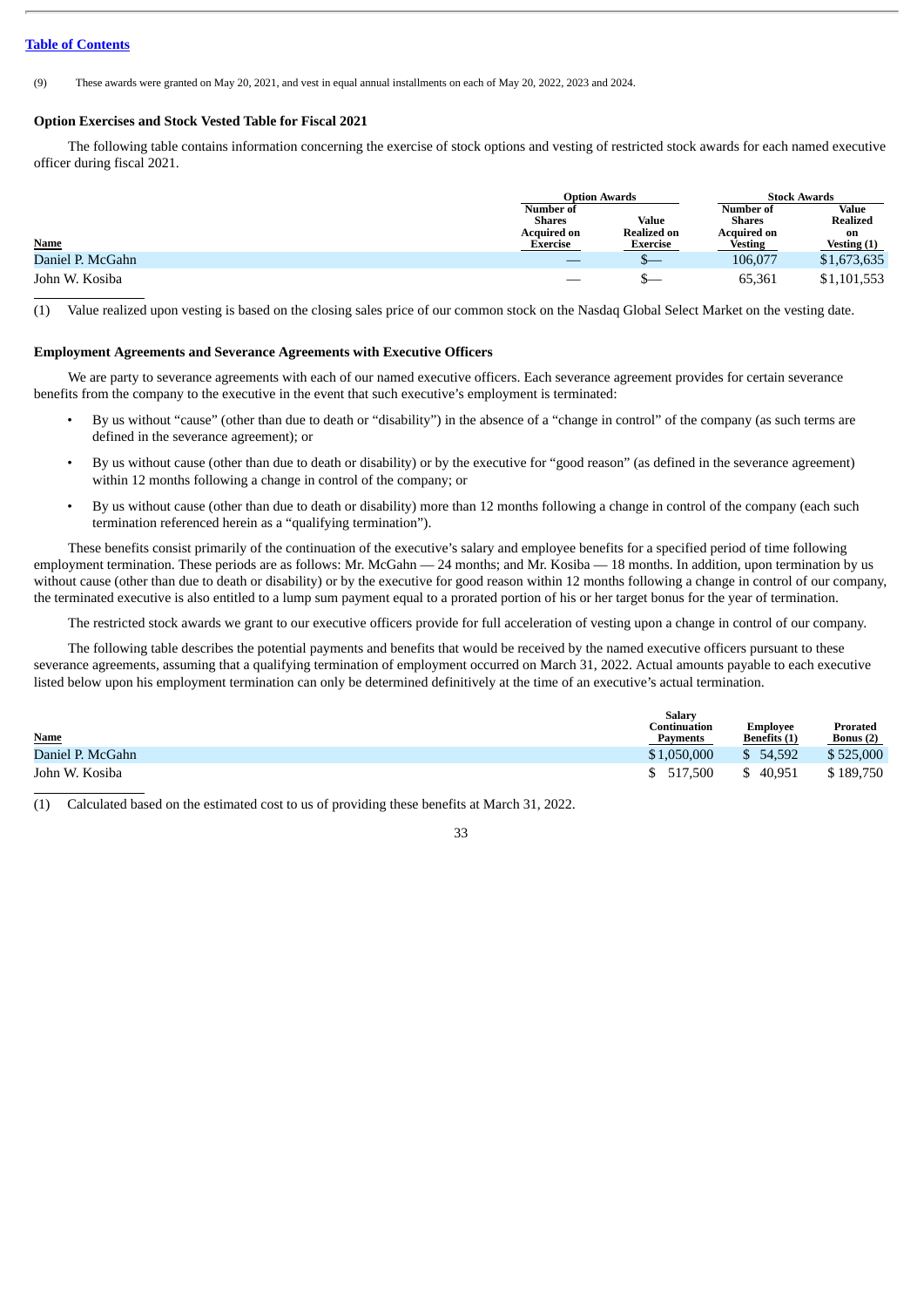(9) These awards were granted on May 20, 2021, and vest in equal annual installments on each of May 20, 2022, 2023 and 2024.

## **Option Exercises and Stock Vested Table for Fiscal 2021**

The following table contains information concerning the exercise of stock options and vesting of restricted stock awards for each named executive officer during fiscal 2021.

|                  | <b>Option Awards</b>                                         |                                         | <b>Stock Awards</b>                                         |                                               |
|------------------|--------------------------------------------------------------|-----------------------------------------|-------------------------------------------------------------|-----------------------------------------------|
| <b>Name</b>      | Number of<br><b>Shares</b><br><b>Acquired on</b><br>Exercise | Value<br><b>Realized on</b><br>Exercise | Number of<br><b>Shares</b><br>Acquired on<br><b>Vesting</b> | Value<br><b>Realized</b><br>on<br>Vesting (1) |
| Daniel P. McGahn |                                                              |                                         | 106,077                                                     | \$1,673,635                                   |
| John W. Kosiba   |                                                              | ு—                                      | 65.361                                                      | \$1,101,553                                   |

(1) Value realized upon vesting is based on the closing sales price of our common stock on the Nasdaq Global Select Market on the vesting date.

### **Employment Agreements and Severance Agreements with Executive Officers**

We are party to severance agreements with each of our named executive officers. Each severance agreement provides for certain severance benefits from the company to the executive in the event that such executive's employment is terminated:

- By us without "cause" (other than due to death or "disability") in the absence of a "change in control" of the company (as such terms are defined in the severance agreement); or
- By us without cause (other than due to death or disability) or by the executive for "good reason" (as defined in the severance agreement) within 12 months following a change in control of the company; or
- By us without cause (other than due to death or disability) more than 12 months following a change in control of the company (each such termination referenced herein as a "qualifying termination").

These benefits consist primarily of the continuation of the executive's salary and employee benefits for a specified period of time following employment termination. These periods are as follows: Mr. McGahn — 24 months; and Mr. Kosiba — 18 months. In addition, upon termination by us without cause (other than due to death or disability) or by the executive for good reason within 12 months following a change in control of our company, the terminated executive is also entitled to a lump sum payment equal to a prorated portion of his or her target bonus for the year of termination.

The restricted stock awards we grant to our executive officers provide for full acceleration of vesting upon a change in control of our company.

The following table describes the potential payments and benefits that would be received by the named executive officers pursuant to these severance agreements, assuming that a qualifying termination of employment occurred on March 31, 2022. Actual amounts payable to each executive listed below upon his employment termination can only be determined definitively at the time of an executive's actual termination.

|                  | Salary          |                     |           |
|------------------|-----------------|---------------------|-----------|
|                  | Continuation    | Employee            | Prorated  |
| <b>Name</b>      | <b>Payments</b> | <b>Benefits</b> (1) | Bonus (2) |
| Daniel P. McGahn | \$1,050,000     | \$ 54.592           | \$525,000 |
| John W. Kosiba   | \$ 517,500      | \$40.951            | \$189,750 |

(1) Calculated based on the estimated cost to us of providing these benefits at March 31, 2022.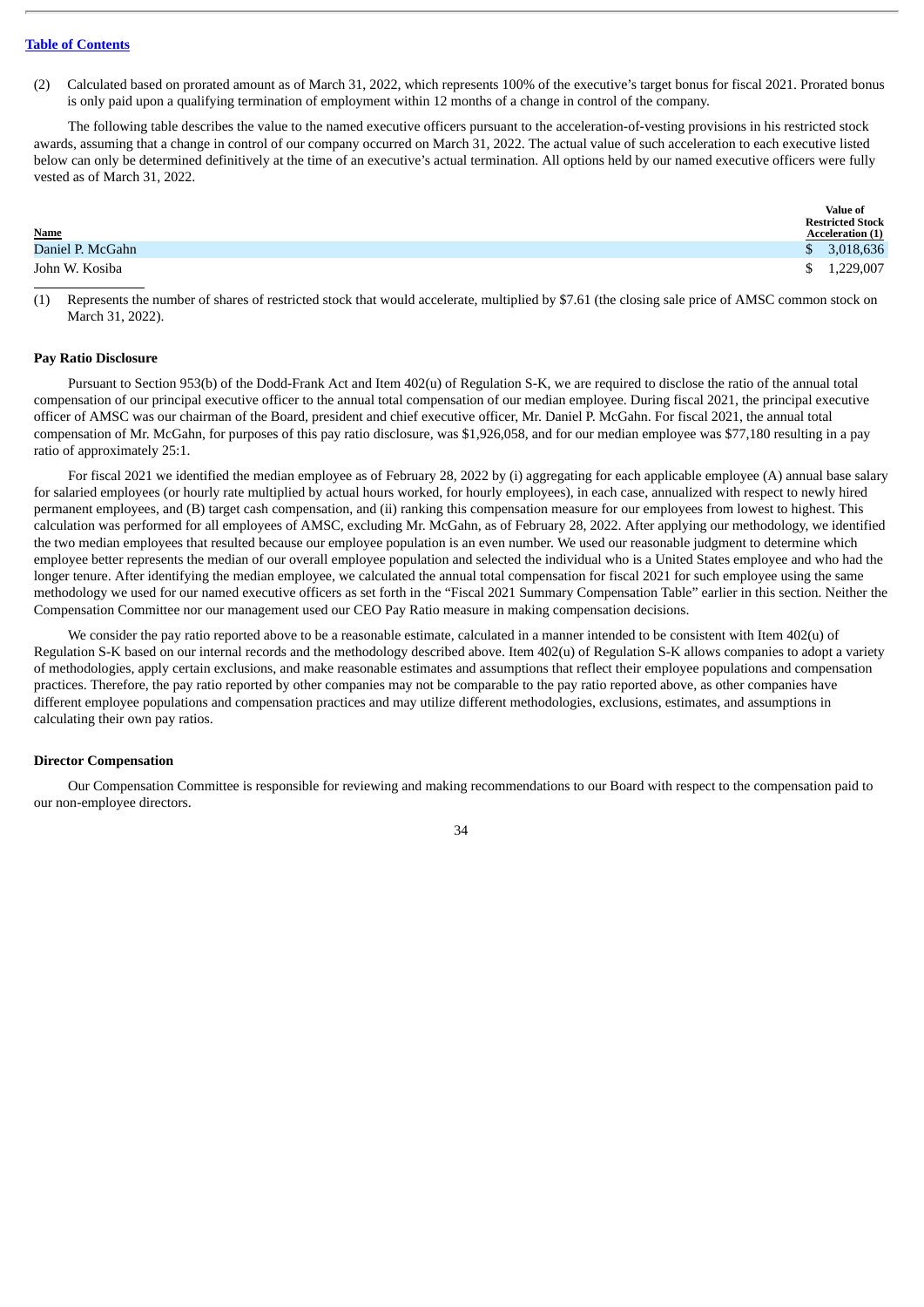(2) Calculated based on prorated amount as of March 31, 2022, which represents 100% of the executive's target bonus for fiscal 2021. Prorated bonus is only paid upon a qualifying termination of employment within 12 months of a change in control of the company.

The following table describes the value to the named executive officers pursuant to the acceleration-of-vesting provisions in his restricted stock awards, assuming that a change in control of our company occurred on March 31, 2022. The actual value of such acceleration to each executive listed below can only be determined definitively at the time of an executive's actual termination. All options held by our named executive officers were fully vested as of March 31, 2022.

| <u>Name</u>      | <b>Value of</b><br><b>Restricted Stock</b><br><b>Acceleration (1)</b> |
|------------------|-----------------------------------------------------------------------|
| Daniel P. McGahn | \$3,018,636                                                           |
| John W. Kosiba   | \$1,229,007                                                           |

(1) Represents the number of shares of restricted stock that would accelerate, multiplied by \$7.61 (the closing sale price of AMSC common stock on March 31, 2022).

### **Pay Ratio Disclosure**

Pursuant to Section 953(b) of the Dodd-Frank Act and Item 402(u) of Regulation S-K, we are required to disclose the ratio of the annual total compensation of our principal executive officer to the annual total compensation of our median employee. During fiscal 2021, the principal executive officer of AMSC was our chairman of the Board, president and chief executive officer, Mr. Daniel P. McGahn. For fiscal 2021, the annual total compensation of Mr. McGahn, for purposes of this pay ratio disclosure, was \$1,926,058, and for our median employee was \$77,180 resulting in a pay ratio of approximately 25:1.

For fiscal 2021 we identified the median employee as of February 28, 2022 by (i) aggregating for each applicable employee (A) annual base salary for salaried employees (or hourly rate multiplied by actual hours worked, for hourly employees), in each case, annualized with respect to newly hired permanent employees, and (B) target cash compensation, and (ii) ranking this compensation measure for our employees from lowest to highest. This calculation was performed for all employees of AMSC, excluding Mr. McGahn, as of February 28, 2022. After applying our methodology, we identified the two median employees that resulted because our employee population is an even number. We used our reasonable judgment to determine which employee better represents the median of our overall employee population and selected the individual who is a United States employee and who had the longer tenure. After identifying the median employee, we calculated the annual total compensation for fiscal 2021 for such employee using the same methodology we used for our named executive officers as set forth in the "Fiscal 2021 Summary Compensation Table" earlier in this section. Neither the Compensation Committee nor our management used our CEO Pay Ratio measure in making compensation decisions.

We consider the pay ratio reported above to be a reasonable estimate, calculated in a manner intended to be consistent with Item 402(u) of Regulation S-K based on our internal records and the methodology described above. Item 402(u) of Regulation S-K allows companies to adopt a variety of methodologies, apply certain exclusions, and make reasonable estimates and assumptions that reflect their employee populations and compensation practices. Therefore, the pay ratio reported by other companies may not be comparable to the pay ratio reported above, as other companies have different employee populations and compensation practices and may utilize different methodologies, exclusions, estimates, and assumptions in calculating their own pay ratios.

#### **Director Compensation**

Our Compensation Committee is responsible for reviewing and making recommendations to our Board with respect to the compensation paid to our non-employee directors.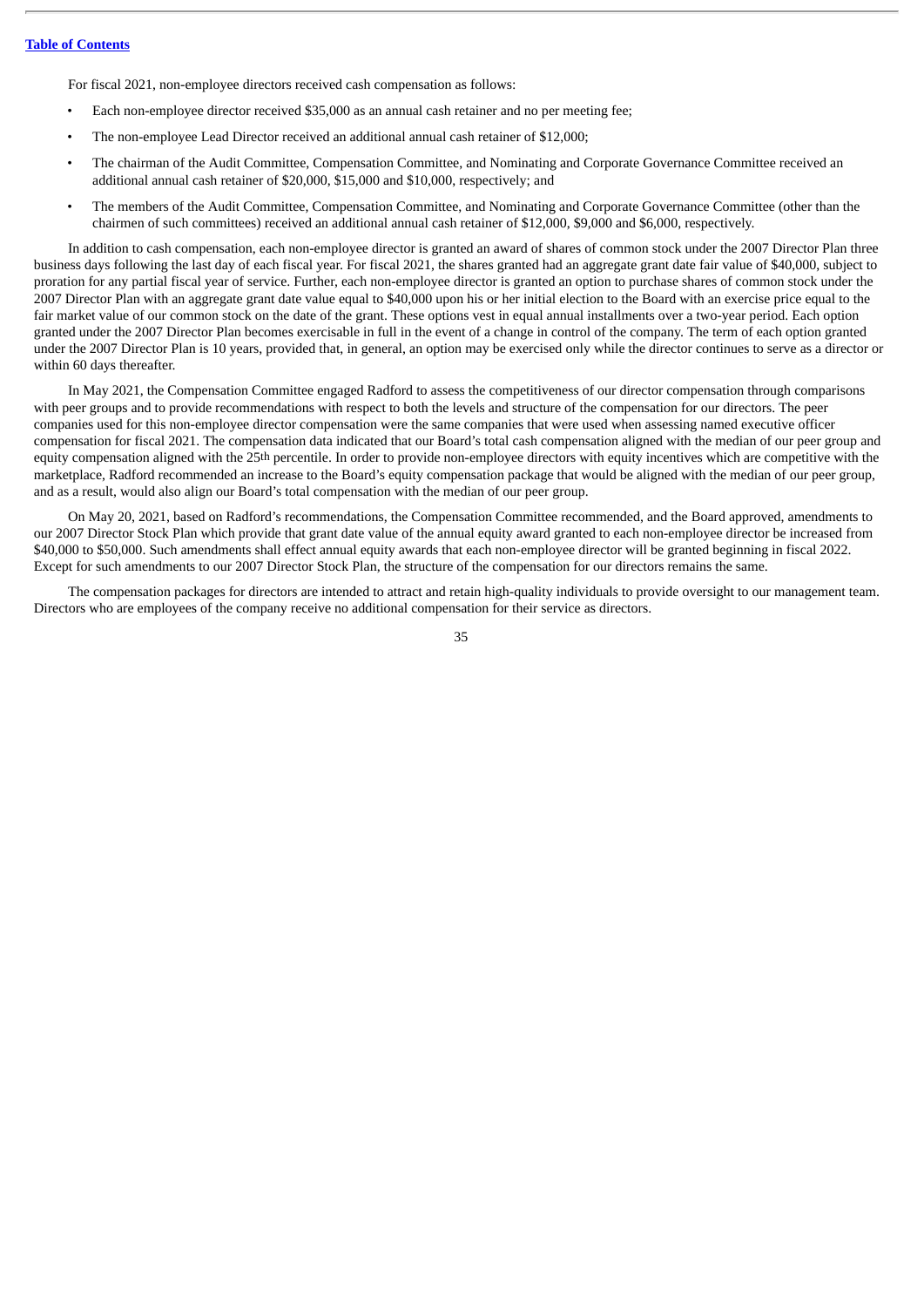For fiscal 2021, non-employee directors received cash compensation as follows:

- Each non-employee director received \$35,000 as an annual cash retainer and no per meeting fee;
- The non-employee Lead Director received an additional annual cash retainer of \$12,000;
- The chairman of the Audit Committee, Compensation Committee, and Nominating and Corporate Governance Committee received an additional annual cash retainer of \$20,000, \$15,000 and \$10,000, respectively; and
- The members of the Audit Committee, Compensation Committee, and Nominating and Corporate Governance Committee (other than the chairmen of such committees) received an additional annual cash retainer of \$12,000, \$9,000 and \$6,000, respectively.

In addition to cash compensation, each non-employee director is granted an award of shares of common stock under the 2007 Director Plan three business days following the last day of each fiscal year. For fiscal 2021, the shares granted had an aggregate grant date fair value of \$40,000, subject to proration for any partial fiscal year of service. Further, each non-employee director is granted an option to purchase shares of common stock under the 2007 Director Plan with an aggregate grant date value equal to \$40,000 upon his or her initial election to the Board with an exercise price equal to the fair market value of our common stock on the date of the grant. These options vest in equal annual installments over a two-year period. Each option granted under the 2007 Director Plan becomes exercisable in full in the event of a change in control of the company. The term of each option granted under the 2007 Director Plan is 10 years, provided that, in general, an option may be exercised only while the director continues to serve as a director or within 60 days thereafter.

In May 2021, the Compensation Committee engaged Radford to assess the competitiveness of our director compensation through comparisons with peer groups and to provide recommendations with respect to both the levels and structure of the compensation for our directors. The peer companies used for this non-employee director compensation were the same companies that were used when assessing named executive officer compensation for fiscal 2021. The compensation data indicated that our Board's total cash compensation aligned with the median of our peer group and equity compensation aligned with the 25<sup>th</sup> percentile. In order to provide non-employee directors with equity incentives which are competitive with the marketplace, Radford recommended an increase to the Board's equity compensation package that would be aligned with the median of our peer group, and as a result, would also align our Board's total compensation with the median of our peer group.

On May 20, 2021, based on Radford's recommendations, the Compensation Committee recommended, and the Board approved, amendments to our 2007 Director Stock Plan which provide that grant date value of the annual equity award granted to each non-employee director be increased from \$40,000 to \$50,000. Such amendments shall effect annual equity awards that each non-employee director will be granted beginning in fiscal 2022. Except for such amendments to our 2007 Director Stock Plan, the structure of the compensation for our directors remains the same.

The compensation packages for directors are intended to attract and retain high-quality individuals to provide oversight to our management team. Directors who are employees of the company receive no additional compensation for their service as directors.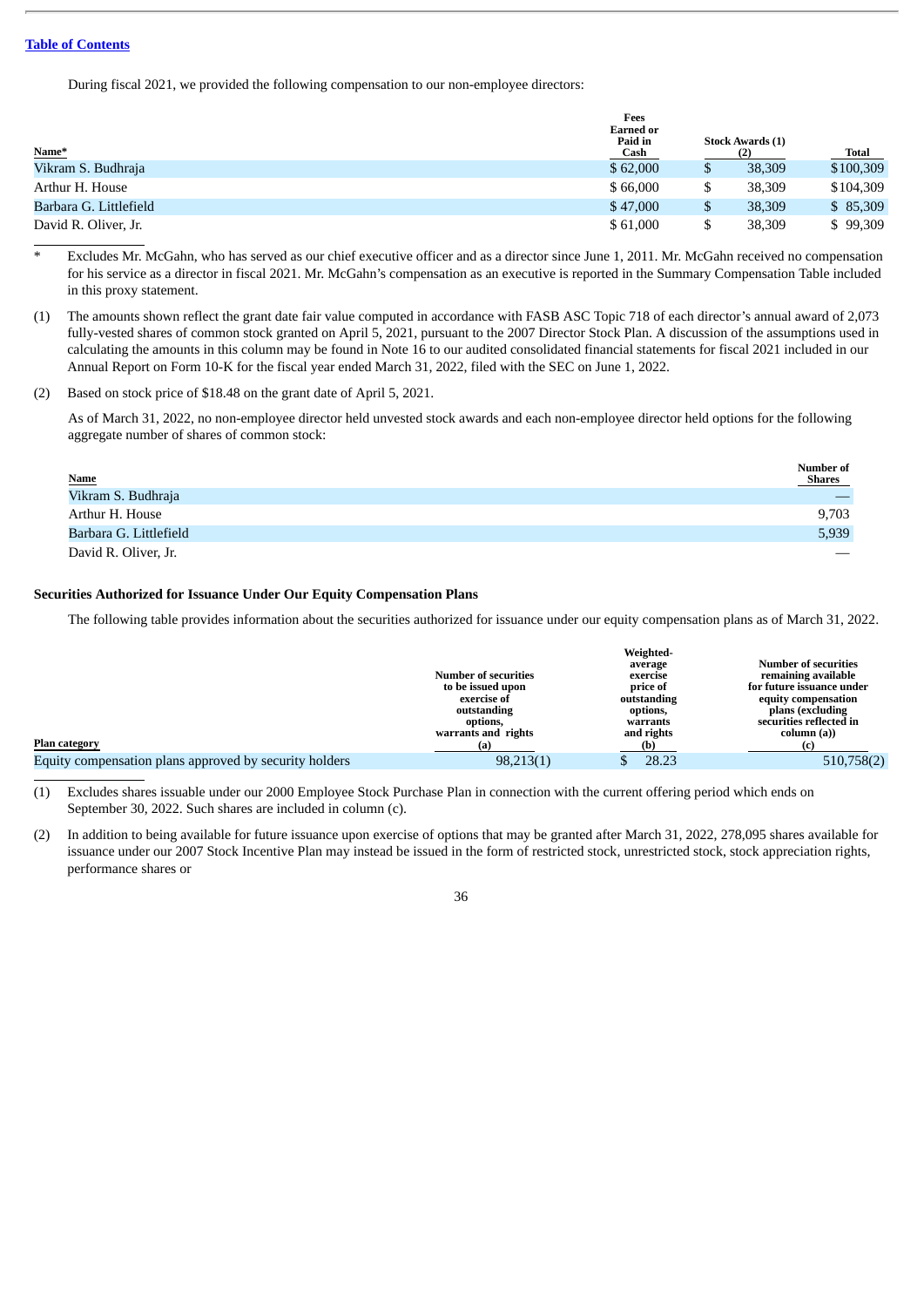During fiscal 2021, we provided the following compensation to our non-employee directors:

|                        | Fees             |                         |           |
|------------------------|------------------|-------------------------|-----------|
|                        | <b>Earned or</b> |                         |           |
|                        | Paid in          | <b>Stock Awards (1)</b> |           |
| Name*                  | Cash             |                         | Total     |
| Vikram S. Budhraja     | \$62,000         | 38,309                  | \$100,309 |
| Arthur H. House        | \$66,000         | 38,309                  | \$104,309 |
| Barbara G. Littlefield | \$47,000         | 38,309                  | \$85,309  |
| David R. Oliver, Jr.   | \$61,000         | 38,309                  | \$99,309  |

\* Excludes Mr. McGahn, who has served as our chief executive officer and as a director since June 1, 2011. Mr. McGahn received no compensation for his service as a director in fiscal 2021. Mr. McGahn's compensation as an executive is reported in the Summary Compensation Table included in this proxy statement.

- (1) The amounts shown reflect the grant date fair value computed in accordance with FASB ASC Topic 718 of each director's annual award of 2,073 fully-vested shares of common stock granted on April 5, 2021, pursuant to the 2007 Director Stock Plan. A discussion of the assumptions used in calculating the amounts in this column may be found in Note 16 to our audited consolidated financial statements for fiscal 2021 included in our Annual Report on Form 10-K for the fiscal year ended March 31, 2022, filed with the SEC on June 1, 2022.
- (2) Based on stock price of \$18.48 on the grant date of April 5, 2021.

As of March 31, 2022, no non-employee director held unvested stock awards and each non-employee director held options for the following aggregate number of shares of common stock:

| <u>Name</u>            | Number of<br><b>Shares</b> |
|------------------------|----------------------------|
| Vikram S. Budhraja     |                            |
| Arthur H. House        | 9,703                      |
| Barbara G. Littlefield | 5,939                      |
| David R. Oliver, Jr.   | $\qquad \qquad$            |

## **Securities Authorized for Issuance Under Our Equity Compensation Plans**

The following table provides information about the securities authorized for issuance under our equity compensation plans as of March 31, 2022.

| Plan category                                          | <b>Number of securities</b><br>to be issued upon<br>exercise of<br>outstanding<br>options,<br>warrants and rights | Weighted-<br>average<br>exercise<br>price of<br>outstanding<br>options,<br>warrants<br>and rights | <b>Number of securities</b><br>remaining available<br>for future issuance under<br>equity compensation<br>plans (excluding<br>securities reflected in<br>column (a)) |
|--------------------------------------------------------|-------------------------------------------------------------------------------------------------------------------|---------------------------------------------------------------------------------------------------|----------------------------------------------------------------------------------------------------------------------------------------------------------------------|
|                                                        |                                                                                                                   |                                                                                                   |                                                                                                                                                                      |
| Equity compensation plans approved by security holders | 98,213(1)                                                                                                         | 28.23                                                                                             | 510,758(2)                                                                                                                                                           |

(1) Excludes shares issuable under our 2000 Employee Stock Purchase Plan in connection with the current offering period which ends on September 30, 2022. Such shares are included in column (c).

(2) In addition to being available for future issuance upon exercise of options that may be granted after March 31, 2022, 278,095 shares available for issuance under our 2007 Stock Incentive Plan may instead be issued in the form of restricted stock, unrestricted stock, stock appreciation rights, performance shares or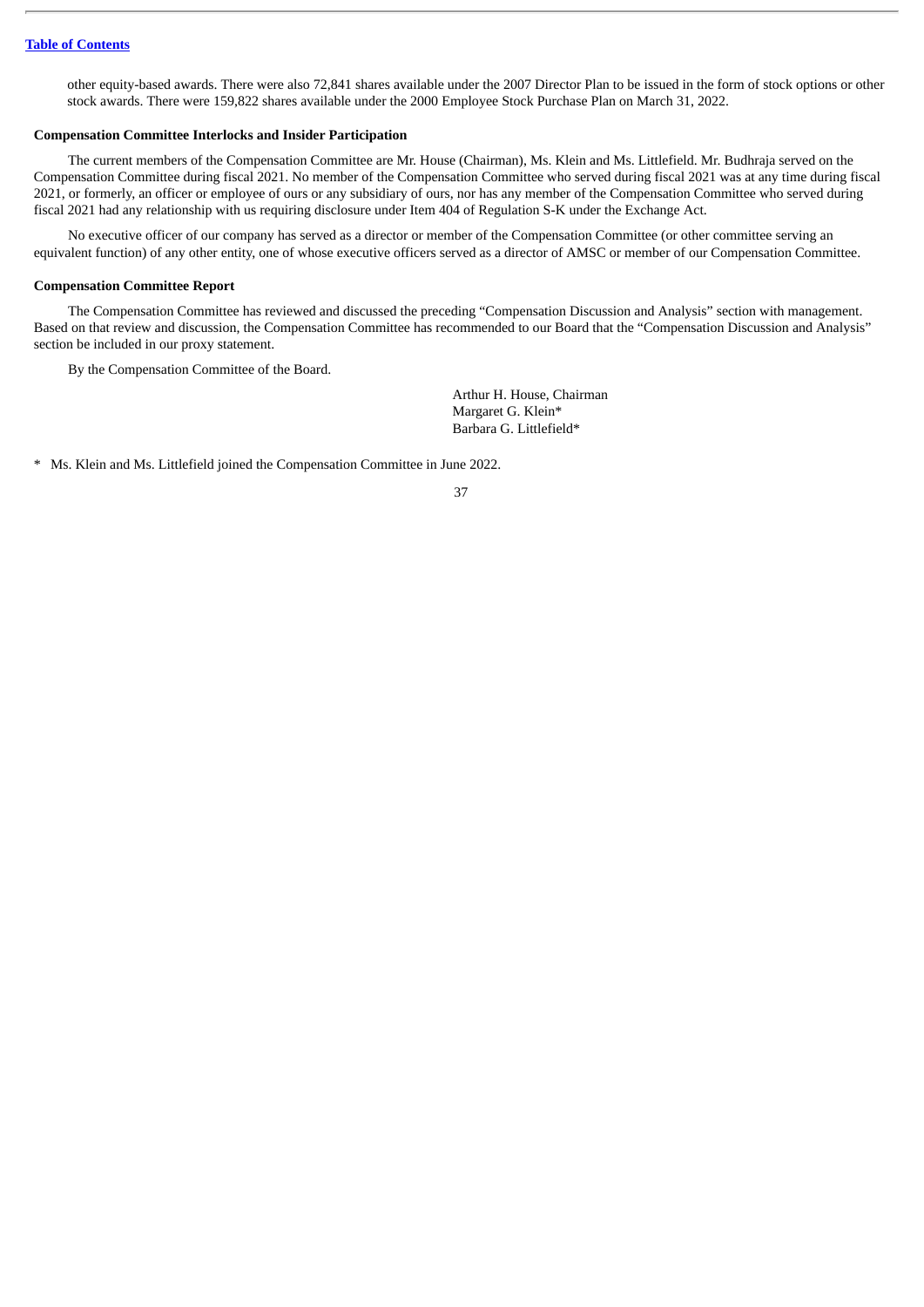other equity-based awards. There were also 72,841 shares available under the 2007 Director Plan to be issued in the form of stock options or other stock awards. There were 159,822 shares available under the 2000 Employee Stock Purchase Plan on March 31, 2022.

### **Compensation Committee Interlocks and Insider Participation**

The current members of the Compensation Committee are Mr. House (Chairman), Ms. Klein and Ms. Littlefield. Mr. Budhraja served on the Compensation Committee during fiscal 2021. No member of the Compensation Committee who served during fiscal 2021 was at any time during fiscal 2021, or formerly, an officer or employee of ours or any subsidiary of ours, nor has any member of the Compensation Committee who served during fiscal 2021 had any relationship with us requiring disclosure under Item 404 of Regulation S-K under the Exchange Act.

No executive officer of our company has served as a director or member of the Compensation Committee (or other committee serving an equivalent function) of any other entity, one of whose executive officers served as a director of AMSC or member of our Compensation Committee.

#### **Compensation Committee Report**

The Compensation Committee has reviewed and discussed the preceding "Compensation Discussion and Analysis" section with management. Based on that review and discussion, the Compensation Committee has recommended to our Board that the "Compensation Discussion and Analysis" section be included in our proxy statement.

By the Compensation Committee of the Board.

Arthur H. House, Chairman Margaret G. Klein\* Barbara G. Littlefield\*

\* Ms. Klein and Ms. Littlefield joined the Compensation Committee in June 2022.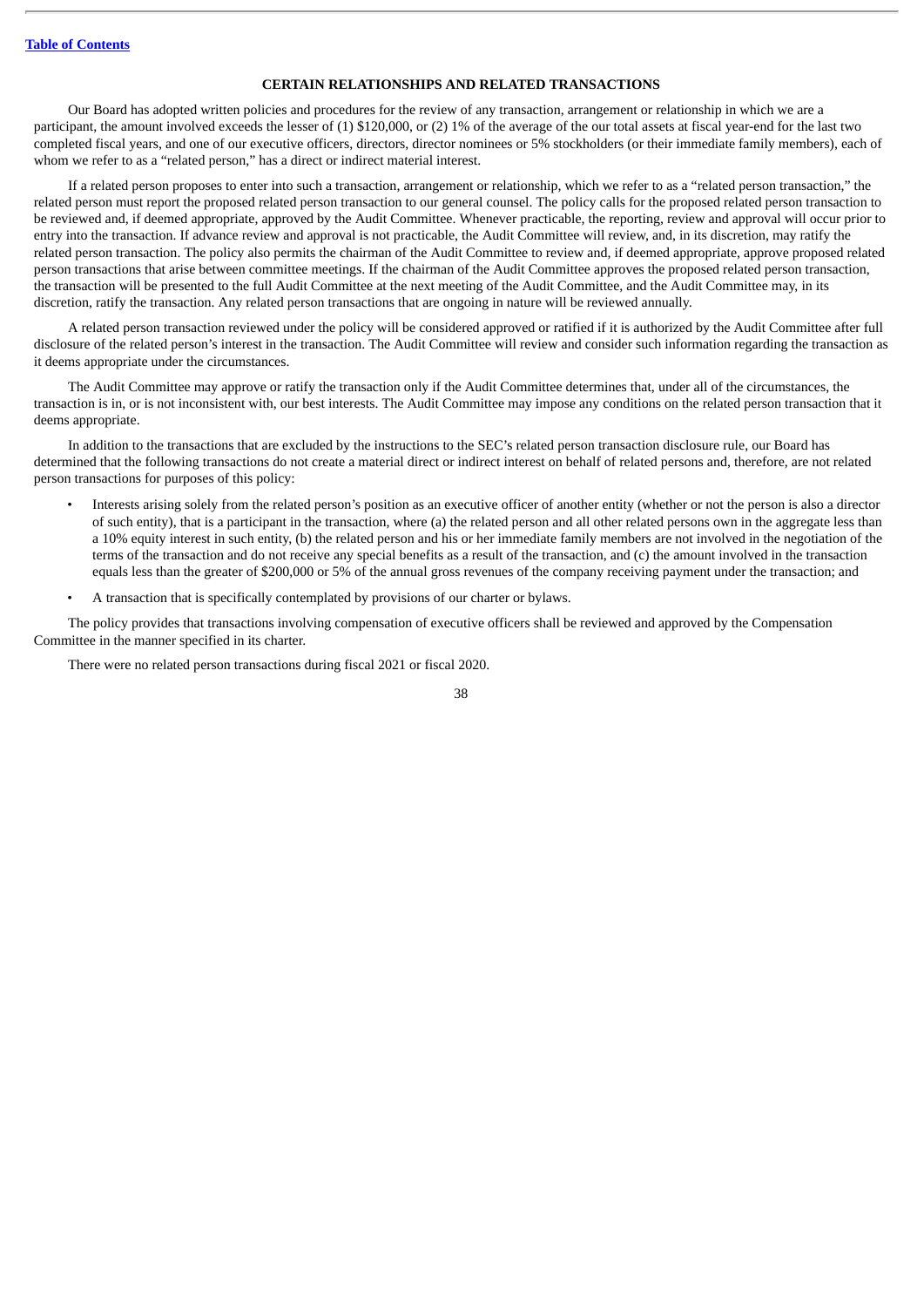### **CERTAIN RELATIONSHIPS AND RELATED TRANSACTIONS**

Our Board has adopted written policies and procedures for the review of any transaction, arrangement or relationship in which we are a participant, the amount involved exceeds the lesser of (1) \$120,000, or (2) 1% of the average of the our total assets at fiscal year-end for the last two completed fiscal years, and one of our executive officers, directors, director nominees or 5% stockholders (or their immediate family members), each of whom we refer to as a "related person," has a direct or indirect material interest.

If a related person proposes to enter into such a transaction, arrangement or relationship, which we refer to as a "related person transaction," the related person must report the proposed related person transaction to our general counsel. The policy calls for the proposed related person transaction to be reviewed and, if deemed appropriate, approved by the Audit Committee. Whenever practicable, the reporting, review and approval will occur prior to entry into the transaction. If advance review and approval is not practicable, the Audit Committee will review, and, in its discretion, may ratify the related person transaction. The policy also permits the chairman of the Audit Committee to review and, if deemed appropriate, approve proposed related person transactions that arise between committee meetings. If the chairman of the Audit Committee approves the proposed related person transaction, the transaction will be presented to the full Audit Committee at the next meeting of the Audit Committee, and the Audit Committee may, in its discretion, ratify the transaction. Any related person transactions that are ongoing in nature will be reviewed annually.

A related person transaction reviewed under the policy will be considered approved or ratified if it is authorized by the Audit Committee after full disclosure of the related person's interest in the transaction. The Audit Committee will review and consider such information regarding the transaction as it deems appropriate under the circumstances.

The Audit Committee may approve or ratify the transaction only if the Audit Committee determines that, under all of the circumstances, the transaction is in, or is not inconsistent with, our best interests. The Audit Committee may impose any conditions on the related person transaction that it deems appropriate.

In addition to the transactions that are excluded by the instructions to the SEC's related person transaction disclosure rule, our Board has determined that the following transactions do not create a material direct or indirect interest on behalf of related persons and, therefore, are not related person transactions for purposes of this policy:

- Interests arising solely from the related person's position as an executive officer of another entity (whether or not the person is also a director of such entity), that is a participant in the transaction, where (a) the related person and all other related persons own in the aggregate less than a 10% equity interest in such entity, (b) the related person and his or her immediate family members are not involved in the negotiation of the terms of the transaction and do not receive any special benefits as a result of the transaction, and (c) the amount involved in the transaction equals less than the greater of \$200,000 or 5% of the annual gross revenues of the company receiving payment under the transaction; and
- A transaction that is specifically contemplated by provisions of our charter or bylaws.

The policy provides that transactions involving compensation of executive officers shall be reviewed and approved by the Compensation Committee in the manner specified in its charter.

There were no related person transactions during fiscal 2021 or fiscal 2020.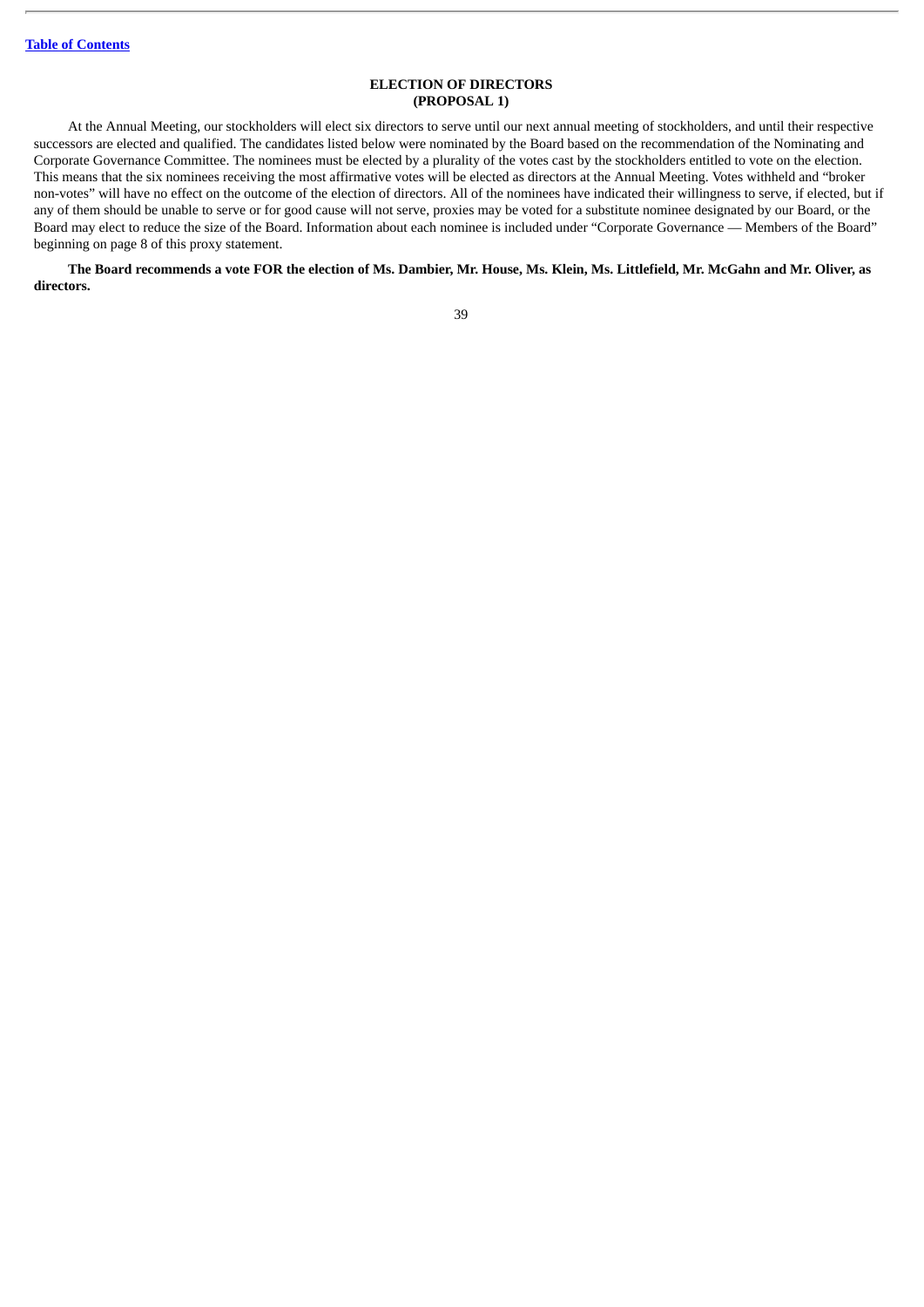## **ELECTION OF DIRECTORS (PROPOSAL 1)**

At the Annual Meeting, our stockholders will elect six directors to serve until our next annual meeting of stockholders, and until their respective successors are elected and qualified. The candidates listed below were nominated by the Board based on the recommendation of the Nominating and Corporate Governance Committee. The nominees must be elected by a plurality of the votes cast by the stockholders entitled to vote on the election. This means that the six nominees receiving the most affirmative votes will be elected as directors at the Annual Meeting. Votes withheld and "broker non-votes" will have no effect on the outcome of the election of directors. All of the nominees have indicated their willingness to serve, if elected, but if any of them should be unable to serve or for good cause will not serve, proxies may be voted for a substitute nominee designated by our Board, or the Board may elect to reduce the size of the Board. Information about each nominee is included under "Corporate Governance — Members of the Board" beginning on page 8 of this proxy statement.

The Board recommends a vote FOR the election of Ms. Dambier, Mr. House, Ms. Klein, Ms. Littlefield, Mr. McGahn and Mr. Oliver, as **directors.**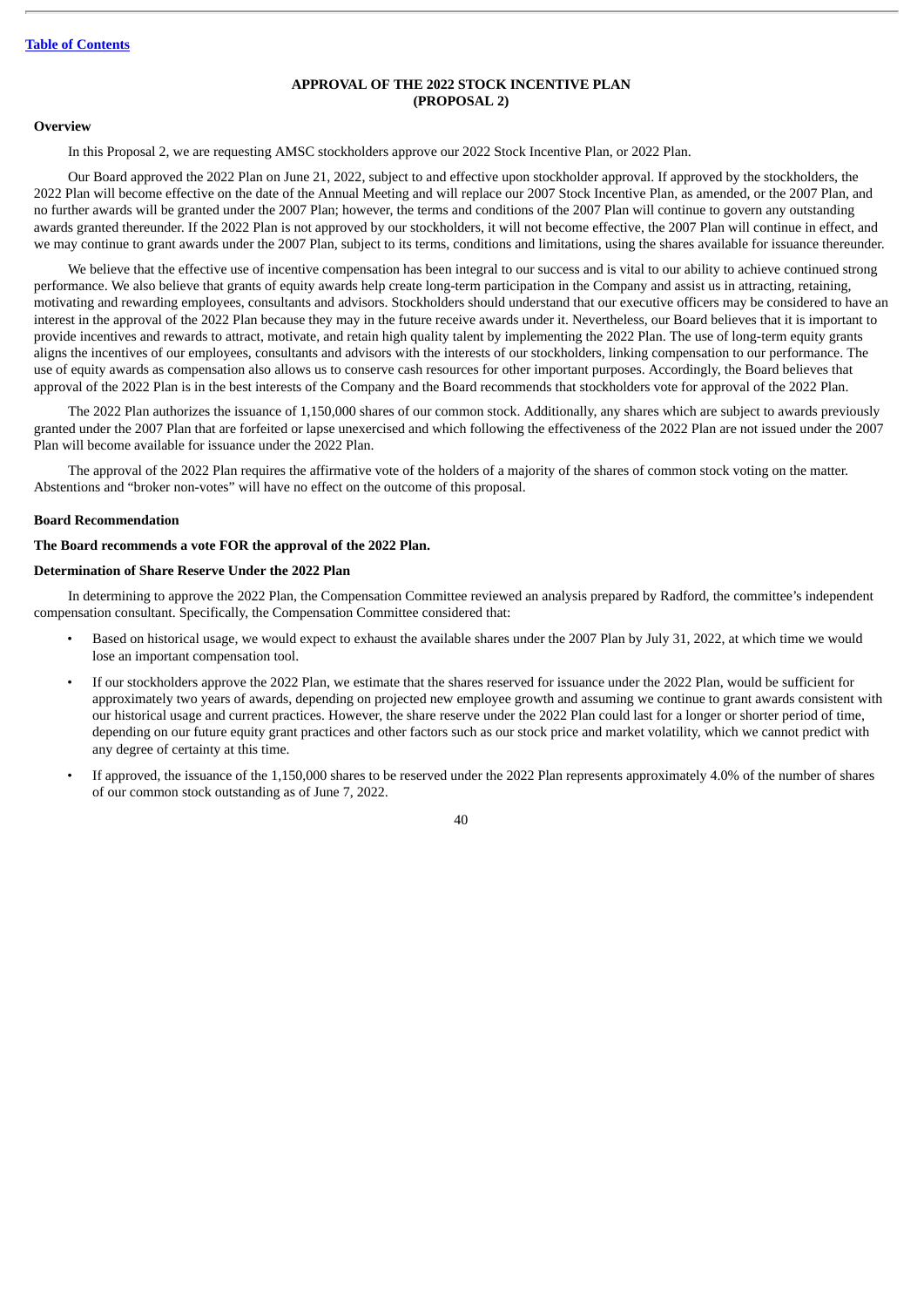## **APPROVAL OF THE 2022 STOCK INCENTIVE PLAN (PROPOSAL 2)**

### **Overview**

In this Proposal 2, we are requesting AMSC stockholders approve our 2022 Stock Incentive Plan, or 2022 Plan.

Our Board approved the 2022 Plan on June 21, 2022, subject to and effective upon stockholder approval. If approved by the stockholders, the 2022 Plan will become effective on the date of the Annual Meeting and will replace our 2007 Stock Incentive Plan, as amended, or the 2007 Plan, and no further awards will be granted under the 2007 Plan; however, the terms and conditions of the 2007 Plan will continue to govern any outstanding awards granted thereunder. If the 2022 Plan is not approved by our stockholders, it will not become effective, the 2007 Plan will continue in effect, and we may continue to grant awards under the 2007 Plan, subject to its terms, conditions and limitations, using the shares available for issuance thereunder.

We believe that the effective use of incentive compensation has been integral to our success and is vital to our ability to achieve continued strong performance. We also believe that grants of equity awards help create long-term participation in the Company and assist us in attracting, retaining, motivating and rewarding employees, consultants and advisors. Stockholders should understand that our executive officers may be considered to have an interest in the approval of the 2022 Plan because they may in the future receive awards under it. Nevertheless, our Board believes that it is important to provide incentives and rewards to attract, motivate, and retain high quality talent by implementing the 2022 Plan. The use of long-term equity grants aligns the incentives of our employees, consultants and advisors with the interests of our stockholders, linking compensation to our performance. The use of equity awards as compensation also allows us to conserve cash resources for other important purposes. Accordingly, the Board believes that approval of the 2022 Plan is in the best interests of the Company and the Board recommends that stockholders vote for approval of the 2022 Plan.

The 2022 Plan authorizes the issuance of 1,150,000 shares of our common stock. Additionally, any shares which are subject to awards previously granted under the 2007 Plan that are forfeited or lapse unexercised and which following the effectiveness of the 2022 Plan are not issued under the 2007 Plan will become available for issuance under the 2022 Plan.

The approval of the 2022 Plan requires the affirmative vote of the holders of a majority of the shares of common stock voting on the matter. Abstentions and "broker non-votes" will have no effect on the outcome of this proposal.

## **Board Recommendation**

### **The Board recommends a vote FOR the approval of the 2022 Plan.**

### **Determination of Share Reserve Under the 2022 Plan**

In determining to approve the 2022 Plan, the Compensation Committee reviewed an analysis prepared by Radford, the committee's independent compensation consultant. Specifically, the Compensation Committee considered that:

- Based on historical usage, we would expect to exhaust the available shares under the 2007 Plan by July 31, 2022, at which time we would lose an important compensation tool.
- If our stockholders approve the 2022 Plan, we estimate that the shares reserved for issuance under the 2022 Plan, would be sufficient for approximately two years of awards, depending on projected new employee growth and assuming we continue to grant awards consistent with our historical usage and current practices. However, the share reserve under the 2022 Plan could last for a longer or shorter period of time, depending on our future equity grant practices and other factors such as our stock price and market volatility, which we cannot predict with any degree of certainty at this time.
- If approved, the issuance of the 1,150,000 shares to be reserved under the 2022 Plan represents approximately 4.0% of the number of shares of our common stock outstanding as of June 7, 2022.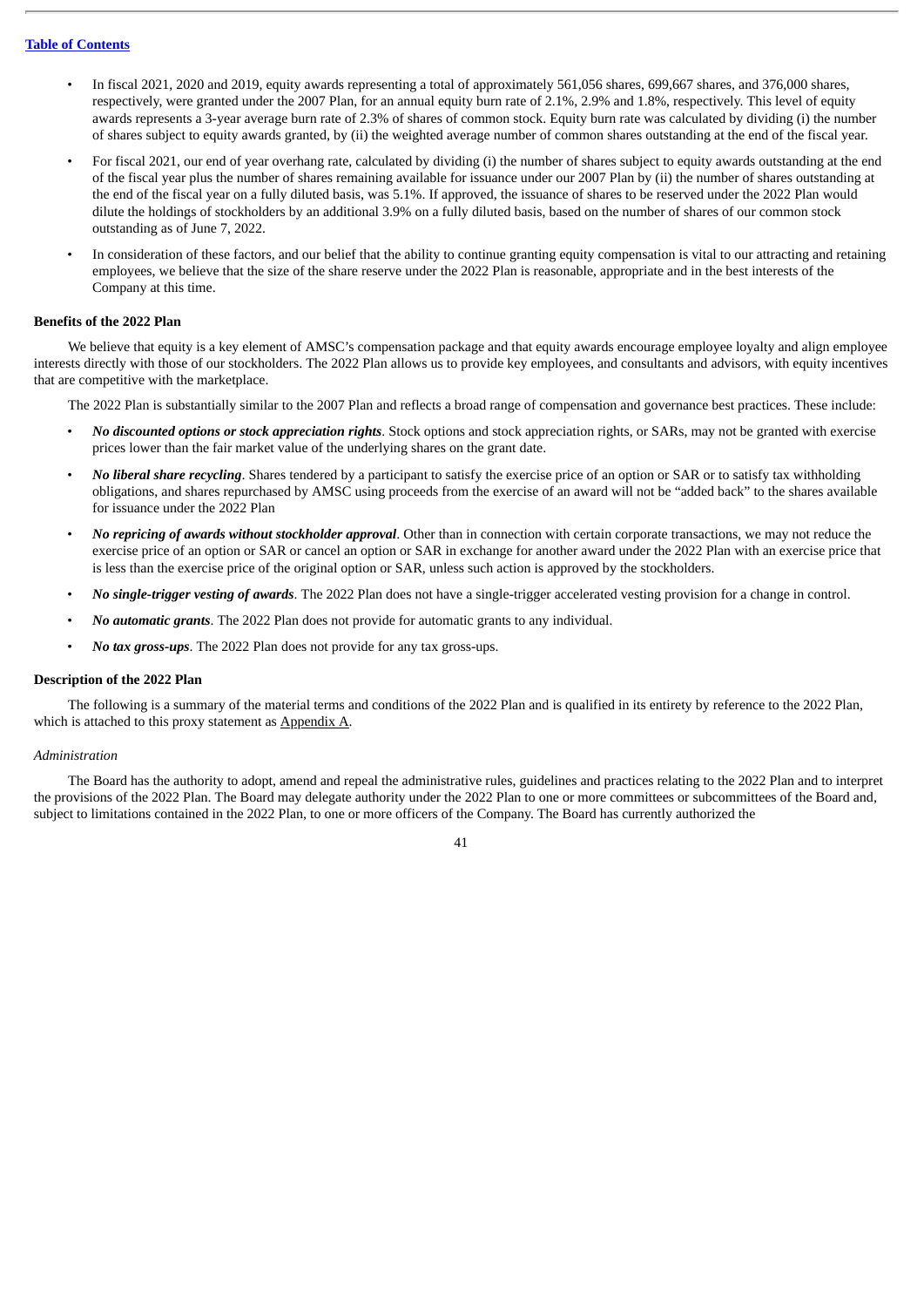- In fiscal 2021, 2020 and 2019, equity awards representing a total of approximately 561,056 shares, 699,667 shares, and 376,000 shares, respectively, were granted under the 2007 Plan, for an annual equity burn rate of 2.1%, 2.9% and 1.8%, respectively. This level of equity awards represents a 3-year average burn rate of 2.3% of shares of common stock. Equity burn rate was calculated by dividing (i) the number of shares subject to equity awards granted, by (ii) the weighted average number of common shares outstanding at the end of the fiscal year.
- For fiscal 2021, our end of year overhang rate, calculated by dividing (i) the number of shares subject to equity awards outstanding at the end of the fiscal year plus the number of shares remaining available for issuance under our 2007 Plan by (ii) the number of shares outstanding at the end of the fiscal year on a fully diluted basis, was 5.1%. If approved, the issuance of shares to be reserved under the 2022 Plan would dilute the holdings of stockholders by an additional 3.9% on a fully diluted basis, based on the number of shares of our common stock outstanding as of June 7, 2022.
- In consideration of these factors, and our belief that the ability to continue granting equity compensation is vital to our attracting and retaining employees, we believe that the size of the share reserve under the 2022 Plan is reasonable, appropriate and in the best interests of the Company at this time.

### **Benefits of the 2022 Plan**

We believe that equity is a key element of AMSC's compensation package and that equity awards encourage employee loyalty and align employee interests directly with those of our stockholders. The 2022 Plan allows us to provide key employees, and consultants and advisors, with equity incentives that are competitive with the marketplace.

The 2022 Plan is substantially similar to the 2007 Plan and reflects a broad range of compensation and governance best practices. These include:

- *No discounted options or stock appreciation rights*. Stock options and stock appreciation rights, or SARs, may not be granted with exercise prices lower than the fair market value of the underlying shares on the grant date.
- *No liberal share recycling*. Shares tendered by a participant to satisfy the exercise price of an option or SAR or to satisfy tax withholding obligations, and shares repurchased by AMSC using proceeds from the exercise of an award will not be "added back" to the shares available for issuance under the 2022 Plan
- *No repricing of awards without stockholder approval*. Other than in connection with certain corporate transactions, we may not reduce the exercise price of an option or SAR or cancel an option or SAR in exchange for another award under the 2022 Plan with an exercise price that is less than the exercise price of the original option or SAR, unless such action is approved by the stockholders.
- *No single-trigger vesting of awards*. The 2022 Plan does not have a single-trigger accelerated vesting provision for a change in control.
- *No automatic grants*. The 2022 Plan does not provide for automatic grants to any individual.
- *No tax gross-ups*. The 2022 Plan does not provide for any tax gross-ups.

### **Description of the 2022 Plan**

The following is a summary of the material terms and conditions of the 2022 Plan and is qualified in its entirety by reference to the 2022 Plan, which is attached to this proxy statement as Appendix A.

### *Administration*

The Board has the authority to adopt, amend and repeal the administrative rules, guidelines and practices relating to the 2022 Plan and to interpret the provisions of the 2022 Plan. The Board may delegate authority under the 2022 Plan to one or more committees or subcommittees of the Board and, subject to limitations contained in the 2022 Plan, to one or more officers of the Company. The Board has currently authorized the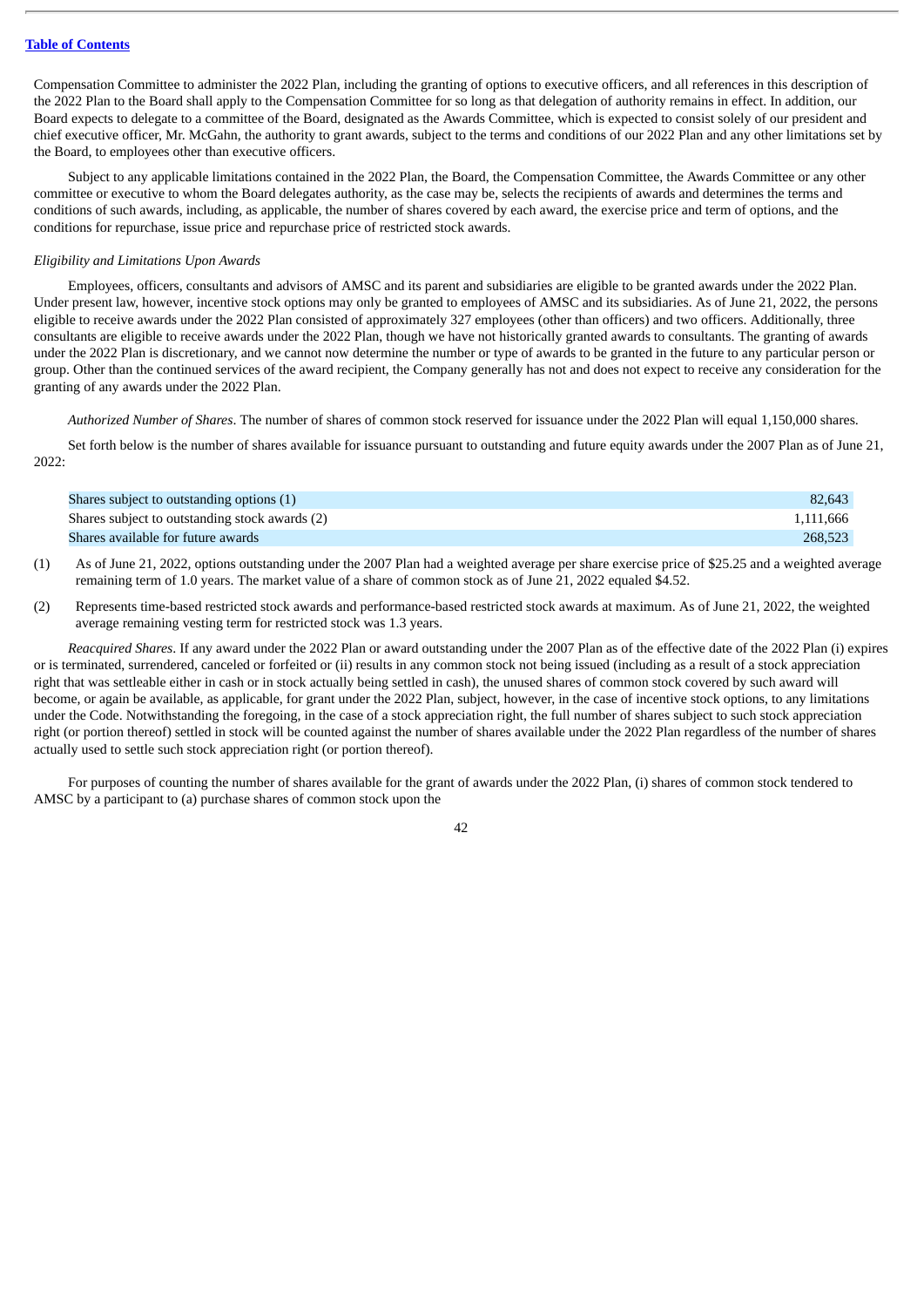Compensation Committee to administer the 2022 Plan, including the granting of options to executive officers, and all references in this description of the 2022 Plan to the Board shall apply to the Compensation Committee for so long as that delegation of authority remains in effect. In addition, our Board expects to delegate to a committee of the Board, designated as the Awards Committee, which is expected to consist solely of our president and chief executive officer, Mr. McGahn, the authority to grant awards, subject to the terms and conditions of our 2022 Plan and any other limitations set by the Board, to employees other than executive officers.

Subject to any applicable limitations contained in the 2022 Plan, the Board, the Compensation Committee, the Awards Committee or any other committee or executive to whom the Board delegates authority, as the case may be, selects the recipients of awards and determines the terms and conditions of such awards, including, as applicable, the number of shares covered by each award, the exercise price and term of options, and the conditions for repurchase, issue price and repurchase price of restricted stock awards.

### *Eligibility and Limitations Upon Awards*

Employees, officers, consultants and advisors of AMSC and its parent and subsidiaries are eligible to be granted awards under the 2022 Plan. Under present law, however, incentive stock options may only be granted to employees of AMSC and its subsidiaries. As of June 21, 2022, the persons eligible to receive awards under the 2022 Plan consisted of approximately 327 employees (other than officers) and two officers. Additionally, three consultants are eligible to receive awards under the 2022 Plan, though we have not historically granted awards to consultants. The granting of awards under the 2022 Plan is discretionary, and we cannot now determine the number or type of awards to be granted in the future to any particular person or group. Other than the continued services of the award recipient, the Company generally has not and does not expect to receive any consideration for the granting of any awards under the 2022 Plan.

*Authorized Number of Shares*. The number of shares of common stock reserved for issuance under the 2022 Plan will equal 1,150,000 shares.

Set forth below is the number of shares available for issuance pursuant to outstanding and future equity awards under the 2007 Plan as of June 21, 2022:

| Shares subject to outstanding options $(1)$    | 82.643    |
|------------------------------------------------|-----------|
| Shares subject to outstanding stock awards (2) | 1.111.666 |
| Shares available for future awards             | 268.523   |

- (1) As of June 21, 2022, options outstanding under the 2007 Plan had a weighted average per share exercise price of \$25.25 and a weighted average remaining term of 1.0 years. The market value of a share of common stock as of June 21, 2022 equaled \$4.52.
- (2) Represents time-based restricted stock awards and performance-based restricted stock awards at maximum. As of June 21, 2022, the weighted average remaining vesting term for restricted stock was 1.3 years.

*Reacquired Shares*. If any award under the 2022 Plan or award outstanding under the 2007 Plan as of the effective date of the 2022 Plan (i) expires or is terminated, surrendered, canceled or forfeited or (ii) results in any common stock not being issued (including as a result of a stock appreciation right that was settleable either in cash or in stock actually being settled in cash), the unused shares of common stock covered by such award will become, or again be available, as applicable, for grant under the 2022 Plan, subject, however, in the case of incentive stock options, to any limitations under the Code. Notwithstanding the foregoing, in the case of a stock appreciation right, the full number of shares subject to such stock appreciation right (or portion thereof) settled in stock will be counted against the number of shares available under the 2022 Plan regardless of the number of shares actually used to settle such stock appreciation right (or portion thereof).

For purposes of counting the number of shares available for the grant of awards under the 2022 Plan, (i) shares of common stock tendered to AMSC by a participant to (a) purchase shares of common stock upon the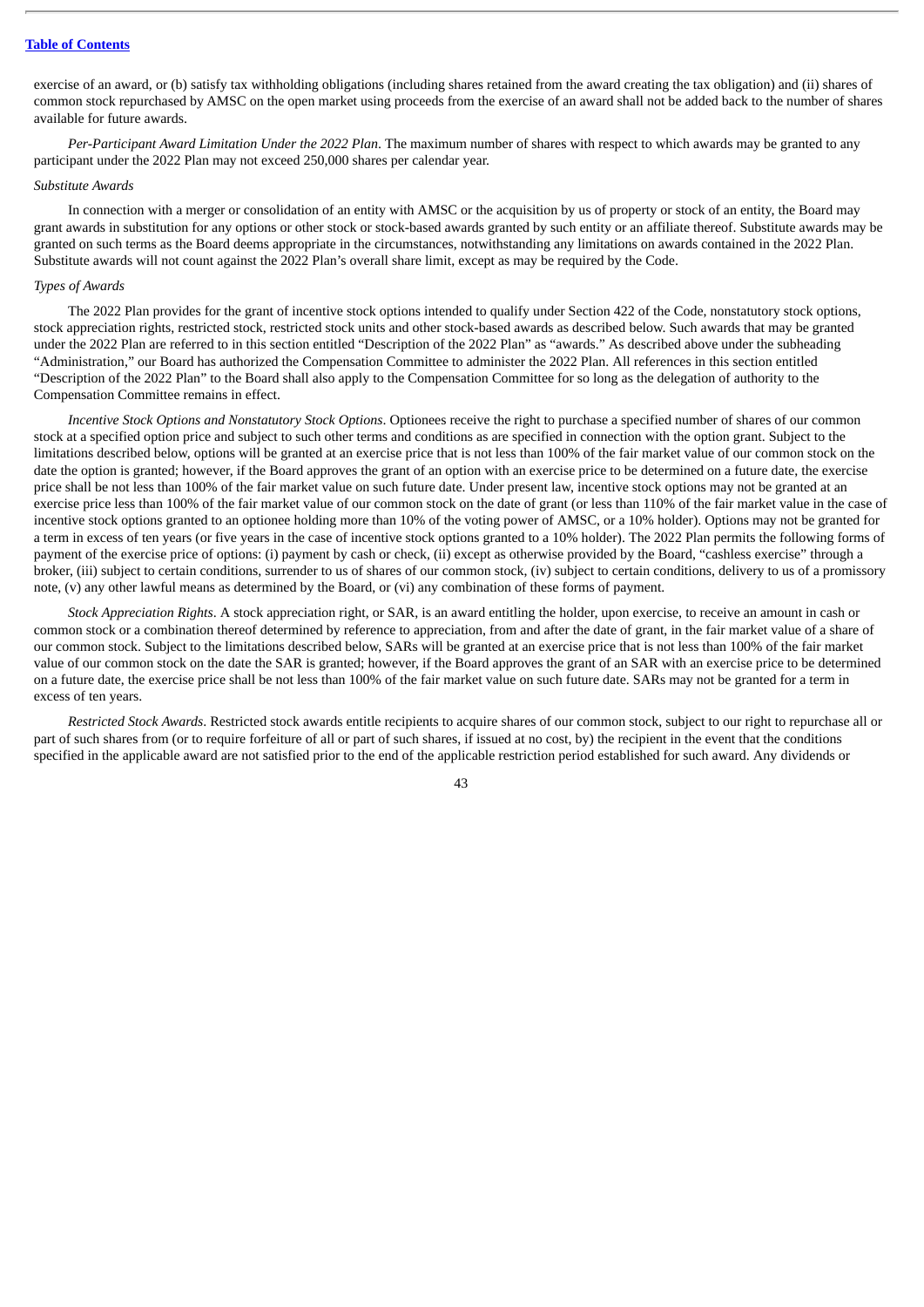exercise of an award, or (b) satisfy tax withholding obligations (including shares retained from the award creating the tax obligation) and (ii) shares of common stock repurchased by AMSC on the open market using proceeds from the exercise of an award shall not be added back to the number of shares available for future awards.

*Per-Participant Award Limitation Under the 2022 Plan*. The maximum number of shares with respect to which awards may be granted to any participant under the 2022 Plan may not exceed 250,000 shares per calendar year.

#### *Substitute Awards*

In connection with a merger or consolidation of an entity with AMSC or the acquisition by us of property or stock of an entity, the Board may grant awards in substitution for any options or other stock or stock-based awards granted by such entity or an affiliate thereof. Substitute awards may be granted on such terms as the Board deems appropriate in the circumstances, notwithstanding any limitations on awards contained in the 2022 Plan. Substitute awards will not count against the 2022 Plan's overall share limit, except as may be required by the Code.

#### *Types of Awards*

The 2022 Plan provides for the grant of incentive stock options intended to qualify under Section 422 of the Code, nonstatutory stock options, stock appreciation rights, restricted stock, restricted stock units and other stock-based awards as described below. Such awards that may be granted under the 2022 Plan are referred to in this section entitled "Description of the 2022 Plan" as "awards." As described above under the subheading "Administration," our Board has authorized the Compensation Committee to administer the 2022 Plan. All references in this section entitled "Description of the 2022 Plan" to the Board shall also apply to the Compensation Committee for so long as the delegation of authority to the Compensation Committee remains in effect.

*Incentive Stock Options and Nonstatutory Stock Options*. Optionees receive the right to purchase a specified number of shares of our common stock at a specified option price and subject to such other terms and conditions as are specified in connection with the option grant. Subject to the limitations described below, options will be granted at an exercise price that is not less than 100% of the fair market value of our common stock on the date the option is granted; however, if the Board approves the grant of an option with an exercise price to be determined on a future date, the exercise price shall be not less than 100% of the fair market value on such future date. Under present law, incentive stock options may not be granted at an exercise price less than 100% of the fair market value of our common stock on the date of grant (or less than 110% of the fair market value in the case of incentive stock options granted to an optionee holding more than 10% of the voting power of AMSC, or a 10% holder). Options may not be granted for a term in excess of ten years (or five years in the case of incentive stock options granted to a 10% holder). The 2022 Plan permits the following forms of payment of the exercise price of options: (i) payment by cash or check, (ii) except as otherwise provided by the Board, "cashless exercise" through a broker, (iii) subject to certain conditions, surrender to us of shares of our common stock, (iv) subject to certain conditions, delivery to us of a promissory note, (v) any other lawful means as determined by the Board, or (vi) any combination of these forms of payment.

*Stock Appreciation Rights*. A stock appreciation right, or SAR, is an award entitling the holder, upon exercise, to receive an amount in cash or common stock or a combination thereof determined by reference to appreciation, from and after the date of grant, in the fair market value of a share of our common stock. Subject to the limitations described below, SARs will be granted at an exercise price that is not less than 100% of the fair market value of our common stock on the date the SAR is granted; however, if the Board approves the grant of an SAR with an exercise price to be determined on a future date, the exercise price shall be not less than 100% of the fair market value on such future date. SARs may not be granted for a term in excess of ten years.

*Restricted Stock Awards*. Restricted stock awards entitle recipients to acquire shares of our common stock, subject to our right to repurchase all or part of such shares from (or to require forfeiture of all or part of such shares, if issued at no cost, by) the recipient in the event that the conditions specified in the applicable award are not satisfied prior to the end of the applicable restriction period established for such award. Any dividends or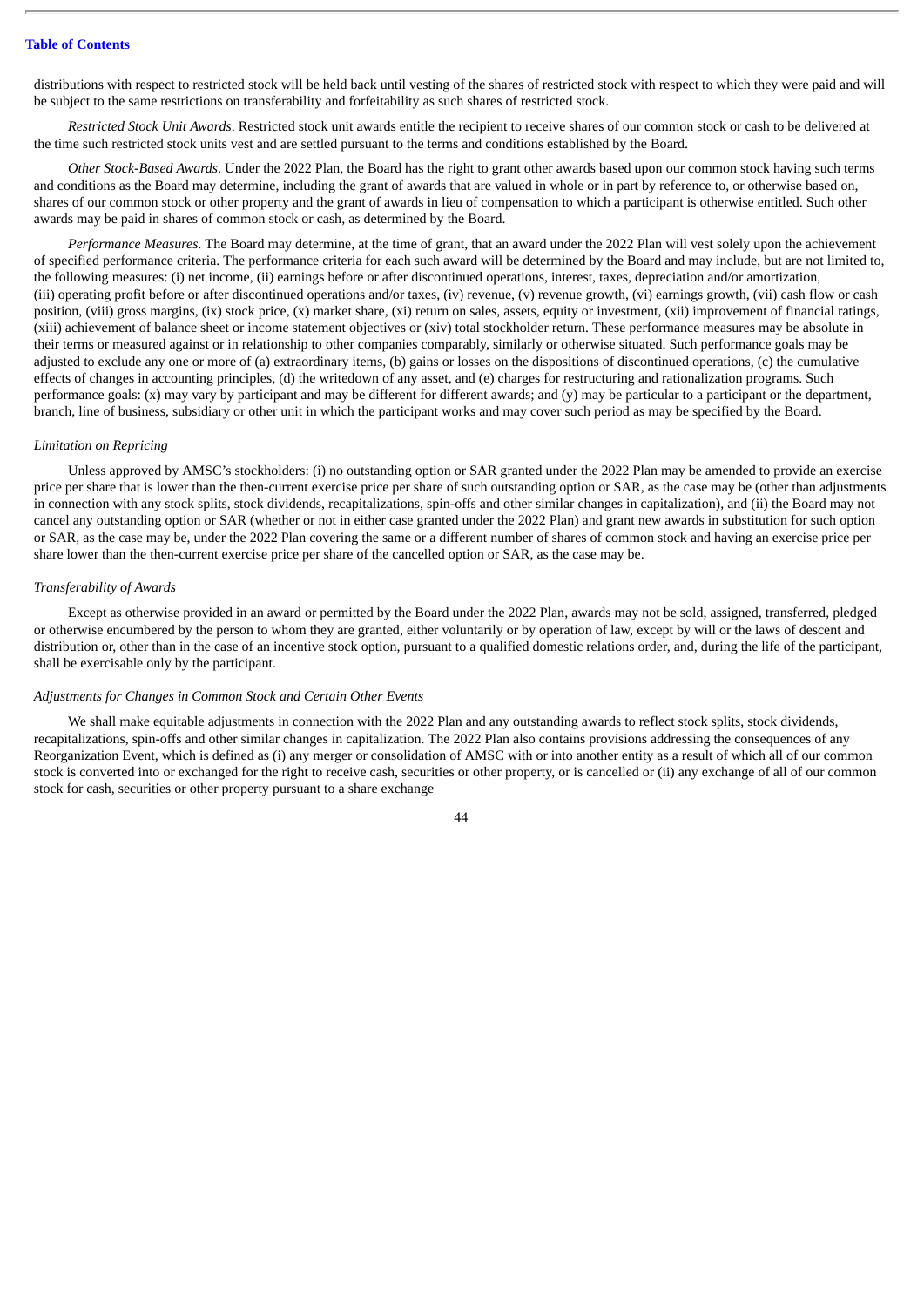distributions with respect to restricted stock will be held back until vesting of the shares of restricted stock with respect to which they were paid and will be subject to the same restrictions on transferability and forfeitability as such shares of restricted stock.

*Restricted Stock Unit Awards*. Restricted stock unit awards entitle the recipient to receive shares of our common stock or cash to be delivered at the time such restricted stock units vest and are settled pursuant to the terms and conditions established by the Board.

*Other Stock-Based Awards*. Under the 2022 Plan, the Board has the right to grant other awards based upon our common stock having such terms and conditions as the Board may determine, including the grant of awards that are valued in whole or in part by reference to, or otherwise based on, shares of our common stock or other property and the grant of awards in lieu of compensation to which a participant is otherwise entitled. Such other awards may be paid in shares of common stock or cash, as determined by the Board.

*Performance Measures*. The Board may determine, at the time of grant, that an award under the 2022 Plan will vest solely upon the achievement of specified performance criteria. The performance criteria for each such award will be determined by the Board and may include, but are not limited to, the following measures: (i) net income, (ii) earnings before or after discontinued operations, interest, taxes, depreciation and/or amortization, (iii) operating profit before or after discontinued operations and/or taxes, (iv) revenue, (v) revenue growth, (vi) earnings growth, (vii) cash flow or cash position, (viii) gross margins, (ix) stock price, (x) market share, (xi) return on sales, assets, equity or investment, (xii) improvement of financial ratings, (xiii) achievement of balance sheet or income statement objectives or (xiv) total stockholder return. These performance measures may be absolute in their terms or measured against or in relationship to other companies comparably, similarly or otherwise situated. Such performance goals may be adjusted to exclude any one or more of (a) extraordinary items, (b) gains or losses on the dispositions of discontinued operations, (c) the cumulative effects of changes in accounting principles, (d) the writedown of any asset, and (e) charges for restructuring and rationalization programs. Such performance goals: (x) may vary by participant and may be different for different awards; and (y) may be particular to a participant or the department, branch, line of business, subsidiary or other unit in which the participant works and may cover such period as may be specified by the Board.

#### *Limitation on Repricing*

Unless approved by AMSC's stockholders: (i) no outstanding option or SAR granted under the 2022 Plan may be amended to provide an exercise price per share that is lower than the then-current exercise price per share of such outstanding option or SAR, as the case may be (other than adjustments in connection with any stock splits, stock dividends, recapitalizations, spin-offs and other similar changes in capitalization), and (ii) the Board may not cancel any outstanding option or SAR (whether or not in either case granted under the 2022 Plan) and grant new awards in substitution for such option or SAR, as the case may be, under the 2022 Plan covering the same or a different number of shares of common stock and having an exercise price per share lower than the then-current exercise price per share of the cancelled option or SAR, as the case may be.

### *Transferability of Awards*

Except as otherwise provided in an award or permitted by the Board under the 2022 Plan, awards may not be sold, assigned, transferred, pledged or otherwise encumbered by the person to whom they are granted, either voluntarily or by operation of law, except by will or the laws of descent and distribution or, other than in the case of an incentive stock option, pursuant to a qualified domestic relations order, and, during the life of the participant, shall be exercisable only by the participant.

## *Adjustments for Changes in Common Stock and Certain Other Events*

We shall make equitable adjustments in connection with the 2022 Plan and any outstanding awards to reflect stock splits, stock dividends, recapitalizations, spin-offs and other similar changes in capitalization. The 2022 Plan also contains provisions addressing the consequences of any Reorganization Event, which is defined as (i) any merger or consolidation of AMSC with or into another entity as a result of which all of our common stock is converted into or exchanged for the right to receive cash, securities or other property, or is cancelled or (ii) any exchange of all of our common stock for cash, securities or other property pursuant to a share exchange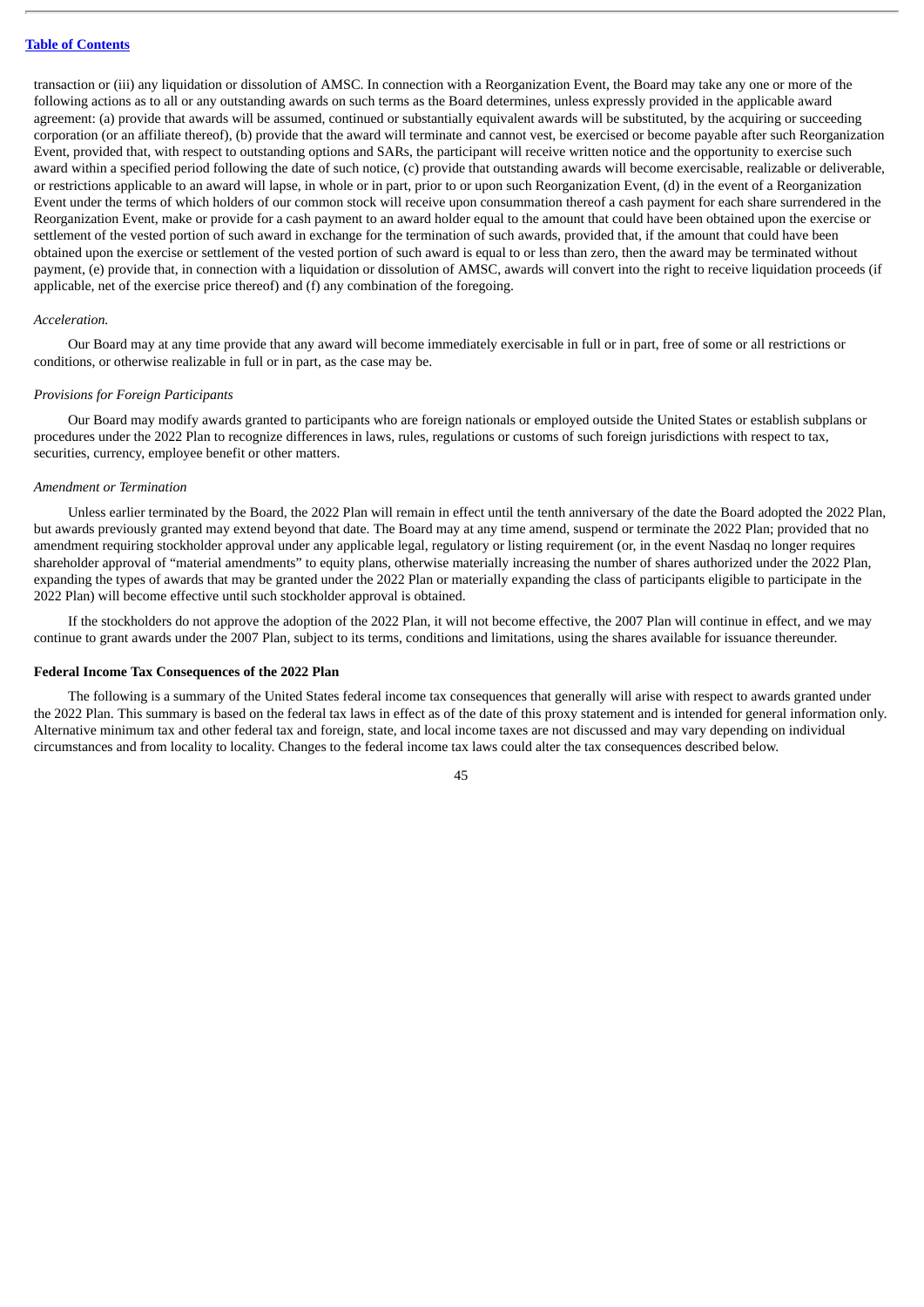transaction or (iii) any liquidation or dissolution of AMSC. In connection with a Reorganization Event, the Board may take any one or more of the following actions as to all or any outstanding awards on such terms as the Board determines, unless expressly provided in the applicable award agreement: (a) provide that awards will be assumed, continued or substantially equivalent awards will be substituted, by the acquiring or succeeding corporation (or an affiliate thereof), (b) provide that the award will terminate and cannot vest, be exercised or become payable after such Reorganization Event, provided that, with respect to outstanding options and SARs, the participant will receive written notice and the opportunity to exercise such award within a specified period following the date of such notice, (c) provide that outstanding awards will become exercisable, realizable or deliverable, or restrictions applicable to an award will lapse, in whole or in part, prior to or upon such Reorganization Event, (d) in the event of a Reorganization Event under the terms of which holders of our common stock will receive upon consummation thereof a cash payment for each share surrendered in the Reorganization Event, make or provide for a cash payment to an award holder equal to the amount that could have been obtained upon the exercise or settlement of the vested portion of such award in exchange for the termination of such awards, provided that, if the amount that could have been obtained upon the exercise or settlement of the vested portion of such award is equal to or less than zero, then the award may be terminated without payment, (e) provide that, in connection with a liquidation or dissolution of AMSC, awards will convert into the right to receive liquidation proceeds (if applicable, net of the exercise price thereof) and (f) any combination of the foregoing.

#### *Acceleration.*

Our Board may at any time provide that any award will become immediately exercisable in full or in part, free of some or all restrictions or conditions, or otherwise realizable in full or in part, as the case may be.

#### *Provisions for Foreign Participants*

Our Board may modify awards granted to participants who are foreign nationals or employed outside the United States or establish subplans or procedures under the 2022 Plan to recognize differences in laws, rules, regulations or customs of such foreign jurisdictions with respect to tax, securities, currency, employee benefit or other matters.

## *Amendment or Termination*

Unless earlier terminated by the Board, the 2022 Plan will remain in effect until the tenth anniversary of the date the Board adopted the 2022 Plan, but awards previously granted may extend beyond that date. The Board may at any time amend, suspend or terminate the 2022 Plan; provided that no amendment requiring stockholder approval under any applicable legal, regulatory or listing requirement (or, in the event Nasdaq no longer requires shareholder approval of "material amendments" to equity plans, otherwise materially increasing the number of shares authorized under the 2022 Plan, expanding the types of awards that may be granted under the 2022 Plan or materially expanding the class of participants eligible to participate in the 2022 Plan) will become effective until such stockholder approval is obtained.

If the stockholders do not approve the adoption of the 2022 Plan, it will not become effective, the 2007 Plan will continue in effect, and we may continue to grant awards under the 2007 Plan, subject to its terms, conditions and limitations, using the shares available for issuance thereunder.

## **Federal Income Tax Consequences of the 2022 Plan**

The following is a summary of the United States federal income tax consequences that generally will arise with respect to awards granted under the 2022 Plan. This summary is based on the federal tax laws in effect as of the date of this proxy statement and is intended for general information only. Alternative minimum tax and other federal tax and foreign, state, and local income taxes are not discussed and may vary depending on individual circumstances and from locality to locality. Changes to the federal income tax laws could alter the tax consequences described below.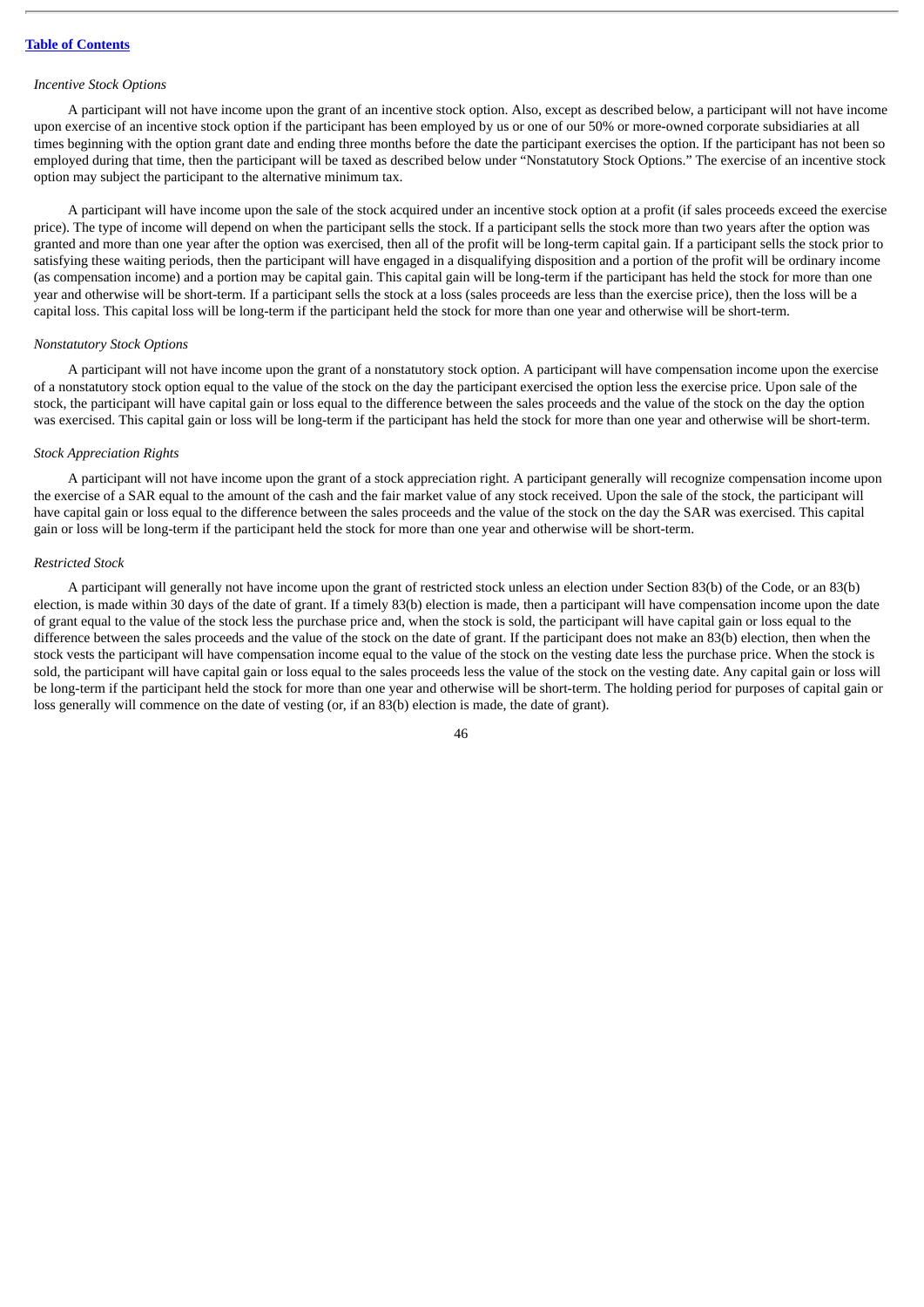#### *Incentive Stock Options*

A participant will not have income upon the grant of an incentive stock option. Also, except as described below, a participant will not have income upon exercise of an incentive stock option if the participant has been employed by us or one of our 50% or more-owned corporate subsidiaries at all times beginning with the option grant date and ending three months before the date the participant exercises the option. If the participant has not been so employed during that time, then the participant will be taxed as described below under "Nonstatutory Stock Options." The exercise of an incentive stock option may subject the participant to the alternative minimum tax.

A participant will have income upon the sale of the stock acquired under an incentive stock option at a profit (if sales proceeds exceed the exercise price). The type of income will depend on when the participant sells the stock. If a participant sells the stock more than two years after the option was granted and more than one year after the option was exercised, then all of the profit will be long-term capital gain. If a participant sells the stock prior to satisfying these waiting periods, then the participant will have engaged in a disqualifying disposition and a portion of the profit will be ordinary income (as compensation income) and a portion may be capital gain. This capital gain will be long-term if the participant has held the stock for more than one year and otherwise will be short-term. If a participant sells the stock at a loss (sales proceeds are less than the exercise price), then the loss will be a capital loss. This capital loss will be long-term if the participant held the stock for more than one year and otherwise will be short-term.

#### *Nonstatutory Stock Options*

A participant will not have income upon the grant of a nonstatutory stock option. A participant will have compensation income upon the exercise of a nonstatutory stock option equal to the value of the stock on the day the participant exercised the option less the exercise price. Upon sale of the stock, the participant will have capital gain or loss equal to the difference between the sales proceeds and the value of the stock on the day the option was exercised. This capital gain or loss will be long-term if the participant has held the stock for more than one year and otherwise will be short-term.

### *Stock Appreciation Rights*

A participant will not have income upon the grant of a stock appreciation right. A participant generally will recognize compensation income upon the exercise of a SAR equal to the amount of the cash and the fair market value of any stock received. Upon the sale of the stock, the participant will have capital gain or loss equal to the difference between the sales proceeds and the value of the stock on the day the SAR was exercised. This capital gain or loss will be long-term if the participant held the stock for more than one year and otherwise will be short-term.

### *Restricted Stock*

A participant will generally not have income upon the grant of restricted stock unless an election under Section 83(b) of the Code, or an 83(b) election, is made within 30 days of the date of grant. If a timely 83(b) election is made, then a participant will have compensation income upon the date of grant equal to the value of the stock less the purchase price and, when the stock is sold, the participant will have capital gain or loss equal to the difference between the sales proceeds and the value of the stock on the date of grant. If the participant does not make an 83(b) election, then when the stock vests the participant will have compensation income equal to the value of the stock on the vesting date less the purchase price. When the stock is sold, the participant will have capital gain or loss equal to the sales proceeds less the value of the stock on the vesting date. Any capital gain or loss will be long-term if the participant held the stock for more than one year and otherwise will be short-term. The holding period for purposes of capital gain or loss generally will commence on the date of vesting (or, if an 83(b) election is made, the date of grant).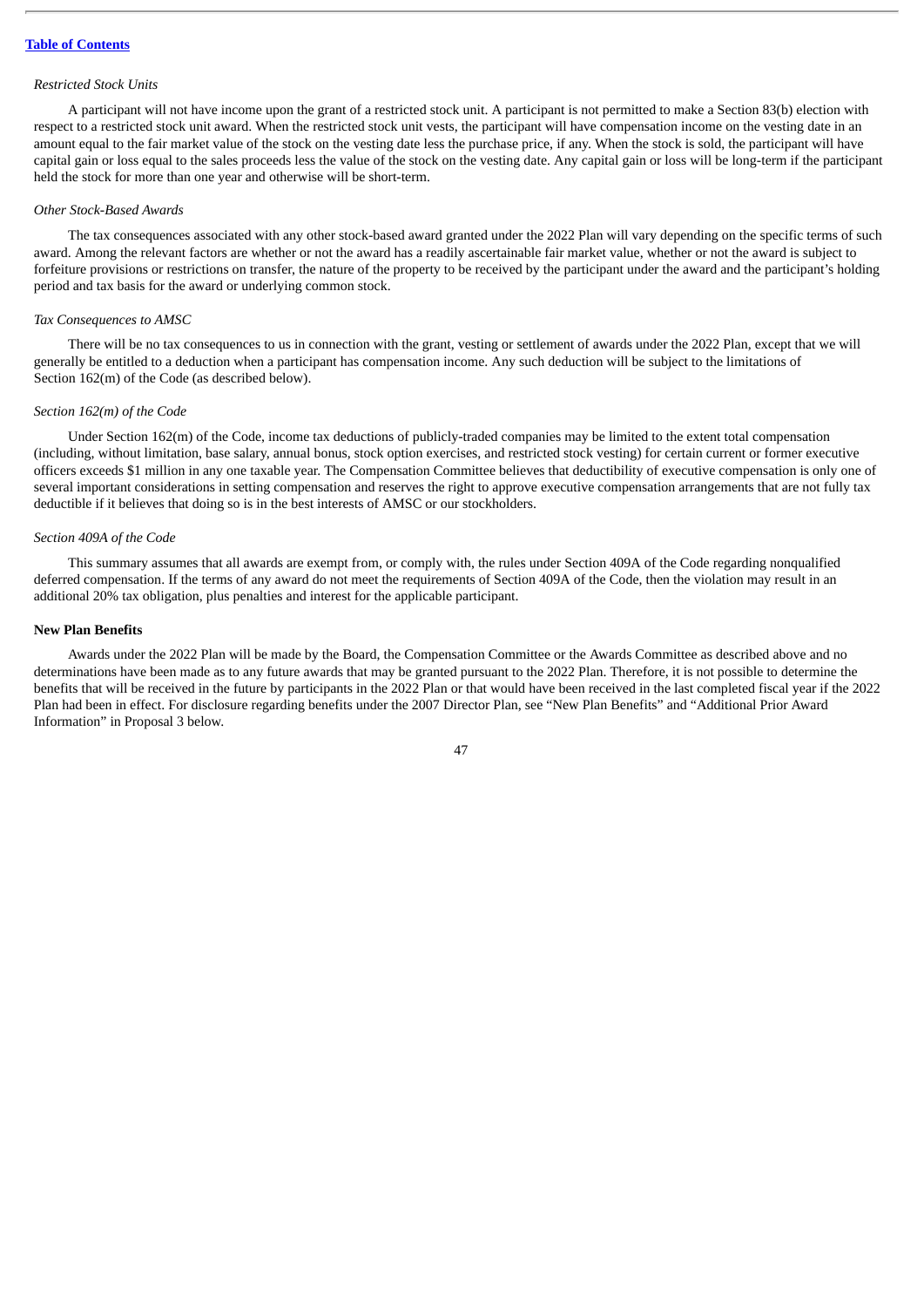#### *Restricted Stock Units*

A participant will not have income upon the grant of a restricted stock unit. A participant is not permitted to make a Section 83(b) election with respect to a restricted stock unit award. When the restricted stock unit vests, the participant will have compensation income on the vesting date in an amount equal to the fair market value of the stock on the vesting date less the purchase price, if any. When the stock is sold, the participant will have capital gain or loss equal to the sales proceeds less the value of the stock on the vesting date. Any capital gain or loss will be long-term if the participant held the stock for more than one year and otherwise will be short-term.

## *Other Stock-Based Awards*

The tax consequences associated with any other stock-based award granted under the 2022 Plan will vary depending on the specific terms of such award. Among the relevant factors are whether or not the award has a readily ascertainable fair market value, whether or not the award is subject to forfeiture provisions or restrictions on transfer, the nature of the property to be received by the participant under the award and the participant's holding period and tax basis for the award or underlying common stock.

#### *Tax Consequences to AMSC*

There will be no tax consequences to us in connection with the grant, vesting or settlement of awards under the 2022 Plan, except that we will generally be entitled to a deduction when a participant has compensation income. Any such deduction will be subject to the limitations of Section 162(m) of the Code (as described below).

#### *Section 162(m) of the Code*

Under Section 162(m) of the Code, income tax deductions of publicly-traded companies may be limited to the extent total compensation (including, without limitation, base salary, annual bonus, stock option exercises, and restricted stock vesting) for certain current or former executive officers exceeds \$1 million in any one taxable year. The Compensation Committee believes that deductibility of executive compensation is only one of several important considerations in setting compensation and reserves the right to approve executive compensation arrangements that are not fully tax deductible if it believes that doing so is in the best interests of AMSC or our stockholders.

### *Section 409A of the Code*

This summary assumes that all awards are exempt from, or comply with, the rules under Section 409A of the Code regarding nonqualified deferred compensation. If the terms of any award do not meet the requirements of Section 409A of the Code, then the violation may result in an additional 20% tax obligation, plus penalties and interest for the applicable participant.

#### **New Plan Benefits**

Awards under the 2022 Plan will be made by the Board, the Compensation Committee or the Awards Committee as described above and no determinations have been made as to any future awards that may be granted pursuant to the 2022 Plan. Therefore, it is not possible to determine the benefits that will be received in the future by participants in the 2022 Plan or that would have been received in the last completed fiscal year if the 2022 Plan had been in effect. For disclosure regarding benefits under the 2007 Director Plan, see "New Plan Benefits" and "Additional Prior Award Information" in Proposal 3 below.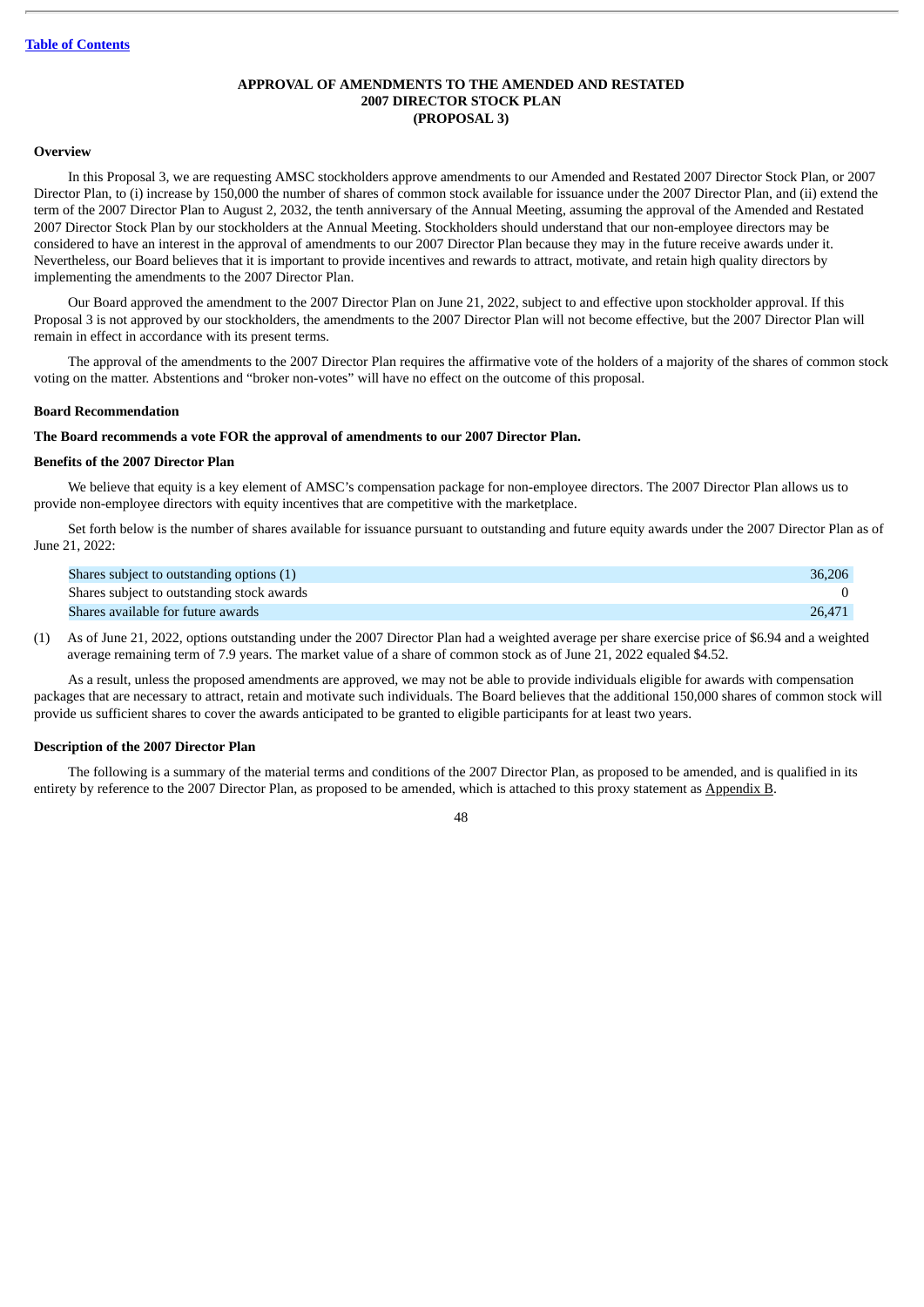## **APPROVAL OF AMENDMENTS TO THE AMENDED AND RESTATED 2007 DIRECTOR STOCK PLAN (PROPOSAL 3)**

#### **Overview**

In this Proposal 3, we are requesting AMSC stockholders approve amendments to our Amended and Restated 2007 Director Stock Plan, or 2007 Director Plan, to (i) increase by 150,000 the number of shares of common stock available for issuance under the 2007 Director Plan, and (ii) extend the term of the 2007 Director Plan to August 2, 2032, the tenth anniversary of the Annual Meeting, assuming the approval of the Amended and Restated 2007 Director Stock Plan by our stockholders at the Annual Meeting. Stockholders should understand that our non-employee directors may be considered to have an interest in the approval of amendments to our 2007 Director Plan because they may in the future receive awards under it. Nevertheless, our Board believes that it is important to provide incentives and rewards to attract, motivate, and retain high quality directors by implementing the amendments to the 2007 Director Plan.

Our Board approved the amendment to the 2007 Director Plan on June 21, 2022, subject to and effective upon stockholder approval. If this Proposal 3 is not approved by our stockholders, the amendments to the 2007 Director Plan will not become effective, but the 2007 Director Plan will remain in effect in accordance with its present terms.

The approval of the amendments to the 2007 Director Plan requires the affirmative vote of the holders of a majority of the shares of common stock voting on the matter. Abstentions and "broker non-votes" will have no effect on the outcome of this proposal.

#### **Board Recommendation**

### **The Board recommends a vote FOR the approval of amendments to our 2007 Director Plan.**

### **Benefits of the 2007 Director Plan**

We believe that equity is a key element of AMSC's compensation package for non-employee directors. The 2007 Director Plan allows us to provide non-employee directors with equity incentives that are competitive with the marketplace.

Set forth below is the number of shares available for issuance pursuant to outstanding and future equity awards under the 2007 Director Plan as of June 21, 2022:

| Shares subject to outstanding options $(1)$ | 36,206 |
|---------------------------------------------|--------|
| Shares subject to outstanding stock awards  |        |
| Shares available for future awards          | 26.471 |

(1) As of June 21, 2022, options outstanding under the 2007 Director Plan had a weighted average per share exercise price of \$6.94 and a weighted average remaining term of 7.9 years. The market value of a share of common stock as of June 21, 2022 equaled \$4.52.

As a result, unless the proposed amendments are approved, we may not be able to provide individuals eligible for awards with compensation packages that are necessary to attract, retain and motivate such individuals. The Board believes that the additional 150,000 shares of common stock will provide us sufficient shares to cover the awards anticipated to be granted to eligible participants for at least two years.

### **Description of the 2007 Director Plan**

The following is a summary of the material terms and conditions of the 2007 Director Plan, as proposed to be amended, and is qualified in its entirety by reference to the 2007 Director Plan, as proposed to be amended, which is attached to this proxy statement as Appendix B.

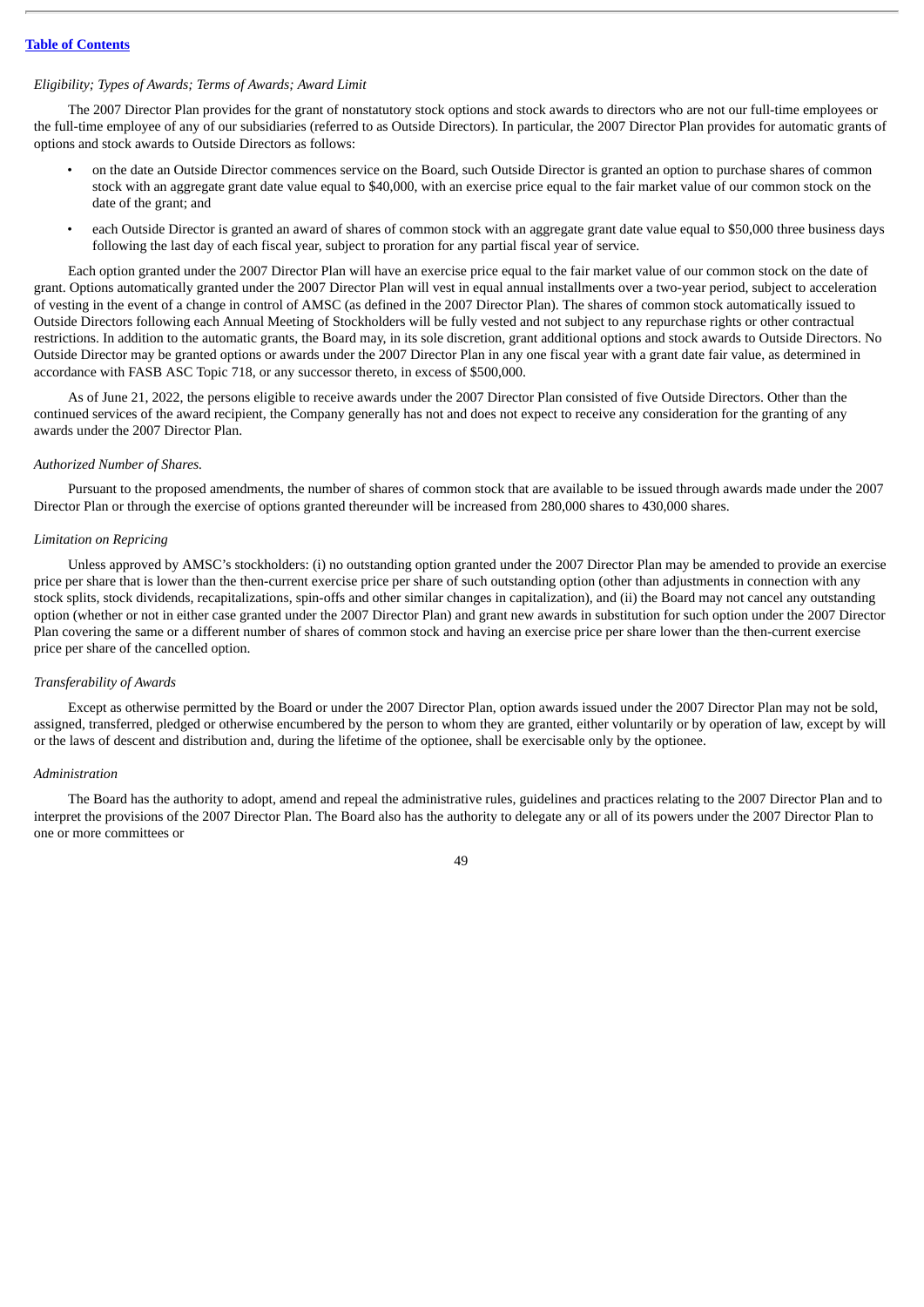#### *Eligibility; Types of Awards; Terms of Awards; Award Limit*

The 2007 Director Plan provides for the grant of nonstatutory stock options and stock awards to directors who are not our full-time employees or the full-time employee of any of our subsidiaries (referred to as Outside Directors). In particular, the 2007 Director Plan provides for automatic grants of options and stock awards to Outside Directors as follows:

- on the date an Outside Director commences service on the Board, such Outside Director is granted an option to purchase shares of common stock with an aggregate grant date value equal to \$40,000, with an exercise price equal to the fair market value of our common stock on the date of the grant; and
- each Outside Director is granted an award of shares of common stock with an aggregate grant date value equal to \$50,000 three business days following the last day of each fiscal year, subject to proration for any partial fiscal year of service.

Each option granted under the 2007 Director Plan will have an exercise price equal to the fair market value of our common stock on the date of grant. Options automatically granted under the 2007 Director Plan will vest in equal annual installments over a two-year period, subject to acceleration of vesting in the event of a change in control of AMSC (as defined in the 2007 Director Plan). The shares of common stock automatically issued to Outside Directors following each Annual Meeting of Stockholders will be fully vested and not subject to any repurchase rights or other contractual restrictions. In addition to the automatic grants, the Board may, in its sole discretion, grant additional options and stock awards to Outside Directors. No Outside Director may be granted options or awards under the 2007 Director Plan in any one fiscal year with a grant date fair value, as determined in accordance with FASB ASC Topic 718, or any successor thereto, in excess of \$500,000.

As of June 21, 2022, the persons eligible to receive awards under the 2007 Director Plan consisted of five Outside Directors. Other than the continued services of the award recipient, the Company generally has not and does not expect to receive any consideration for the granting of any awards under the 2007 Director Plan.

### *Authorized Number of Shares.*

Pursuant to the proposed amendments, the number of shares of common stock that are available to be issued through awards made under the 2007 Director Plan or through the exercise of options granted thereunder will be increased from 280,000 shares to 430,000 shares.

### *Limitation on Repricing*

Unless approved by AMSC's stockholders: (i) no outstanding option granted under the 2007 Director Plan may be amended to provide an exercise price per share that is lower than the then-current exercise price per share of such outstanding option (other than adjustments in connection with any stock splits, stock dividends, recapitalizations, spin-offs and other similar changes in capitalization), and (ii) the Board may not cancel any outstanding option (whether or not in either case granted under the 2007 Director Plan) and grant new awards in substitution for such option under the 2007 Director Plan covering the same or a different number of shares of common stock and having an exercise price per share lower than the then-current exercise price per share of the cancelled option.

#### *Transferability of Awards*

Except as otherwise permitted by the Board or under the 2007 Director Plan, option awards issued under the 2007 Director Plan may not be sold, assigned, transferred, pledged or otherwise encumbered by the person to whom they are granted, either voluntarily or by operation of law, except by will or the laws of descent and distribution and, during the lifetime of the optionee, shall be exercisable only by the optionee.

#### *Administration*

The Board has the authority to adopt, amend and repeal the administrative rules, guidelines and practices relating to the 2007 Director Plan and to interpret the provisions of the 2007 Director Plan. The Board also has the authority to delegate any or all of its powers under the 2007 Director Plan to one or more committees or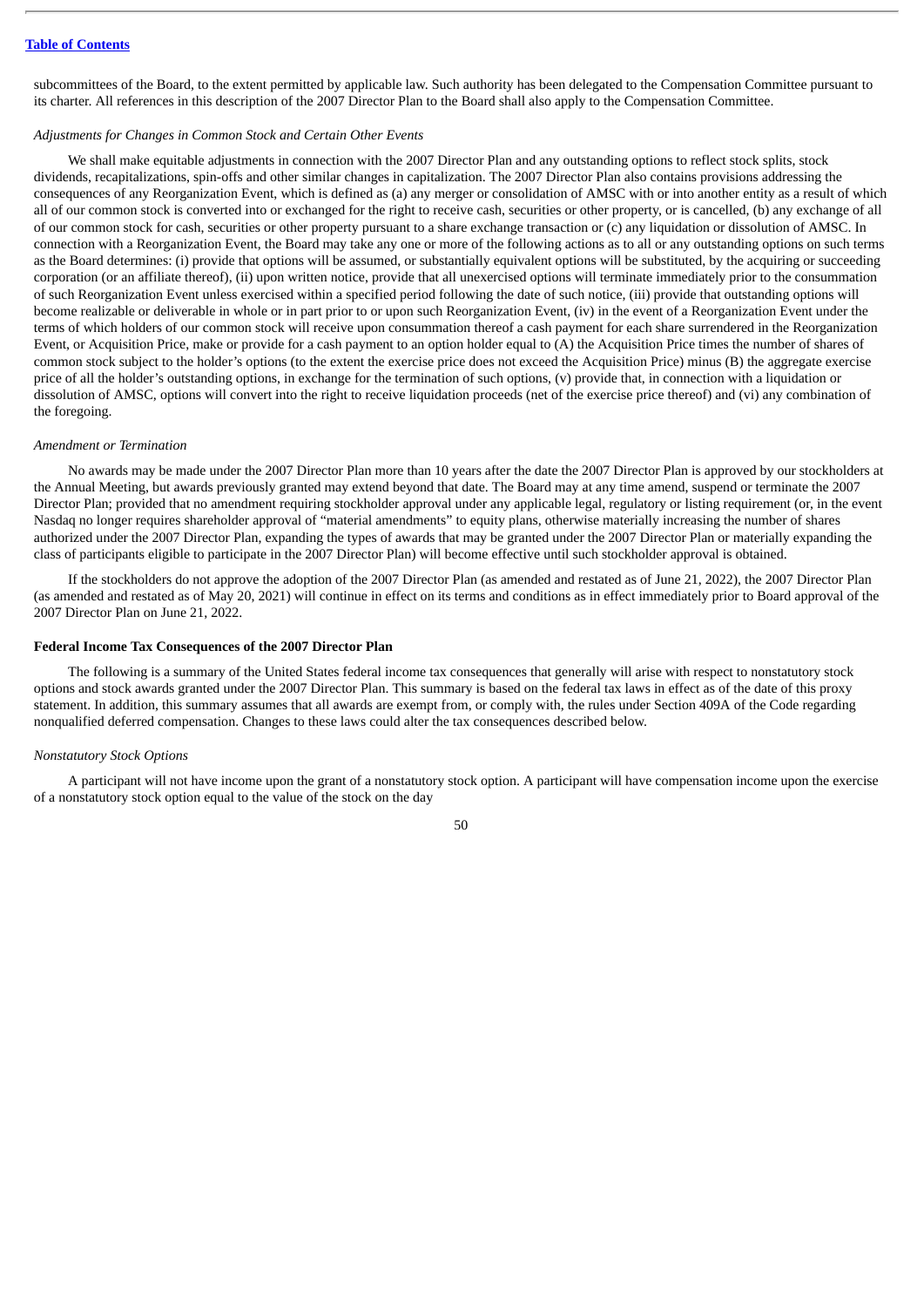subcommittees of the Board, to the extent permitted by applicable law. Such authority has been delegated to the Compensation Committee pursuant to its charter. All references in this description of the 2007 Director Plan to the Board shall also apply to the Compensation Committee.

### *Adjustments for Changes in Common Stock and Certain Other Events*

We shall make equitable adjustments in connection with the 2007 Director Plan and any outstanding options to reflect stock splits, stock dividends, recapitalizations, spin-offs and other similar changes in capitalization. The 2007 Director Plan also contains provisions addressing the consequences of any Reorganization Event, which is defined as (a) any merger or consolidation of AMSC with or into another entity as a result of which all of our common stock is converted into or exchanged for the right to receive cash, securities or other property, or is cancelled, (b) any exchange of all of our common stock for cash, securities or other property pursuant to a share exchange transaction or (c) any liquidation or dissolution of AMSC. In connection with a Reorganization Event, the Board may take any one or more of the following actions as to all or any outstanding options on such terms as the Board determines: (i) provide that options will be assumed, or substantially equivalent options will be substituted, by the acquiring or succeeding corporation (or an affiliate thereof), (ii) upon written notice, provide that all unexercised options will terminate immediately prior to the consummation of such Reorganization Event unless exercised within a specified period following the date of such notice, (iii) provide that outstanding options will become realizable or deliverable in whole or in part prior to or upon such Reorganization Event, (iv) in the event of a Reorganization Event under the terms of which holders of our common stock will receive upon consummation thereof a cash payment for each share surrendered in the Reorganization Event, or Acquisition Price, make or provide for a cash payment to an option holder equal to (A) the Acquisition Price times the number of shares of common stock subject to the holder's options (to the extent the exercise price does not exceed the Acquisition Price) minus (B) the aggregate exercise price of all the holder's outstanding options, in exchange for the termination of such options, (v) provide that, in connection with a liquidation or dissolution of AMSC, options will convert into the right to receive liquidation proceeds (net of the exercise price thereof) and (vi) any combination of the foregoing.

#### *Amendment or Termination*

No awards may be made under the 2007 Director Plan more than 10 years after the date the 2007 Director Plan is approved by our stockholders at the Annual Meeting, but awards previously granted may extend beyond that date. The Board may at any time amend, suspend or terminate the 2007 Director Plan; provided that no amendment requiring stockholder approval under any applicable legal, regulatory or listing requirement (or, in the event Nasdaq no longer requires shareholder approval of "material amendments" to equity plans, otherwise materially increasing the number of shares authorized under the 2007 Director Plan, expanding the types of awards that may be granted under the 2007 Director Plan or materially expanding the class of participants eligible to participate in the 2007 Director Plan) will become effective until such stockholder approval is obtained.

If the stockholders do not approve the adoption of the 2007 Director Plan (as amended and restated as of June 21, 2022), the 2007 Director Plan (as amended and restated as of May 20, 2021) will continue in effect on its terms and conditions as in effect immediately prior to Board approval of the 2007 Director Plan on June 21, 2022.

### **Federal Income Tax Consequences of the 2007 Director Plan**

The following is a summary of the United States federal income tax consequences that generally will arise with respect to nonstatutory stock options and stock awards granted under the 2007 Director Plan. This summary is based on the federal tax laws in effect as of the date of this proxy statement. In addition, this summary assumes that all awards are exempt from, or comply with, the rules under Section 409A of the Code regarding nonqualified deferred compensation. Changes to these laws could alter the tax consequences described below.

### *Nonstatutory Stock Options*

A participant will not have income upon the grant of a nonstatutory stock option. A participant will have compensation income upon the exercise of a nonstatutory stock option equal to the value of the stock on the day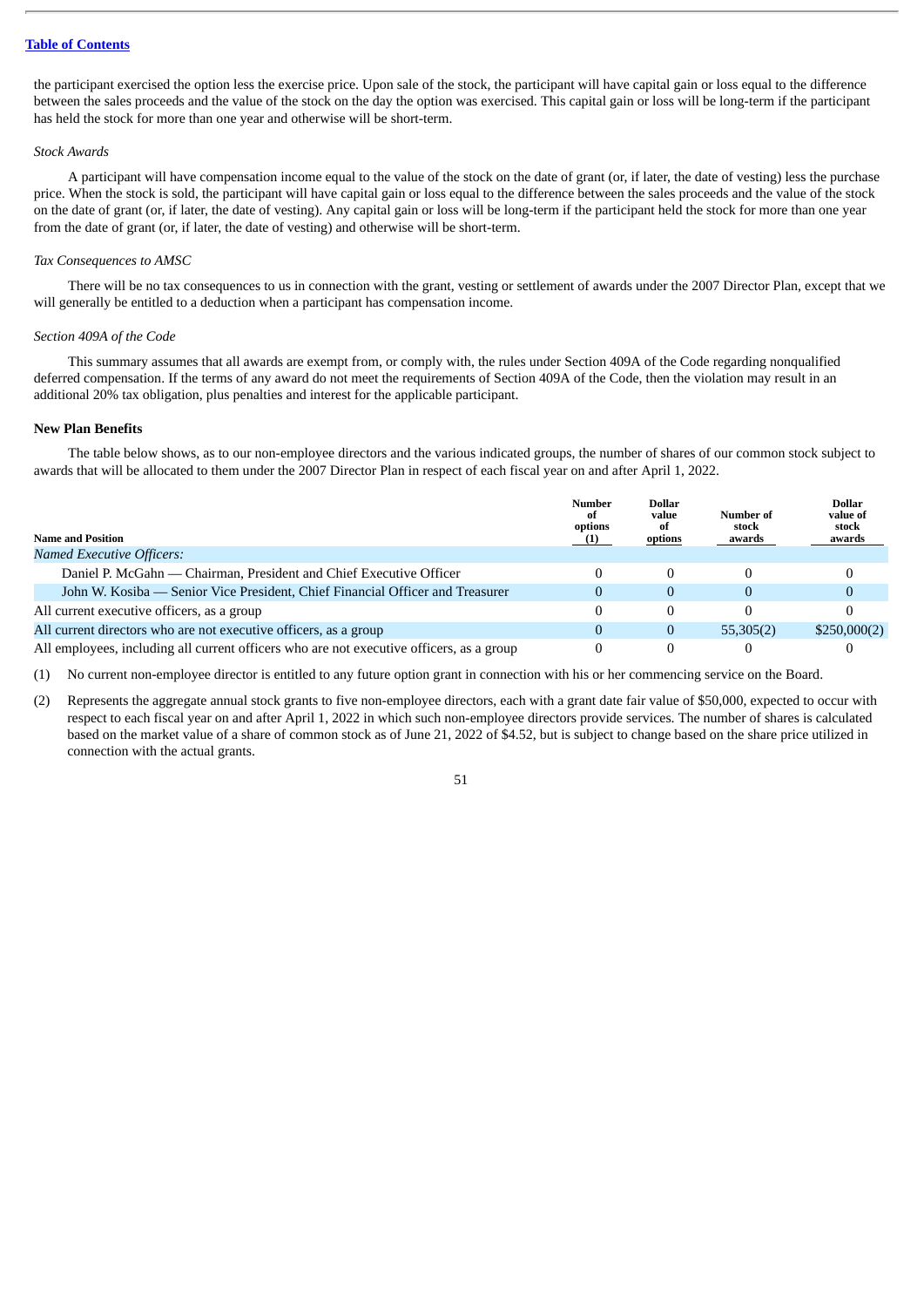the participant exercised the option less the exercise price. Upon sale of the stock, the participant will have capital gain or loss equal to the difference between the sales proceeds and the value of the stock on the day the option was exercised. This capital gain or loss will be long-term if the participant has held the stock for more than one year and otherwise will be short-term.

#### *Stock Awards*

A participant will have compensation income equal to the value of the stock on the date of grant (or, if later, the date of vesting) less the purchase price. When the stock is sold, the participant will have capital gain or loss equal to the difference between the sales proceeds and the value of the stock on the date of grant (or, if later, the date of vesting). Any capital gain or loss will be long-term if the participant held the stock for more than one year from the date of grant (or, if later, the date of vesting) and otherwise will be short-term.

### *Tax Consequences to AMSC*

There will be no tax consequences to us in connection with the grant, vesting or settlement of awards under the 2007 Director Plan, except that we will generally be entitled to a deduction when a participant has compensation income.

### *Section 409A of the Code*

This summary assumes that all awards are exempt from, or comply with, the rules under Section 409A of the Code regarding nonqualified deferred compensation. If the terms of any award do not meet the requirements of Section 409A of the Code, then the violation may result in an additional 20% tax obligation, plus penalties and interest for the applicable participant.

## **New Plan Benefits**

The table below shows, as to our non-employee directors and the various indicated groups, the number of shares of our common stock subject to awards that will be allocated to them under the 2007 Director Plan in respect of each fiscal year on and after April 1, 2022.

| <b>Name and Position</b>                                                                 | Number<br>0Ì<br>options | Dollar<br>value<br>of<br>options | Number of<br>stock<br>awards | <b>Dollar</b><br>value of<br>stock<br>awards |
|------------------------------------------------------------------------------------------|-------------------------|----------------------------------|------------------------------|----------------------------------------------|
| <b>Named Executive Officers:</b>                                                         |                         |                                  |                              |                                              |
| Daniel P. McGahn — Chairman, President and Chief Executive Officer                       |                         |                                  |                              |                                              |
| John W. Kosiba — Senior Vice President, Chief Financial Officer and Treasurer            |                         |                                  |                              |                                              |
| All current executive officers, as a group                                               |                         |                                  |                              |                                              |
| All current directors who are not executive officers, as a group                         | 0                       | $\overline{0}$                   | 55,305(2)                    | \$250,000(2)                                 |
| All employees, including all current officers who are not executive officers, as a group |                         |                                  |                              |                                              |

(1) No current non-employee director is entitled to any future option grant in connection with his or her commencing service on the Board.

(2) Represents the aggregate annual stock grants to five non-employee directors, each with a grant date fair value of \$50,000, expected to occur with respect to each fiscal year on and after April 1, 2022 in which such non-employee directors provide services. The number of shares is calculated based on the market value of a share of common stock as of June 21, 2022 of \$4.52, but is subject to change based on the share price utilized in connection with the actual grants.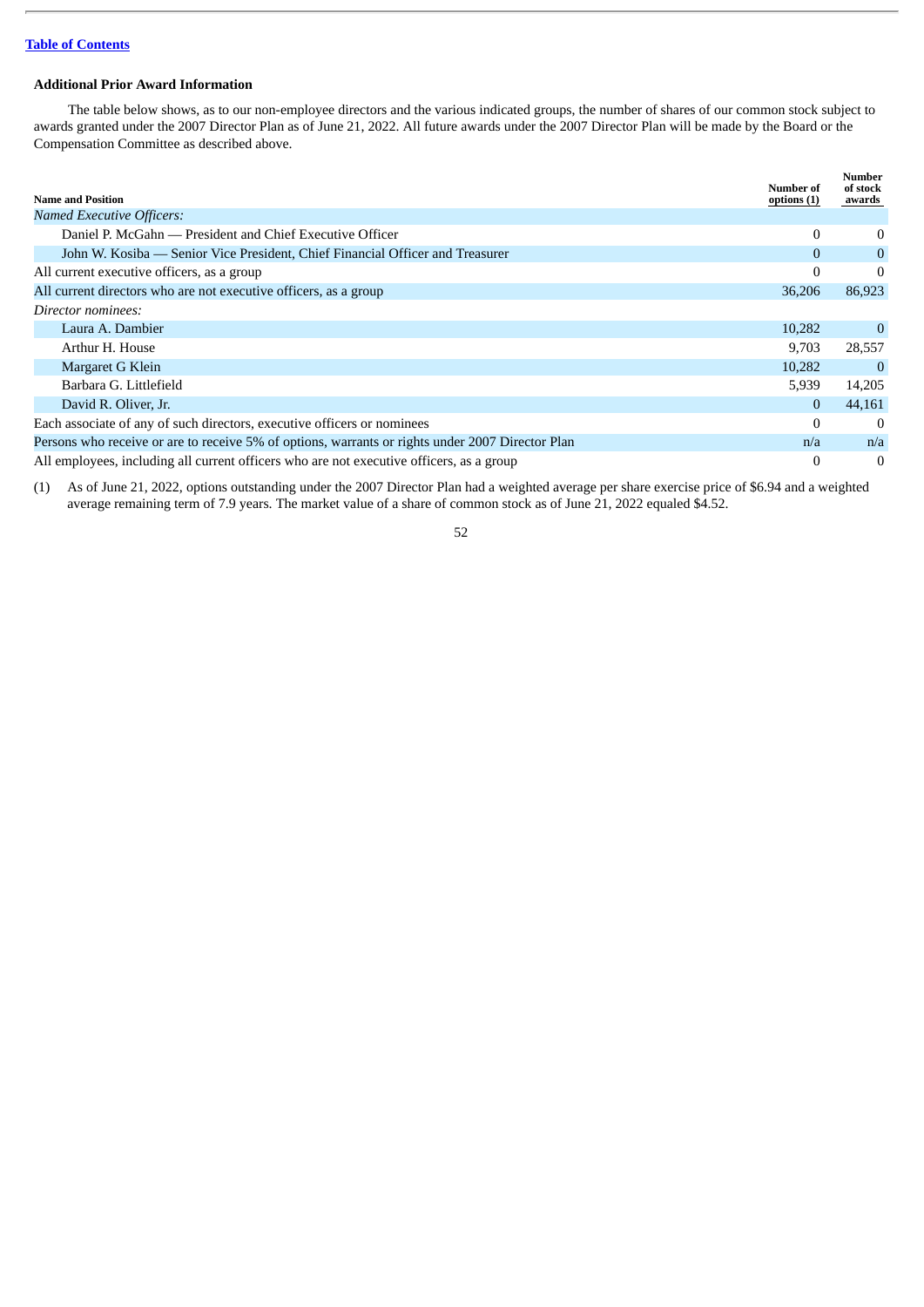## **Additional Prior Award Information**

The table below shows, as to our non-employee directors and the various indicated groups, the number of shares of our common stock subject to awards granted under the 2007 Director Plan as of June 21, 2022. All future awards under the 2007 Director Plan will be made by the Board or the Compensation Committee as described above.

| <b>Name and Position</b>                                                                         | Number of<br>options (1) | <b>Number</b><br>of stock<br>awards |
|--------------------------------------------------------------------------------------------------|--------------------------|-------------------------------------|
| <b>Named Executive Officers:</b>                                                                 |                          |                                     |
| Daniel P. McGahn — President and Chief Executive Officer                                         | $\mathbf{0}$             | $\mathbf{0}$                        |
| John W. Kosiba — Senior Vice President, Chief Financial Officer and Treasurer                    | $\Omega$                 | $\overline{0}$                      |
| All current executive officers, as a group                                                       | $\Omega$                 | $\mathbf{0}$                        |
| All current directors who are not executive officers, as a group                                 | 36,206                   | 86,923                              |
| Director nominees:                                                                               |                          |                                     |
| Laura A. Dambier                                                                                 | 10,282                   | $\overline{0}$                      |
| Arthur H. House                                                                                  | 9,703                    | 28,557                              |
| Margaret G Klein                                                                                 | 10,282                   | $\overline{0}$                      |
| Barbara G. Littlefield                                                                           | 5,939                    | 14,205                              |
| David R. Oliver, Jr.                                                                             | $\overline{0}$           | 44,161                              |
| Each associate of any of such directors, executive officers or nominees                          | $\Omega$                 | $\Omega$                            |
| Persons who receive or are to receive 5% of options, warrants or rights under 2007 Director Plan | n/a                      | n/a                                 |
| All employees, including all current officers who are not executive officers, as a group         | 0                        | 0                                   |

(1) As of June 21, 2022, options outstanding under the 2007 Director Plan had a weighted average per share exercise price of \$6.94 and a weighted average remaining term of 7.9 years. The market value of a share of common stock as of June 21, 2022 equaled \$4.52.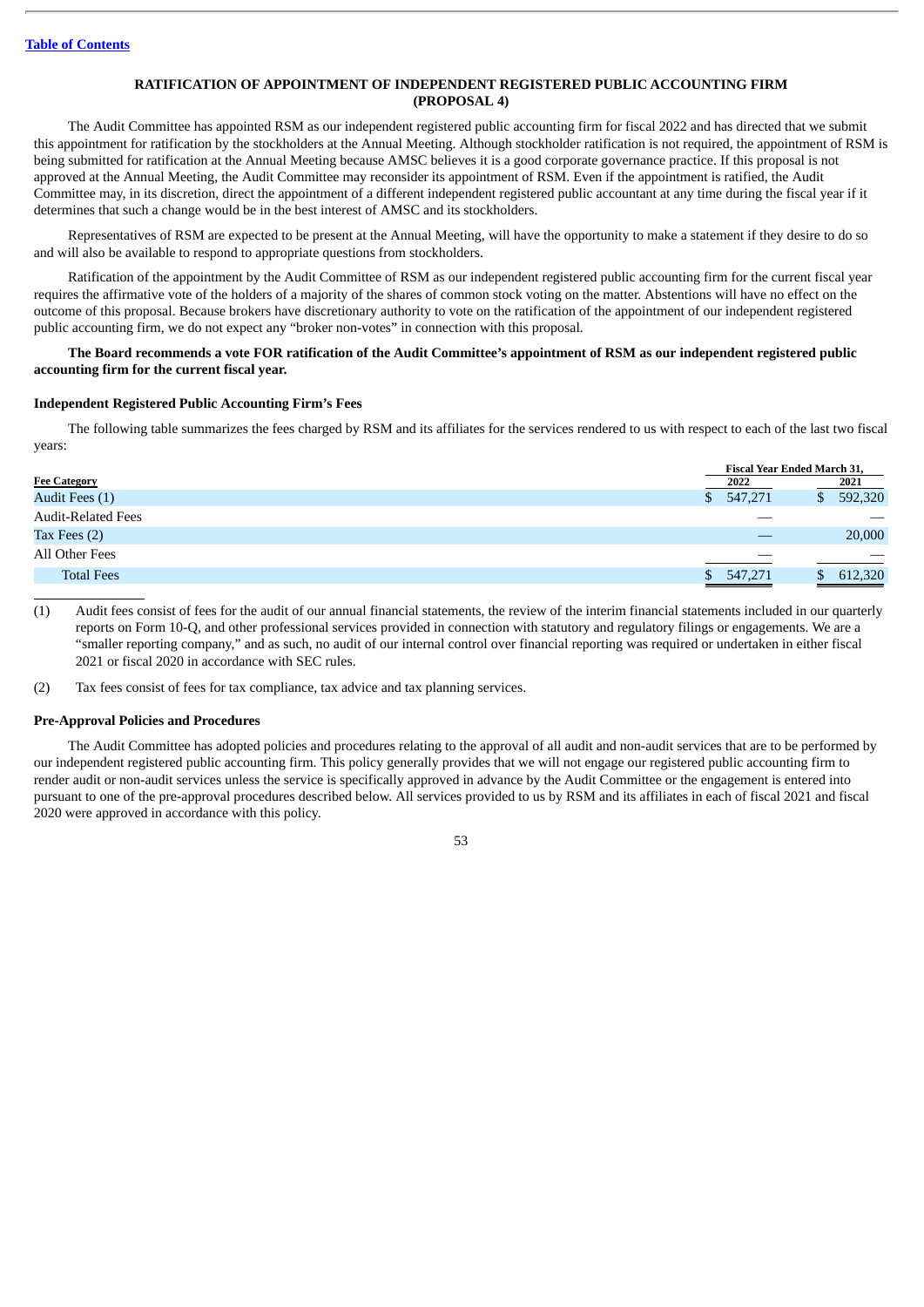## **RATIFICATION OF APPOINTMENT OF INDEPENDENT REGISTERED PUBLIC ACCOUNTING FIRM (PROPOSAL 4)**

The Audit Committee has appointed RSM as our independent registered public accounting firm for fiscal 2022 and has directed that we submit this appointment for ratification by the stockholders at the Annual Meeting. Although stockholder ratification is not required, the appointment of RSM is being submitted for ratification at the Annual Meeting because AMSC believes it is a good corporate governance practice. If this proposal is not approved at the Annual Meeting, the Audit Committee may reconsider its appointment of RSM. Even if the appointment is ratified, the Audit Committee may, in its discretion, direct the appointment of a different independent registered public accountant at any time during the fiscal year if it determines that such a change would be in the best interest of AMSC and its stockholders.

Representatives of RSM are expected to be present at the Annual Meeting, will have the opportunity to make a statement if they desire to do so and will also be available to respond to appropriate questions from stockholders.

Ratification of the appointment by the Audit Committee of RSM as our independent registered public accounting firm for the current fiscal year requires the affirmative vote of the holders of a majority of the shares of common stock voting on the matter. Abstentions will have no effect on the outcome of this proposal. Because brokers have discretionary authority to vote on the ratification of the appointment of our independent registered public accounting firm, we do not expect any "broker non-votes" in connection with this proposal.

## The Board recommends a vote FOR ratification of the Audit Committee's appointment of RSM as our independent registered public **accounting firm for the current fiscal year.**

## **Independent Registered Public Accounting Firm's Fees**

The following table summarizes the fees charged by RSM and its affiliates for the services rendered to us with respect to each of the last two fiscal years:

|                           |    | <b>Fiscal Year Ended March 31,</b> |  |         |
|---------------------------|----|------------------------------------|--|---------|
| <b>Fee Category</b>       |    | 2022                               |  | 2021    |
| Audit Fees (1)            | S. | 547,271                            |  | 592,320 |
| <b>Audit-Related Fees</b> |    |                                    |  |         |
| Tax Fees $(2)$            |    |                                    |  | 20,000  |
| All Other Fees            |    |                                    |  |         |
| <b>Total Fees</b>         |    | 547,271                            |  | 612,320 |

(1) Audit fees consist of fees for the audit of our annual financial statements, the review of the interim financial statements included in our quarterly reports on Form 10-Q, and other professional services provided in connection with statutory and regulatory filings or engagements. We are a "smaller reporting company," and as such, no audit of our internal control over financial reporting was required or undertaken in either fiscal 2021 or fiscal 2020 in accordance with SEC rules.

(2) Tax fees consist of fees for tax compliance, tax advice and tax planning services.

### **Pre-Approval Policies and Procedures**

The Audit Committee has adopted policies and procedures relating to the approval of all audit and non-audit services that are to be performed by our independent registered public accounting firm. This policy generally provides that we will not engage our registered public accounting firm to render audit or non-audit services unless the service is specifically approved in advance by the Audit Committee or the engagement is entered into pursuant to one of the pre-approval procedures described below. All services provided to us by RSM and its affiliates in each of fiscal 2021 and fiscal 2020 were approved in accordance with this policy.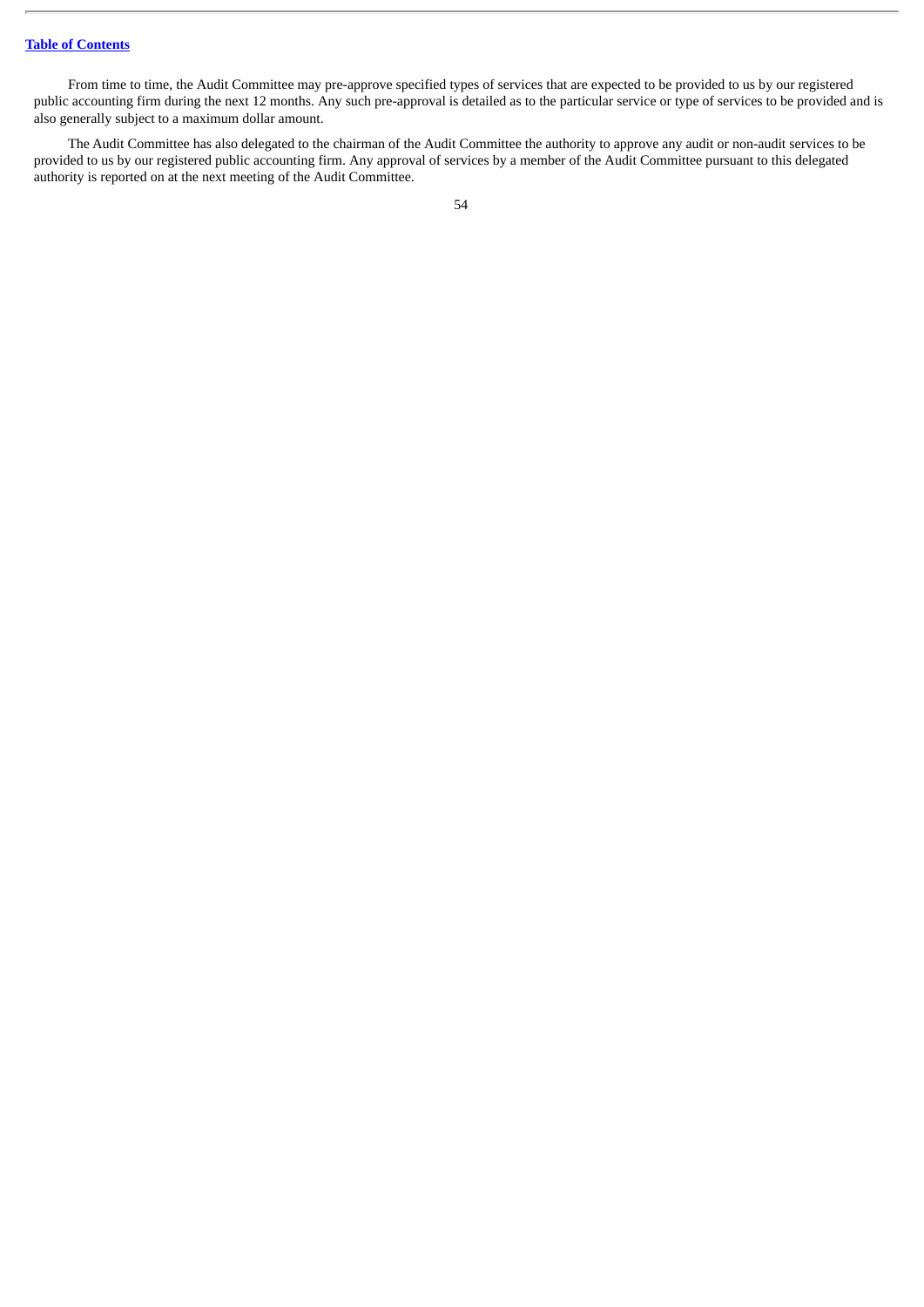From time to time, the Audit Committee may pre-approve specified types of services that are expected to be provided to us by our registered public accounting firm during the next 12 months. Any such pre-approval is detailed as to the particular service or type of services to be provided and is also generally subject to a maximum dollar amount.

The Audit Committee has also delegated to the chairman of the Audit Committee the authority to approve any audit or non-audit services to be provided to us by our registered public accounting firm. Any approval of services by a member of the Audit Committee pursuant to this delegated authority is reported on at the next meeting of the Audit Committee.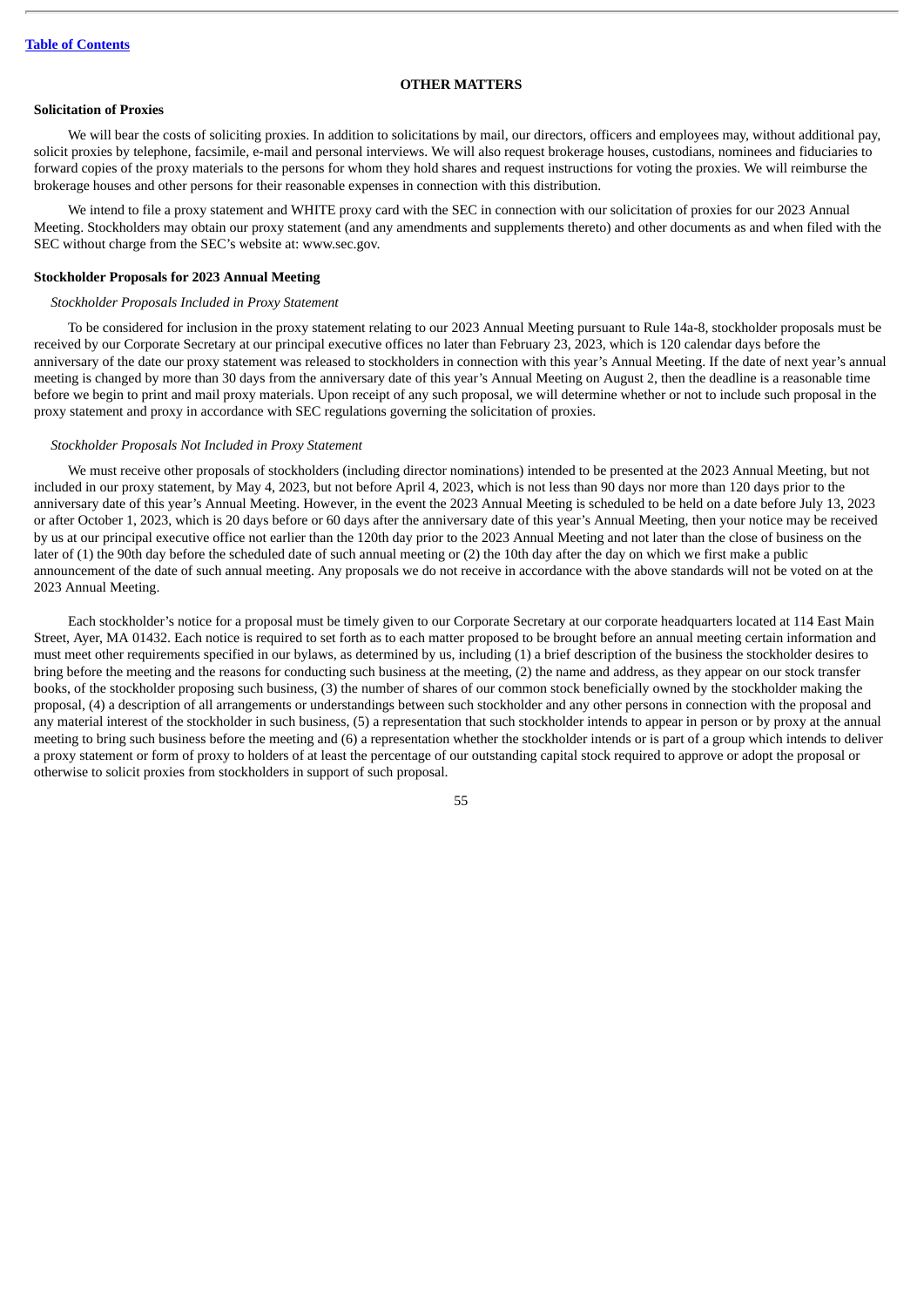### **OTHER MATTERS**

## **Solicitation of Proxies**

We will bear the costs of soliciting proxies. In addition to solicitations by mail, our directors, officers and employees may, without additional pay, solicit proxies by telephone, facsimile, e-mail and personal interviews. We will also request brokerage houses, custodians, nominees and fiduciaries to forward copies of the proxy materials to the persons for whom they hold shares and request instructions for voting the proxies. We will reimburse the brokerage houses and other persons for their reasonable expenses in connection with this distribution.

We intend to file a proxy statement and WHITE proxy card with the SEC in connection with our solicitation of proxies for our 2023 Annual Meeting. Stockholders may obtain our proxy statement (and any amendments and supplements thereto) and other documents as and when filed with the SEC without charge from the SEC's website at: www.sec.gov.

### **Stockholder Proposals for 2023 Annual Meeting**

## *Stockholder Proposals Included in Proxy Statement*

To be considered for inclusion in the proxy statement relating to our 2023 Annual Meeting pursuant to Rule 14a-8, stockholder proposals must be received by our Corporate Secretary at our principal executive offices no later than February 23, 2023, which is 120 calendar days before the anniversary of the date our proxy statement was released to stockholders in connection with this year's Annual Meeting. If the date of next year's annual meeting is changed by more than 30 days from the anniversary date of this year's Annual Meeting on August 2, then the deadline is a reasonable time before we begin to print and mail proxy materials. Upon receipt of any such proposal, we will determine whether or not to include such proposal in the proxy statement and proxy in accordance with SEC regulations governing the solicitation of proxies.

### *Stockholder Proposals Not Included in Proxy Statement*

We must receive other proposals of stockholders (including director nominations) intended to be presented at the 2023 Annual Meeting, but not included in our proxy statement, by May 4, 2023, but not before April 4, 2023, which is not less than 90 days nor more than 120 days prior to the anniversary date of this year's Annual Meeting. However, in the event the 2023 Annual Meeting is scheduled to be held on a date before July 13, 2023 or after October 1, 2023, which is 20 days before or 60 days after the anniversary date of this year's Annual Meeting, then your notice may be received by us at our principal executive office not earlier than the 120th day prior to the 2023 Annual Meeting and not later than the close of business on the later of (1) the 90th day before the scheduled date of such annual meeting or (2) the 10th day after the day on which we first make a public announcement of the date of such annual meeting. Any proposals we do not receive in accordance with the above standards will not be voted on at the 2023 Annual Meeting.

Each stockholder's notice for a proposal must be timely given to our Corporate Secretary at our corporate headquarters located at 114 East Main Street, Ayer, MA 01432. Each notice is required to set forth as to each matter proposed to be brought before an annual meeting certain information and must meet other requirements specified in our bylaws, as determined by us, including (1) a brief description of the business the stockholder desires to bring before the meeting and the reasons for conducting such business at the meeting, (2) the name and address, as they appear on our stock transfer books, of the stockholder proposing such business, (3) the number of shares of our common stock beneficially owned by the stockholder making the proposal, (4) a description of all arrangements or understandings between such stockholder and any other persons in connection with the proposal and any material interest of the stockholder in such business, (5) a representation that such stockholder intends to appear in person or by proxy at the annual meeting to bring such business before the meeting and (6) a representation whether the stockholder intends or is part of a group which intends to deliver a proxy statement or form of proxy to holders of at least the percentage of our outstanding capital stock required to approve or adopt the proposal or otherwise to solicit proxies from stockholders in support of such proposal.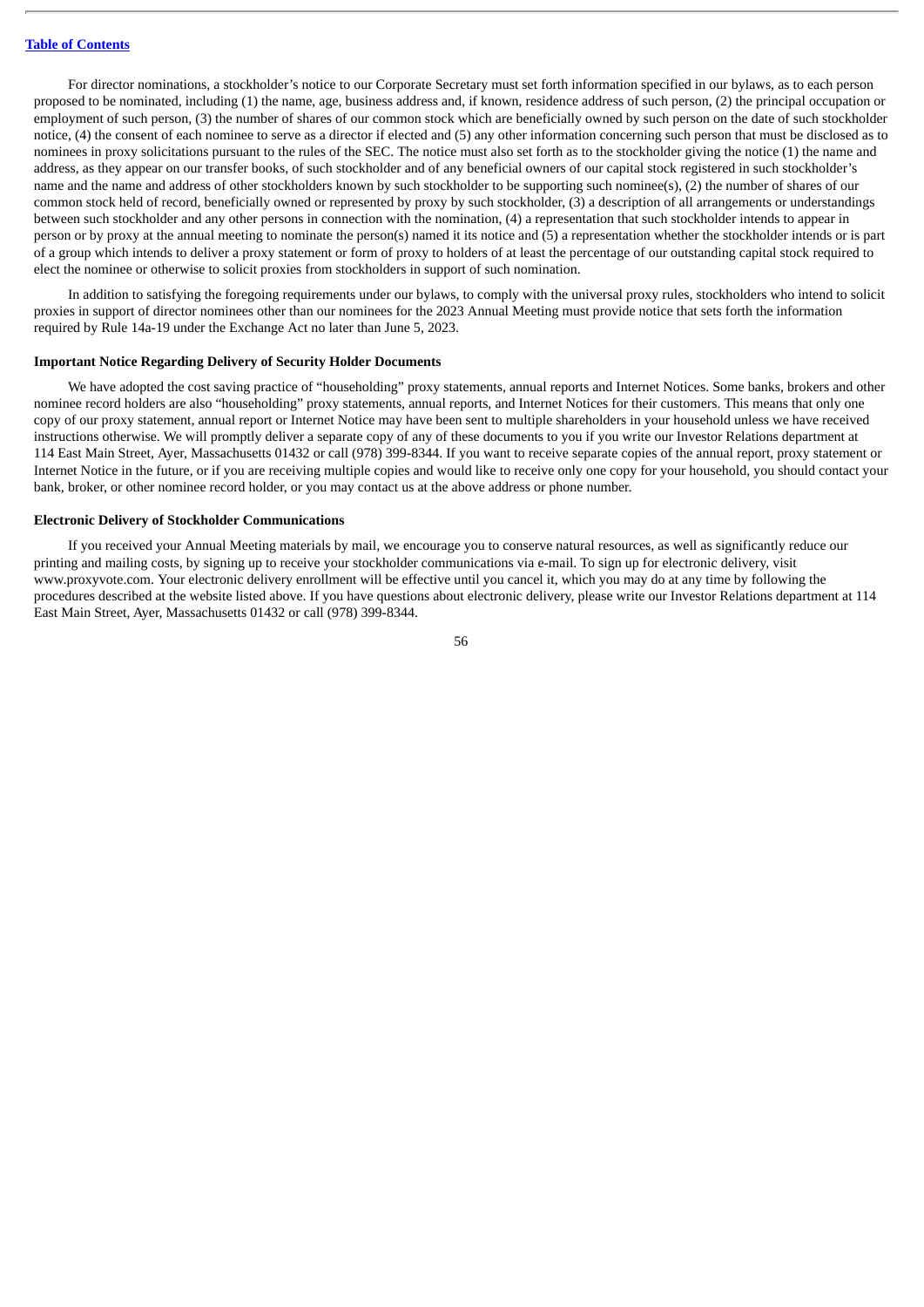For director nominations, a stockholder's notice to our Corporate Secretary must set forth information specified in our bylaws, as to each person proposed to be nominated, including (1) the name, age, business address and, if known, residence address of such person, (2) the principal occupation or employment of such person, (3) the number of shares of our common stock which are beneficially owned by such person on the date of such stockholder notice, (4) the consent of each nominee to serve as a director if elected and (5) any other information concerning such person that must be disclosed as to nominees in proxy solicitations pursuant to the rules of the SEC. The notice must also set forth as to the stockholder giving the notice (1) the name and address, as they appear on our transfer books, of such stockholder and of any beneficial owners of our capital stock registered in such stockholder's name and the name and address of other stockholders known by such stockholder to be supporting such nominee(s), (2) the number of shares of our common stock held of record, beneficially owned or represented by proxy by such stockholder, (3) a description of all arrangements or understandings between such stockholder and any other persons in connection with the nomination, (4) a representation that such stockholder intends to appear in person or by proxy at the annual meeting to nominate the person(s) named it its notice and (5) a representation whether the stockholder intends or is part of a group which intends to deliver a proxy statement or form of proxy to holders of at least the percentage of our outstanding capital stock required to elect the nominee or otherwise to solicit proxies from stockholders in support of such nomination.

In addition to satisfying the foregoing requirements under our bylaws, to comply with the universal proxy rules, stockholders who intend to solicit proxies in support of director nominees other than our nominees for the 2023 Annual Meeting must provide notice that sets forth the information required by Rule 14a-19 under the Exchange Act no later than June 5, 2023.

### **Important Notice Regarding Delivery of Security Holder Documents**

We have adopted the cost saving practice of "householding" proxy statements, annual reports and Internet Notices. Some banks, brokers and other nominee record holders are also "householding" proxy statements, annual reports, and Internet Notices for their customers. This means that only one copy of our proxy statement, annual report or Internet Notice may have been sent to multiple shareholders in your household unless we have received instructions otherwise. We will promptly deliver a separate copy of any of these documents to you if you write our Investor Relations department at 114 East Main Street, Ayer, Massachusetts 01432 or call (978) 399-8344. If you want to receive separate copies of the annual report, proxy statement or Internet Notice in the future, or if you are receiving multiple copies and would like to receive only one copy for your household, you should contact your bank, broker, or other nominee record holder, or you may contact us at the above address or phone number.

## **Electronic Delivery of Stockholder Communications**

If you received your Annual Meeting materials by mail, we encourage you to conserve natural resources, as well as significantly reduce our printing and mailing costs, by signing up to receive your stockholder communications via e-mail. To sign up for electronic delivery, visit www.proxyvote.com. Your electronic delivery enrollment will be effective until you cancel it, which you may do at any time by following the procedures described at the website listed above. If you have questions about electronic delivery, please write our Investor Relations department at 114 East Main Street, Ayer, Massachusetts 01432 or call (978) 399-8344.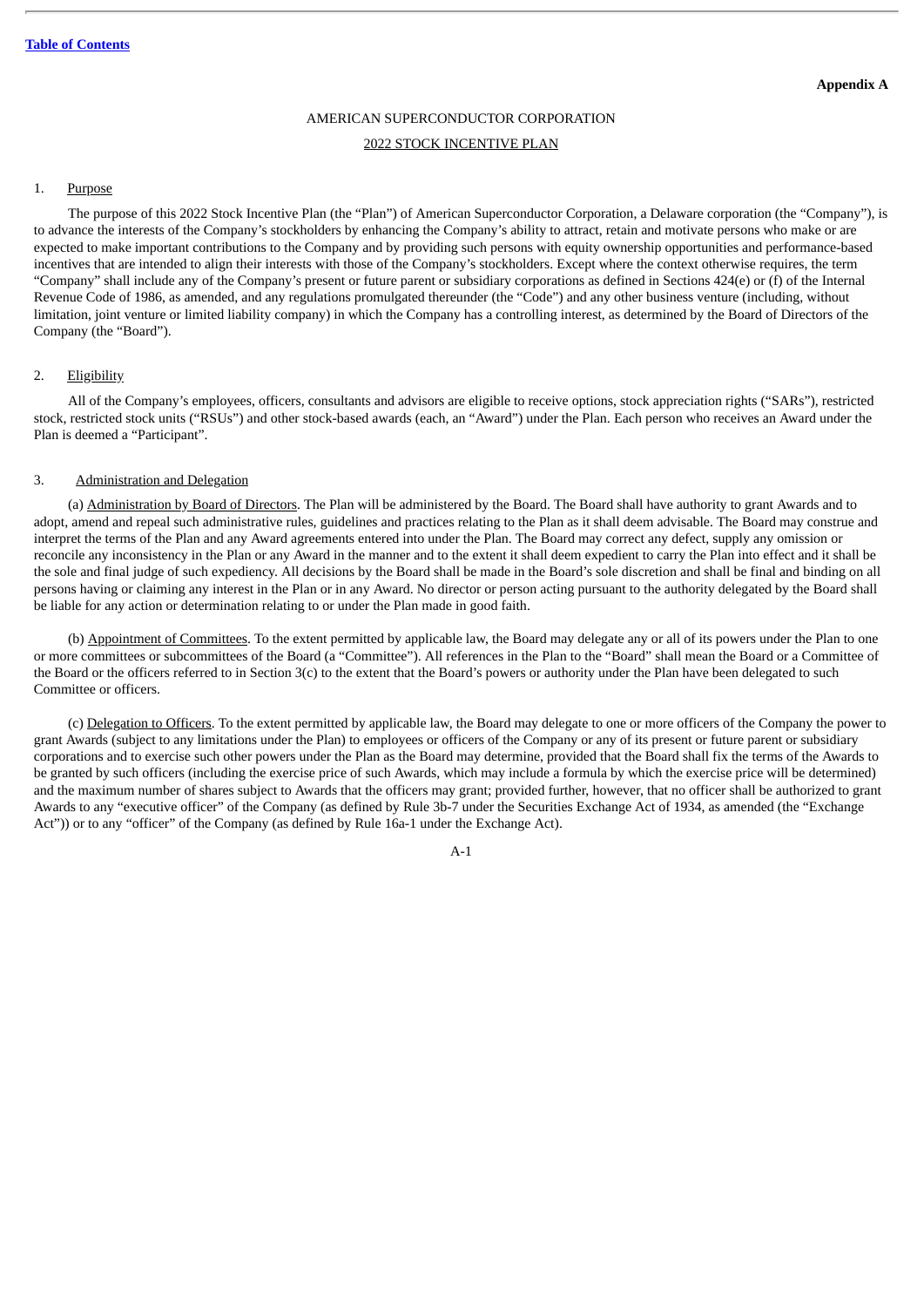# AMERICAN SUPERCONDUCTOR CORPORATION 2022 STOCK INCENTIVE PLAN

### 1. Purpose

The purpose of this 2022 Stock Incentive Plan (the "Plan") of American Superconductor Corporation, a Delaware corporation (the "Company"), is to advance the interests of the Company's stockholders by enhancing the Company's ability to attract, retain and motivate persons who make or are expected to make important contributions to the Company and by providing such persons with equity ownership opportunities and performance-based incentives that are intended to align their interests with those of the Company's stockholders. Except where the context otherwise requires, the term "Company" shall include any of the Company's present or future parent or subsidiary corporations as defined in Sections 424(e) or (f) of the Internal Revenue Code of 1986, as amended, and any regulations promulgated thereunder (the "Code") and any other business venture (including, without limitation, joint venture or limited liability company) in which the Company has a controlling interest, as determined by the Board of Directors of the Company (the "Board").

## 2. Eligibility

All of the Company's employees, officers, consultants and advisors are eligible to receive options, stock appreciation rights ("SARs"), restricted stock, restricted stock units ("RSUs") and other stock-based awards (each, an "Award") under the Plan. Each person who receives an Award under the Plan is deemed a "Participant".

### 3. Administration and Delegation

(a) Administration by Board of Directors. The Plan will be administered by the Board. The Board shall have authority to grant Awards and to adopt, amend and repeal such administrative rules, guidelines and practices relating to the Plan as it shall deem advisable. The Board may construe and interpret the terms of the Plan and any Award agreements entered into under the Plan. The Board may correct any defect, supply any omission or reconcile any inconsistency in the Plan or any Award in the manner and to the extent it shall deem expedient to carry the Plan into effect and it shall be the sole and final judge of such expediency. All decisions by the Board shall be made in the Board's sole discretion and shall be final and binding on all persons having or claiming any interest in the Plan or in any Award. No director or person acting pursuant to the authority delegated by the Board shall be liable for any action or determination relating to or under the Plan made in good faith.

(b) Appointment of Committees. To the extent permitted by applicable law, the Board may delegate any or all of its powers under the Plan to one or more committees or subcommittees of the Board (a "Committee"). All references in the Plan to the "Board" shall mean the Board or a Committee of the Board or the officers referred to in Section 3(c) to the extent that the Board's powers or authority under the Plan have been delegated to such Committee or officers.

(c) Delegation to Officers. To the extent permitted by applicable law, the Board may delegate to one or more officers of the Company the power to grant Awards (subject to any limitations under the Plan) to employees or officers of the Company or any of its present or future parent or subsidiary corporations and to exercise such other powers under the Plan as the Board may determine, provided that the Board shall fix the terms of the Awards to be granted by such officers (including the exercise price of such Awards, which may include a formula by which the exercise price will be determined) and the maximum number of shares subject to Awards that the officers may grant; provided further, however, that no officer shall be authorized to grant Awards to any "executive officer" of the Company (as defined by Rule 3b-7 under the Securities Exchange Act of 1934, as amended (the "Exchange Act")) or to any "officer" of the Company (as defined by Rule 16a-1 under the Exchange Act).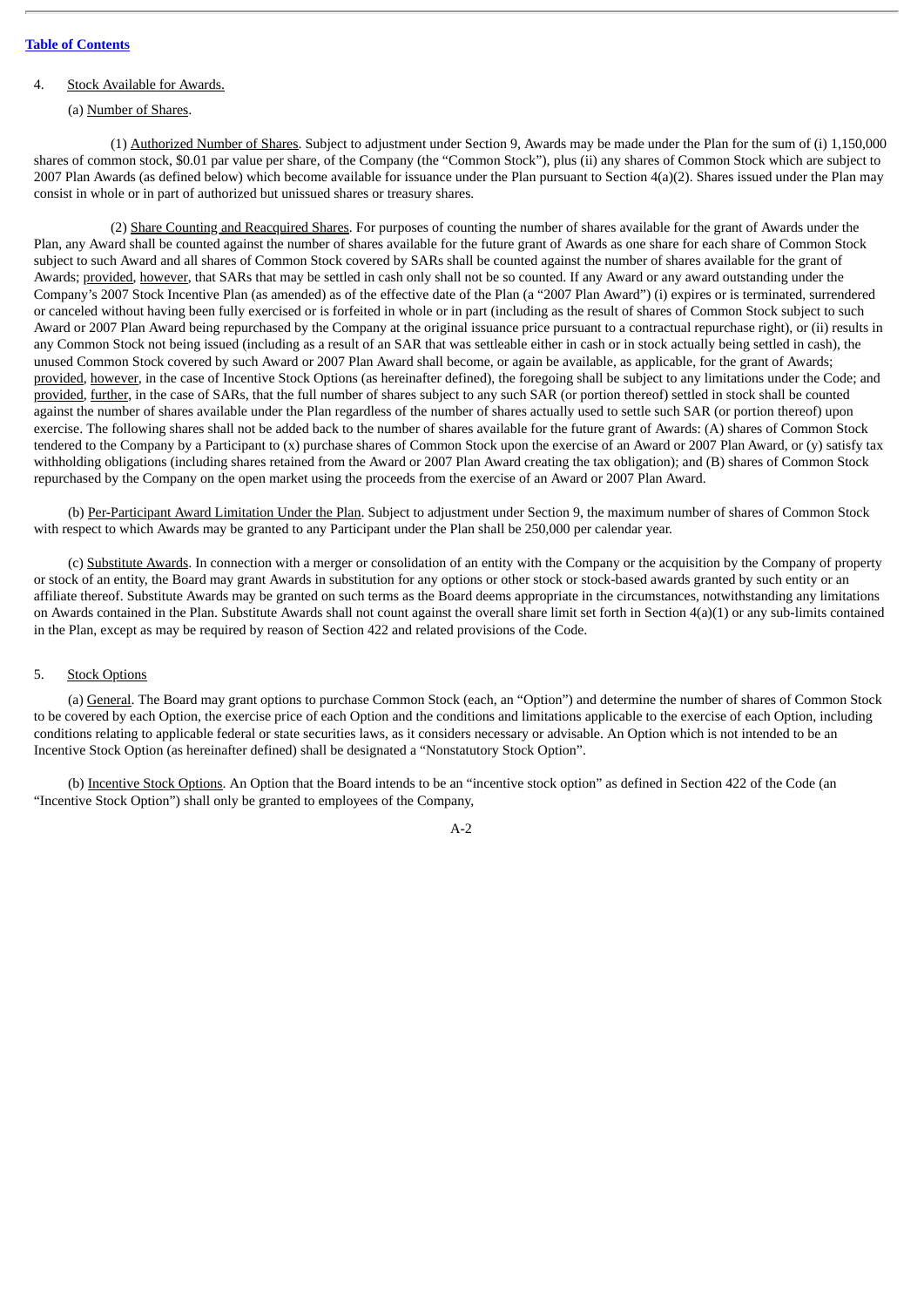### 4. Stock Available for Awards.

(a) Number of Shares.

(1) Authorized Number of Shares. Subject to adjustment under Section 9, Awards may be made under the Plan for the sum of (i) 1,150,000 shares of common stock, \$0.01 par value per share, of the Company (the "Common Stock"), plus (ii) any shares of Common Stock which are subject to 2007 Plan Awards (as defined below) which become available for issuance under the Plan pursuant to Section  $4(a)(2)$ . Shares issued under the Plan may consist in whole or in part of authorized but unissued shares or treasury shares.

(2) Share Counting and Reacquired Shares. For purposes of counting the number of shares available for the grant of Awards under the Plan, any Award shall be counted against the number of shares available for the future grant of Awards as one share for each share of Common Stock subject to such Award and all shares of Common Stock covered by SARs shall be counted against the number of shares available for the grant of Awards; provided, however, that SARs that may be settled in cash only shall not be so counted. If any Award or any award outstanding under the Company's 2007 Stock Incentive Plan (as amended) as of the effective date of the Plan (a "2007 Plan Award") (i) expires or is terminated, surrendered or canceled without having been fully exercised or is forfeited in whole or in part (including as the result of shares of Common Stock subject to such Award or 2007 Plan Award being repurchased by the Company at the original issuance price pursuant to a contractual repurchase right), or (ii) results in any Common Stock not being issued (including as a result of an SAR that was settleable either in cash or in stock actually being settled in cash), the unused Common Stock covered by such Award or 2007 Plan Award shall become, or again be available, as applicable, for the grant of Awards; provided, however, in the case of Incentive Stock Options (as hereinafter defined), the foregoing shall be subject to any limitations under the Code; and provided, further, in the case of SARs, that the full number of shares subject to any such SAR (or portion thereof) settled in stock shall be counted against the number of shares available under the Plan regardless of the number of shares actually used to settle such SAR (or portion thereof) upon exercise. The following shares shall not be added back to the number of shares available for the future grant of Awards: (A) shares of Common Stock tendered to the Company by a Participant to (x) purchase shares of Common Stock upon the exercise of an Award or 2007 Plan Award, or (y) satisfy tax withholding obligations (including shares retained from the Award or 2007 Plan Award creating the tax obligation); and (B) shares of Common Stock repurchased by the Company on the open market using the proceeds from the exercise of an Award or 2007 Plan Award.

(b) Per-Participant Award Limitation Under the Plan. Subject to adjustment under Section 9, the maximum number of shares of Common Stock with respect to which Awards may be granted to any Participant under the Plan shall be 250,000 per calendar year.

(c) Substitute Awards. In connection with a merger or consolidation of an entity with the Company or the acquisition by the Company of property or stock of an entity, the Board may grant Awards in substitution for any options or other stock or stock-based awards granted by such entity or an affiliate thereof. Substitute Awards may be granted on such terms as the Board deems appropriate in the circumstances, notwithstanding any limitations on Awards contained in the Plan. Substitute Awards shall not count against the overall share limit set forth in Section 4(a)(1) or any sub-limits contained in the Plan, except as may be required by reason of Section 422 and related provisions of the Code.

## 5. Stock Options

(a) General. The Board may grant options to purchase Common Stock (each, an "Option") and determine the number of shares of Common Stock to be covered by each Option, the exercise price of each Option and the conditions and limitations applicable to the exercise of each Option, including conditions relating to applicable federal or state securities laws, as it considers necessary or advisable. An Option which is not intended to be an Incentive Stock Option (as hereinafter defined) shall be designated a "Nonstatutory Stock Option".

(b) Incentive Stock Options. An Option that the Board intends to be an "incentive stock option" as defined in Section 422 of the Code (an "Incentive Stock Option") shall only be granted to employees of the Company,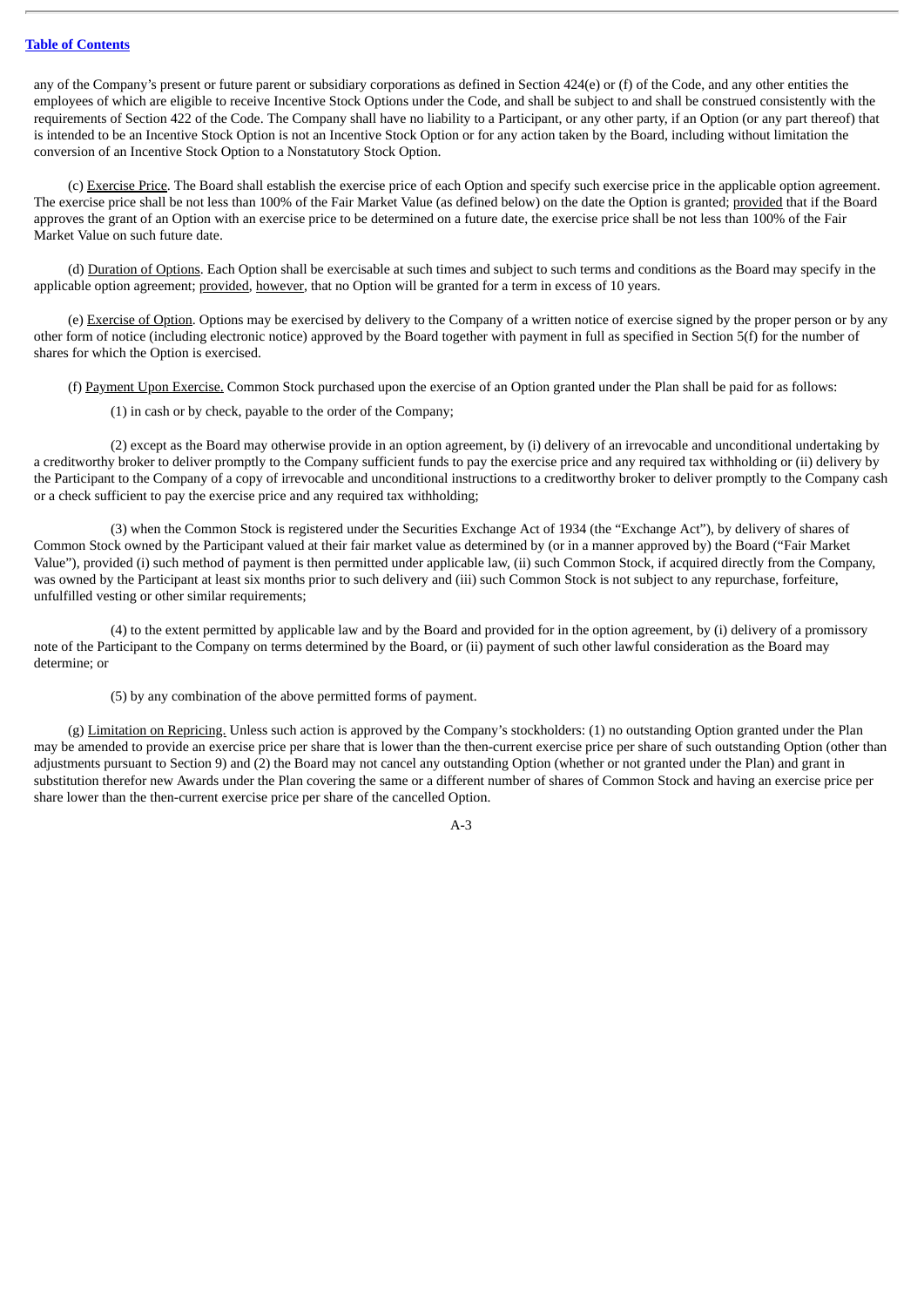any of the Company's present or future parent or subsidiary corporations as defined in Section 424(e) or (f) of the Code, and any other entities the employees of which are eligible to receive Incentive Stock Options under the Code, and shall be subject to and shall be construed consistently with the requirements of Section 422 of the Code. The Company shall have no liability to a Participant, or any other party, if an Option (or any part thereof) that is intended to be an Incentive Stock Option is not an Incentive Stock Option or for any action taken by the Board, including without limitation the conversion of an Incentive Stock Option to a Nonstatutory Stock Option.

(c) Exercise Price. The Board shall establish the exercise price of each Option and specify such exercise price in the applicable option agreement. The exercise price shall be not less than 100% of the Fair Market Value (as defined below) on the date the Option is granted; provided that if the Board approves the grant of an Option with an exercise price to be determined on a future date, the exercise price shall be not less than 100% of the Fair Market Value on such future date.

(d) Duration of Options. Each Option shall be exercisable at such times and subject to such terms and conditions as the Board may specify in the applicable option agreement; provided, however, that no Option will be granted for a term in excess of 10 years.

(e) Exercise of Option. Options may be exercised by delivery to the Company of a written notice of exercise signed by the proper person or by any other form of notice (including electronic notice) approved by the Board together with payment in full as specified in Section 5(f) for the number of shares for which the Option is exercised.

(f) Payment Upon Exercise. Common Stock purchased upon the exercise of an Option granted under the Plan shall be paid for as follows:

(1) in cash or by check, payable to the order of the Company;

(2) except as the Board may otherwise provide in an option agreement, by (i) delivery of an irrevocable and unconditional undertaking by a creditworthy broker to deliver promptly to the Company sufficient funds to pay the exercise price and any required tax withholding or (ii) delivery by the Participant to the Company of a copy of irrevocable and unconditional instructions to a creditworthy broker to deliver promptly to the Company cash or a check sufficient to pay the exercise price and any required tax withholding;

(3) when the Common Stock is registered under the Securities Exchange Act of 1934 (the "Exchange Act"), by delivery of shares of Common Stock owned by the Participant valued at their fair market value as determined by (or in a manner approved by) the Board ("Fair Market Value"), provided (i) such method of payment is then permitted under applicable law, (ii) such Common Stock, if acquired directly from the Company, was owned by the Participant at least six months prior to such delivery and (iii) such Common Stock is not subject to any repurchase, forfeiture, unfulfilled vesting or other similar requirements;

(4) to the extent permitted by applicable law and by the Board and provided for in the option agreement, by (i) delivery of a promissory note of the Participant to the Company on terms determined by the Board, or (ii) payment of such other lawful consideration as the Board may determine; or

(5) by any combination of the above permitted forms of payment.

(g) Limitation on Repricing. Unless such action is approved by the Company's stockholders: (1) no outstanding Option granted under the Plan may be amended to provide an exercise price per share that is lower than the then-current exercise price per share of such outstanding Option (other than adjustments pursuant to Section 9) and (2) the Board may not cancel any outstanding Option (whether or not granted under the Plan) and grant in substitution therefor new Awards under the Plan covering the same or a different number of shares of Common Stock and having an exercise price per share lower than the then-current exercise price per share of the cancelled Option.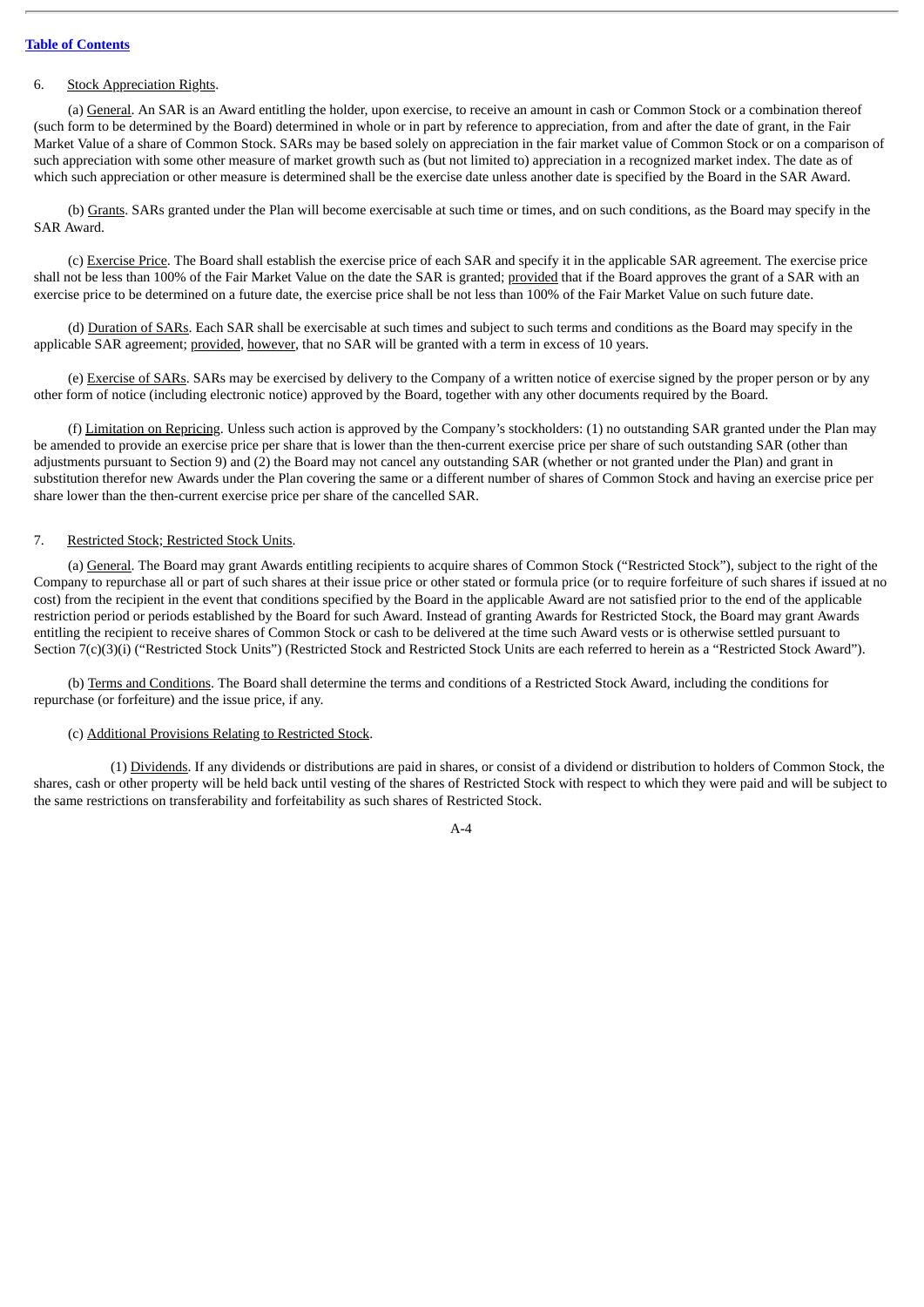## 6. Stock Appreciation Rights.

(a) General. An SAR is an Award entitling the holder, upon exercise, to receive an amount in cash or Common Stock or a combination thereof (such form to be determined by the Board) determined in whole or in part by reference to appreciation, from and after the date of grant, in the Fair Market Value of a share of Common Stock. SARs may be based solely on appreciation in the fair market value of Common Stock or on a comparison of such appreciation with some other measure of market growth such as (but not limited to) appreciation in a recognized market index. The date as of which such appreciation or other measure is determined shall be the exercise date unless another date is specified by the Board in the SAR Award.

(b) Grants. SARs granted under the Plan will become exercisable at such time or times, and on such conditions, as the Board may specify in the SAR Award.

(c) Exercise Price. The Board shall establish the exercise price of each SAR and specify it in the applicable SAR agreement. The exercise price shall not be less than 100% of the Fair Market Value on the date the SAR is granted; provided that if the Board approves the grant of a SAR with an exercise price to be determined on a future date, the exercise price shall be not less than 100% of the Fair Market Value on such future date.

(d) Duration of SARs. Each SAR shall be exercisable at such times and subject to such terms and conditions as the Board may specify in the applicable SAR agreement; provided, however, that no SAR will be granted with a term in excess of 10 years.

(e) Exercise of SARs. SARs may be exercised by delivery to the Company of a written notice of exercise signed by the proper person or by any other form of notice (including electronic notice) approved by the Board, together with any other documents required by the Board.

(f) Limitation on Repricing. Unless such action is approved by the Company's stockholders: (1) no outstanding SAR granted under the Plan may be amended to provide an exercise price per share that is lower than the then-current exercise price per share of such outstanding SAR (other than adjustments pursuant to Section 9) and (2) the Board may not cancel any outstanding SAR (whether or not granted under the Plan) and grant in substitution therefor new Awards under the Plan covering the same or a different number of shares of Common Stock and having an exercise price per share lower than the then-current exercise price per share of the cancelled SAR.

## 7. Restricted Stock; Restricted Stock Units.

(a) General. The Board may grant Awards entitling recipients to acquire shares of Common Stock ("Restricted Stock"), subject to the right of the Company to repurchase all or part of such shares at their issue price or other stated or formula price (or to require forfeiture of such shares if issued at no cost) from the recipient in the event that conditions specified by the Board in the applicable Award are not satisfied prior to the end of the applicable restriction period or periods established by the Board for such Award. Instead of granting Awards for Restricted Stock, the Board may grant Awards entitling the recipient to receive shares of Common Stock or cash to be delivered at the time such Award vests or is otherwise settled pursuant to Section 7(c)(3)(i) ("Restricted Stock Units") (Restricted Stock and Restricted Stock Units are each referred to herein as a "Restricted Stock Award").

(b) Terms and Conditions. The Board shall determine the terms and conditions of a Restricted Stock Award, including the conditions for repurchase (or forfeiture) and the issue price, if any.

### (c) Additional Provisions Relating to Restricted Stock.

(1) Dividends. If any dividends or distributions are paid in shares, or consist of a dividend or distribution to holders of Common Stock, the shares, cash or other property will be held back until vesting of the shares of Restricted Stock with respect to which they were paid and will be subject to the same restrictions on transferability and forfeitability as such shares of Restricted Stock.

 $\Delta - A$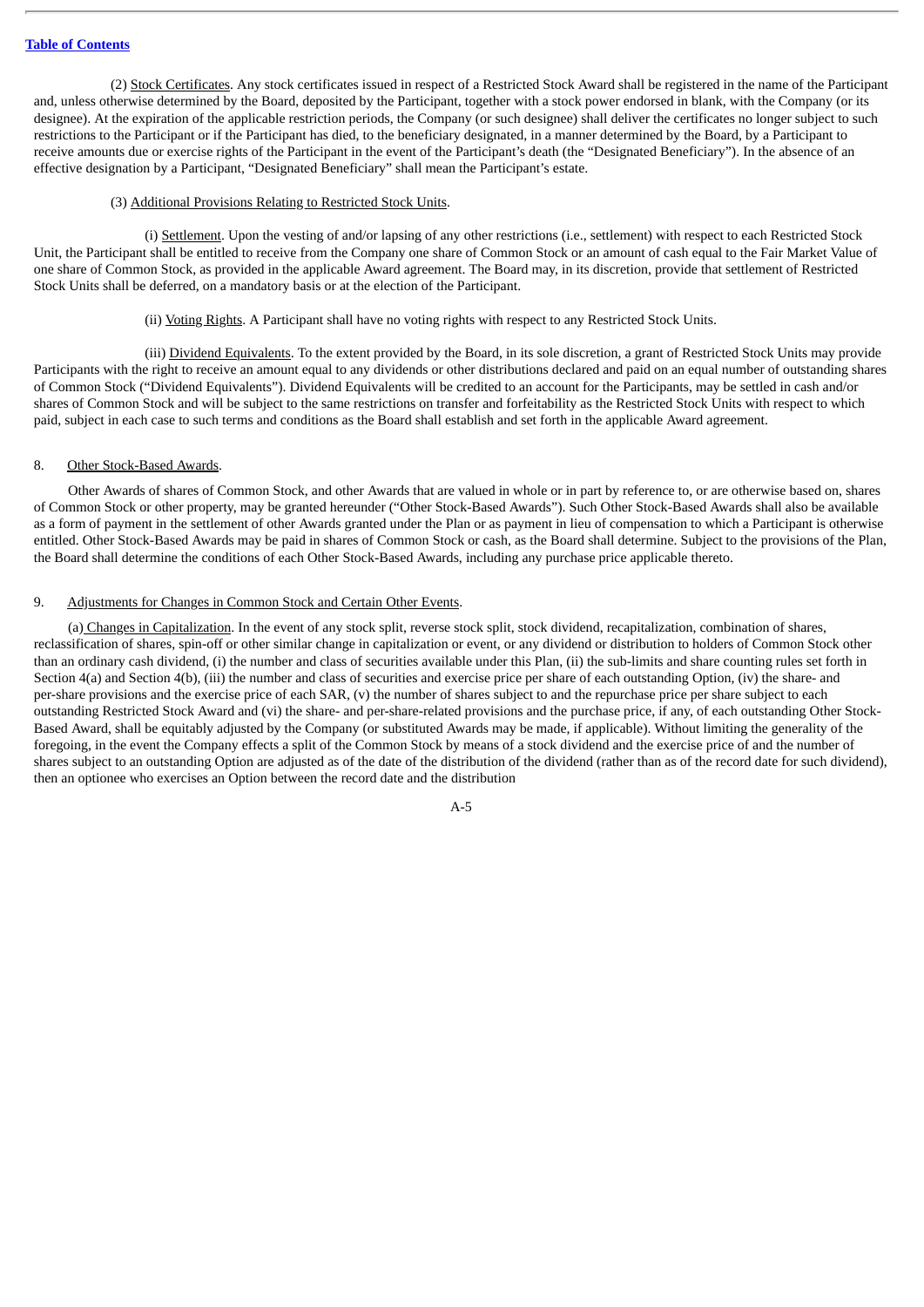(2) Stock Certificates. Any stock certificates issued in respect of a Restricted Stock Award shall be registered in the name of the Participant and, unless otherwise determined by the Board, deposited by the Participant, together with a stock power endorsed in blank, with the Company (or its designee). At the expiration of the applicable restriction periods, the Company (or such designee) shall deliver the certificates no longer subject to such restrictions to the Participant or if the Participant has died, to the beneficiary designated, in a manner determined by the Board, by a Participant to receive amounts due or exercise rights of the Participant in the event of the Participant's death (the "Designated Beneficiary"). In the absence of an effective designation by a Participant, "Designated Beneficiary" shall mean the Participant's estate.

## (3) Additional Provisions Relating to Restricted Stock Units.

(i) Settlement. Upon the vesting of and/or lapsing of any other restrictions (i.e., settlement) with respect to each Restricted Stock Unit, the Participant shall be entitled to receive from the Company one share of Common Stock or an amount of cash equal to the Fair Market Value of one share of Common Stock, as provided in the applicable Award agreement. The Board may, in its discretion, provide that settlement of Restricted Stock Units shall be deferred, on a mandatory basis or at the election of the Participant.

(ii) Voting Rights. A Participant shall have no voting rights with respect to any Restricted Stock Units.

(iii) Dividend Equivalents. To the extent provided by the Board, in its sole discretion, a grant of Restricted Stock Units may provide Participants with the right to receive an amount equal to any dividends or other distributions declared and paid on an equal number of outstanding shares of Common Stock ("Dividend Equivalents"). Dividend Equivalents will be credited to an account for the Participants, may be settled in cash and/or shares of Common Stock and will be subject to the same restrictions on transfer and forfeitability as the Restricted Stock Units with respect to which paid, subject in each case to such terms and conditions as the Board shall establish and set forth in the applicable Award agreement.

### 8. Other Stock-Based Awards.

Other Awards of shares of Common Stock, and other Awards that are valued in whole or in part by reference to, or are otherwise based on, shares of Common Stock or other property, may be granted hereunder ("Other Stock-Based Awards"). Such Other Stock-Based Awards shall also be available as a form of payment in the settlement of other Awards granted under the Plan or as payment in lieu of compensation to which a Participant is otherwise entitled. Other Stock-Based Awards may be paid in shares of Common Stock or cash, as the Board shall determine. Subject to the provisions of the Plan, the Board shall determine the conditions of each Other Stock-Based Awards, including any purchase price applicable thereto.

## 9. Adjustments for Changes in Common Stock and Certain Other Events.

(a) Changes in Capitalization. In the event of any stock split, reverse stock split, stock dividend, recapitalization, combination of shares, reclassification of shares, spin-off or other similar change in capitalization or event, or any dividend or distribution to holders of Common Stock other than an ordinary cash dividend, (i) the number and class of securities available under this Plan, (ii) the sub-limits and share counting rules set forth in Section 4(a) and Section 4(b), (iii) the number and class of securities and exercise price per share of each outstanding Option, (iv) the share- and per-share provisions and the exercise price of each SAR, (v) the number of shares subject to and the repurchase price per share subject to each outstanding Restricted Stock Award and (vi) the share- and per-share-related provisions and the purchase price, if any, of each outstanding Other Stock-Based Award, shall be equitably adjusted by the Company (or substituted Awards may be made, if applicable). Without limiting the generality of the foregoing, in the event the Company effects a split of the Common Stock by means of a stock dividend and the exercise price of and the number of shares subject to an outstanding Option are adjusted as of the date of the distribution of the dividend (rather than as of the record date for such dividend), then an optionee who exercises an Option between the record date and the distribution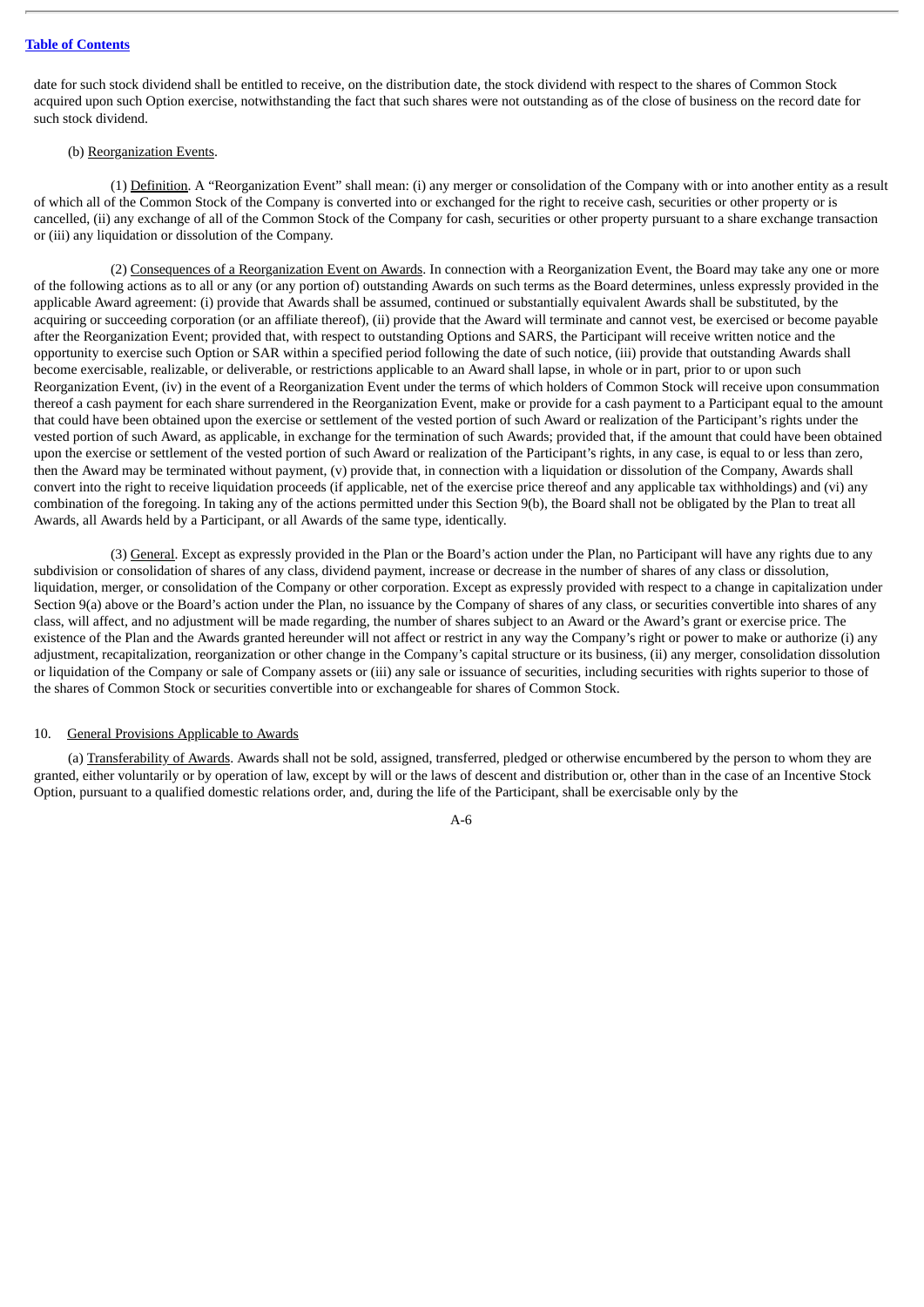date for such stock dividend shall be entitled to receive, on the distribution date, the stock dividend with respect to the shares of Common Stock acquired upon such Option exercise, notwithstanding the fact that such shares were not outstanding as of the close of business on the record date for such stock dividend.

### (b) Reorganization Events.

(1) Definition. A "Reorganization Event" shall mean: (i) any merger or consolidation of the Company with or into another entity as a result of which all of the Common Stock of the Company is converted into or exchanged for the right to receive cash, securities or other property or is cancelled, (ii) any exchange of all of the Common Stock of the Company for cash, securities or other property pursuant to a share exchange transaction or (iii) any liquidation or dissolution of the Company.

(2) Consequences of a Reorganization Event on Awards. In connection with a Reorganization Event, the Board may take any one or more of the following actions as to all or any (or any portion of) outstanding Awards on such terms as the Board determines, unless expressly provided in the applicable Award agreement: (i) provide that Awards shall be assumed, continued or substantially equivalent Awards shall be substituted, by the acquiring or succeeding corporation (or an affiliate thereof), (ii) provide that the Award will terminate and cannot vest, be exercised or become payable after the Reorganization Event; provided that, with respect to outstanding Options and SARS, the Participant will receive written notice and the opportunity to exercise such Option or SAR within a specified period following the date of such notice, (iii) provide that outstanding Awards shall become exercisable, realizable, or deliverable, or restrictions applicable to an Award shall lapse, in whole or in part, prior to or upon such Reorganization Event, (iv) in the event of a Reorganization Event under the terms of which holders of Common Stock will receive upon consummation thereof a cash payment for each share surrendered in the Reorganization Event, make or provide for a cash payment to a Participant equal to the amount that could have been obtained upon the exercise or settlement of the vested portion of such Award or realization of the Participant's rights under the vested portion of such Award, as applicable, in exchange for the termination of such Awards; provided that, if the amount that could have been obtained upon the exercise or settlement of the vested portion of such Award or realization of the Participant's rights, in any case, is equal to or less than zero, then the Award may be terminated without payment, (v) provide that, in connection with a liquidation or dissolution of the Company, Awards shall convert into the right to receive liquidation proceeds (if applicable, net of the exercise price thereof and any applicable tax withholdings) and (vi) any combination of the foregoing. In taking any of the actions permitted under this Section 9(b), the Board shall not be obligated by the Plan to treat all Awards, all Awards held by a Participant, or all Awards of the same type, identically.

(3) General. Except as expressly provided in the Plan or the Board's action under the Plan, no Participant will have any rights due to any subdivision or consolidation of shares of any class, dividend payment, increase or decrease in the number of shares of any class or dissolution, liquidation, merger, or consolidation of the Company or other corporation. Except as expressly provided with respect to a change in capitalization under Section 9(a) above or the Board's action under the Plan, no issuance by the Company of shares of any class, or securities convertible into shares of any class, will affect, and no adjustment will be made regarding, the number of shares subject to an Award or the Award's grant or exercise price. The existence of the Plan and the Awards granted hereunder will not affect or restrict in any way the Company's right or power to make or authorize (i) any adjustment, recapitalization, reorganization or other change in the Company's capital structure or its business, (ii) any merger, consolidation dissolution or liquidation of the Company or sale of Company assets or (iii) any sale or issuance of securities, including securities with rights superior to those of the shares of Common Stock or securities convertible into or exchangeable for shares of Common Stock.

### 10. General Provisions Applicable to Awards

(a) Transferability of Awards. Awards shall not be sold, assigned, transferred, pledged or otherwise encumbered by the person to whom they are granted, either voluntarily or by operation of law, except by will or the laws of descent and distribution or, other than in the case of an Incentive Stock Option, pursuant to a qualified domestic relations order, and, during the life of the Participant, shall be exercisable only by the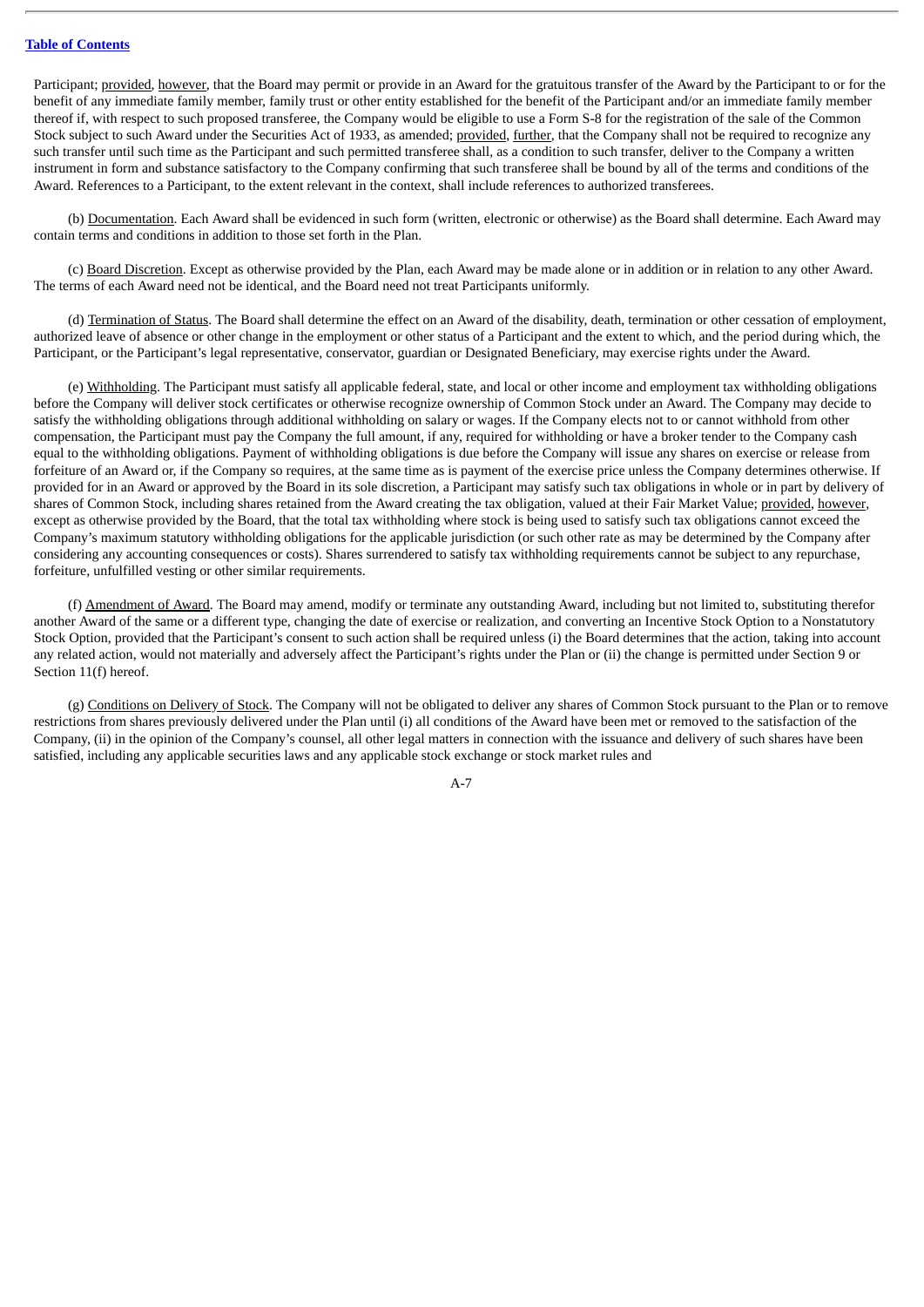Participant; provided, however, that the Board may permit or provide in an Award for the gratuitous transfer of the Award by the Participant to or for the benefit of any immediate family member, family trust or other entity established for the benefit of the Participant and/or an immediate family member thereof if, with respect to such proposed transferee, the Company would be eligible to use a Form S-8 for the registration of the sale of the Common Stock subject to such Award under the Securities Act of 1933, as amended; provided, further, that the Company shall not be required to recognize any such transfer until such time as the Participant and such permitted transferee shall, as a condition to such transfer, deliver to the Company a written instrument in form and substance satisfactory to the Company confirming that such transferee shall be bound by all of the terms and conditions of the Award. References to a Participant, to the extent relevant in the context, shall include references to authorized transferees.

(b) Documentation. Each Award shall be evidenced in such form (written, electronic or otherwise) as the Board shall determine. Each Award may contain terms and conditions in addition to those set forth in the Plan.

(c) Board Discretion. Except as otherwise provided by the Plan, each Award may be made alone or in addition or in relation to any other Award. The terms of each Award need not be identical, and the Board need not treat Participants uniformly.

(d) Termination of Status. The Board shall determine the effect on an Award of the disability, death, termination or other cessation of employment, authorized leave of absence or other change in the employment or other status of a Participant and the extent to which, and the period during which, the Participant, or the Participant's legal representative, conservator, guardian or Designated Beneficiary, may exercise rights under the Award.

(e) Withholding. The Participant must satisfy all applicable federal, state, and local or other income and employment tax withholding obligations before the Company will deliver stock certificates or otherwise recognize ownership of Common Stock under an Award. The Company may decide to satisfy the withholding obligations through additional withholding on salary or wages. If the Company elects not to or cannot withhold from other compensation, the Participant must pay the Company the full amount, if any, required for withholding or have a broker tender to the Company cash equal to the withholding obligations. Payment of withholding obligations is due before the Company will issue any shares on exercise or release from forfeiture of an Award or, if the Company so requires, at the same time as is payment of the exercise price unless the Company determines otherwise. If provided for in an Award or approved by the Board in its sole discretion, a Participant may satisfy such tax obligations in whole or in part by delivery of shares of Common Stock, including shares retained from the Award creating the tax obligation, valued at their Fair Market Value; provided, however, except as otherwise provided by the Board, that the total tax withholding where stock is being used to satisfy such tax obligations cannot exceed the Company's maximum statutory withholding obligations for the applicable jurisdiction (or such other rate as may be determined by the Company after considering any accounting consequences or costs). Shares surrendered to satisfy tax withholding requirements cannot be subject to any repurchase, forfeiture, unfulfilled vesting or other similar requirements.

(f) Amendment of Award. The Board may amend, modify or terminate any outstanding Award, including but not limited to, substituting therefor another Award of the same or a different type, changing the date of exercise or realization, and converting an Incentive Stock Option to a Nonstatutory Stock Option, provided that the Participant's consent to such action shall be required unless (i) the Board determines that the action, taking into account any related action, would not materially and adversely affect the Participant's rights under the Plan or (ii) the change is permitted under Section 9 or Section 11(f) hereof.

(g) Conditions on Delivery of Stock. The Company will not be obligated to deliver any shares of Common Stock pursuant to the Plan or to remove restrictions from shares previously delivered under the Plan until (i) all conditions of the Award have been met or removed to the satisfaction of the Company, (ii) in the opinion of the Company's counsel, all other legal matters in connection with the issuance and delivery of such shares have been satisfied, including any applicable securities laws and any applicable stock exchange or stock market rules and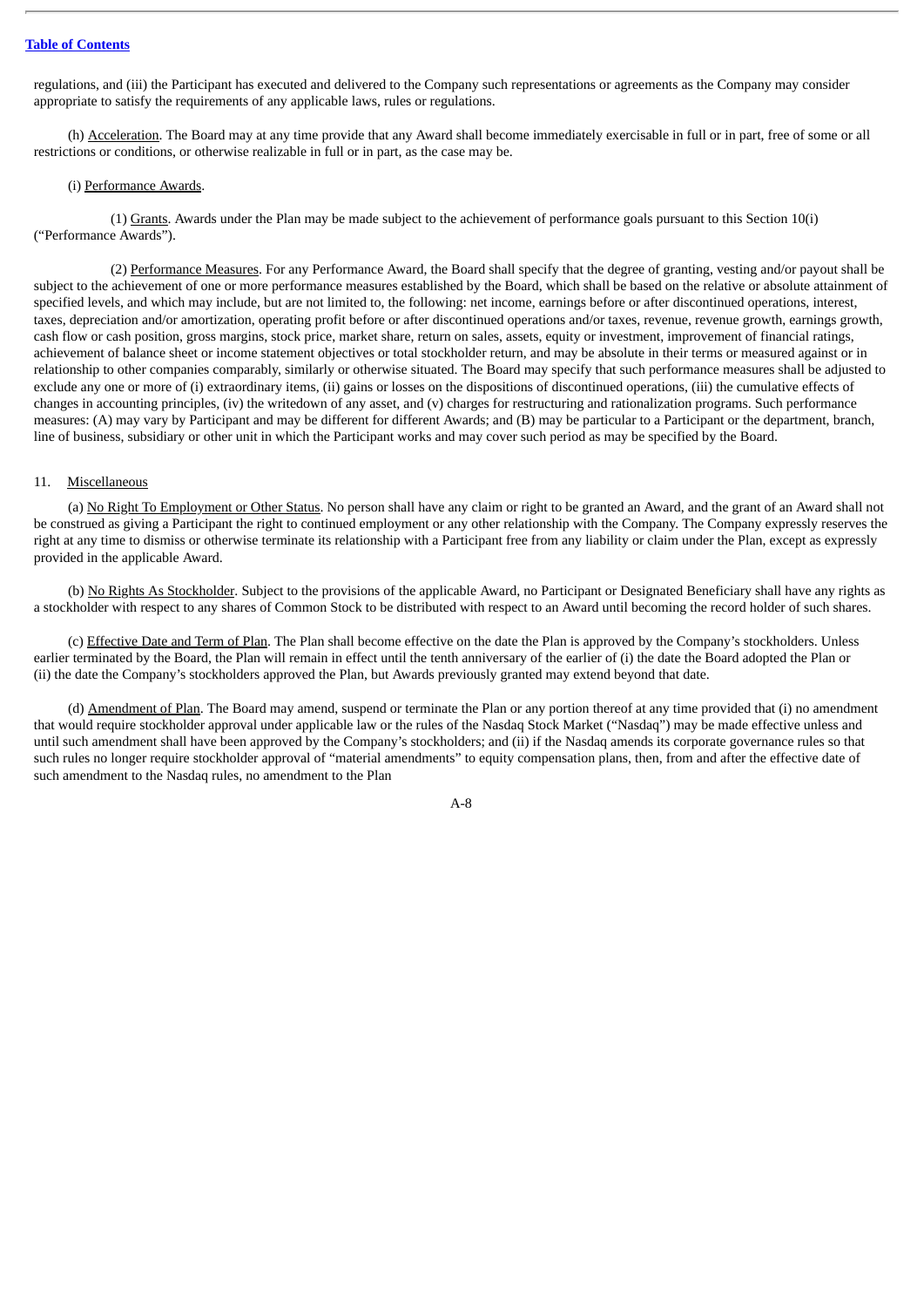regulations, and (iii) the Participant has executed and delivered to the Company such representations or agreements as the Company may consider appropriate to satisfy the requirements of any applicable laws, rules or regulations.

(h) Acceleration. The Board may at any time provide that any Award shall become immediately exercisable in full or in part, free of some or all restrictions or conditions, or otherwise realizable in full or in part, as the case may be.

#### (i) Performance Awards.

(1) Grants. Awards under the Plan may be made subject to the achievement of performance goals pursuant to this Section 10(i) ("Performance Awards").

(2) Performance Measures. For any Performance Award, the Board shall specify that the degree of granting, vesting and/or payout shall be subject to the achievement of one or more performance measures established by the Board, which shall be based on the relative or absolute attainment of specified levels, and which may include, but are not limited to, the following: net income, earnings before or after discontinued operations, interest, taxes, depreciation and/or amortization, operating profit before or after discontinued operations and/or taxes, revenue, revenue growth, earnings growth, cash flow or cash position, gross margins, stock price, market share, return on sales, assets, equity or investment, improvement of financial ratings, achievement of balance sheet or income statement objectives or total stockholder return, and may be absolute in their terms or measured against or in relationship to other companies comparably, similarly or otherwise situated. The Board may specify that such performance measures shall be adjusted to exclude any one or more of (i) extraordinary items, (ii) gains or losses on the dispositions of discontinued operations, (iii) the cumulative effects of changes in accounting principles, (iv) the writedown of any asset, and (v) charges for restructuring and rationalization programs. Such performance measures: (A) may vary by Participant and may be different for different Awards; and (B) may be particular to a Participant or the department, branch, line of business, subsidiary or other unit in which the Participant works and may cover such period as may be specified by the Board.

## 11. Miscellaneous

(a) No Right To Employment or Other Status. No person shall have any claim or right to be granted an Award, and the grant of an Award shall not be construed as giving a Participant the right to continued employment or any other relationship with the Company. The Company expressly reserves the right at any time to dismiss or otherwise terminate its relationship with a Participant free from any liability or claim under the Plan, except as expressly provided in the applicable Award.

(b) No Rights As Stockholder. Subject to the provisions of the applicable Award, no Participant or Designated Beneficiary shall have any rights as a stockholder with respect to any shares of Common Stock to be distributed with respect to an Award until becoming the record holder of such shares.

(c) Effective Date and Term of Plan. The Plan shall become effective on the date the Plan is approved by the Company's stockholders. Unless earlier terminated by the Board, the Plan will remain in effect until the tenth anniversary of the earlier of (i) the date the Board adopted the Plan or (ii) the date the Company's stockholders approved the Plan, but Awards previously granted may extend beyond that date.

(d) Amendment of Plan. The Board may amend, suspend or terminate the Plan or any portion thereof at any time provided that (i) no amendment that would require stockholder approval under applicable law or the rules of the Nasdaq Stock Market ("Nasdaq") may be made effective unless and until such amendment shall have been approved by the Company's stockholders; and (ii) if the Nasdaq amends its corporate governance rules so that such rules no longer require stockholder approval of "material amendments" to equity compensation plans, then, from and after the effective date of such amendment to the Nasdaq rules, no amendment to the Plan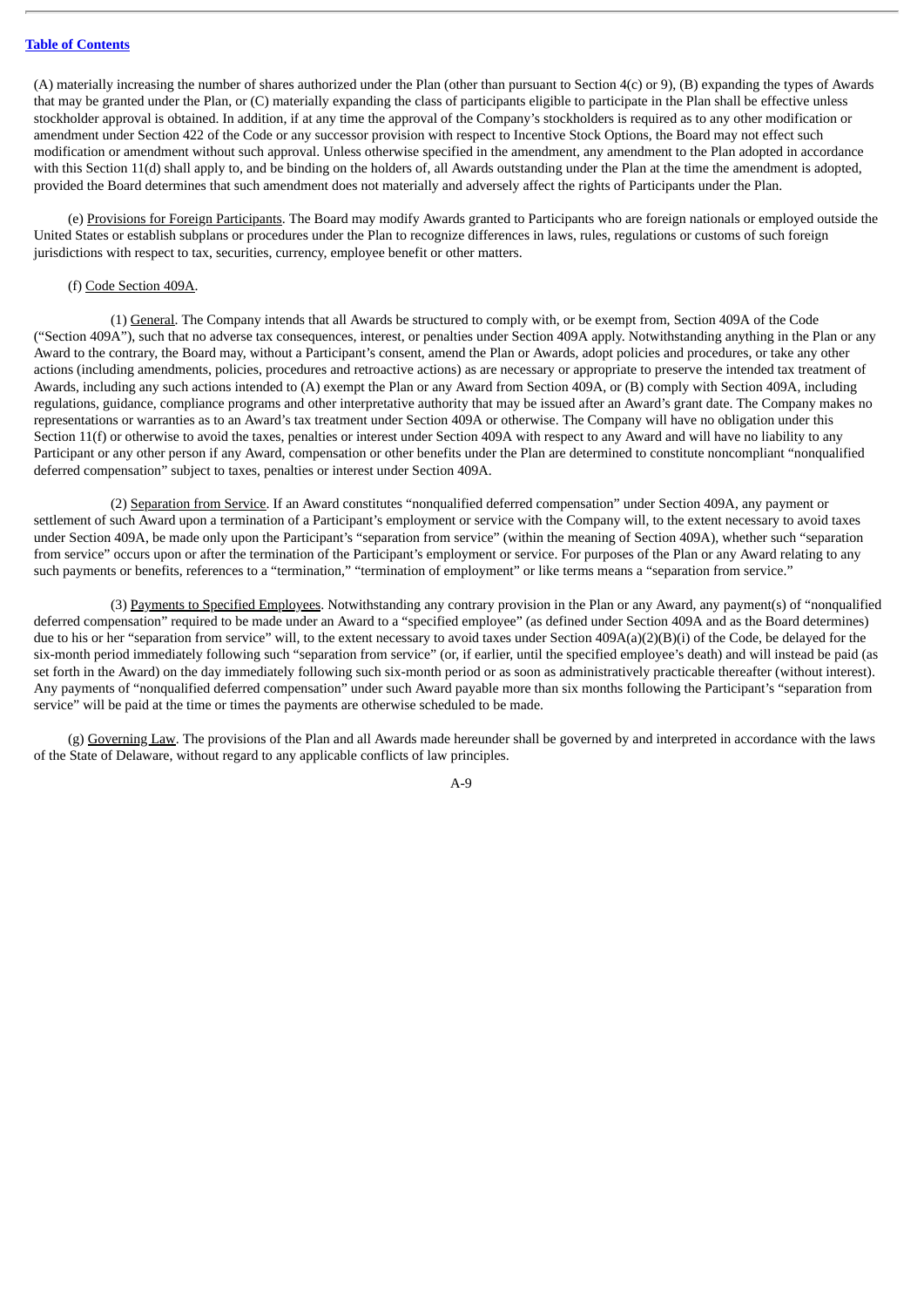(A) materially increasing the number of shares authorized under the Plan (other than pursuant to Section 4(c) or 9), (B) expanding the types of Awards that may be granted under the Plan, or (C) materially expanding the class of participants eligible to participate in the Plan shall be effective unless stockholder approval is obtained. In addition, if at any time the approval of the Company's stockholders is required as to any other modification or amendment under Section 422 of the Code or any successor provision with respect to Incentive Stock Options, the Board may not effect such modification or amendment without such approval. Unless otherwise specified in the amendment, any amendment to the Plan adopted in accordance with this Section 11(d) shall apply to, and be binding on the holders of, all Awards outstanding under the Plan at the time the amendment is adopted, provided the Board determines that such amendment does not materially and adversely affect the rights of Participants under the Plan.

(e) Provisions for Foreign Participants. The Board may modify Awards granted to Participants who are foreign nationals or employed outside the United States or establish subplans or procedures under the Plan to recognize differences in laws, rules, regulations or customs of such foreign jurisdictions with respect to tax, securities, currency, employee benefit or other matters.

## (f) Code Section 409A.

(1) General. The Company intends that all Awards be structured to comply with, or be exempt from, Section 409A of the Code ("Section 409A"), such that no adverse tax consequences, interest, or penalties under Section 409A apply. Notwithstanding anything in the Plan or any Award to the contrary, the Board may, without a Participant's consent, amend the Plan or Awards, adopt policies and procedures, or take any other actions (including amendments, policies, procedures and retroactive actions) as are necessary or appropriate to preserve the intended tax treatment of Awards, including any such actions intended to (A) exempt the Plan or any Award from Section 409A, or (B) comply with Section 409A, including regulations, guidance, compliance programs and other interpretative authority that may be issued after an Award's grant date. The Company makes no representations or warranties as to an Award's tax treatment under Section 409A or otherwise. The Company will have no obligation under this Section 11(f) or otherwise to avoid the taxes, penalties or interest under Section 409A with respect to any Award and will have no liability to any Participant or any other person if any Award, compensation or other benefits under the Plan are determined to constitute noncompliant "nonqualified deferred compensation" subject to taxes, penalties or interest under Section 409A.

(2) Separation from Service. If an Award constitutes "nonqualified deferred compensation" under Section 409A, any payment or settlement of such Award upon a termination of a Participant's employment or service with the Company will, to the extent necessary to avoid taxes under Section 409A, be made only upon the Participant's "separation from service" (within the meaning of Section 409A), whether such "separation from service" occurs upon or after the termination of the Participant's employment or service. For purposes of the Plan or any Award relating to any such payments or benefits, references to a "termination," "termination of employment" or like terms means a "separation from service."

(3) Payments to Specified Employees. Notwithstanding any contrary provision in the Plan or any Award, any payment(s) of "nonqualified deferred compensation" required to be made under an Award to a "specified employee" (as defined under Section 409A and as the Board determines) due to his or her "separation from service" will, to the extent necessary to avoid taxes under Section 409A(a)(2)(B)(i) of the Code, be delayed for the six-month period immediately following such "separation from service" (or, if earlier, until the specified employee's death) and will instead be paid (as set forth in the Award) on the day immediately following such six-month period or as soon as administratively practicable thereafter (without interest). Any payments of "nonqualified deferred compensation" under such Award payable more than six months following the Participant's "separation from service" will be paid at the time or times the payments are otherwise scheduled to be made.

(g) Governing Law. The provisions of the Plan and all Awards made hereunder shall be governed by and interpreted in accordance with the laws of the State of Delaware, without regard to any applicable conflicts of law principles.

 $A - Q$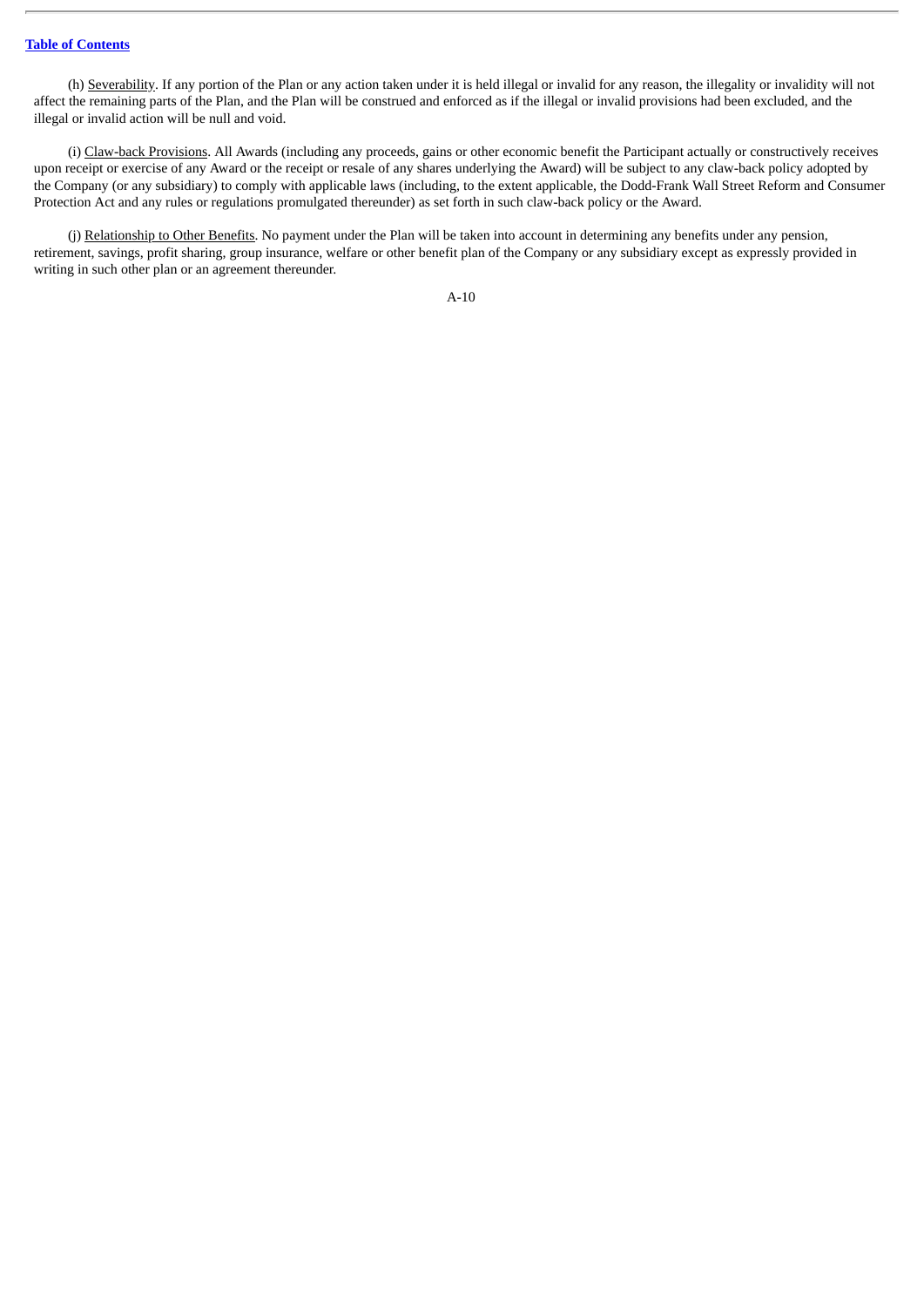(h) Severability. If any portion of the Plan or any action taken under it is held illegal or invalid for any reason, the illegality or invalidity will not affect the remaining parts of the Plan, and the Plan will be construed and enforced as if the illegal or invalid provisions had been excluded, and the illegal or invalid action will be null and void.

(i) Claw-back Provisions. All Awards (including any proceeds, gains or other economic benefit the Participant actually or constructively receives upon receipt or exercise of any Award or the receipt or resale of any shares underlying the Award) will be subject to any claw-back policy adopted by the Company (or any subsidiary) to comply with applicable laws (including, to the extent applicable, the Dodd-Frank Wall Street Reform and Consumer Protection Act and any rules or regulations promulgated thereunder) as set forth in such claw-back policy or the Award.

(j) Relationship to Other Benefits. No payment under the Plan will be taken into account in determining any benefits under any pension, retirement, savings, profit sharing, group insurance, welfare or other benefit plan of the Company or any subsidiary except as expressly provided in writing in such other plan or an agreement thereunder.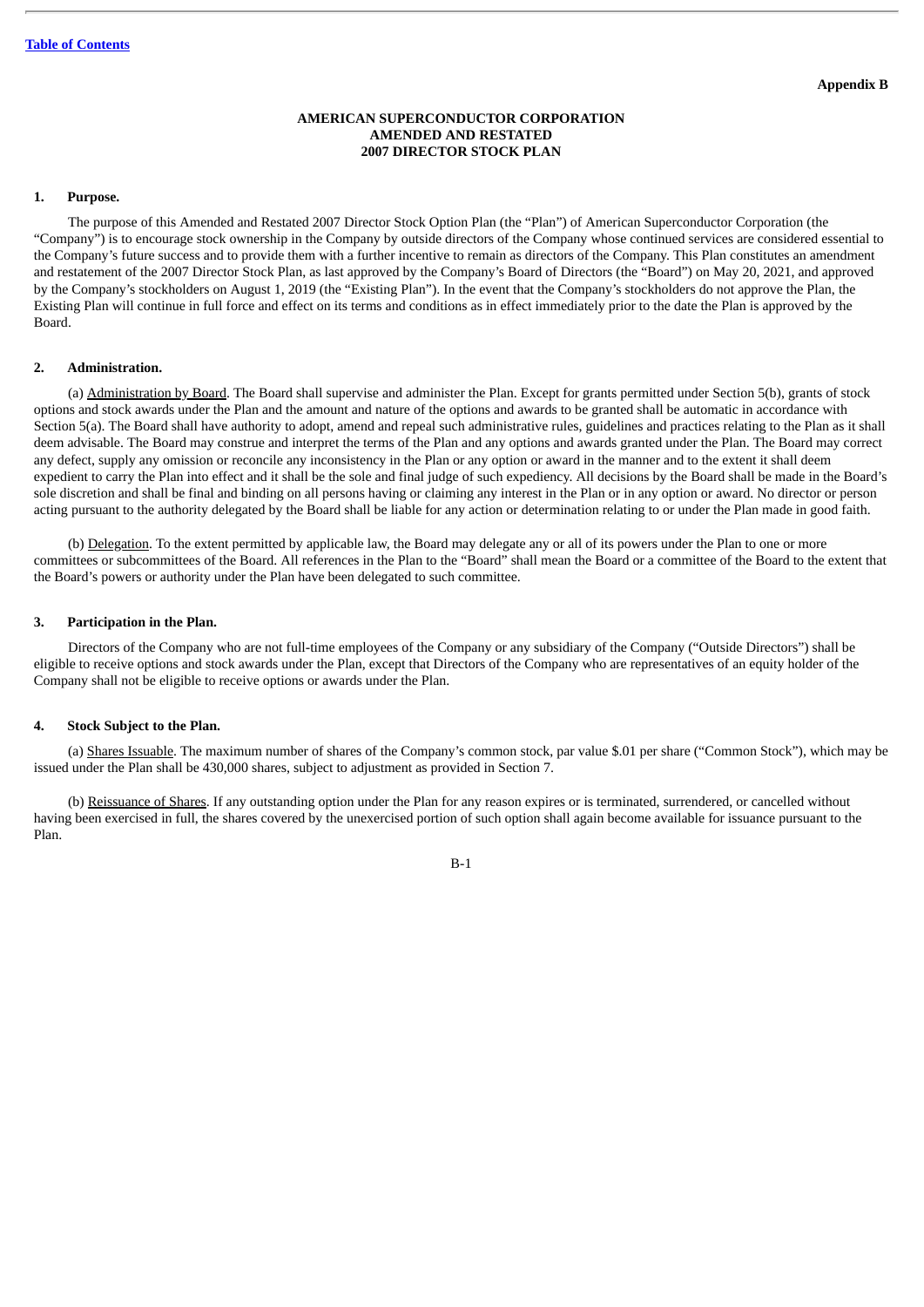### **AMERICAN SUPERCONDUCTOR CORPORATION AMENDED AND RESTATED 2007 DIRECTOR STOCK PLAN**

### **1. Purpose.**

The purpose of this Amended and Restated 2007 Director Stock Option Plan (the "Plan") of American Superconductor Corporation (the "Company") is to encourage stock ownership in the Company by outside directors of the Company whose continued services are considered essential to the Company's future success and to provide them with a further incentive to remain as directors of the Company. This Plan constitutes an amendment and restatement of the 2007 Director Stock Plan, as last approved by the Company's Board of Directors (the "Board") on May 20, 2021, and approved by the Company's stockholders on August 1, 2019 (the "Existing Plan"). In the event that the Company's stockholders do not approve the Plan, the Existing Plan will continue in full force and effect on its terms and conditions as in effect immediately prior to the date the Plan is approved by the Board.

### **2. Administration.**

(a) Administration by Board. The Board shall supervise and administer the Plan. Except for grants permitted under Section 5(b), grants of stock options and stock awards under the Plan and the amount and nature of the options and awards to be granted shall be automatic in accordance with Section 5(a). The Board shall have authority to adopt, amend and repeal such administrative rules, guidelines and practices relating to the Plan as it shall deem advisable. The Board may construe and interpret the terms of the Plan and any options and awards granted under the Plan. The Board may correct any defect, supply any omission or reconcile any inconsistency in the Plan or any option or award in the manner and to the extent it shall deem expedient to carry the Plan into effect and it shall be the sole and final judge of such expediency. All decisions by the Board shall be made in the Board's sole discretion and shall be final and binding on all persons having or claiming any interest in the Plan or in any option or award. No director or person acting pursuant to the authority delegated by the Board shall be liable for any action or determination relating to or under the Plan made in good faith.

(b) Delegation. To the extent permitted by applicable law, the Board may delegate any or all of its powers under the Plan to one or more committees or subcommittees of the Board. All references in the Plan to the "Board" shall mean the Board or a committee of the Board to the extent that the Board's powers or authority under the Plan have been delegated to such committee.

## **3. Participation in the Plan.**

Directors of the Company who are not full-time employees of the Company or any subsidiary of the Company ("Outside Directors") shall be eligible to receive options and stock awards under the Plan, except that Directors of the Company who are representatives of an equity holder of the Company shall not be eligible to receive options or awards under the Plan.

### **4. Stock Subject to the Plan.**

(a) Shares Issuable. The maximum number of shares of the Company's common stock, par value \$.01 per share ("Common Stock"), which may be issued under the Plan shall be 430,000 shares, subject to adjustment as provided in Section 7.

(b) Reissuance of Shares. If any outstanding option under the Plan for any reason expires or is terminated, surrendered, or cancelled without having been exercised in full, the shares covered by the unexercised portion of such option shall again become available for issuance pursuant to the Plan.

B-1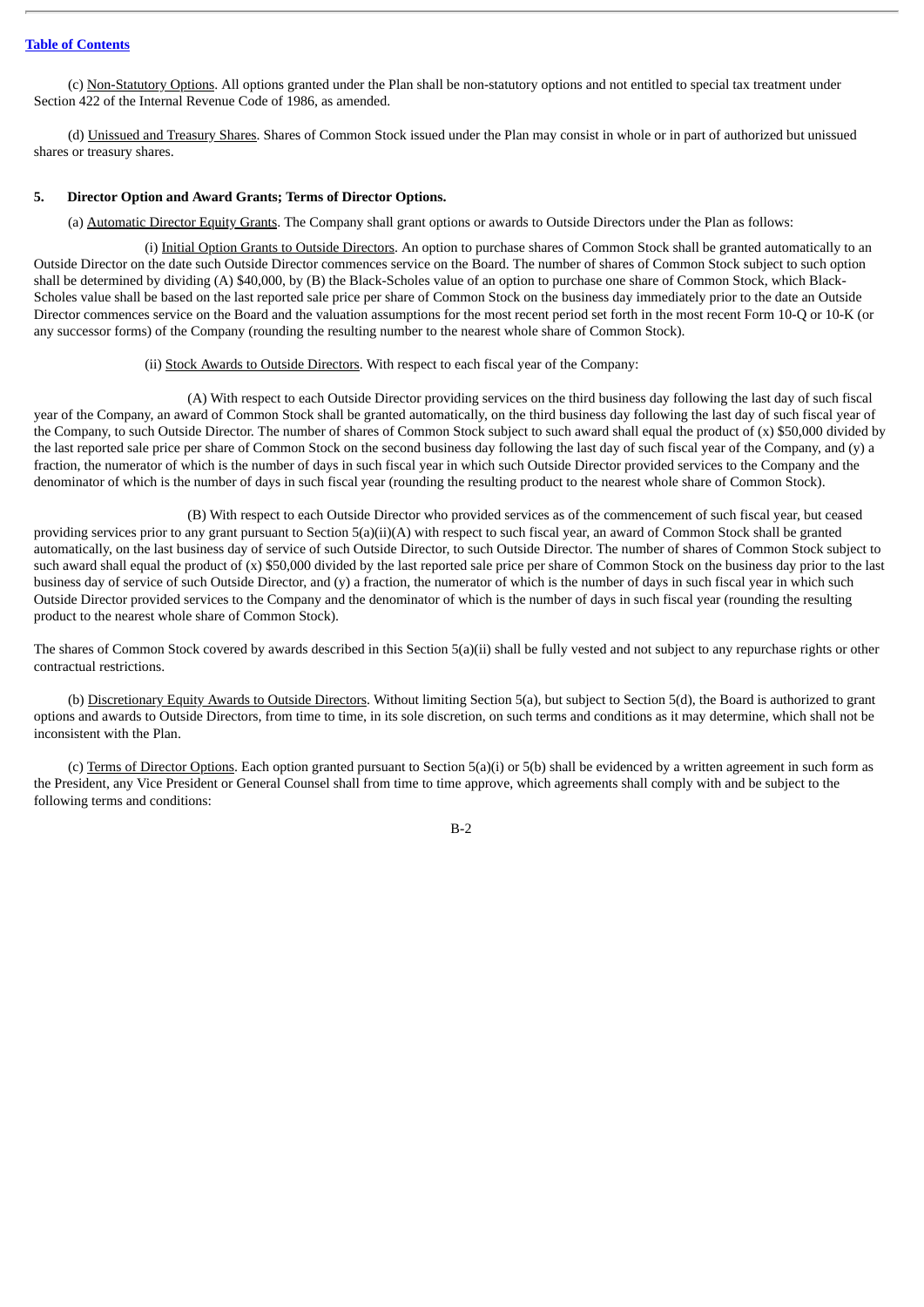(c) Non-Statutory Options. All options granted under the Plan shall be non-statutory options and not entitled to special tax treatment under Section 422 of the Internal Revenue Code of 1986, as amended.

(d) Unissued and Treasury Shares. Shares of Common Stock issued under the Plan may consist in whole or in part of authorized but unissued shares or treasury shares.

### **5. Director Option and Award Grants; Terms of Director Options.**

(a) Automatic Director Equity Grants. The Company shall grant options or awards to Outside Directors under the Plan as follows:

(i) Initial Option Grants to Outside Directors. An option to purchase shares of Common Stock shall be granted automatically to an Outside Director on the date such Outside Director commences service on the Board. The number of shares of Common Stock subject to such option shall be determined by dividing (A) \$40,000, by (B) the Black-Scholes value of an option to purchase one share of Common Stock, which Black-Scholes value shall be based on the last reported sale price per share of Common Stock on the business day immediately prior to the date an Outside Director commences service on the Board and the valuation assumptions for the most recent period set forth in the most recent Form 10-Q or 10-K (or any successor forms) of the Company (rounding the resulting number to the nearest whole share of Common Stock).

### (ii) Stock Awards to Outside Directors. With respect to each fiscal year of the Company:

(A) With respect to each Outside Director providing services on the third business day following the last day of such fiscal year of the Company, an award of Common Stock shall be granted automatically, on the third business day following the last day of such fiscal year of the Company, to such Outside Director. The number of shares of Common Stock subject to such award shall equal the product of (x) \$50,000 divided by the last reported sale price per share of Common Stock on the second business day following the last day of such fiscal year of the Company, and (y) a fraction, the numerator of which is the number of days in such fiscal year in which such Outside Director provided services to the Company and the denominator of which is the number of days in such fiscal year (rounding the resulting product to the nearest whole share of Common Stock).

(B) With respect to each Outside Director who provided services as of the commencement of such fiscal year, but ceased providing services prior to any grant pursuant to Section 5(a)(ii)(A) with respect to such fiscal year, an award of Common Stock shall be granted automatically, on the last business day of service of such Outside Director, to such Outside Director. The number of shares of Common Stock subject to such award shall equal the product of (x) \$50,000 divided by the last reported sale price per share of Common Stock on the business day prior to the last business day of service of such Outside Director, and (y) a fraction, the numerator of which is the number of days in such fiscal year in which such Outside Director provided services to the Company and the denominator of which is the number of days in such fiscal year (rounding the resulting product to the nearest whole share of Common Stock).

The shares of Common Stock covered by awards described in this Section 5(a)(ii) shall be fully vested and not subject to any repurchase rights or other contractual restrictions.

(b) Discretionary Equity Awards to Outside Directors. Without limiting Section 5(a), but subject to Section 5(d), the Board is authorized to grant options and awards to Outside Directors, from time to time, in its sole discretion, on such terms and conditions as it may determine, which shall not be inconsistent with the Plan.

(c) Terms of Director Options. Each option granted pursuant to Section 5(a)(i) or 5(b) shall be evidenced by a written agreement in such form as the President, any Vice President or General Counsel shall from time to time approve, which agreements shall comply with and be subject to the following terms and conditions:

B-2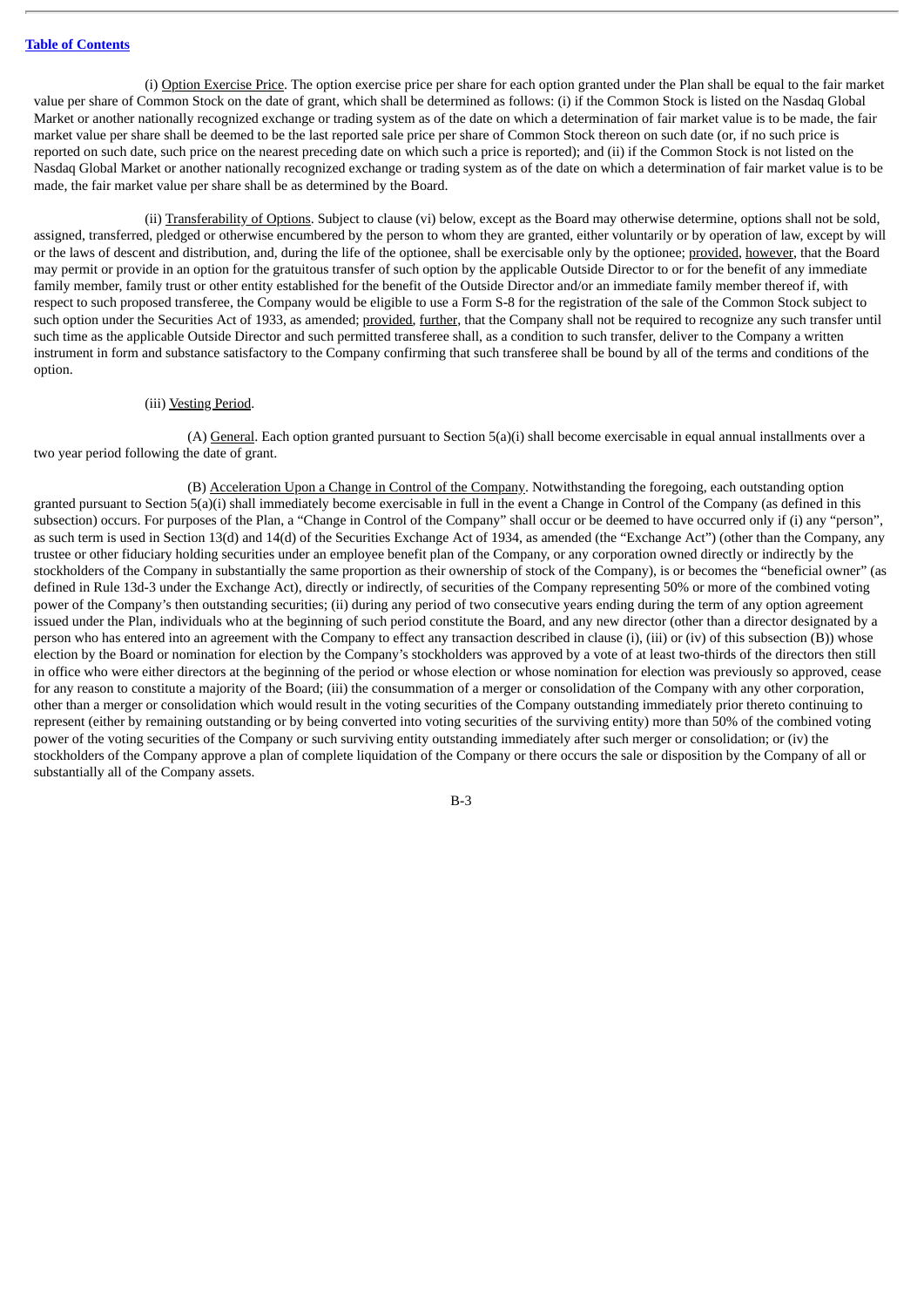(i) Option Exercise Price. The option exercise price per share for each option granted under the Plan shall be equal to the fair market value per share of Common Stock on the date of grant, which shall be determined as follows: (i) if the Common Stock is listed on the Nasdaq Global Market or another nationally recognized exchange or trading system as of the date on which a determination of fair market value is to be made, the fair market value per share shall be deemed to be the last reported sale price per share of Common Stock thereon on such date (or, if no such price is reported on such date, such price on the nearest preceding date on which such a price is reported); and (ii) if the Common Stock is not listed on the Nasdaq Global Market or another nationally recognized exchange or trading system as of the date on which a determination of fair market value is to be made, the fair market value per share shall be as determined by the Board.

(ii) Transferability of Options. Subject to clause (vi) below, except as the Board may otherwise determine, options shall not be sold, assigned, transferred, pledged or otherwise encumbered by the person to whom they are granted, either voluntarily or by operation of law, except by will or the laws of descent and distribution, and, during the life of the optionee, shall be exercisable only by the optionee; provided, however, that the Board may permit or provide in an option for the gratuitous transfer of such option by the applicable Outside Director to or for the benefit of any immediate family member, family trust or other entity established for the benefit of the Outside Director and/or an immediate family member thereof if, with respect to such proposed transferee, the Company would be eligible to use a Form S-8 for the registration of the sale of the Common Stock subject to such option under the Securities Act of 1933, as amended; provided, further, that the Company shall not be required to recognize any such transfer until such time as the applicable Outside Director and such permitted transferee shall, as a condition to such transfer, deliver to the Company a written instrument in form and substance satisfactory to the Company confirming that such transferee shall be bound by all of the terms and conditions of the option.

# (iii) Vesting Period.

(A) General. Each option granted pursuant to Section 5(a)(i) shall become exercisable in equal annual installments over a two year period following the date of grant.

(B) Acceleration Upon a Change in Control of the Company. Notwithstanding the foregoing, each outstanding option granted pursuant to Section 5(a)(i) shall immediately become exercisable in full in the event a Change in Control of the Company (as defined in this subsection) occurs. For purposes of the Plan, a "Change in Control of the Company" shall occur or be deemed to have occurred only if (i) any "person", as such term is used in Section 13(d) and 14(d) of the Securities Exchange Act of 1934, as amended (the "Exchange Act") (other than the Company, any trustee or other fiduciary holding securities under an employee benefit plan of the Company, or any corporation owned directly or indirectly by the stockholders of the Company in substantially the same proportion as their ownership of stock of the Company), is or becomes the "beneficial owner" (as defined in Rule 13d-3 under the Exchange Act), directly or indirectly, of securities of the Company representing 50% or more of the combined voting power of the Company's then outstanding securities; (ii) during any period of two consecutive years ending during the term of any option agreement issued under the Plan, individuals who at the beginning of such period constitute the Board, and any new director (other than a director designated by a person who has entered into an agreement with the Company to effect any transaction described in clause (i), (iii) or (iv) of this subsection (B)) whose election by the Board or nomination for election by the Company's stockholders was approved by a vote of at least two-thirds of the directors then still in office who were either directors at the beginning of the period or whose election or whose nomination for election was previously so approved, cease for any reason to constitute a majority of the Board; (iii) the consummation of a merger or consolidation of the Company with any other corporation, other than a merger or consolidation which would result in the voting securities of the Company outstanding immediately prior thereto continuing to represent (either by remaining outstanding or by being converted into voting securities of the surviving entity) more than 50% of the combined voting power of the voting securities of the Company or such surviving entity outstanding immediately after such merger or consolidation; or (iv) the stockholders of the Company approve a plan of complete liquidation of the Company or there occurs the sale or disposition by the Company of all or substantially all of the Company assets.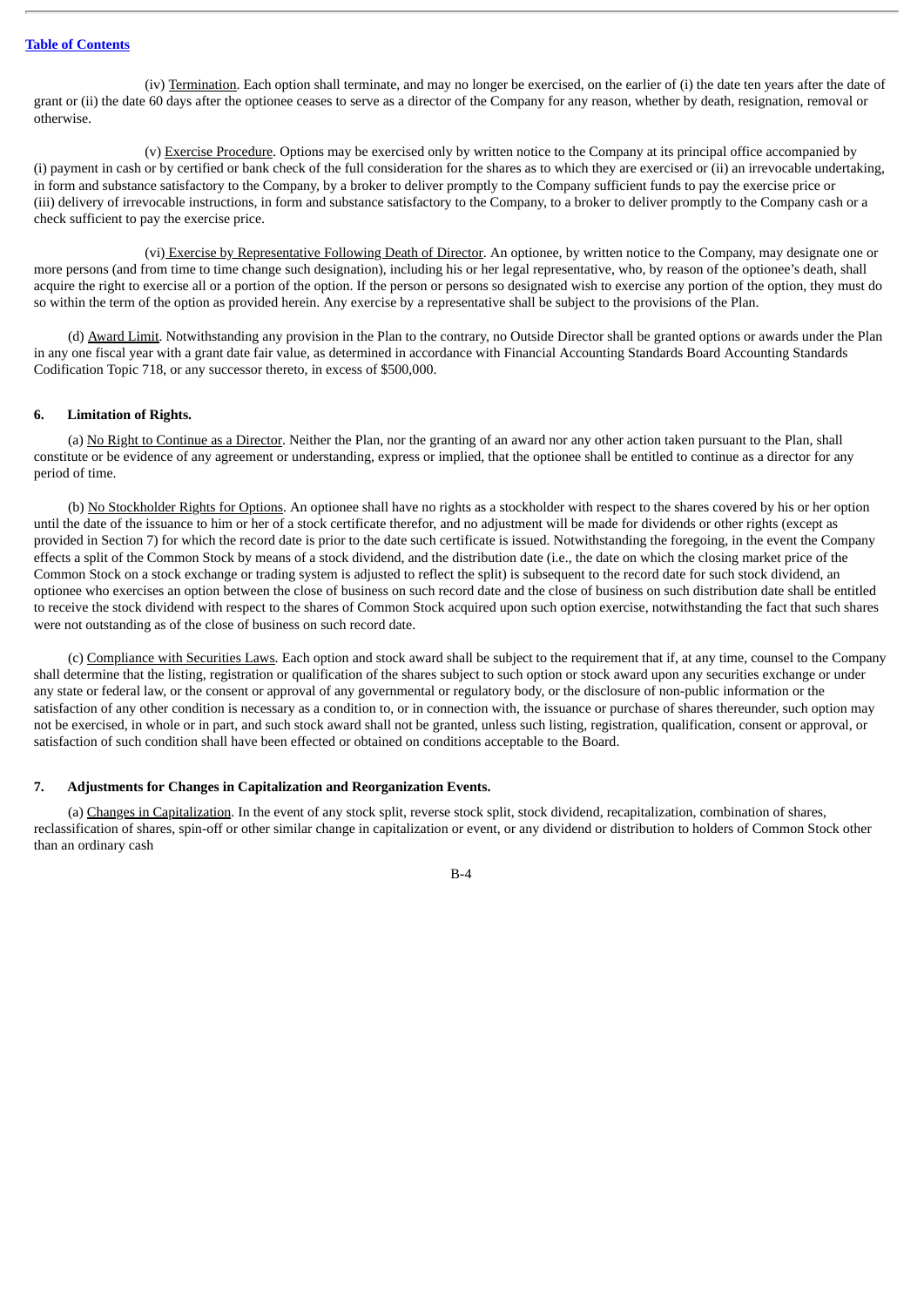(iv) Termination. Each option shall terminate, and may no longer be exercised, on the earlier of (i) the date ten years after the date of grant or (ii) the date 60 days after the optionee ceases to serve as a director of the Company for any reason, whether by death, resignation, removal or otherwise.

(v) Exercise Procedure. Options may be exercised only by written notice to the Company at its principal office accompanied by (i) payment in cash or by certified or bank check of the full consideration for the shares as to which they are exercised or (ii) an irrevocable undertaking, in form and substance satisfactory to the Company, by a broker to deliver promptly to the Company sufficient funds to pay the exercise price or (iii) delivery of irrevocable instructions, in form and substance satisfactory to the Company, to a broker to deliver promptly to the Company cash or a check sufficient to pay the exercise price.

(vi) Exercise by Representative Following Death of Director. An optionee, by written notice to the Company, may designate one or more persons (and from time to time change such designation), including his or her legal representative, who, by reason of the optionee's death, shall acquire the right to exercise all or a portion of the option. If the person or persons so designated wish to exercise any portion of the option, they must do so within the term of the option as provided herein. Any exercise by a representative shall be subject to the provisions of the Plan.

(d) Award Limit. Notwithstanding any provision in the Plan to the contrary, no Outside Director shall be granted options or awards under the Plan in any one fiscal year with a grant date fair value, as determined in accordance with Financial Accounting Standards Board Accounting Standards Codification Topic 718, or any successor thereto, in excess of \$500,000.

# **6. Limitation of Rights.**

(a) No Right to Continue as a Director. Neither the Plan, nor the granting of an award nor any other action taken pursuant to the Plan, shall constitute or be evidence of any agreement or understanding, express or implied, that the optionee shall be entitled to continue as a director for any period of time.

(b) No Stockholder Rights for Options. An optionee shall have no rights as a stockholder with respect to the shares covered by his or her option until the date of the issuance to him or her of a stock certificate therefor, and no adjustment will be made for dividends or other rights (except as provided in Section 7) for which the record date is prior to the date such certificate is issued. Notwithstanding the foregoing, in the event the Company effects a split of the Common Stock by means of a stock dividend, and the distribution date (i.e., the date on which the closing market price of the Common Stock on a stock exchange or trading system is adjusted to reflect the split) is subsequent to the record date for such stock dividend, an optionee who exercises an option between the close of business on such record date and the close of business on such distribution date shall be entitled to receive the stock dividend with respect to the shares of Common Stock acquired upon such option exercise, notwithstanding the fact that such shares were not outstanding as of the close of business on such record date.

(c) Compliance with Securities Laws. Each option and stock award shall be subject to the requirement that if, at any time, counsel to the Company shall determine that the listing, registration or qualification of the shares subject to such option or stock award upon any securities exchange or under any state or federal law, or the consent or approval of any governmental or regulatory body, or the disclosure of non-public information or the satisfaction of any other condition is necessary as a condition to, or in connection with, the issuance or purchase of shares thereunder, such option may not be exercised, in whole or in part, and such stock award shall not be granted, unless such listing, registration, qualification, consent or approval, or satisfaction of such condition shall have been effected or obtained on conditions acceptable to the Board.

# **7. Adjustments for Changes in Capitalization and Reorganization Events.**

(a) Changes in Capitalization. In the event of any stock split, reverse stock split, stock dividend, recapitalization, combination of shares, reclassification of shares, spin-off or other similar change in capitalization or event, or any dividend or distribution to holders of Common Stock other than an ordinary cash

 $B - 4$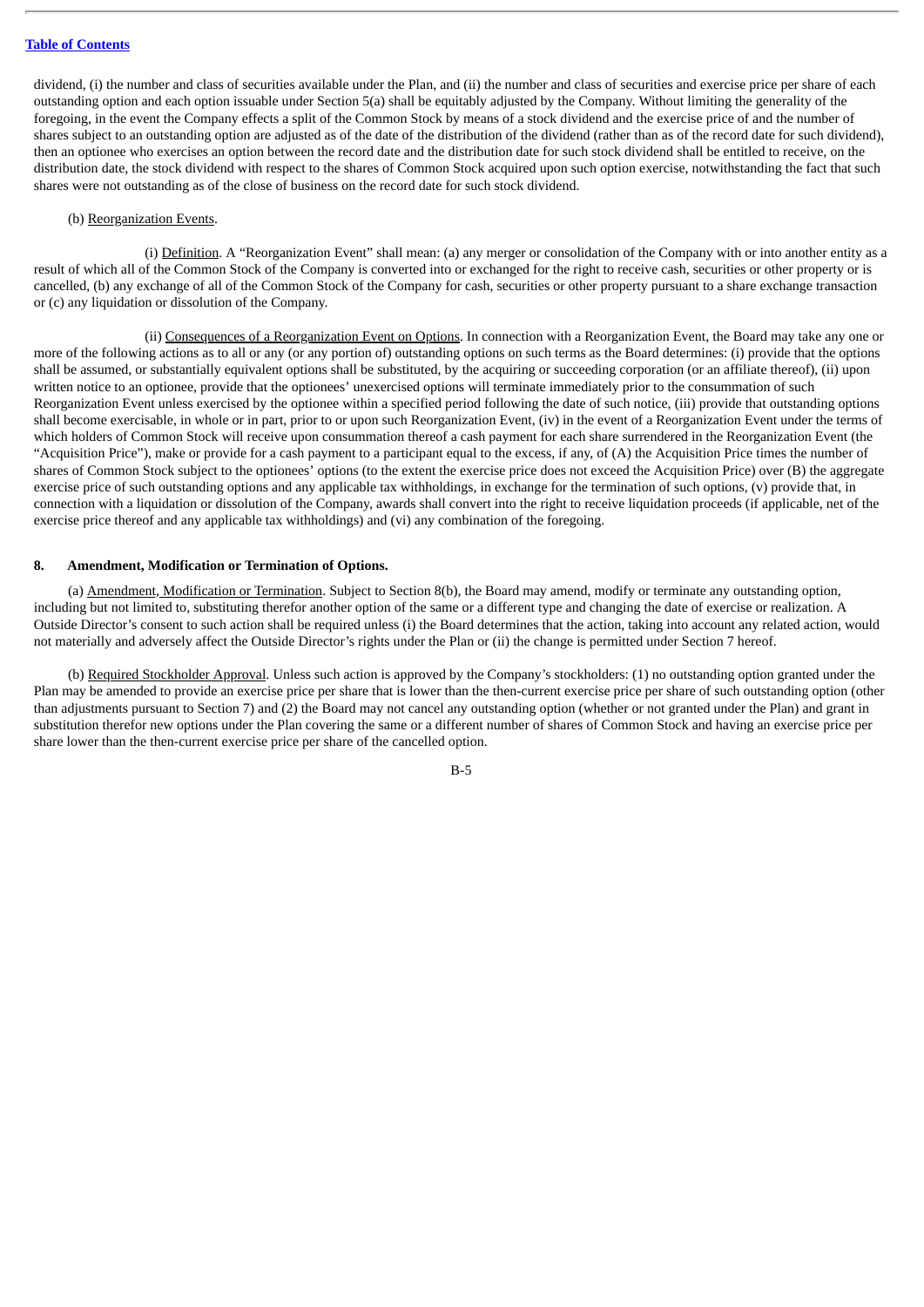dividend, (i) the number and class of securities available under the Plan, and (ii) the number and class of securities and exercise price per share of each outstanding option and each option issuable under Section 5(a) shall be equitably adjusted by the Company. Without limiting the generality of the foregoing, in the event the Company effects a split of the Common Stock by means of a stock dividend and the exercise price of and the number of shares subject to an outstanding option are adjusted as of the date of the distribution of the dividend (rather than as of the record date for such dividend), then an optionee who exercises an option between the record date and the distribution date for such stock dividend shall be entitled to receive, on the distribution date, the stock dividend with respect to the shares of Common Stock acquired upon such option exercise, notwithstanding the fact that such shares were not outstanding as of the close of business on the record date for such stock dividend.

## (b) Reorganization Events.

(i) Definition. A "Reorganization Event" shall mean: (a) any merger or consolidation of the Company with or into another entity as a result of which all of the Common Stock of the Company is converted into or exchanged for the right to receive cash, securities or other property or is cancelled, (b) any exchange of all of the Common Stock of the Company for cash, securities or other property pursuant to a share exchange transaction or (c) any liquidation or dissolution of the Company.

(ii) Consequences of a Reorganization Event on Options. In connection with a Reorganization Event, the Board may take any one or more of the following actions as to all or any (or any portion of) outstanding options on such terms as the Board determines: (i) provide that the options shall be assumed, or substantially equivalent options shall be substituted, by the acquiring or succeeding corporation (or an affiliate thereof), (ii) upon written notice to an optionee, provide that the optionees' unexercised options will terminate immediately prior to the consummation of such Reorganization Event unless exercised by the optionee within a specified period following the date of such notice, (iii) provide that outstanding options shall become exercisable, in whole or in part, prior to or upon such Reorganization Event, (iv) in the event of a Reorganization Event under the terms of which holders of Common Stock will receive upon consummation thereof a cash payment for each share surrendered in the Reorganization Event (the "Acquisition Price"), make or provide for a cash payment to a participant equal to the excess, if any, of (A) the Acquisition Price times the number of shares of Common Stock subject to the optionees' options (to the extent the exercise price does not exceed the Acquisition Price) over (B) the aggregate exercise price of such outstanding options and any applicable tax withholdings, in exchange for the termination of such options, (v) provide that, in connection with a liquidation or dissolution of the Company, awards shall convert into the right to receive liquidation proceeds (if applicable, net of the exercise price thereof and any applicable tax withholdings) and (vi) any combination of the foregoing.

#### **8. Amendment, Modification or Termination of Options.**

(a) Amendment, Modification or Termination. Subject to Section 8(b), the Board may amend, modify or terminate any outstanding option, including but not limited to, substituting therefor another option of the same or a different type and changing the date of exercise or realization. A Outside Director's consent to such action shall be required unless (i) the Board determines that the action, taking into account any related action, would not materially and adversely affect the Outside Director's rights under the Plan or (ii) the change is permitted under Section 7 hereof.

(b) Required Stockholder Approval. Unless such action is approved by the Company's stockholders: (1) no outstanding option granted under the Plan may be amended to provide an exercise price per share that is lower than the then-current exercise price per share of such outstanding option (other than adjustments pursuant to Section 7) and (2) the Board may not cancel any outstanding option (whether or not granted under the Plan) and grant in substitution therefor new options under the Plan covering the same or a different number of shares of Common Stock and having an exercise price per share lower than the then-current exercise price per share of the cancelled option.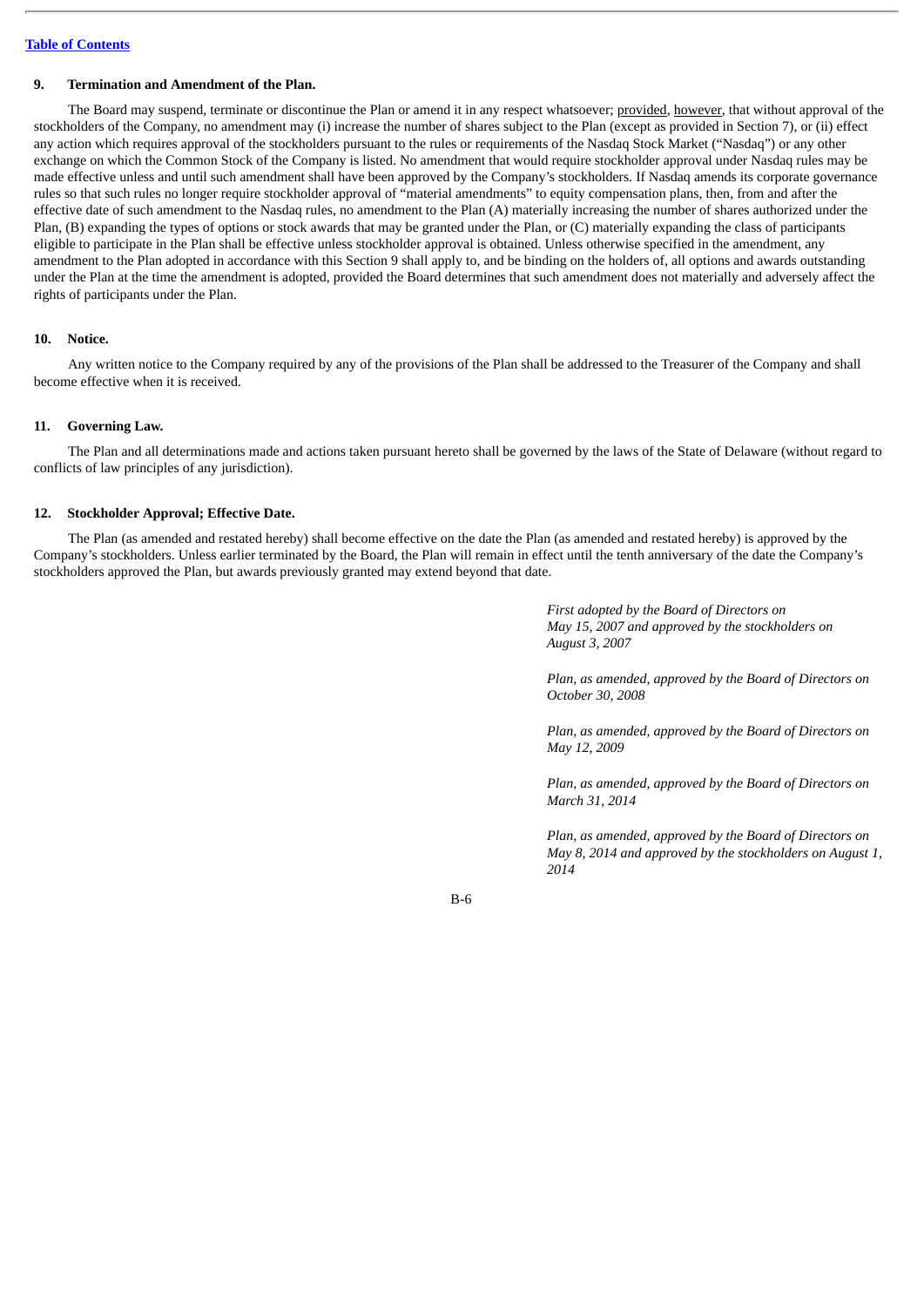# **9. Termination and Amendment of the Plan.**

The Board may suspend, terminate or discontinue the Plan or amend it in any respect whatsoever; provided, however, that without approval of the stockholders of the Company, no amendment may (i) increase the number of shares subject to the Plan (except as provided in Section 7), or (ii) effect any action which requires approval of the stockholders pursuant to the rules or requirements of the Nasdaq Stock Market ("Nasdaq") or any other exchange on which the Common Stock of the Company is listed. No amendment that would require stockholder approval under Nasdaq rules may be made effective unless and until such amendment shall have been approved by the Company's stockholders. If Nasdaq amends its corporate governance rules so that such rules no longer require stockholder approval of "material amendments" to equity compensation plans, then, from and after the effective date of such amendment to the Nasdaq rules, no amendment to the Plan (A) materially increasing the number of shares authorized under the Plan, (B) expanding the types of options or stock awards that may be granted under the Plan, or (C) materially expanding the class of participants eligible to participate in the Plan shall be effective unless stockholder approval is obtained. Unless otherwise specified in the amendment, any amendment to the Plan adopted in accordance with this Section 9 shall apply to, and be binding on the holders of, all options and awards outstanding under the Plan at the time the amendment is adopted, provided the Board determines that such amendment does not materially and adversely affect the rights of participants under the Plan.

# **10. Notice.**

Any written notice to the Company required by any of the provisions of the Plan shall be addressed to the Treasurer of the Company and shall become effective when it is received.

### **11. Governing Law.**

The Plan and all determinations made and actions taken pursuant hereto shall be governed by the laws of the State of Delaware (without regard to conflicts of law principles of any jurisdiction).

#### **12. Stockholder Approval; Effective Date.**

The Plan (as amended and restated hereby) shall become effective on the date the Plan (as amended and restated hereby) is approved by the Company's stockholders. Unless earlier terminated by the Board, the Plan will remain in effect until the tenth anniversary of the date the Company's stockholders approved the Plan, but awards previously granted may extend beyond that date.

> *First adopted by the Board of Directors on May 15, 2007 and approved by the stockholders on August 3, 2007*

*Plan, as amended, approved by the Board of Directors on October 30, 2008*

*Plan, as amended, approved by the Board of Directors on May 12, 2009*

*Plan, as amended, approved by the Board of Directors on March 31, 2014*

*Plan, as amended, approved by the Board of Directors on May 8, 2014 and approved by the stockholders on August 1, 2014*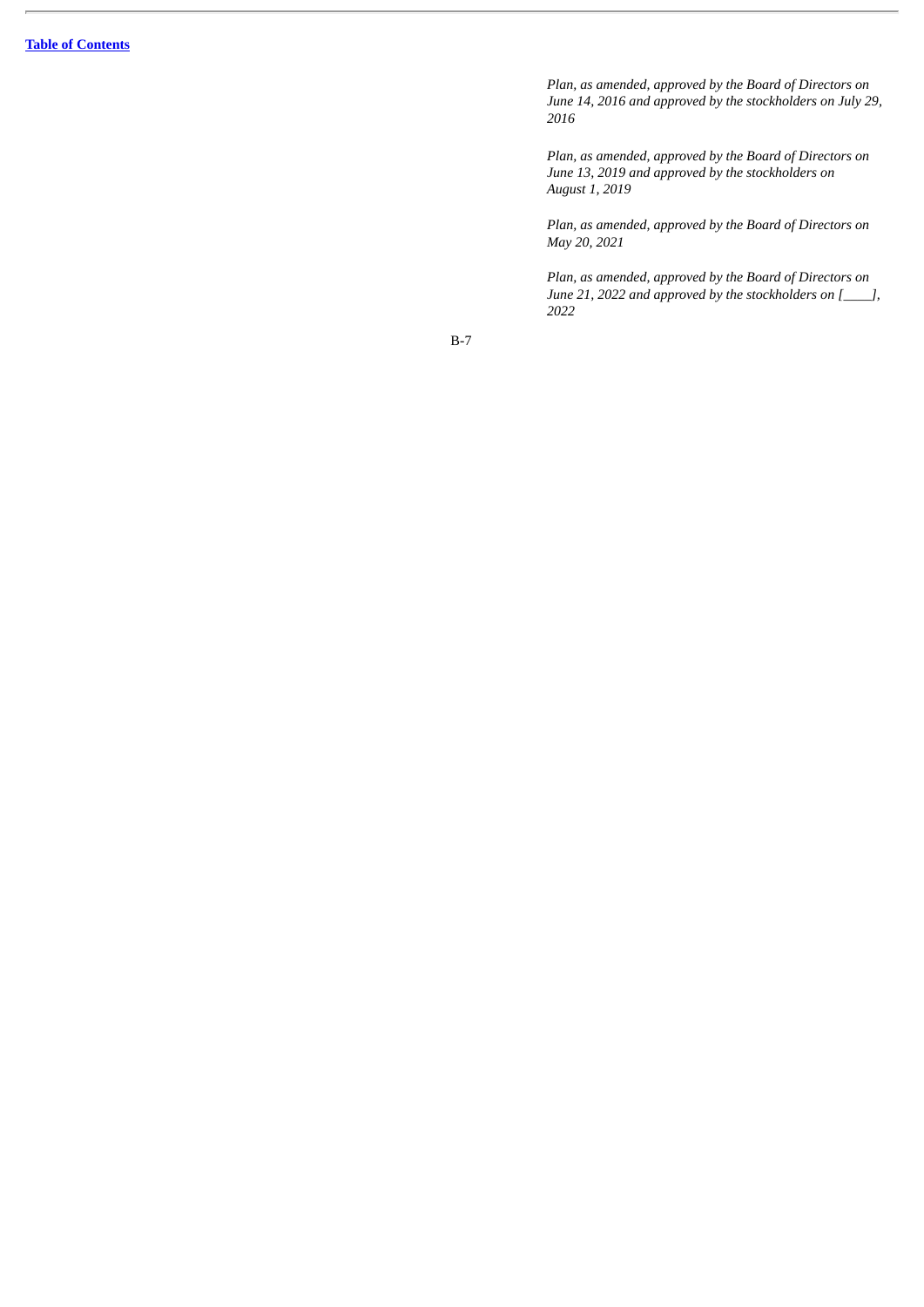Plan, as amended, approved by the Board of Directors on June 14, 2016 and approved by the stockholders on July 29, *2 0 1 6*

Plan, as amended, approved by the Board of Directors on June 13, 2019 and approved by the stockholders on *August* 1, 2019

Plan, as amended, approved by the Board of Directors on *May* 20, 2021

Plan, as amended, approved by the Board of Directors on June 21, 2022 and approved by the stockholders on [\_\_\_\_\_], *2 0 2 2*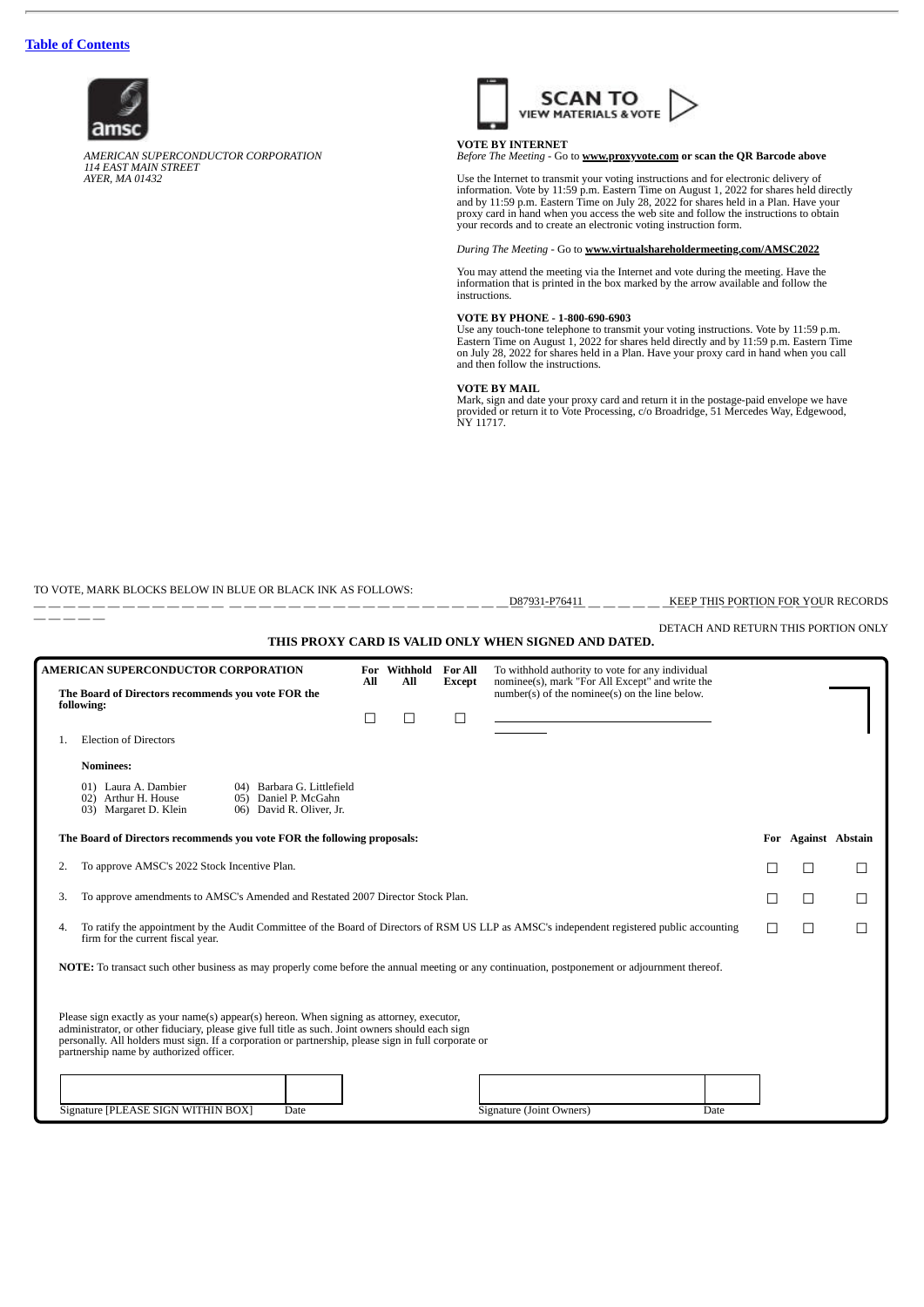## **Table of [Contents](#page-2-0)**

— — — — —



*AMERICAN SUPERCONDUCTOR CORPORATION 114 EAST MAIN STREET AYER, MA 01432*



### **VOTE BY INTERNET**

*Before The Meeting* - Go to **www.proxyvote.com or scan the QR Barcode above**

Use the Internet to transmit your voting instructions and for electronic delivery of information. Vote by 11:59 p.m. Eastern Time on August 1, 2022 for shares held directly<br>and by 11:59 p.m. Eastern Time on July 28, 2022 for shares held in a Plan. Have your<br>proxy card in hand when you access the web site a your records and to create an electronic voting instruction form.

*During The Meeting* - Go to **www.virtualshareholdermeeting.com/AMSC2022**

You may attend the meeting via the Internet and vote during the meeting. Have the information that is printed in the box marked by the arrow available and follow the instructions.

#### **VOTE BY PHONE - 1-800-690-6903**

Use any touch-tone telephone to transmit your voting instructions. Vote by 11:59 p.m.<br>Eastern Time on August 1, 2022 for shares held directly and by 11:59 p.m. Eastern Time<br>on July 28, 2022 for shares held in a Plan. Have and then follow the instructions.

#### **VOTE BY MAIL**

Mark, sign and date your proxy card and return it in the postage-paid envelope we have provided or return it to Vote Processing, c/o Broadridge, 51 Mercedes Way, Edgewood, NY 11717.

#### TO VOTE, MARK BLOCKS BELOW IN BLUE OR BLACK INK AS FOLLOWS:

— D87931-P76411 \_\_\_\_\_\_\_\_\_ KEEP THIS PORTION FOR YOUR RECORDS

| DETACH AND RETURN THIS PORTION ONLY<br>THIS PROXY CARD IS VALID ONLY WHEN SIGNED AND DATED.                                                                                            |                                                                                                                                                                                                                                                                                                                                                                                     |                                                                                |     |                                  |                    |                                                                                                                                                         |   |        |                     |
|----------------------------------------------------------------------------------------------------------------------------------------------------------------------------------------|-------------------------------------------------------------------------------------------------------------------------------------------------------------------------------------------------------------------------------------------------------------------------------------------------------------------------------------------------------------------------------------|--------------------------------------------------------------------------------|-----|----------------------------------|--------------------|---------------------------------------------------------------------------------------------------------------------------------------------------------|---|--------|---------------------|
| <b>AMERICAN SUPERCONDUCTOR CORPORATION</b><br>The Board of Directors recommends you vote FOR the<br>following:                                                                         |                                                                                                                                                                                                                                                                                                                                                                                     |                                                                                | All | For Withhold For All<br>All<br>П | <b>Except</b><br>Г | To withhold authority to vote for any individual<br>nominee(s), mark "For All Except" and write the<br>$number(s)$ of the nominee(s) on the line below. |   |        |                     |
|                                                                                                                                                                                        | <b>Election of Directors</b>                                                                                                                                                                                                                                                                                                                                                        |                                                                                |     |                                  |                    |                                                                                                                                                         |   |        |                     |
|                                                                                                                                                                                        | Nominees:                                                                                                                                                                                                                                                                                                                                                                           |                                                                                |     |                                  |                    |                                                                                                                                                         |   |        |                     |
|                                                                                                                                                                                        | 01) Laura A. Dambier<br>02) Arthur H. House<br>03) Margaret D. Klein                                                                                                                                                                                                                                                                                                                | 04) Barbara G. Littlefield<br>05) Daniel P. McGahn<br>06) David R. Oliver, Jr. |     |                                  |                    |                                                                                                                                                         |   |        |                     |
| The Board of Directors recommends you vote FOR the following proposals:                                                                                                                |                                                                                                                                                                                                                                                                                                                                                                                     |                                                                                |     |                                  |                    |                                                                                                                                                         |   |        | For Against Abstain |
|                                                                                                                                                                                        | To approve AMSC's 2022 Stock Incentive Plan.                                                                                                                                                                                                                                                                                                                                        |                                                                                |     |                                  |                    |                                                                                                                                                         |   | Н      | П                   |
| 3.                                                                                                                                                                                     | To approve amendments to AMSC's Amended and Restated 2007 Director Stock Plan.                                                                                                                                                                                                                                                                                                      |                                                                                |     |                                  |                    |                                                                                                                                                         |   | П      |                     |
| To ratify the appointment by the Audit Committee of the Board of Directors of RSM US LLP as AMSC's independent registered public accounting<br>4.<br>firm for the current fiscal year. |                                                                                                                                                                                                                                                                                                                                                                                     |                                                                                |     |                                  |                    |                                                                                                                                                         | П | $\Box$ |                     |
| NOTE: To transact such other business as may properly come before the annual meeting or any continuation, postponement or adjournment thereof.                                         |                                                                                                                                                                                                                                                                                                                                                                                     |                                                                                |     |                                  |                    |                                                                                                                                                         |   |        |                     |
|                                                                                                                                                                                        | Please sign exactly as your name(s) appear(s) hereon. When signing as attorney, executor, administrator, or other fiduciary, please give full title as such. Joint owners should each sign<br>personally. All holders must sign. If a corporation or partnership, please sign in full corporate or<br>partnership name by authorized officer.<br>Signature [PLEASE SIGN WITHIN BOX] | Date                                                                           |     |                                  |                    | Signature (Joint Owners)<br>Date                                                                                                                        |   |        |                     |